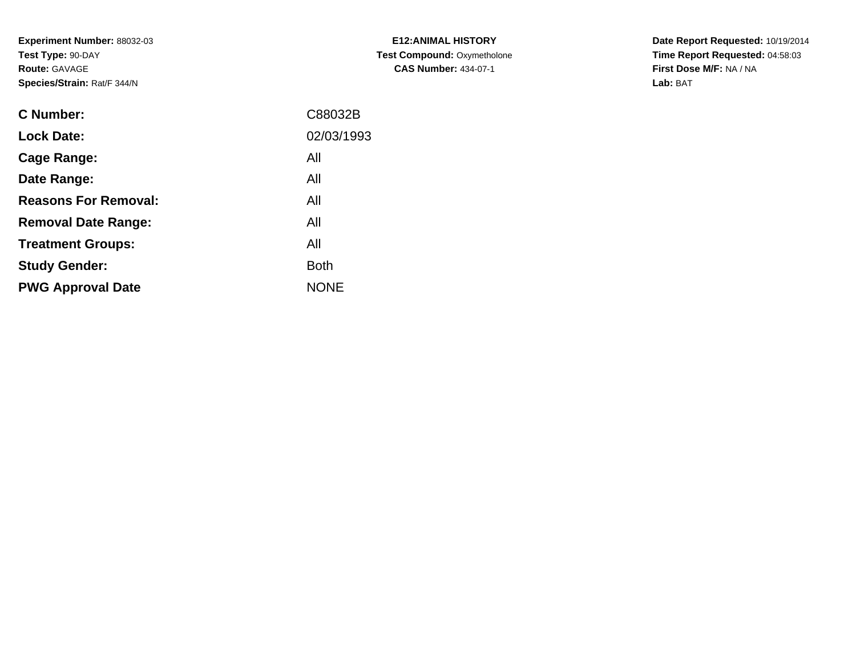**Experiment Number:** 88032-03**Test Type:** 90-DAY**Route:** GAVAGE**Species/Strain:** Rat/F 344/N

| <b>E12:ANIMAL HISTORY</b>          |
|------------------------------------|
| <b>Test Compound: Oxymetholone</b> |
| <b>CAS Number: 434-07-1</b>        |

**Date Report Requested:** 10/19/2014 **Time Report Requested:** 04:58:03**First Dose M/F:** NA / NA**Lab:** BAT

| C Number:                   | C88032B     |
|-----------------------------|-------------|
| <b>Lock Date:</b>           | 02/03/1993  |
| Cage Range:                 | All         |
| Date Range:                 | All         |
| <b>Reasons For Removal:</b> | All         |
| <b>Removal Date Range:</b>  | All         |
| <b>Treatment Groups:</b>    | All         |
| <b>Study Gender:</b>        | <b>Both</b> |
| <b>PWG Approval Date</b>    | <b>NONE</b> |
|                             |             |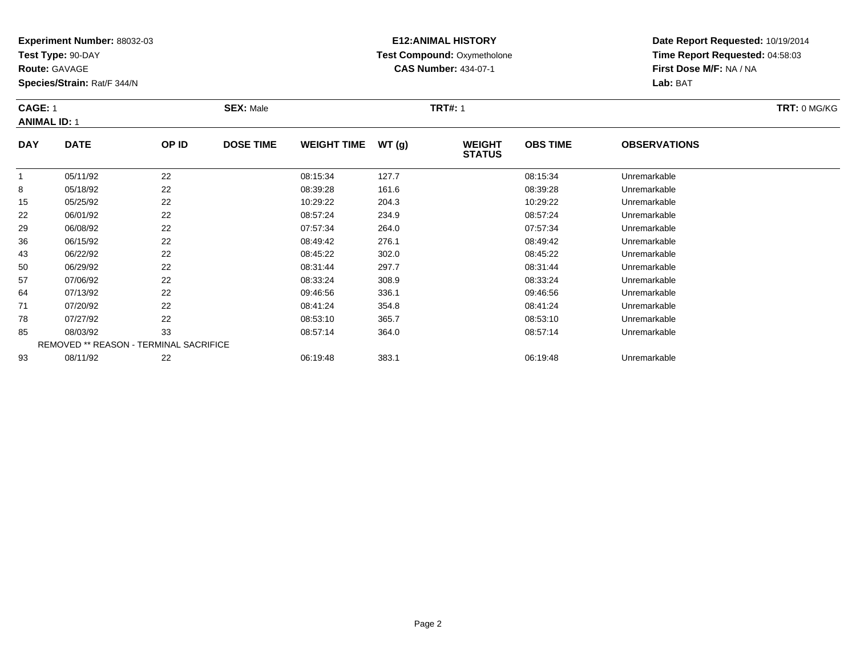**Test Type:** 90-DAY

**Route:** GAVAGE

**Species/Strain:** Rat/F 344/N

# **E12:ANIMAL HISTORY Test Compound:** Oxymetholone**CAS Number:** 434-07-1

**Date Report Requested:** 10/19/2014 **Time Report Requested:** 04:58:03**First Dose M/F:** NA / NA**Lab:** BAT

#### **CAGE:** 1 **SEX:** Male **TRT#:** <sup>1</sup> **TRT:** 0 MG/KG**ANIMAL ID:** 1**DAY DATE OP ID DOSE TIME WEIGHT TIME WT (g) WEIGHT STATUSOBS TIMEOBSERVATIONS**

|    |          |                                               |          |       | <b>STATUS</b> |              |  |
|----|----------|-----------------------------------------------|----------|-------|---------------|--------------|--|
|    | 05/11/92 | 22                                            | 08:15:34 | 127.7 | 08:15:34      | Unremarkable |  |
| 8  | 05/18/92 | 22                                            | 08:39:28 | 161.6 | 08:39:28      | Unremarkable |  |
| 15 | 05/25/92 | 22                                            | 10:29:22 | 204.3 | 10:29:22      | Unremarkable |  |
| 22 | 06/01/92 | 22                                            | 08:57:24 | 234.9 | 08:57:24      | Unremarkable |  |
| 29 | 06/08/92 | 22                                            | 07:57:34 | 264.0 | 07:57:34      | Unremarkable |  |
| 36 | 06/15/92 | 22                                            | 08:49:42 | 276.1 | 08:49:42      | Unremarkable |  |
| 43 | 06/22/92 | 22                                            | 08:45:22 | 302.0 | 08:45:22      | Unremarkable |  |
| 50 | 06/29/92 | 22                                            | 08:31:44 | 297.7 | 08:31:44      | Unremarkable |  |
| 57 | 07/06/92 | 22                                            | 08:33:24 | 308.9 | 08:33:24      | Unremarkable |  |
| 64 | 07/13/92 | 22                                            | 09:46:56 | 336.1 | 09:46:56      | Unremarkable |  |
| 71 | 07/20/92 | 22                                            | 08:41:24 | 354.8 | 08:41:24      | Unremarkable |  |
| 78 | 07/27/92 | 22                                            | 08:53:10 | 365.7 | 08:53:10      | Unremarkable |  |
| 85 | 08/03/92 | 33                                            | 08:57:14 | 364.0 | 08:57:14      | Unremarkable |  |
|    |          | <b>REMOVED ** REASON - TERMINAL SACRIFICE</b> |          |       |               |              |  |
| 93 | 08/11/92 | 22                                            | 06:19:48 | 383.1 | 06:19:48      | Unremarkable |  |
|    |          |                                               |          |       |               |              |  |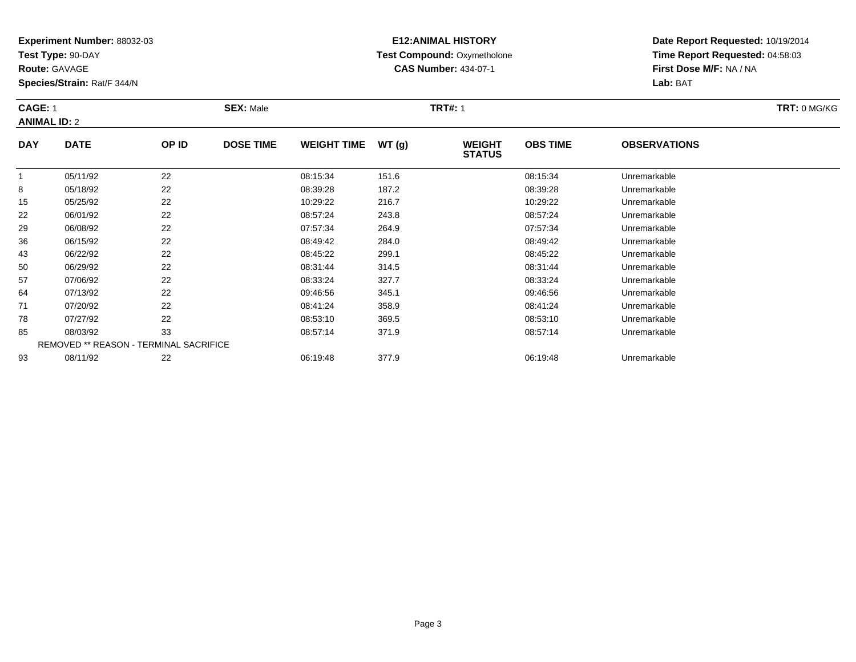**Test Type:** 90-DAY

**Route:** GAVAGE

**Species/Strain:** Rat/F 344/N

# **E12:ANIMAL HISTORY Test Compound:** Oxymetholone**CAS Number:** 434-07-1

**Date Report Requested:** 10/19/2014 **Time Report Requested:** 04:58:03**First Dose M/F:** NA / NA**Lab:** BAT

#### **CAGE:** 1 **SEX:** Male **TRT#:** <sup>1</sup> **TRT:** 0 MG/KG**ANIMAL ID:** 2**DAY DATE OP IDDOSE TIME WEIGHT TIME WT** (g) **WEIGHT<br>STATUS OBS TIMEOBSERVATIONS**

|    | 05/11/92 | 22                                            | 08:15:34 | 151.6 | 08:15:34 | Unremarkable |  |
|----|----------|-----------------------------------------------|----------|-------|----------|--------------|--|
| 8  | 05/18/92 | 22                                            | 08:39:28 | 187.2 | 08:39:28 | Unremarkable |  |
| 15 | 05/25/92 | 22                                            | 10:29:22 | 216.7 | 10:29:22 | Unremarkable |  |
| 22 | 06/01/92 | 22                                            | 08:57:24 | 243.8 | 08:57:24 | Unremarkable |  |
| 29 | 06/08/92 | 22                                            | 07:57:34 | 264.9 | 07:57:34 | Unremarkable |  |
| 36 | 06/15/92 | 22                                            | 08:49:42 | 284.0 | 08:49:42 | Unremarkable |  |
| 43 | 06/22/92 | 22                                            | 08:45:22 | 299.1 | 08:45:22 | Unremarkable |  |
| 50 | 06/29/92 | 22                                            | 08:31:44 | 314.5 | 08:31:44 | Unremarkable |  |
| 57 | 07/06/92 | 22                                            | 08:33:24 | 327.7 | 08:33:24 | Unremarkable |  |
| 64 | 07/13/92 | 22                                            | 09:46:56 | 345.1 | 09:46:56 | Unremarkable |  |
| 71 | 07/20/92 | 22                                            | 08:41:24 | 358.9 | 08:41:24 | Unremarkable |  |
| 78 | 07/27/92 | 22                                            | 08:53:10 | 369.5 | 08:53:10 | Unremarkable |  |
| 85 | 08/03/92 | 33                                            | 08:57:14 | 371.9 | 08:57:14 | Unremarkable |  |
|    |          | <b>REMOVED ** REASON - TERMINAL SACRIFICE</b> |          |       |          |              |  |
| 93 | 08/11/92 | 22                                            | 06:19:48 | 377.9 | 06:19:48 | Unremarkable |  |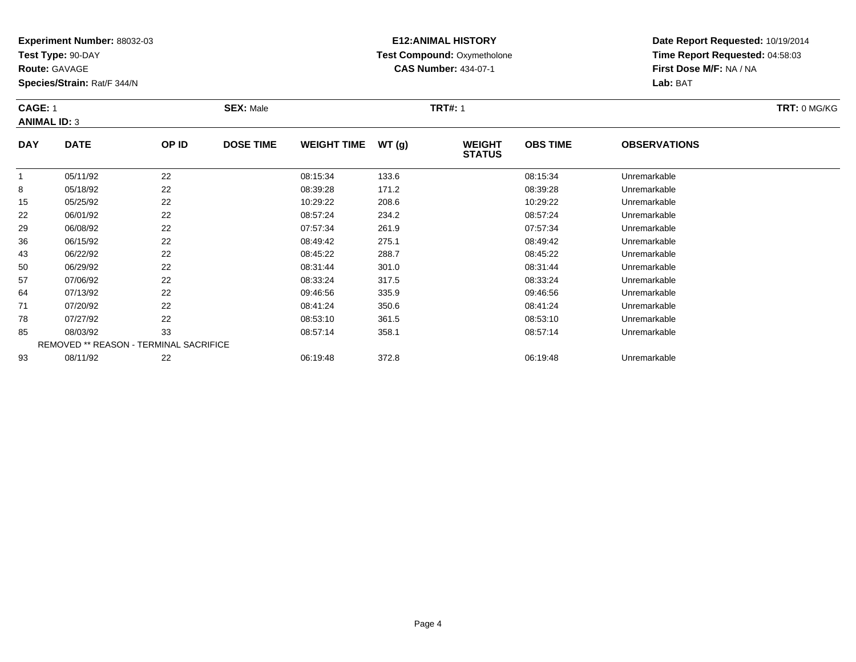**Test Type:** 90-DAY

**Route:** GAVAGE

**Species/Strain:** Rat/F 344/N

# **E12:ANIMAL HISTORY Test Compound:** Oxymetholone**CAS Number:** 434-07-1

**Date Report Requested:** 10/19/2014 **Time Report Requested:** 04:58:03**First Dose M/F:** NA / NA**Lab:** BAT

#### **CAGE:** 1 **SEX:** Male **TRT#:** <sup>1</sup> **TRT:** 0 MG/KG**ANIMAL ID:** 3**DAY DATE OP ID DOSE TIME WEIGHT TIME WT (g) WEIGHT STATUSOBS TIMEOBSERVATIONS**

|    |          |                                               |          |       | <b>STATUS</b> |              |  |
|----|----------|-----------------------------------------------|----------|-------|---------------|--------------|--|
|    | 05/11/92 | 22                                            | 08:15:34 | 133.6 | 08:15:34      | Unremarkable |  |
| 8  | 05/18/92 | 22                                            | 08:39:28 | 171.2 | 08:39:28      | Unremarkable |  |
| 15 | 05/25/92 | 22                                            | 10:29:22 | 208.6 | 10:29:22      | Unremarkable |  |
| 22 | 06/01/92 | 22                                            | 08:57:24 | 234.2 | 08:57:24      | Unremarkable |  |
| 29 | 06/08/92 | 22                                            | 07:57:34 | 261.9 | 07:57:34      | Unremarkable |  |
| 36 | 06/15/92 | 22                                            | 08:49:42 | 275.1 | 08:49:42      | Unremarkable |  |
| 43 | 06/22/92 | 22                                            | 08:45:22 | 288.7 | 08:45:22      | Unremarkable |  |
| 50 | 06/29/92 | 22                                            | 08:31:44 | 301.0 | 08:31:44      | Unremarkable |  |
| 57 | 07/06/92 | 22                                            | 08:33:24 | 317.5 | 08:33:24      | Unremarkable |  |
| 64 | 07/13/92 | 22                                            | 09:46:56 | 335.9 | 09:46:56      | Unremarkable |  |
| 71 | 07/20/92 | 22                                            | 08:41:24 | 350.6 | 08:41:24      | Unremarkable |  |
| 78 | 07/27/92 | 22                                            | 08:53:10 | 361.5 | 08:53:10      | Unremarkable |  |
| 85 | 08/03/92 | 33                                            | 08:57:14 | 358.1 | 08:57:14      | Unremarkable |  |
|    |          | <b>REMOVED ** REASON - TERMINAL SACRIFICE</b> |          |       |               |              |  |
| 93 | 08/11/92 | 22                                            | 06:19:48 | 372.8 | 06:19:48      | Unremarkable |  |
|    |          |                                               |          |       |               |              |  |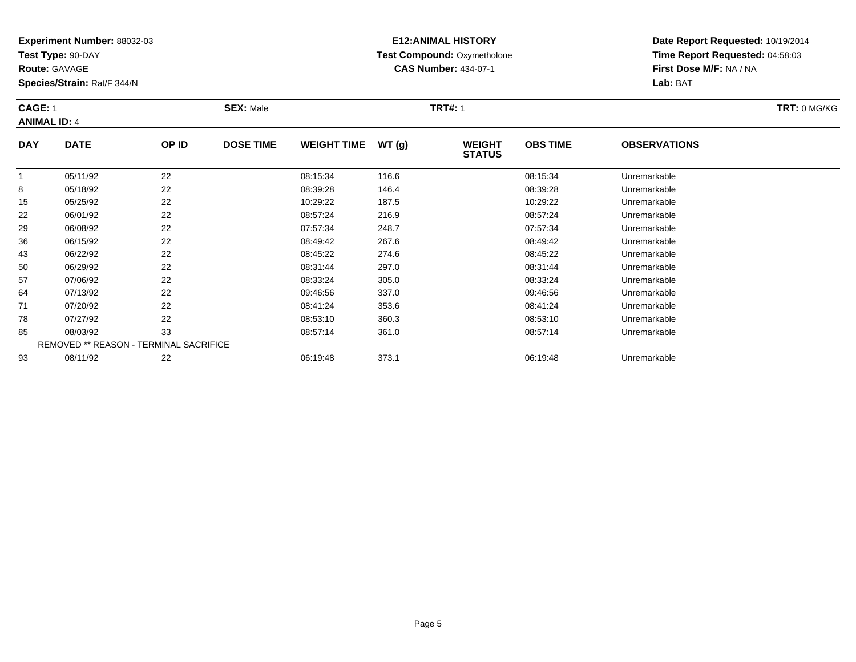**Test Type:** 90-DAY

**Route:** GAVAGE

**Species/Strain:** Rat/F 344/N

# **E12:ANIMAL HISTORY Test Compound:** Oxymetholone**CAS Number:** 434-07-1

**Date Report Requested:** 10/19/2014 **Time Report Requested:** 04:58:03**First Dose M/F:** NA / NA**Lab:** BAT

#### **CAGE:** 1 **SEX:** Male **TRT#:** <sup>1</sup> **TRT:** 0 MG/KG**ANIMAL ID:** 4**DAY DATE OP IDDOSE TIME WEIGHT TIME WT** (g) **STATUSOBS TIME OBSERVATIONS** 1

|    | 05/11/92 | 22                                            | 08:15:34 | 116.6 | 08:15:34 | Unremarkable |  |
|----|----------|-----------------------------------------------|----------|-------|----------|--------------|--|
| 8  | 05/18/92 | 22                                            | 08:39:28 | 146.4 | 08:39:28 | Unremarkable |  |
| 15 | 05/25/92 | 22                                            | 10:29:22 | 187.5 | 10:29:22 | Unremarkable |  |
| 22 | 06/01/92 | 22                                            | 08:57:24 | 216.9 | 08:57:24 | Unremarkable |  |
| 29 | 06/08/92 | 22                                            | 07:57:34 | 248.7 | 07:57:34 | Unremarkable |  |
| 36 | 06/15/92 | 22                                            | 08:49:42 | 267.6 | 08:49:42 | Unremarkable |  |
| 43 | 06/22/92 | 22                                            | 08:45:22 | 274.6 | 08:45:22 | Unremarkable |  |
| 50 | 06/29/92 | 22                                            | 08:31:44 | 297.0 | 08:31:44 | Unremarkable |  |
| 57 | 07/06/92 | 22                                            | 08:33:24 | 305.0 | 08:33:24 | Unremarkable |  |
| 64 | 07/13/92 | 22                                            | 09:46:56 | 337.0 | 09:46:56 | Unremarkable |  |
| 71 | 07/20/92 | 22                                            | 08:41:24 | 353.6 | 08:41:24 | Unremarkable |  |
| 78 | 07/27/92 | 22                                            | 08:53:10 | 360.3 | 08:53:10 | Unremarkable |  |
| 85 | 08/03/92 | 33                                            | 08:57:14 | 361.0 | 08:57:14 | Unremarkable |  |
|    |          | <b>REMOVED ** REASON - TERMINAL SACRIFICE</b> |          |       |          |              |  |
| 93 | 08/11/92 | 22                                            | 06:19:48 | 373.1 | 06:19:48 | Unremarkable |  |
|    |          |                                               |          |       |          |              |  |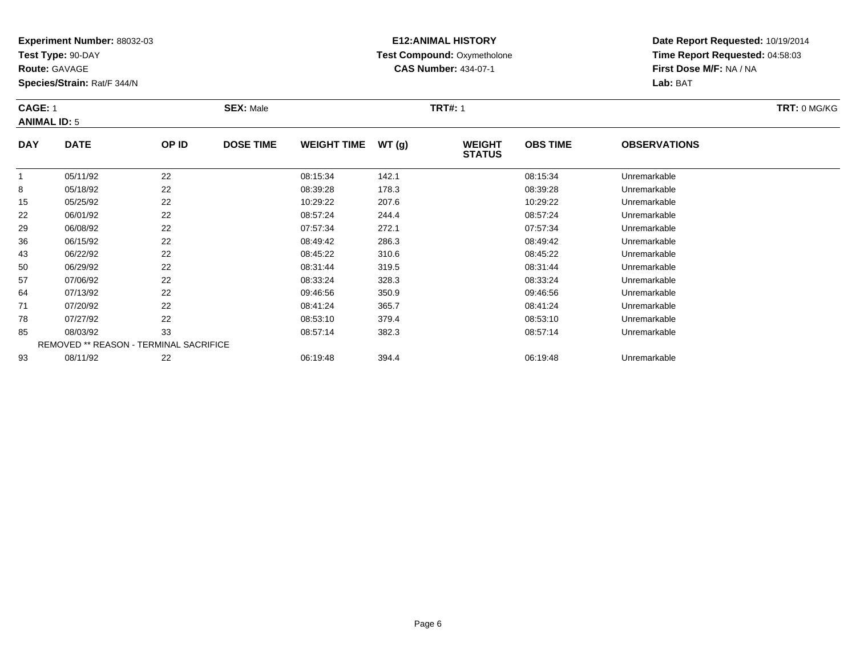**Test Type:** 90-DAY

**Route:** GAVAGE

**Species/Strain:** Rat/F 344/N

# **E12:ANIMAL HISTORY Test Compound:** Oxymetholone**CAS Number:** 434-07-1

**Date Report Requested:** 10/19/2014 **Time Report Requested:** 04:58:03**First Dose M/F:** NA / NA**Lab:** BAT

#### **CAGE:** 1 **SEX:** Male **TRT#:** <sup>1</sup> **TRT:** 0 MG/KG**ANIMAL ID:** 5**DAY DATE OP ID DOSE TIME WEIGHT TIME WT (g) WEIGHT OBS TIMEOBSERVATIONS**

| 22<br>05/11/92<br>08:15:34<br>142.1<br>08:15:34<br>Unremarkable<br>22<br>05/18/92<br>08:39:28<br>178.3<br>08:39:28<br>Unremarkable<br>8<br>22<br>05/25/92<br>10:29:22<br>207.6<br>10:29:22<br>Unremarkable<br>15<br>22<br>08:57:24<br>244.4<br>08:57:24<br>22<br>06/01/92<br>Unremarkable<br>22<br>272.1<br>29<br>06/08/92<br>07:57:34<br>07:57:34<br>Unremarkable<br>22<br>06/15/92<br>286.3<br>36<br>08:49:42<br>08:49:42<br>Unremarkable<br>22<br>06/22/92<br>08:45:22<br>310.6<br>43<br>08:45:22<br>Unremarkable<br>22<br>06/29/92<br>08:31:44<br>319.5<br>08:31:44<br>Unremarkable<br>50<br>22<br>57<br>08:33:24<br>328.3<br>07/06/92<br>08:33:24<br>Unremarkable<br>22<br>64<br>350.9<br>07/13/92<br>09:46:56<br>09:46:56<br>Unremarkable<br>22<br>07/20/92<br>08:41:24<br>365.7<br>08:41:24<br>71<br>Unremarkable<br>22<br>78<br>07/27/92<br>08:53:10<br>379.4<br>08:53:10<br>Unremarkable<br>33<br>08/03/92<br>85<br>08:57:14<br>382.3<br>08:57:14<br>Unremarkable<br><b>REMOVED ** REASON - TERMINAL SACRIFICE</b><br>08/11/92<br>22<br>394.4<br>93<br>06:19:48<br>06:19:48<br>Unremarkable |  |  | $\sim$ | <b>STATUS</b> |  |
|------------------------------------------------------------------------------------------------------------------------------------------------------------------------------------------------------------------------------------------------------------------------------------------------------------------------------------------------------------------------------------------------------------------------------------------------------------------------------------------------------------------------------------------------------------------------------------------------------------------------------------------------------------------------------------------------------------------------------------------------------------------------------------------------------------------------------------------------------------------------------------------------------------------------------------------------------------------------------------------------------------------------------------------------------------------------------------------------------|--|--|--------|---------------|--|
|                                                                                                                                                                                                                                                                                                                                                                                                                                                                                                                                                                                                                                                                                                                                                                                                                                                                                                                                                                                                                                                                                                      |  |  |        |               |  |
|                                                                                                                                                                                                                                                                                                                                                                                                                                                                                                                                                                                                                                                                                                                                                                                                                                                                                                                                                                                                                                                                                                      |  |  |        |               |  |
|                                                                                                                                                                                                                                                                                                                                                                                                                                                                                                                                                                                                                                                                                                                                                                                                                                                                                                                                                                                                                                                                                                      |  |  |        |               |  |
|                                                                                                                                                                                                                                                                                                                                                                                                                                                                                                                                                                                                                                                                                                                                                                                                                                                                                                                                                                                                                                                                                                      |  |  |        |               |  |
|                                                                                                                                                                                                                                                                                                                                                                                                                                                                                                                                                                                                                                                                                                                                                                                                                                                                                                                                                                                                                                                                                                      |  |  |        |               |  |
|                                                                                                                                                                                                                                                                                                                                                                                                                                                                                                                                                                                                                                                                                                                                                                                                                                                                                                                                                                                                                                                                                                      |  |  |        |               |  |
|                                                                                                                                                                                                                                                                                                                                                                                                                                                                                                                                                                                                                                                                                                                                                                                                                                                                                                                                                                                                                                                                                                      |  |  |        |               |  |
|                                                                                                                                                                                                                                                                                                                                                                                                                                                                                                                                                                                                                                                                                                                                                                                                                                                                                                                                                                                                                                                                                                      |  |  |        |               |  |
|                                                                                                                                                                                                                                                                                                                                                                                                                                                                                                                                                                                                                                                                                                                                                                                                                                                                                                                                                                                                                                                                                                      |  |  |        |               |  |
|                                                                                                                                                                                                                                                                                                                                                                                                                                                                                                                                                                                                                                                                                                                                                                                                                                                                                                                                                                                                                                                                                                      |  |  |        |               |  |
|                                                                                                                                                                                                                                                                                                                                                                                                                                                                                                                                                                                                                                                                                                                                                                                                                                                                                                                                                                                                                                                                                                      |  |  |        |               |  |
|                                                                                                                                                                                                                                                                                                                                                                                                                                                                                                                                                                                                                                                                                                                                                                                                                                                                                                                                                                                                                                                                                                      |  |  |        |               |  |
|                                                                                                                                                                                                                                                                                                                                                                                                                                                                                                                                                                                                                                                                                                                                                                                                                                                                                                                                                                                                                                                                                                      |  |  |        |               |  |
|                                                                                                                                                                                                                                                                                                                                                                                                                                                                                                                                                                                                                                                                                                                                                                                                                                                                                                                                                                                                                                                                                                      |  |  |        |               |  |
|                                                                                                                                                                                                                                                                                                                                                                                                                                                                                                                                                                                                                                                                                                                                                                                                                                                                                                                                                                                                                                                                                                      |  |  |        |               |  |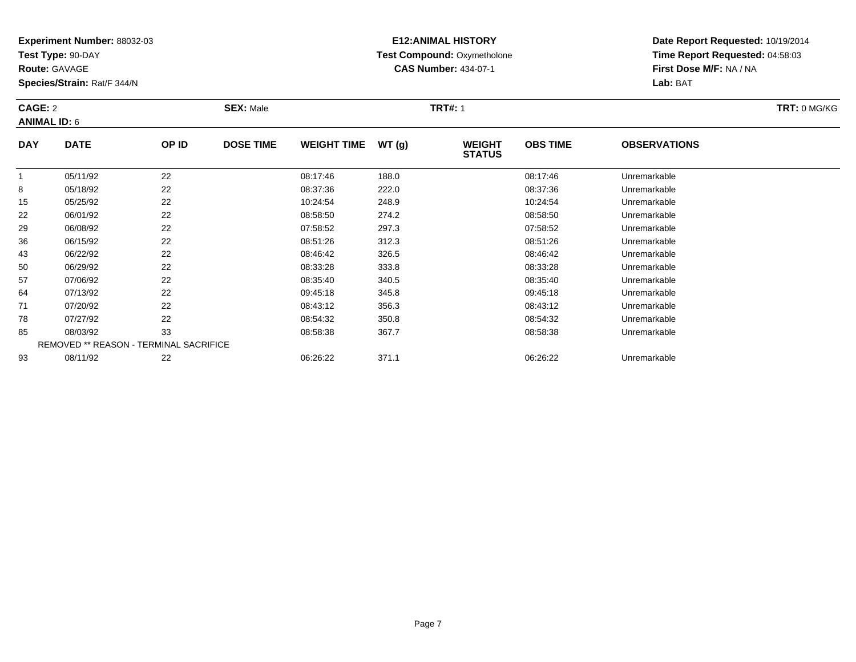**Test Type:** 90-DAY

**Route:** GAVAGE

**Species/Strain:** Rat/F 344/N

# **E12:ANIMAL HISTORY Test Compound:** Oxymetholone**CAS Number:** 434-07-1

**Date Report Requested:** 10/19/2014 **Time Report Requested:** 04:58:03**First Dose M/F:** NA / NA**Lab:** BAT

#### **CAGE:** 2 **SEX:** Male **TRT#:** <sup>1</sup> **TRT:** 0 MG/KG**ANIMAL ID:** 6**DAY DATE OP IDDOSE TIME WEIGHT TIME WT** (g) **STATUSOBS TIME OBSERVATIONS** 1

|    | 05/11/92 | 22                                            | 08:17:46 | 188.0 | 08:17:46 | Unremarkable |  |
|----|----------|-----------------------------------------------|----------|-------|----------|--------------|--|
| 8  | 05/18/92 | 22                                            | 08:37:36 | 222.0 | 08:37:36 | Unremarkable |  |
| 15 | 05/25/92 | 22                                            | 10:24:54 | 248.9 | 10:24:54 | Unremarkable |  |
| 22 | 06/01/92 | 22                                            | 08:58:50 | 274.2 | 08:58:50 | Unremarkable |  |
| 29 | 06/08/92 | 22                                            | 07:58:52 | 297.3 | 07:58:52 | Unremarkable |  |
| 36 | 06/15/92 | 22                                            | 08:51:26 | 312.3 | 08:51:26 | Unremarkable |  |
| 43 | 06/22/92 | 22                                            | 08:46:42 | 326.5 | 08:46:42 | Unremarkable |  |
| 50 | 06/29/92 | 22                                            | 08:33:28 | 333.8 | 08:33:28 | Unremarkable |  |
| 57 | 07/06/92 | 22                                            | 08:35:40 | 340.5 | 08:35:40 | Unremarkable |  |
| 64 | 07/13/92 | 22                                            | 09:45:18 | 345.8 | 09:45:18 | Unremarkable |  |
| 71 | 07/20/92 | 22                                            | 08:43:12 | 356.3 | 08:43:12 | Unremarkable |  |
| 78 | 07/27/92 | 22                                            | 08:54:32 | 350.8 | 08:54:32 | Unremarkable |  |
| 85 | 08/03/92 | 33                                            | 08:58:38 | 367.7 | 08:58:38 | Unremarkable |  |
|    |          | <b>REMOVED ** REASON - TERMINAL SACRIFICE</b> |          |       |          |              |  |
| 93 | 08/11/92 | 22                                            | 06:26:22 | 371.1 | 06:26:22 | Unremarkable |  |
|    |          |                                               |          |       |          |              |  |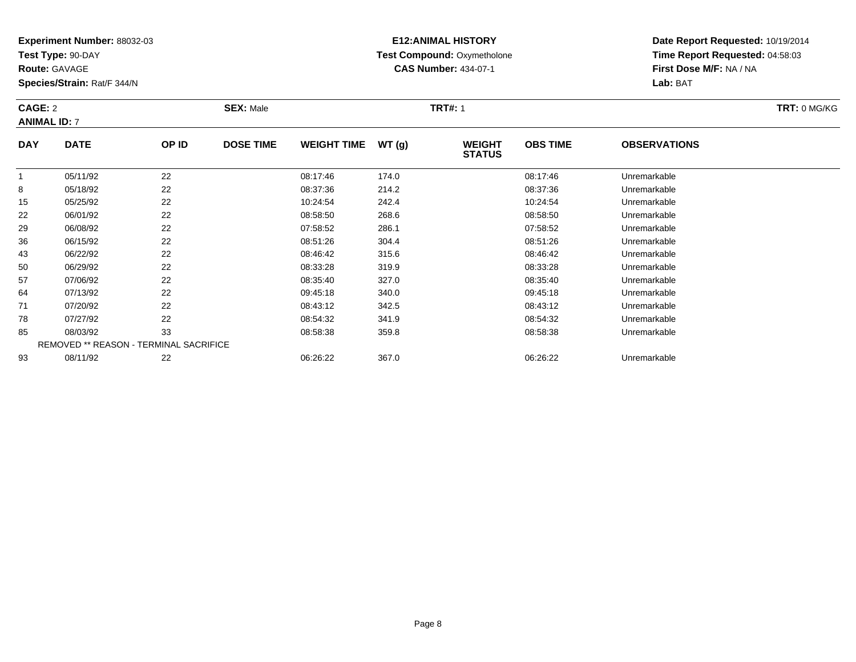**Test Type:** 90-DAY

**Route:** GAVAGE

**Species/Strain:** Rat/F 344/N

# **E12:ANIMAL HISTORY Test Compound:** Oxymetholone**CAS Number:** 434-07-1

**Date Report Requested:** 10/19/2014 **Time Report Requested:** 04:58:03**First Dose M/F:** NA / NA**Lab:** BAT

#### **CAGE:** 2 **SEX:** Male **TRT#:** <sup>1</sup> **TRT:** 0 MG/KG**ANIMAL ID:** 7**DAY DATE OP IDDOSE TIME WEIGHT TIME WT** (g) **STATUSOBS TIMEOBSERVATIONS**

|    |          |                                               |          |       | .        |              |  |
|----|----------|-----------------------------------------------|----------|-------|----------|--------------|--|
|    | 05/11/92 | 22                                            | 08:17:46 | 174.0 | 08:17:46 | Unremarkable |  |
| 8  | 05/18/92 | 22                                            | 08:37:36 | 214.2 | 08:37:36 | Unremarkable |  |
| 15 | 05/25/92 | 22                                            | 10:24:54 | 242.4 | 10:24:54 | Unremarkable |  |
| 22 | 06/01/92 | 22                                            | 08:58:50 | 268.6 | 08:58:50 | Unremarkable |  |
| 29 | 06/08/92 | 22                                            | 07:58:52 | 286.1 | 07:58:52 | Unremarkable |  |
| 36 | 06/15/92 | 22                                            | 08:51:26 | 304.4 | 08:51:26 | Unremarkable |  |
| 43 | 06/22/92 | 22                                            | 08:46:42 | 315.6 | 08:46:42 | Unremarkable |  |
| 50 | 06/29/92 | 22                                            | 08:33:28 | 319.9 | 08:33:28 | Unremarkable |  |
| 57 | 07/06/92 | 22                                            | 08:35:40 | 327.0 | 08:35:40 | Unremarkable |  |
| 64 | 07/13/92 | 22                                            | 09:45:18 | 340.0 | 09:45:18 | Unremarkable |  |
| 71 | 07/20/92 | 22                                            | 08:43:12 | 342.5 | 08:43:12 | Unremarkable |  |
| 78 | 07/27/92 | 22                                            | 08:54:32 | 341.9 | 08:54:32 | Unremarkable |  |
| 85 | 08/03/92 | 33                                            | 08:58:38 | 359.8 | 08:58:38 | Unremarkable |  |
|    |          | <b>REMOVED ** REASON - TERMINAL SACRIFICE</b> |          |       |          |              |  |
| 93 | 08/11/92 | 22                                            | 06:26:22 | 367.0 | 06:26:22 | Unremarkable |  |
|    |          |                                               |          |       |          |              |  |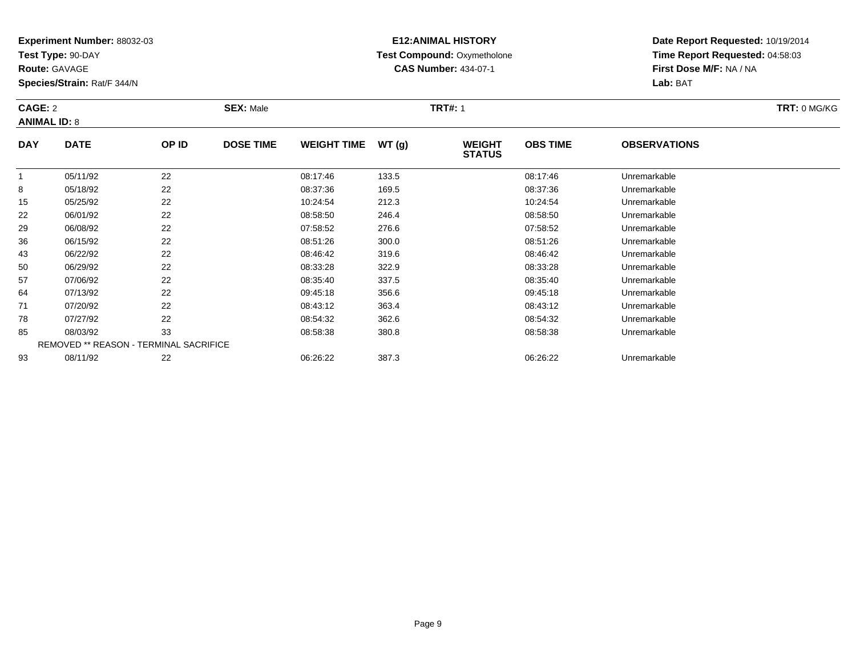**Test Type:** 90-DAY

**Route:** GAVAGE

**Species/Strain:** Rat/F 344/N

# **E12:ANIMAL HISTORY Test Compound:** Oxymetholone**CAS Number:** 434-07-1

**Date Report Requested:** 10/19/2014 **Time Report Requested:** 04:58:03**First Dose M/F:** NA / NA**Lab:** BAT

#### **CAGE:** 2 **SEX:** Male **TRT#:** <sup>1</sup> **TRT:** 0 MG/KG**ANIMAL ID:** 8**DAY DATE OP IDDOSE TIME WEIGHT TIME WT** (g) **STATUSOBS TIME OBSERVATIONS**  $\overline{\phantom{0}}$

|    | 05/11/92 | 22                                     | 08:17:46 | 133.5 | 08:17:46 | Unremarkable |  |
|----|----------|----------------------------------------|----------|-------|----------|--------------|--|
| 8  | 05/18/92 | 22                                     | 08:37:36 | 169.5 | 08:37:36 | Unremarkable |  |
| 15 | 05/25/92 | 22                                     | 10:24:54 | 212.3 | 10:24:54 | Unremarkable |  |
| 22 | 06/01/92 | 22                                     | 08:58:50 | 246.4 | 08:58:50 | Unremarkable |  |
| 29 | 06/08/92 | 22                                     | 07:58:52 | 276.6 | 07:58:52 | Unremarkable |  |
| 36 | 06/15/92 | 22                                     | 08:51:26 | 300.0 | 08:51:26 | Unremarkable |  |
| 43 | 06/22/92 | 22                                     | 08:46:42 | 319.6 | 08:46:42 | Unremarkable |  |
| 50 | 06/29/92 | 22                                     | 08:33:28 | 322.9 | 08:33:28 | Unremarkable |  |
| 57 | 07/06/92 | 22                                     | 08:35:40 | 337.5 | 08:35:40 | Unremarkable |  |
| 64 | 07/13/92 | 22                                     | 09:45:18 | 356.6 | 09:45:18 | Unremarkable |  |
| 71 | 07/20/92 | 22                                     | 08:43:12 | 363.4 | 08:43:12 | Unremarkable |  |
| 78 | 07/27/92 | 22                                     | 08:54:32 | 362.6 | 08:54:32 | Unremarkable |  |
| 85 | 08/03/92 | 33                                     | 08:58:38 | 380.8 | 08:58:38 | Unremarkable |  |
|    |          | REMOVED ** REASON - TERMINAL SACRIFICE |          |       |          |              |  |
| 93 | 08/11/92 | 22                                     | 06:26:22 | 387.3 | 06:26:22 | Unremarkable |  |
|    |          |                                        |          |       |          |              |  |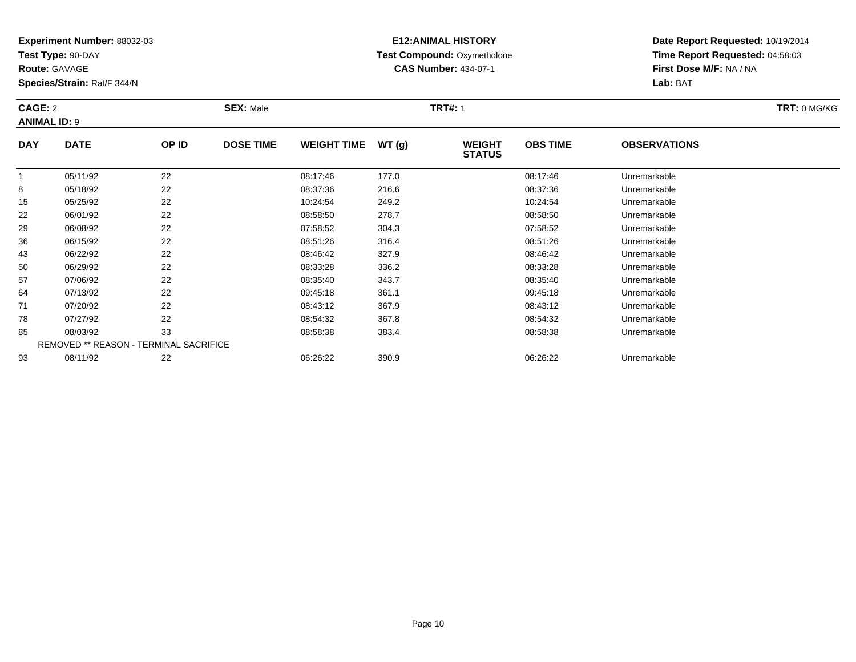**Test Type:** 90-DAY

**Route:** GAVAGE

**Species/Strain:** Rat/F 344/N

# **E12:ANIMAL HISTORY Test Compound:** Oxymetholone**CAS Number:** 434-07-1

**Date Report Requested:** 10/19/2014 **Time Report Requested:** 04:58:03**First Dose M/F:** NA / NA**Lab:** BAT

#### **CAGE:** 2 **SEX:** Male **TRT#:** <sup>1</sup> **TRT:** 0 MG/KG**ANIMAL ID:** 9**DAY DATE OP IDDOSE TIME WEIGHT TIME WT** (g) **STATUSOBS TIME OBSERVATIONS** 1

|    | 05/11/92 | 22                                     | 08:17:46 | 177.0 | 08:17:46 | Unremarkable |  |
|----|----------|----------------------------------------|----------|-------|----------|--------------|--|
| 8  | 05/18/92 | 22                                     | 08:37:36 | 216.6 | 08:37:36 | Unremarkable |  |
| 15 | 05/25/92 | 22                                     | 10:24:54 | 249.2 | 10:24:54 | Unremarkable |  |
| 22 | 06/01/92 | 22                                     | 08:58:50 | 278.7 | 08:58:50 | Unremarkable |  |
| 29 | 06/08/92 | 22                                     | 07:58:52 | 304.3 | 07:58:52 | Unremarkable |  |
| 36 | 06/15/92 | 22                                     | 08:51:26 | 316.4 | 08:51:26 | Unremarkable |  |
| 43 | 06/22/92 | 22                                     | 08:46:42 | 327.9 | 08:46:42 | Unremarkable |  |
| 50 | 06/29/92 | 22                                     | 08:33:28 | 336.2 | 08:33:28 | Unremarkable |  |
| 57 | 07/06/92 | 22                                     | 08:35:40 | 343.7 | 08:35:40 | Unremarkable |  |
| 64 | 07/13/92 | 22                                     | 09:45:18 | 361.1 | 09:45:18 | Unremarkable |  |
| 71 | 07/20/92 | 22                                     | 08:43:12 | 367.9 | 08:43:12 | Unremarkable |  |
| 78 | 07/27/92 | 22                                     | 08:54:32 | 367.8 | 08:54:32 | Unremarkable |  |
| 85 | 08/03/92 | 33                                     | 08:58:38 | 383.4 | 08:58:38 | Unremarkable |  |
|    |          | REMOVED ** REASON - TERMINAL SACRIFICE |          |       |          |              |  |
| 93 | 08/11/92 | 22                                     | 06:26:22 | 390.9 | 06:26:22 | Unremarkable |  |
|    |          |                                        |          |       |          |              |  |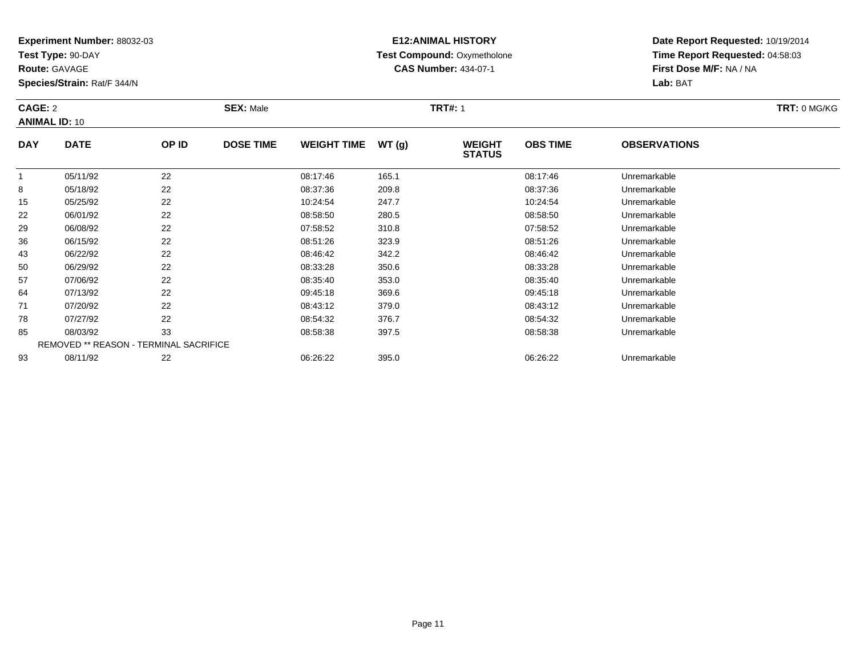**Test Type:** 90-DAY

**Route:** GAVAGE

**Species/Strain:** Rat/F 344/N

# **E12:ANIMAL HISTORY Test Compound:** Oxymetholone**CAS Number:** 434-07-1

**Date Report Requested:** 10/19/2014 **Time Report Requested:** 04:58:03**First Dose M/F:** NA / NA**Lab:** BAT

| CAGE: 2<br><b>ANIMAL ID: 10</b> |             |       | <b>SEX: Male</b> |                    |       | <b>TRT#: 1</b>                 | TRT: 0 MG/KG    |                     |  |
|---------------------------------|-------------|-------|------------------|--------------------|-------|--------------------------------|-----------------|---------------------|--|
| <b>DAY</b>                      | <b>DATE</b> | OP ID | <b>DOSE TIME</b> | <b>WEIGHT TIME</b> | WT(q) | <b>WEIGHT</b><br><b>STATUS</b> | <b>OBS TIME</b> | <b>OBSERVATIONS</b> |  |
|                                 | 05/11/92    | 22    |                  | 08:17:46           | 165.1 |                                | 08:17:46        | Unremarkable        |  |
| 8                               | 05/18/92    | 22    |                  | 08:37:36           | 209.8 |                                | 08:37:36        | Unremarkable        |  |
| 15                              | 05/25/92    | 22    |                  | 10:24:54           | 247.7 |                                | 10:24:54        | Unremarkable        |  |
| ົດດ                             | 0.2101102   | ົດ    |                  | 00.50.50           | 200E  |                                | 00.50.50        | Lloromarkabla       |  |

|    |          |                                               |          | .     |          | ---------------- |  |
|----|----------|-----------------------------------------------|----------|-------|----------|------------------|--|
| 8  | 05/18/92 | 22                                            | 08:37:36 | 209.8 | 08:37:36 | Unremarkable     |  |
| 15 | 05/25/92 | 22                                            | 10:24:54 | 247.7 | 10:24:54 | Unremarkable     |  |
| 22 | 06/01/92 | 22                                            | 08:58:50 | 280.5 | 08:58:50 | Unremarkable     |  |
| 29 | 06/08/92 | 22                                            | 07:58:52 | 310.8 | 07:58:52 | Unremarkable     |  |
| 36 | 06/15/92 | 22                                            | 08:51:26 | 323.9 | 08:51:26 | Unremarkable     |  |
| 43 | 06/22/92 | 22                                            | 08:46:42 | 342.2 | 08:46:42 | Unremarkable     |  |
| 50 | 06/29/92 | 22                                            | 08:33:28 | 350.6 | 08:33:28 | Unremarkable     |  |
| 57 | 07/06/92 | 22                                            | 08:35:40 | 353.0 | 08:35:40 | Unremarkable     |  |
| 64 | 07/13/92 | 22                                            | 09:45:18 | 369.6 | 09:45:18 | Unremarkable     |  |
| 71 | 07/20/92 | 22                                            | 08:43:12 | 379.0 | 08:43:12 | Unremarkable     |  |
| 78 | 07/27/92 | 22                                            | 08:54:32 | 376.7 | 08:54:32 | Unremarkable     |  |
| 85 | 08/03/92 | 33                                            | 08:58:38 | 397.5 | 08:58:38 | Unremarkable     |  |
|    |          | <b>REMOVED ** REASON - TERMINAL SACRIFICE</b> |          |       |          |                  |  |
| 93 | 08/11/92 | 22                                            | 06:26:22 | 395.0 | 06:26:22 | Unremarkable     |  |
|    |          |                                               |          |       |          |                  |  |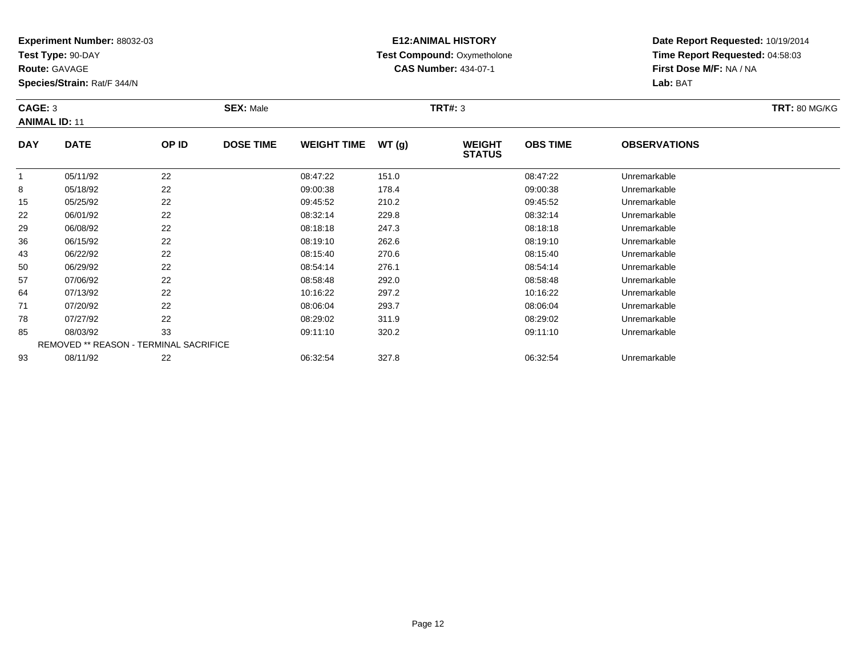**Test Type:** 90-DAY

**Route:** GAVAGE

**Species/Strain:** Rat/F 344/N

# **E12:ANIMAL HISTORY Test Compound:** Oxymetholone**CAS Number:** 434-07-1

**Date Report Requested:** 10/19/2014 **Time Report Requested:** 04:58:03**First Dose M/F:** NA / NA**Lab:** BAT

| CAGE: 3              |             | $SEX:$ Male |                  |                    | <b>TRT#: 3</b> | <b>TRT: 80 MG/KG</b>            |                 |                     |  |
|----------------------|-------------|-------------|------------------|--------------------|----------------|---------------------------------|-----------------|---------------------|--|
| <b>ANIMAL ID: 11</b> |             |             |                  |                    |                |                                 |                 |                     |  |
| <b>DAY</b>           | <b>DATE</b> | OP ID       | <b>DOSE TIME</b> | <b>WEIGHT TIME</b> | WT(g)          | <b>WEIGHT</b><br><b>SIITATI</b> | <b>OBS TIME</b> | <b>OBSERVATIONS</b> |  |

|    | 05/11/92<br>05/18/92 | 22<br>22                                      | 08:47:22 | 151.0 |          |              |
|----|----------------------|-----------------------------------------------|----------|-------|----------|--------------|
|    |                      |                                               |          |       | 08:47:22 | Unremarkable |
| 8  |                      |                                               | 09:00:38 | 178.4 | 09:00:38 | Unremarkable |
| 15 | 05/25/92             | 22                                            | 09:45:52 | 210.2 | 09:45:52 | Unremarkable |
| 22 | 06/01/92             | 22                                            | 08:32:14 | 229.8 | 08:32:14 | Unremarkable |
| 29 | 06/08/92             | 22                                            | 08:18:18 | 247.3 | 08:18:18 | Unremarkable |
| 36 | 06/15/92             | 22                                            | 08:19:10 | 262.6 | 08:19:10 | Unremarkable |
| 43 | 06/22/92             | 22                                            | 08:15:40 | 270.6 | 08:15:40 | Unremarkable |
| 50 | 06/29/92             | 22                                            | 08:54:14 | 276.1 | 08:54:14 | Unremarkable |
| 57 | 07/06/92             | 22                                            | 08:58:48 | 292.0 | 08:58:48 | Unremarkable |
| 64 | 07/13/92             | 22                                            | 10:16:22 | 297.2 | 10:16:22 | Unremarkable |
| 71 | 07/20/92             | 22                                            | 08:06:04 | 293.7 | 08:06:04 | Unremarkable |
| 78 | 07/27/92             | 22                                            | 08:29:02 | 311.9 | 08:29:02 | Unremarkable |
| 85 | 08/03/92             | 33                                            | 09:11:10 | 320.2 | 09:11:10 | Unremarkable |
|    |                      | <b>REMOVED ** REASON - TERMINAL SACRIFICE</b> |          |       |          |              |
| 93 | 08/11/92             | 22                                            | 06:32:54 | 327.8 | 06:32:54 | Unremarkable |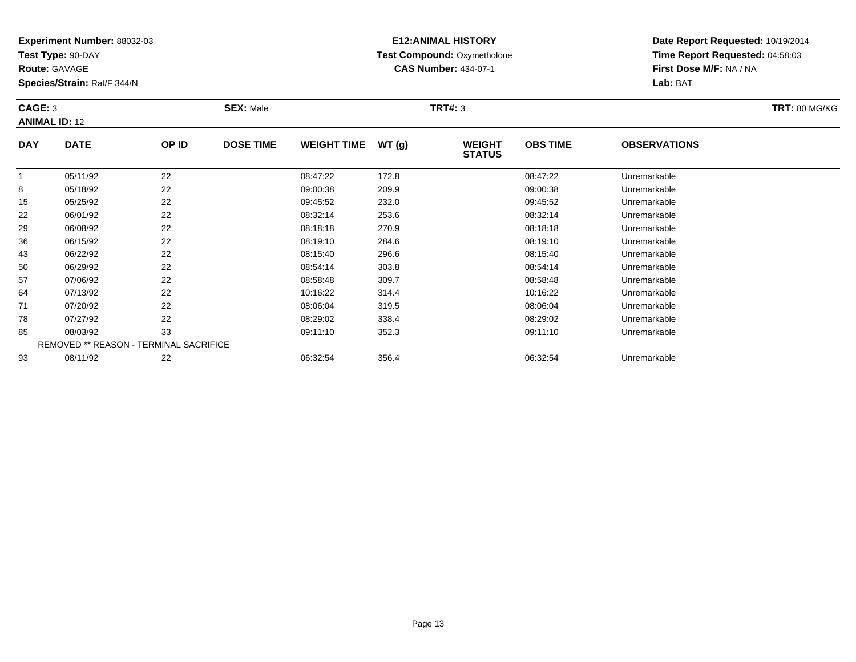**Test Type:** 90-DAY

**Route:** GAVAGE

**Species/Strain:** Rat/F 344/N

# **E12:ANIMAL HISTORY Test Compound:** Oxymetholone**CAS Number:** 434-07-1

**Date Report Requested:** 10/19/2014 **Time Report Requested:** 04:58:03**First Dose M/F:** NA / NA**Lab:** BAT

#### **CAGE:** 3 **SEX:** Male **TRT#:** <sup>3</sup> **TRT:** 80 MG/KG**ANIMAL ID:** 12**DAY DATE OP ID DOSE TIME WEIGHT TIME WT (g) WEIGHT STATUSOBS TIMEOBSERVATIONS**

|    |          |                                               |          |       | <b>STATUS</b> |              |  |
|----|----------|-----------------------------------------------|----------|-------|---------------|--------------|--|
|    | 05/11/92 | 22                                            | 08:47:22 | 172.8 | 08:47:22      | Unremarkable |  |
| 8  | 05/18/92 | 22                                            | 09:00:38 | 209.9 | 09:00:38      | Unremarkable |  |
| 15 | 05/25/92 | 22                                            | 09:45:52 | 232.0 | 09:45:52      | Unremarkable |  |
| 22 | 06/01/92 | 22                                            | 08:32:14 | 253.6 | 08:32:14      | Unremarkable |  |
| 29 | 06/08/92 | 22                                            | 08:18:18 | 270.9 | 08:18:18      | Unremarkable |  |
| 36 | 06/15/92 | 22                                            | 08:19:10 | 284.6 | 08:19:10      | Unremarkable |  |
| 43 | 06/22/92 | 22                                            | 08:15:40 | 296.6 | 08:15:40      | Unremarkable |  |
| 50 | 06/29/92 | 22                                            | 08:54:14 | 303.8 | 08:54:14      | Unremarkable |  |
| 57 | 07/06/92 | 22                                            | 08:58:48 | 309.7 | 08:58:48      | Unremarkable |  |
| 64 | 07/13/92 | 22                                            | 10:16:22 | 314.4 | 10:16:22      | Unremarkable |  |
| 71 | 07/20/92 | 22                                            | 08:06:04 | 319.5 | 08:06:04      | Unremarkable |  |
| 78 | 07/27/92 | 22                                            | 08:29:02 | 338.4 | 08:29:02      | Unremarkable |  |
| 85 | 08/03/92 | 33                                            | 09:11:10 | 352.3 | 09:11:10      | Unremarkable |  |
|    |          | <b>REMOVED ** REASON - TERMINAL SACRIFICE</b> |          |       |               |              |  |
| 93 | 08/11/92 | 22                                            | 06:32:54 | 356.4 | 06:32:54      | Unremarkable |  |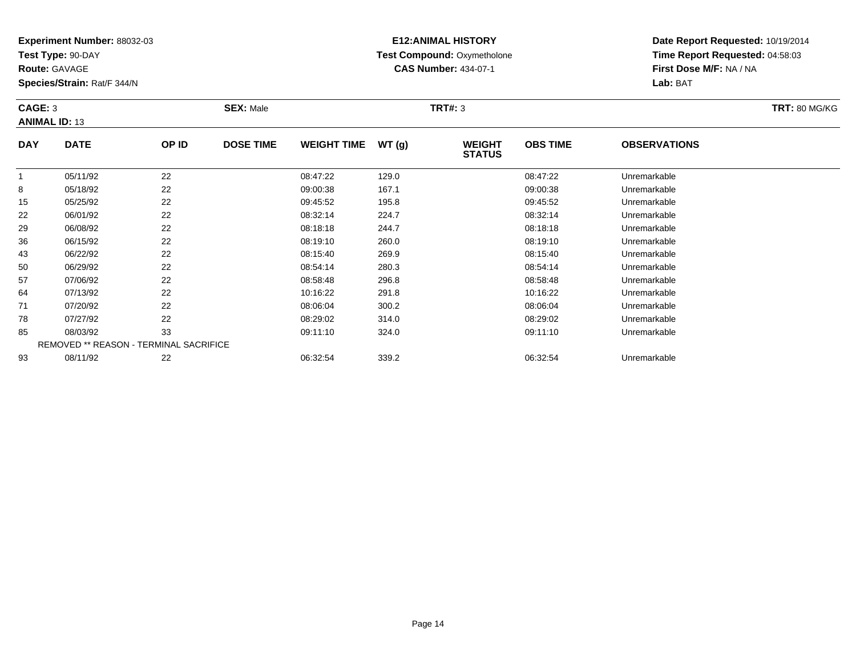**Test Type:** 90-DAY

**Route:** GAVAGE

**Species/Strain:** Rat/F 344/N

# **E12:ANIMAL HISTORY Test Compound:** Oxymetholone**CAS Number:** 434-07-1

**Date Report Requested:** 10/19/2014 **Time Report Requested:** 04:58:03**First Dose M/F:** NA / NA**Lab:** BAT

| CAGE: 3<br><b>ANIMAL ID: 13</b> |             |       | <b>SEX: Male</b> |                    |       | <b>TRT#: 3</b>                 |                 |                     | <b>TRT: 80 MG/KG</b> |
|---------------------------------|-------------|-------|------------------|--------------------|-------|--------------------------------|-----------------|---------------------|----------------------|
| <b>DAY</b>                      | <b>DATE</b> | OP ID | <b>DOSE TIME</b> | <b>WEIGHT TIME</b> | WT(g) | <b>WEIGHT</b><br><b>STATUS</b> | <b>OBS TIME</b> | <b>OBSERVATIONS</b> |                      |

|    |          |                                               |          |       | <b>01AIUU</b> |              |  |
|----|----------|-----------------------------------------------|----------|-------|---------------|--------------|--|
|    | 05/11/92 | 22                                            | 08:47:22 | 129.0 | 08:47:22      | Unremarkable |  |
| 8  | 05/18/92 | 22                                            | 09:00:38 | 167.1 | 09:00:38      | Unremarkable |  |
| 15 | 05/25/92 | 22                                            | 09:45:52 | 195.8 | 09:45:52      | Unremarkable |  |
| 22 | 06/01/92 | 22                                            | 08:32:14 | 224.7 | 08:32:14      | Unremarkable |  |
| 29 | 06/08/92 | 22                                            | 08:18:18 | 244.7 | 08:18:18      | Unremarkable |  |
| 36 | 06/15/92 | 22                                            | 08:19:10 | 260.0 | 08:19:10      | Unremarkable |  |
| 43 | 06/22/92 | 22                                            | 08:15:40 | 269.9 | 08:15:40      | Unremarkable |  |
| 50 | 06/29/92 | 22                                            | 08:54:14 | 280.3 | 08:54:14      | Unremarkable |  |
| 57 | 07/06/92 | 22                                            | 08:58:48 | 296.8 | 08:58:48      | Unremarkable |  |
| 64 | 07/13/92 | 22                                            | 10:16:22 | 291.8 | 10:16:22      | Unremarkable |  |
| 71 | 07/20/92 | 22                                            | 08:06:04 | 300.2 | 08:06:04      | Unremarkable |  |
| 78 | 07/27/92 | 22                                            | 08:29:02 | 314.0 | 08:29:02      | Unremarkable |  |
| 85 | 08/03/92 | 33                                            | 09:11:10 | 324.0 | 09:11:10      | Unremarkable |  |
|    |          | <b>REMOVED ** REASON - TERMINAL SACRIFICE</b> |          |       |               |              |  |
| 93 | 08/11/92 | 22                                            | 06:32:54 | 339.2 | 06:32:54      | Unremarkable |  |
|    |          |                                               |          |       |               |              |  |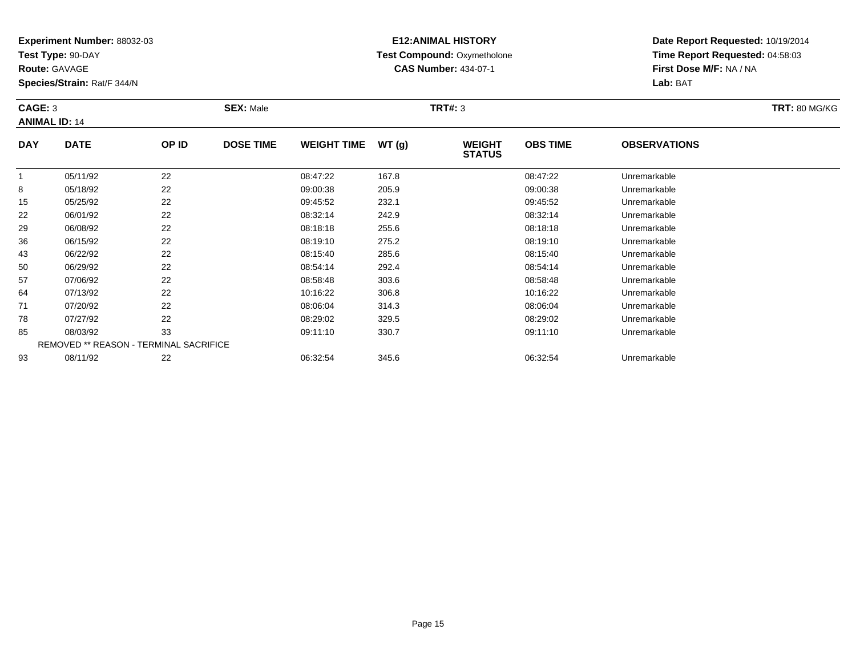**Test Type:** 90-DAY

**Route:** GAVAGE

**Species/Strain:** Rat/F 344/N

# **E12:ANIMAL HISTORY Test Compound:** Oxymetholone**CAS Number:** 434-07-1

**Date Report Requested:** 10/19/2014 **Time Report Requested:** 04:58:03**First Dose M/F:** NA / NA**Lab:** BAT

| CAGE: 3<br><b>ANIMAL ID: 14</b> |             |       | <b>SEX: Male</b> |                    |       | <b>TRT#: 3</b>                 |                 |                     | <b>TRT: 80 MG/KG</b> |
|---------------------------------|-------------|-------|------------------|--------------------|-------|--------------------------------|-----------------|---------------------|----------------------|
| <b>DAY</b>                      | <b>DATE</b> | OP ID | <b>DOSE TIME</b> | <b>WEIGHT TIME</b> | WT(g) | <b>WEIGHT</b><br><b>STATUS</b> | <b>OBS TIME</b> | <b>OBSERVATIONS</b> |                      |

|    |          |                                               |          |       | ------   |              |  |
|----|----------|-----------------------------------------------|----------|-------|----------|--------------|--|
|    | 05/11/92 | 22                                            | 08:47:22 | 167.8 | 08:47:22 | Unremarkable |  |
| 8  | 05/18/92 | 22                                            | 09:00:38 | 205.9 | 09:00:38 | Unremarkable |  |
| 15 | 05/25/92 | 22                                            | 09:45:52 | 232.1 | 09:45:52 | Unremarkable |  |
| 22 | 06/01/92 | 22                                            | 08:32:14 | 242.9 | 08:32:14 | Unremarkable |  |
| 29 | 06/08/92 | 22                                            | 08:18:18 | 255.6 | 08:18:18 | Unremarkable |  |
| 36 | 06/15/92 | 22                                            | 08:19:10 | 275.2 | 08:19:10 | Unremarkable |  |
| 43 | 06/22/92 | 22                                            | 08:15:40 | 285.6 | 08:15:40 | Unremarkable |  |
| 50 | 06/29/92 | 22                                            | 08:54:14 | 292.4 | 08:54:14 | Unremarkable |  |
| 57 | 07/06/92 | 22                                            | 08:58:48 | 303.6 | 08:58:48 | Unremarkable |  |
| 64 | 07/13/92 | 22                                            | 10:16:22 | 306.8 | 10:16:22 | Unremarkable |  |
| 71 | 07/20/92 | 22                                            | 08:06:04 | 314.3 | 08:06:04 | Unremarkable |  |
| 78 | 07/27/92 | 22                                            | 08:29:02 | 329.5 | 08:29:02 | Unremarkable |  |
| 85 | 08/03/92 | 33                                            | 09:11:10 | 330.7 | 09:11:10 | Unremarkable |  |
|    |          | <b>REMOVED ** REASON - TERMINAL SACRIFICE</b> |          |       |          |              |  |
| 93 | 08/11/92 | 22                                            | 06:32:54 | 345.6 | 06:32:54 | Unremarkable |  |
|    |          |                                               |          |       |          |              |  |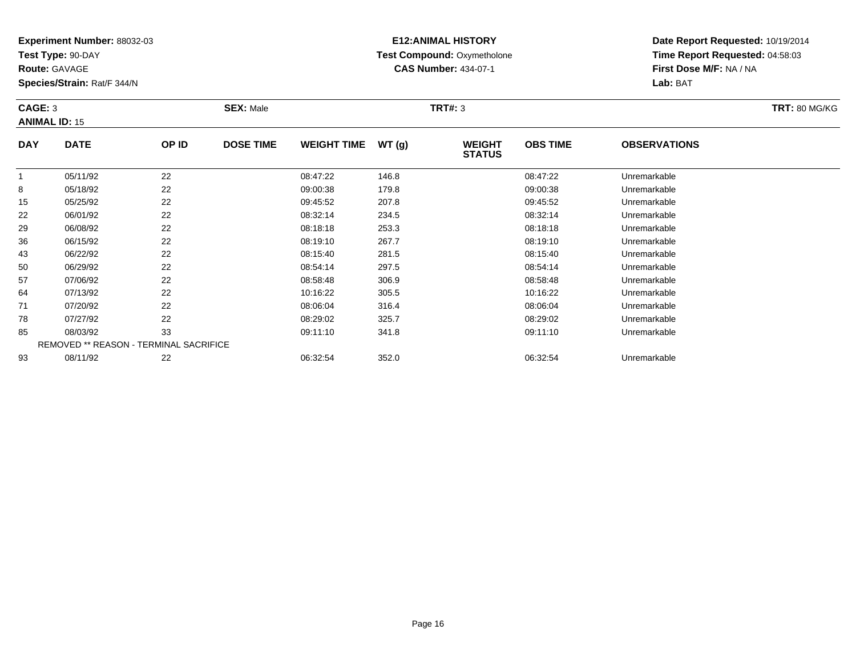**Test Type:** 90-DAY

**Route:** GAVAGE

8

15

22

29

36

43

50

57

64

71

78

85

93

**Species/Strain:** Rat/F 344/N

# **E12:ANIMAL HISTORY Test Compound:** Oxymetholone**CAS Number:** 434-07-1

**Date Report Requested:** 10/19/2014**Time Report Requested:** 04:58:03**First Dose M/F:** NA / NA**Lab:** BAT

| CAGE: 3<br><b>ANIMAL ID: 15</b> |             |          | <b>SEX: Male</b> |                    |       | TRT#: 3                        | <b>TRT: 80 MG/KG</b> |                     |  |
|---------------------------------|-------------|----------|------------------|--------------------|-------|--------------------------------|----------------------|---------------------|--|
| <b>DAY</b>                      | <b>DATE</b> | OP ID    | <b>DOSE TIME</b> | <b>WEIGHT TIME</b> | WT(g) | <b>WEIGHT</b><br><b>STATUS</b> | <b>OBS TIME</b>      | <b>OBSERVATIONS</b> |  |
|                                 | 05/11/92    | ົດ<br>∠∠ |                  | 08:47:22           | 146.8 |                                | 08:47:22             | Unremarkable        |  |

|    | 05/11/92 | 22                                            | 08:47:22 | 146.8 | 08:47:22 | Unremarkable |  |
|----|----------|-----------------------------------------------|----------|-------|----------|--------------|--|
| 8  | 05/18/92 | 22                                            | 09:00:38 | 179.8 | 09:00:38 | Unremarkable |  |
| 15 | 05/25/92 | 22                                            | 09:45:52 | 207.8 | 09:45:52 | Unremarkable |  |
| 22 | 06/01/92 | 22                                            | 08:32:14 | 234.5 | 08:32:14 | Unremarkable |  |
| 29 | 06/08/92 | 22                                            | 08:18:18 | 253.3 | 08:18:18 | Unremarkable |  |
| 36 | 06/15/92 | 22                                            | 08:19:10 | 267.7 | 08:19:10 | Unremarkable |  |
| 43 | 06/22/92 | 22                                            | 08:15:40 | 281.5 | 08:15:40 | Unremarkable |  |
| 50 | 06/29/92 | 22                                            | 08:54:14 | 297.5 | 08:54:14 | Unremarkable |  |
| 57 | 07/06/92 | 22                                            | 08:58:48 | 306.9 | 08:58:48 | Unremarkable |  |
| 64 | 07/13/92 | 22                                            | 10:16:22 | 305.5 | 10:16:22 | Unremarkable |  |
| 71 | 07/20/92 | 22                                            | 08:06:04 | 316.4 | 08:06:04 | Unremarkable |  |
| 78 | 07/27/92 | 22                                            | 08:29:02 | 325.7 | 08:29:02 | Unremarkable |  |
| 85 | 08/03/92 | 33                                            | 09:11:10 | 341.8 | 09:11:10 | Unremarkable |  |
|    |          | <b>REMOVED ** REASON - TERMINAL SACRIFICE</b> |          |       |          |              |  |

08/11/92 <sup>22</sup> 06:32:54 352.0 06:32:54 Unremarkable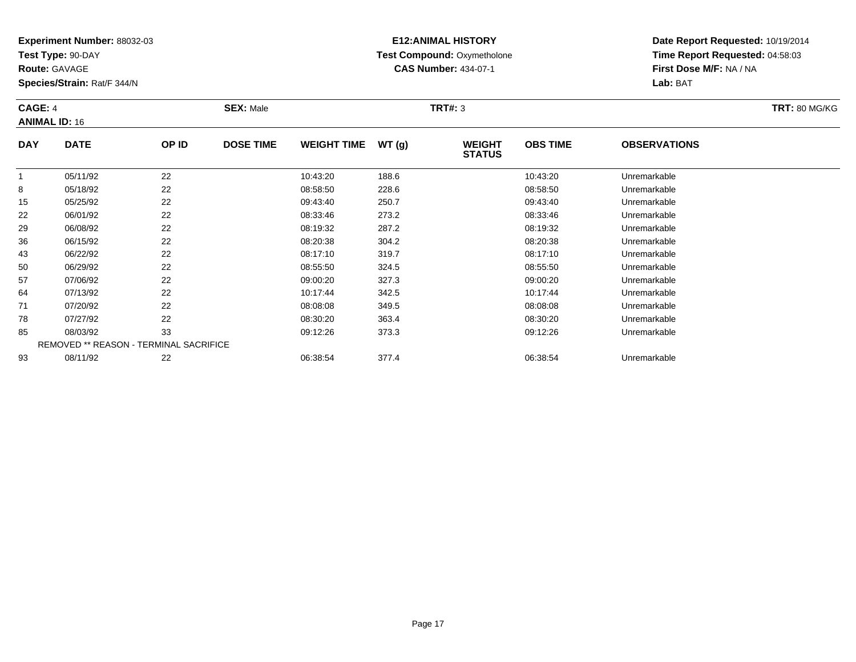**Test Type:** 90-DAY

**Route:** GAVAGE

8

15

22

29

36

43

50

57

64

71

78

85

93

**Species/Strain:** Rat/F 344/N

REMOVED \*\* REASON - TERMINAL SACRIFICE

#### **E12:ANIMAL HISTORY Test Compound:** Oxymetholone**CAS Number:** 434-07-1

**Date Report Requested:** 10/19/2014**Time Report Requested:** 04:58:03**First Dose M/F:** NA / NA**Lab:** BAT

| CAGE: 4<br><b>SEX: Male</b><br><b>ANIMAL ID: 16</b> |             |       |                  | TRT#: 3            |        |                                |                 | <b>TRT: 80 MG/KG</b> |  |
|-----------------------------------------------------|-------------|-------|------------------|--------------------|--------|--------------------------------|-----------------|----------------------|--|
| <b>DAY</b>                                          | <b>DATE</b> | OP ID | <b>DOSE TIME</b> | <b>WEIGHT TIME</b> | WT (g) | <b>WEIGHT</b><br><b>STATUS</b> | <b>OBS TIME</b> | <b>OBSERVATIONS</b>  |  |
|                                                     | 05/11/92    | 22    |                  | 10:43:20           | 188.6  |                                | 10:43:20        | Unremarkable         |  |

8 05/18/92 22 23 08:58:50 228.6 08:58:50 08:58:50 Dhremarkable

05/25/92 <sup>22</sup> 09:43:40 250.7 09:43:40 Unremarkable

06/01/92 <sup>22</sup> 08:33:46 273.2 08:33:46 Unremarkable

06/08/92 <sup>22</sup> 08:19:32 287.2 08:19:32 Unremarkable

06/15/92 <sup>22</sup> 08:20:38 304.2 08:20:38 Unremarkable

06/22/92 <sup>22</sup> 08:17:10 319.7 08:17:10 Unremarkable

0 06/29/92 22 2 08:55:50 324.5 0324.5 0 08:55:50 Dhremarkable

07/06/92 <sup>22</sup> 09:00:20 327.3 09:00:20 Unremarkable

07/13/92 <sup>22</sup> 10:17:44 342.5 10:17:44 Unremarkable

07/20/92 <sup>22</sup> 08:08:08 349.5 08:08:08 Unremarkable

07/27/92 <sup>22</sup> 08:30:20 363.4 08:30:20 Unremarkable

08/03/92 <sup>33</sup> 09:12:26 373.3 09:12:26 Unremarkable

08/11/92 <sup>22</sup> 06:38:54 377.4 06:38:54 Unremarkable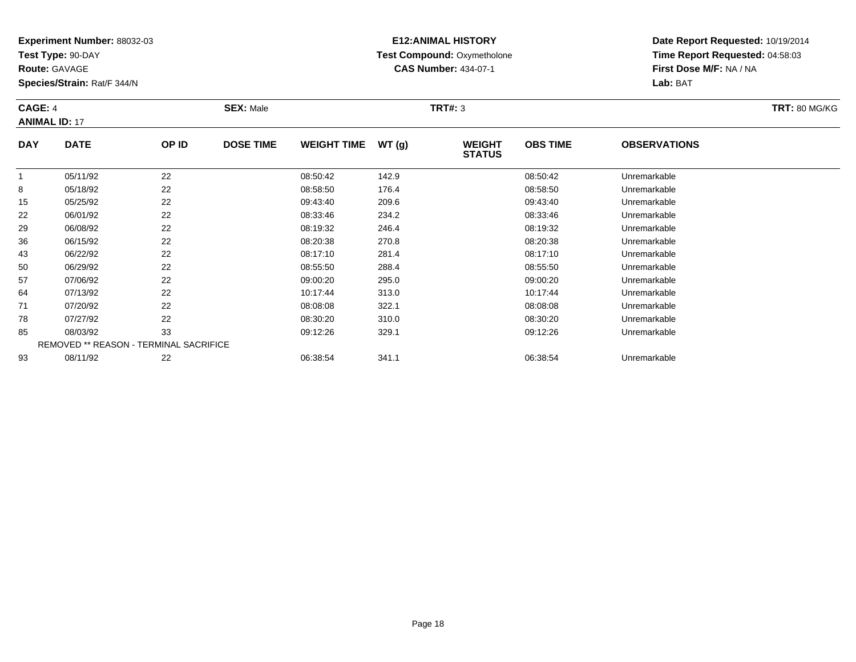**Test Type:** 90-DAY

**Route:** GAVAGE

**Species/Strain:** Rat/F 344/N

# **E12:ANIMAL HISTORY Test Compound:** Oxymetholone**CAS Number:** 434-07-1

**Date Report Requested:** 10/19/2014**Time Report Requested:** 04:58:03**First Dose M/F:** NA / NA**Lab:** BAT

#### **CAGE:** 4 **SEX:** Male **TRT#:** <sup>3</sup> **TRT:** 80 MG/KG**ANIMAL ID:** 17**DAY DOSE TIME WEIGHT TIME WT (g) WEIGHT OBS TIMEOBSERVATIONS**

| <b>DAY</b> | <b>DATE</b>                                   | OP ID | <b>DOSE TIME</b> | <b>WEIGHT TIME</b> | WT(g) | <b>WEIGHT</b><br><b>STATUS</b> | <b>OBS TIME</b> | <b>OBSERVATIONS</b> |  |
|------------|-----------------------------------------------|-------|------------------|--------------------|-------|--------------------------------|-----------------|---------------------|--|
|            | 05/11/92                                      | 22    |                  | 08:50:42           | 142.9 |                                | 08:50:42        | Unremarkable        |  |
| 8          | 05/18/92                                      | 22    |                  | 08:58:50           | 176.4 |                                | 08:58:50        | Unremarkable        |  |
| 15         | 05/25/92                                      | 22    |                  | 09:43:40           | 209.6 |                                | 09:43:40        | Unremarkable        |  |
| 22         | 06/01/92                                      | 22    |                  | 08:33:46           | 234.2 |                                | 08:33:46        | Unremarkable        |  |
| 29         | 06/08/92                                      | 22    |                  | 08:19:32           | 246.4 |                                | 08:19:32        | Unremarkable        |  |
| 36         | 06/15/92                                      | 22    |                  | 08:20:38           | 270.8 |                                | 08:20:38        | Unremarkable        |  |
| 43         | 06/22/92                                      | 22    |                  | 08:17:10           | 281.4 |                                | 08:17:10        | Unremarkable        |  |
| 50         | 06/29/92                                      | 22    |                  | 08:55:50           | 288.4 |                                | 08:55:50        | Unremarkable        |  |
| 57         | 07/06/92                                      | 22    |                  | 09:00:20           | 295.0 |                                | 09:00:20        | Unremarkable        |  |
| 64         | 07/13/92                                      | 22    |                  | 10:17:44           | 313.0 |                                | 10:17:44        | Unremarkable        |  |
| 71         | 07/20/92                                      | 22    |                  | 08:08:08           | 322.1 |                                | 08:08:08        | Unremarkable        |  |
| 78         | 07/27/92                                      | 22    |                  | 08:30:20           | 310.0 |                                | 08:30:20        | Unremarkable        |  |
| 85         | 08/03/92                                      | 33    |                  | 09:12:26           | 329.1 |                                | 09:12:26        | Unremarkable        |  |
|            | <b>REMOVED ** REASON - TERMINAL SACRIFICE</b> |       |                  |                    |       |                                |                 |                     |  |
| 93         | 08/11/92                                      | 22    |                  | 06:38:54           | 341.1 |                                | 06:38:54        | Unremarkable        |  |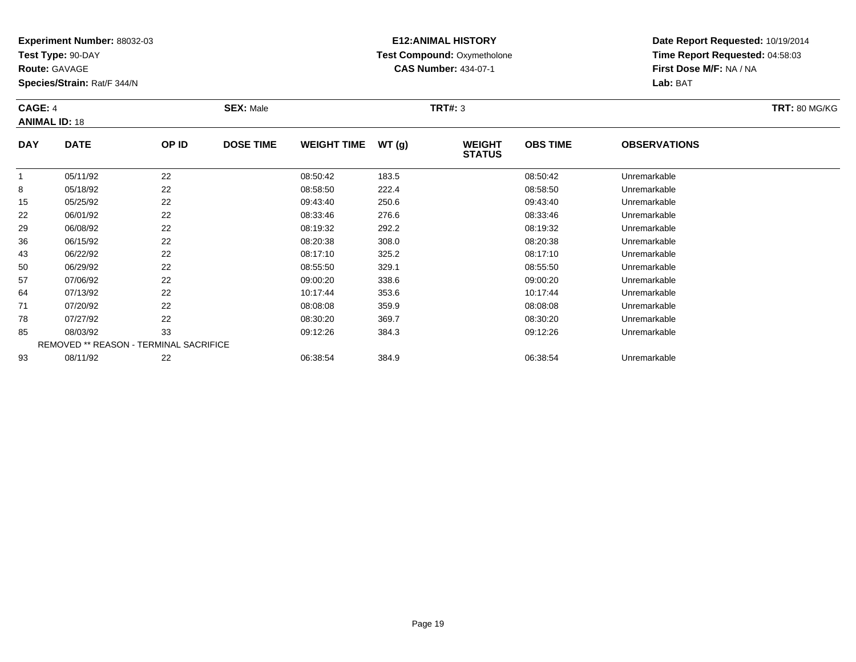**Test Type:** 90-DAY

**Route:** GAVAGE

8

15

22

29

36

43

50

57

64

71

78

85

93

**Species/Strain:** Rat/F 344/N

# **E12:ANIMAL HISTORY Test Compound:** Oxymetholone**CAS Number:** 434-07-1

**Date Report Requested:** 10/19/2014**Time Report Requested:** 04:58:03**First Dose M/F:** NA / NA**Lab:** BAT

| CAGE: 4<br><b>ANIMAL ID: 18</b> |             |          | <b>SEX: Male</b> |                     |       | <b>TRT#: 3</b>                 | <b>TRT: 80 MG/KG</b> |                     |  |
|---------------------------------|-------------|----------|------------------|---------------------|-------|--------------------------------|----------------------|---------------------|--|
| <b>DAY</b>                      | <b>DATE</b> | OP ID    | <b>DOSE TIME</b> | WEIGHT TIME $WT(g)$ |       | <b>WEIGHT</b><br><b>STATUS</b> | <b>OBS TIME</b>      | <b>OBSERVATIONS</b> |  |
|                                 | 05/11/92    | ົດ<br>22 |                  | 08:50:42            | 183.5 |                                | 08:50:42             | Unremarkable        |  |

|    | 05/11/92 | 22                                            | 08:50:42 | 183.5 | 08:50:42 | Unremarkable |  |
|----|----------|-----------------------------------------------|----------|-------|----------|--------------|--|
| 8  | 05/18/92 | 22                                            | 08:58:50 | 222.4 | 08:58:50 | Unremarkable |  |
| 15 | 05/25/92 | 22                                            | 09:43:40 | 250.6 | 09:43:40 | Unremarkable |  |
| 22 | 06/01/92 | 22                                            | 08:33:46 | 276.6 | 08:33:46 | Unremarkable |  |
| 29 | 06/08/92 | 22                                            | 08:19:32 | 292.2 | 08:19:32 | Unremarkable |  |
| 36 | 06/15/92 | 22                                            | 08:20:38 | 308.0 | 08:20:38 | Unremarkable |  |
| 43 | 06/22/92 | 22                                            | 08:17:10 | 325.2 | 08:17:10 | Unremarkable |  |
| 50 | 06/29/92 | 22                                            | 08:55:50 | 329.1 | 08:55:50 | Unremarkable |  |
| 57 | 07/06/92 | 22                                            | 09:00:20 | 338.6 | 09:00:20 | Unremarkable |  |
| 64 | 07/13/92 | 22                                            | 10:17:44 | 353.6 | 10:17:44 | Unremarkable |  |
| 71 | 07/20/92 | 22                                            | 08:08:08 | 359.9 | 08:08:08 | Unremarkable |  |
| 78 | 07/27/92 | 22                                            | 08:30:20 | 369.7 | 08:30:20 | Unremarkable |  |
| 85 | 08/03/92 | 33                                            | 09:12:26 | 384.3 | 09:12:26 | Unremarkable |  |
|    |          | <b>REMOVED ** REASON - TERMINAL SACRIFICE</b> |          |       |          |              |  |

08/11/92 <sup>22</sup> 06:38:54 384.9 06:38:54 Unremarkable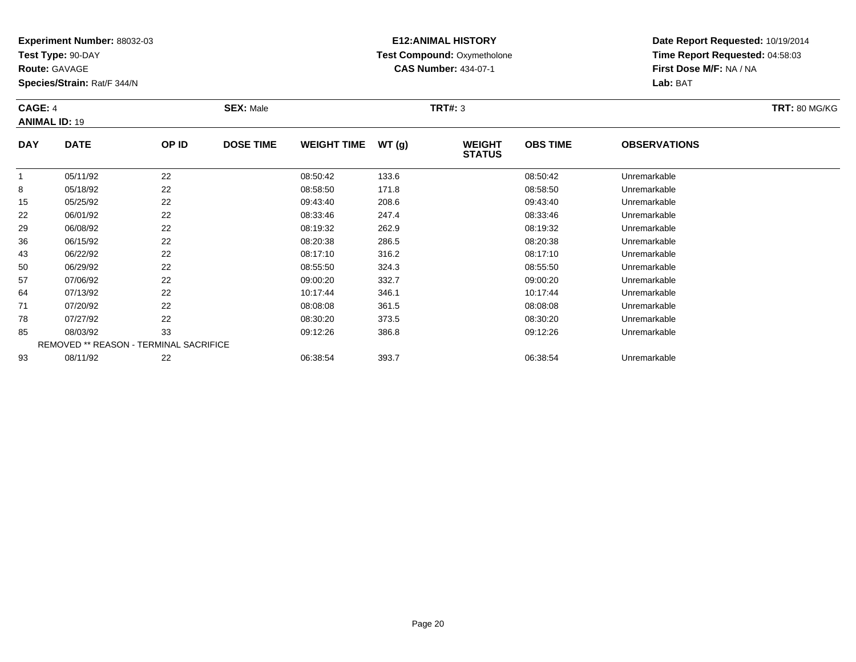**Test Type:** 90-DAY

**Route:** GAVAGE

**Species/Strain:** Rat/F 344/N

# **E12:ANIMAL HISTORY Test Compound:** Oxymetholone**CAS Number:** 434-07-1

**Date Report Requested:** 10/19/2014 **Time Report Requested:** 04:58:03**First Dose M/F:** NA / NA**Lab:** BAT

| <b>CAGE: 4</b><br><b>ANIMAL ID: 19</b> |                           |            | <b>SEX: Male</b> | <b>TRT#: 3</b>      |                             |                                |                     |                     |  |
|----------------------------------------|---------------------------|------------|------------------|---------------------|-----------------------------|--------------------------------|---------------------|---------------------|--|
| <b>DAY</b>                             | <b>DATE</b>               | OP ID      | <b>DOSE TIME</b> | WEIGHT TIME $WT(g)$ |                             | <b>WEIGHT</b><br><b>STATUS</b> | <b>OBS TIME</b>     | <b>OBSERVATIONS</b> |  |
| $\sim$ $\sim$                          | 05/11/92<br>$\frac{1}{2}$ | 22<br>$ -$ |                  | 08:50:42<br>------- | 133.6<br>$\sim$ $ \sim$ $-$ |                                | 08:50:42<br>------- | Unremarkable        |  |

|    | 05/11/92 | 22                                            | 08:50:42 | 133.6 | 08:50:42 | Unremarkable |  |
|----|----------|-----------------------------------------------|----------|-------|----------|--------------|--|
| 8  | 05/18/92 | 22                                            | 08:58:50 | 171.8 | 08:58:50 | Unremarkable |  |
| 15 | 05/25/92 | 22                                            | 09:43:40 | 208.6 | 09:43:40 | Unremarkable |  |
| 22 | 06/01/92 | 22                                            | 08:33:46 | 247.4 | 08:33:46 | Unremarkable |  |
| 29 | 06/08/92 | 22                                            | 08:19:32 | 262.9 | 08:19:32 | Unremarkable |  |
| 36 | 06/15/92 | 22                                            | 08:20:38 | 286.5 | 08:20:38 | Unremarkable |  |
| 43 | 06/22/92 | 22                                            | 08:17:10 | 316.2 | 08:17:10 | Unremarkable |  |
| 50 | 06/29/92 | 22                                            | 08:55:50 | 324.3 | 08:55:50 | Unremarkable |  |
| 57 | 07/06/92 | 22                                            | 09:00:20 | 332.7 | 09:00:20 | Unremarkable |  |
| 64 | 07/13/92 | 22                                            | 10:17:44 | 346.1 | 10:17:44 | Unremarkable |  |
| 71 | 07/20/92 | 22                                            | 08:08:08 | 361.5 | 08:08:08 | Unremarkable |  |
| 78 | 07/27/92 | 22                                            | 08:30:20 | 373.5 | 08:30:20 | Unremarkable |  |
| 85 | 08/03/92 | 33                                            | 09:12:26 | 386.8 | 09:12:26 | Unremarkable |  |
|    |          | <b>REMOVED ** REASON - TERMINAL SACRIFICE</b> |          |       |          |              |  |
| 93 | 08/11/92 | 22                                            | 06:38:54 | 393.7 | 06:38:54 | Unremarkable |  |
|    |          |                                               |          |       |          |              |  |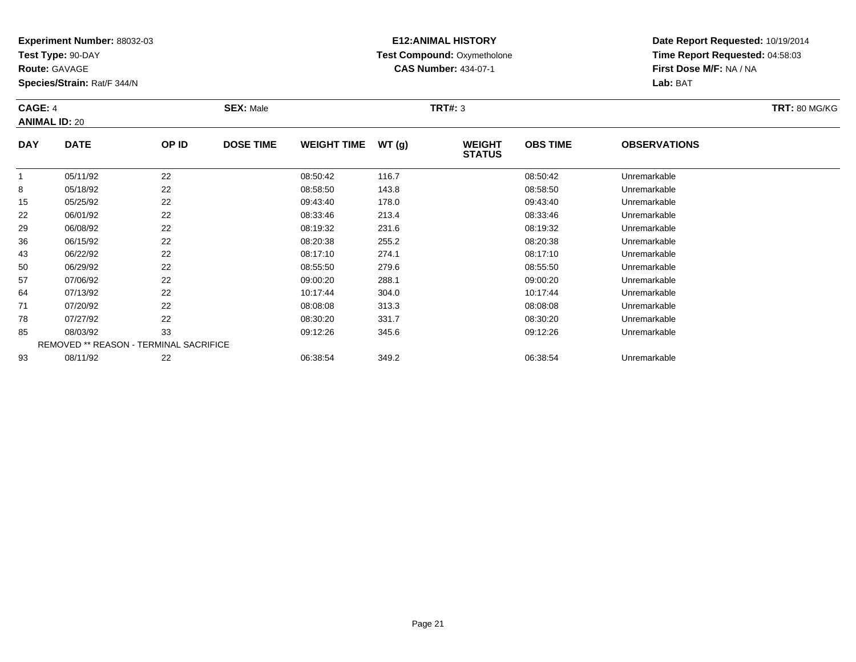**Test Type:** 90-DAY

**Route:** GAVAGE

**Species/Strain:** Rat/F 344/N

# **E12:ANIMAL HISTORY Test Compound:** Oxymetholone**CAS Number:** 434-07-1

**Date Report Requested:** 10/19/2014 **Time Report Requested:** 04:58:03**First Dose M/F:** NA / NA**Lab:** BAT

#### **CAGE:** 4 **SEX:** Male **TRT#:** <sup>3</sup> **TRT:** 80 MG/KG**ANIMAL ID:** 20**DAY DATE OP ID DOSE TIME WEIGHT TIME WT (g) WEIGHT STATUSOBS TIMEOBSERVATIONS**

|    |          | <b>STATUS</b>                                 |          |       |          |              |  |  |  |  |
|----|----------|-----------------------------------------------|----------|-------|----------|--------------|--|--|--|--|
|    | 05/11/92 | 22                                            | 08:50:42 | 116.7 | 08:50:42 | Unremarkable |  |  |  |  |
| 8  | 05/18/92 | 22                                            | 08:58:50 | 143.8 | 08:58:50 | Unremarkable |  |  |  |  |
| 15 | 05/25/92 | 22                                            | 09:43:40 | 178.0 | 09:43:40 | Unremarkable |  |  |  |  |
| 22 | 06/01/92 | 22                                            | 08:33:46 | 213.4 | 08:33:46 | Unremarkable |  |  |  |  |
| 29 | 06/08/92 | 22                                            | 08:19:32 | 231.6 | 08:19:32 | Unremarkable |  |  |  |  |
| 36 | 06/15/92 | 22                                            | 08:20:38 | 255.2 | 08:20:38 | Unremarkable |  |  |  |  |
| 43 | 06/22/92 | 22                                            | 08:17:10 | 274.1 | 08:17:10 | Unremarkable |  |  |  |  |
| 50 | 06/29/92 | 22                                            | 08:55:50 | 279.6 | 08:55:50 | Unremarkable |  |  |  |  |
| 57 | 07/06/92 | 22                                            | 09:00:20 | 288.1 | 09:00:20 | Unremarkable |  |  |  |  |
| 64 | 07/13/92 | 22                                            | 10:17:44 | 304.0 | 10:17:44 | Unremarkable |  |  |  |  |
| 71 | 07/20/92 | 22                                            | 08:08:08 | 313.3 | 08:08:08 | Unremarkable |  |  |  |  |
| 78 | 07/27/92 | 22                                            | 08:30:20 | 331.7 | 08:30:20 | Unremarkable |  |  |  |  |
| 85 | 08/03/92 | 33                                            | 09:12:26 | 345.6 | 09:12:26 | Unremarkable |  |  |  |  |
|    |          | <b>REMOVED ** REASON - TERMINAL SACRIFICE</b> |          |       |          |              |  |  |  |  |
| 93 | 08/11/92 | 22                                            | 06:38:54 | 349.2 | 06:38:54 | Unremarkable |  |  |  |  |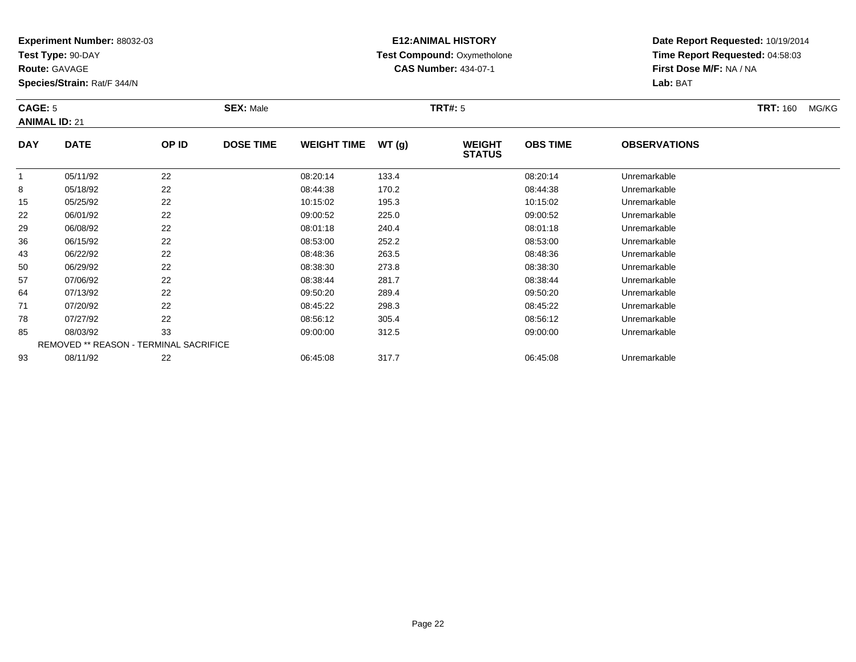**Test Type:** 90-DAY

**Route:** GAVAGE

**Species/Strain:** Rat/F 344/N

# **E12:ANIMAL HISTORY Test Compound:** Oxymetholone**CAS Number:** 434-07-1

**Date Report Requested:** 10/19/2014**Time Report Requested:** 04:58:03**First Dose M/F:** NA / NA**Lab:** BAT

#### **CAGE:** 5 **SEX:** Male **TRT#:** <sup>5</sup> **TRT:** 160 MG/KG**ANIMAL ID:** 21**DAY DATE OP ID DOSE TIME WEIGHT TIME WT (g) WEIGHT OBS TIMEOBSERVATIONS**

|    |          | <b>STATUS</b>                                 |          |       |          |              |  |  |  |  |
|----|----------|-----------------------------------------------|----------|-------|----------|--------------|--|--|--|--|
|    | 05/11/92 | 22                                            | 08:20:14 | 133.4 | 08:20:14 | Unremarkable |  |  |  |  |
| 8  | 05/18/92 | 22                                            | 08:44:38 | 170.2 | 08:44:38 | Unremarkable |  |  |  |  |
| 15 | 05/25/92 | 22                                            | 10:15:02 | 195.3 | 10:15:02 | Unremarkable |  |  |  |  |
| 22 | 06/01/92 | 22                                            | 09:00:52 | 225.0 | 09:00:52 | Unremarkable |  |  |  |  |
| 29 | 06/08/92 | 22                                            | 08:01:18 | 240.4 | 08:01:18 | Unremarkable |  |  |  |  |
| 36 | 06/15/92 | 22                                            | 08:53:00 | 252.2 | 08:53:00 | Unremarkable |  |  |  |  |
| 43 | 06/22/92 | 22                                            | 08:48:36 | 263.5 | 08:48:36 | Unremarkable |  |  |  |  |
| 50 | 06/29/92 | 22                                            | 08:38:30 | 273.8 | 08:38:30 | Unremarkable |  |  |  |  |
| 57 | 07/06/92 | 22                                            | 08:38:44 | 281.7 | 08:38:44 | Unremarkable |  |  |  |  |
| 64 | 07/13/92 | 22                                            | 09:50:20 | 289.4 | 09:50:20 | Unremarkable |  |  |  |  |
| 71 | 07/20/92 | 22                                            | 08:45:22 | 298.3 | 08:45:22 | Unremarkable |  |  |  |  |
| 78 | 07/27/92 | 22                                            | 08:56:12 | 305.4 | 08:56:12 | Unremarkable |  |  |  |  |
| 85 | 08/03/92 | 33                                            | 09:00:00 | 312.5 | 09:00:00 | Unremarkable |  |  |  |  |
|    |          | <b>REMOVED ** REASON - TERMINAL SACRIFICE</b> |          |       |          |              |  |  |  |  |
| 93 | 08/11/92 | 22                                            | 06:45:08 | 317.7 | 06:45:08 | Unremarkable |  |  |  |  |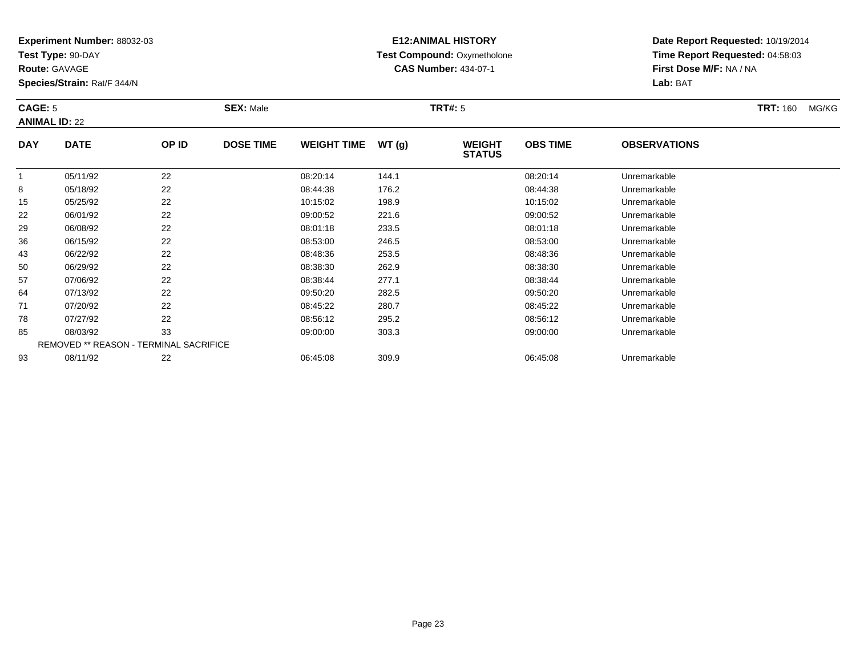**Test Type:** 90-DAY

**Route:** GAVAGE

**Species/Strain:** Rat/F 344/N

# **E12:ANIMAL HISTORY Test Compound:** Oxymetholone**CAS Number:** 434-07-1

**Date Report Requested:** 10/19/2014**Time Report Requested:** 04:58:03**First Dose M/F:** NA / NA**Lab:** BAT

#### **CAGE:** 5 **SEX:** Male **TRT#:** <sup>5</sup> **TRT:** 160 MG/KG**ANIMAL ID:** 22**DAY DATE OP IDDOSE TIME WEIGHT TIME WT** (g) **WEIGHT OBS TIMEOBSERVATIONS**

|    |          |                                               |          |       | SIAIUS   |              |  |
|----|----------|-----------------------------------------------|----------|-------|----------|--------------|--|
|    | 05/11/92 | 22                                            | 08:20:14 | 144.1 | 08:20:14 | Unremarkable |  |
| 8  | 05/18/92 | 22                                            | 08:44:38 | 176.2 | 08:44:38 | Unremarkable |  |
| 15 | 05/25/92 | 22                                            | 10:15:02 | 198.9 | 10:15:02 | Unremarkable |  |
| 22 | 06/01/92 | 22                                            | 09:00:52 | 221.6 | 09:00:52 | Unremarkable |  |
| 29 | 06/08/92 | 22                                            | 08:01:18 | 233.5 | 08:01:18 | Unremarkable |  |
| 36 | 06/15/92 | 22                                            | 08:53:00 | 246.5 | 08:53:00 | Unremarkable |  |
| 43 | 06/22/92 | 22                                            | 08:48:36 | 253.5 | 08:48:36 | Unremarkable |  |
| 50 | 06/29/92 | 22                                            | 08:38:30 | 262.9 | 08:38:30 | Unremarkable |  |
| 57 | 07/06/92 | 22                                            | 08:38:44 | 277.1 | 08:38:44 | Unremarkable |  |
| 64 | 07/13/92 | 22                                            | 09:50:20 | 282.5 | 09:50:20 | Unremarkable |  |
| 71 | 07/20/92 | 22                                            | 08:45:22 | 280.7 | 08:45:22 | Unremarkable |  |
| 78 | 07/27/92 | 22                                            | 08:56:12 | 295.2 | 08:56:12 | Unremarkable |  |
| 85 | 08/03/92 | 33                                            | 09:00:00 | 303.3 | 09:00:00 | Unremarkable |  |
|    |          | <b>REMOVED ** REASON - TERMINAL SACRIFICE</b> |          |       |          |              |  |
| 93 | 08/11/92 | 22                                            | 06:45:08 | 309.9 | 06:45:08 | Unremarkable |  |
|    |          |                                               |          |       |          |              |  |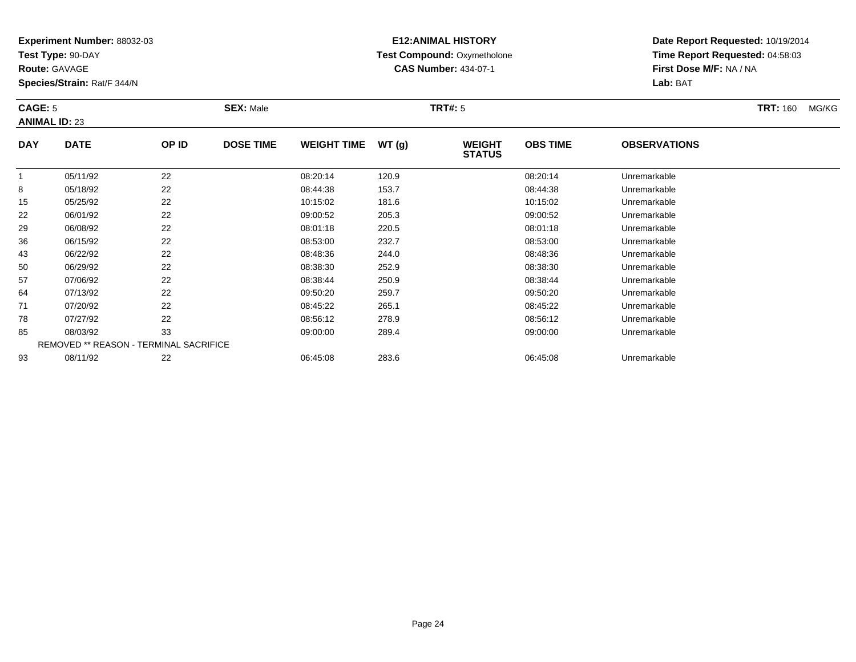**Test Type:** 90-DAY

**Route:** GAVAGE

**Species/Strain:** Rat/F 344/N

# **E12:ANIMAL HISTORY Test Compound:** Oxymetholone**CAS Number:** 434-07-1

**Date Report Requested:** 10/19/2014 **Time Report Requested:** 04:58:03**First Dose M/F:** NA / NA**Lab:** BAT

#### **CAGE:** 5 **SEX:** Male **TRT#:** <sup>5</sup> **TRT:** 160 MG/KG**ANIMAL ID:** 23**DAY DATE OP ID DOSE TIME WEIGHT TIME WT (g) WEIGHT STATUSOBS TIMEOBSERVATIONS**

|    |          | <b>STATUS</b>                                 |          |       |          |              |  |  |  |  |
|----|----------|-----------------------------------------------|----------|-------|----------|--------------|--|--|--|--|
|    | 05/11/92 | 22                                            | 08:20:14 | 120.9 | 08:20:14 | Unremarkable |  |  |  |  |
| 8  | 05/18/92 | 22                                            | 08:44:38 | 153.7 | 08:44:38 | Unremarkable |  |  |  |  |
| 15 | 05/25/92 | 22                                            | 10:15:02 | 181.6 | 10:15:02 | Unremarkable |  |  |  |  |
| 22 | 06/01/92 | 22                                            | 09:00:52 | 205.3 | 09:00:52 | Unremarkable |  |  |  |  |
| 29 | 06/08/92 | 22                                            | 08:01:18 | 220.5 | 08:01:18 | Unremarkable |  |  |  |  |
| 36 | 06/15/92 | 22                                            | 08:53:00 | 232.7 | 08:53:00 | Unremarkable |  |  |  |  |
| 43 | 06/22/92 | 22                                            | 08:48:36 | 244.0 | 08:48:36 | Unremarkable |  |  |  |  |
| 50 | 06/29/92 | 22                                            | 08:38:30 | 252.9 | 08:38:30 | Unremarkable |  |  |  |  |
| 57 | 07/06/92 | 22                                            | 08:38:44 | 250.9 | 08:38:44 | Unremarkable |  |  |  |  |
| 64 | 07/13/92 | 22                                            | 09:50:20 | 259.7 | 09:50:20 | Unremarkable |  |  |  |  |
| 71 | 07/20/92 | 22                                            | 08:45:22 | 265.1 | 08:45:22 | Unremarkable |  |  |  |  |
| 78 | 07/27/92 | 22                                            | 08:56:12 | 278.9 | 08:56:12 | Unremarkable |  |  |  |  |
| 85 | 08/03/92 | 33                                            | 09:00:00 | 289.4 | 09:00:00 | Unremarkable |  |  |  |  |
|    |          | <b>REMOVED ** REASON - TERMINAL SACRIFICE</b> |          |       |          |              |  |  |  |  |
| 93 | 08/11/92 | 22                                            | 06:45:08 | 283.6 | 06:45:08 | Unremarkable |  |  |  |  |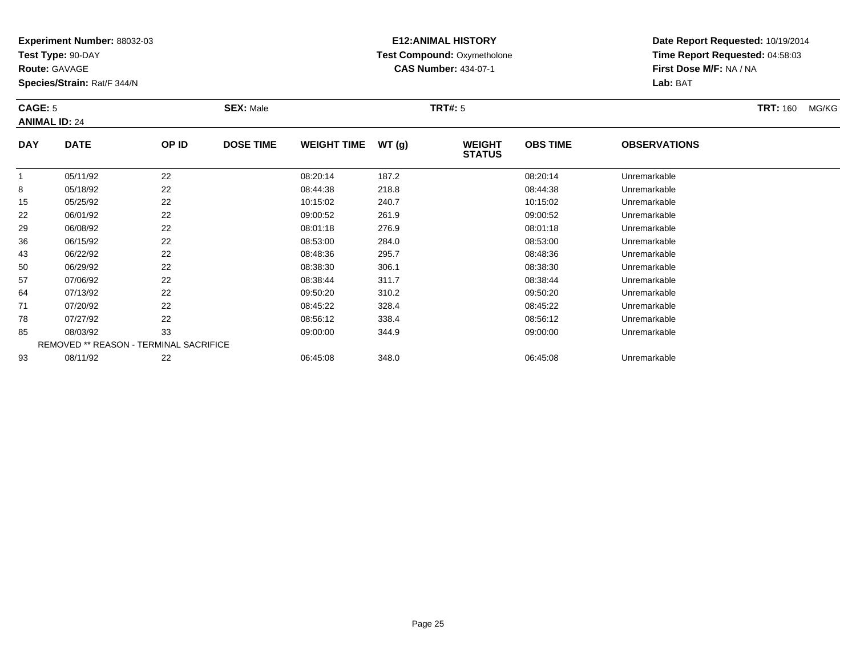**Test Type:** 90-DAY

**Route:** GAVAGE

**Species/Strain:** Rat/F 344/N

# **E12:ANIMAL HISTORY Test Compound:** Oxymetholone**CAS Number:** 434-07-1

**Date Report Requested:** 10/19/2014 **Time Report Requested:** 04:58:03**First Dose M/F:** NA / NA**Lab:** BAT

#### **CAGE:** 5 **SEX:** Male **TRT#:** <sup>5</sup> **TRT:** 160 MG/KG**ANIMAL ID:** 24**DAY DATE OP IDDOSE TIME WEIGHT TIME WT** (g) **STATUSOBS TIME OBSERVATIONS** 1 05/11/92 <sup>22</sup> 08:20:14 187.2 08:20:14 Unremarkable 8

| -1 | 05/11/92 | 22                                            | 08:20:14 | 187.2 | 08:20:14 | Unremarkable |  |
|----|----------|-----------------------------------------------|----------|-------|----------|--------------|--|
| 8  | 05/18/92 | 22                                            | 08:44:38 | 218.8 | 08:44:38 | Unremarkable |  |
| 15 | 05/25/92 | 22                                            | 10:15:02 | 240.7 | 10:15:02 | Unremarkable |  |
| 22 | 06/01/92 | 22                                            | 09:00:52 | 261.9 | 09:00:52 | Unremarkable |  |
| 29 | 06/08/92 | 22                                            | 08:01:18 | 276.9 | 08:01:18 | Unremarkable |  |
| 36 | 06/15/92 | 22                                            | 08:53:00 | 284.0 | 08:53:00 | Unremarkable |  |
| 43 | 06/22/92 | 22                                            | 08:48:36 | 295.7 | 08:48:36 | Unremarkable |  |
| 50 | 06/29/92 | 22                                            | 08:38:30 | 306.1 | 08:38:30 | Unremarkable |  |
| 57 | 07/06/92 | 22                                            | 08:38:44 | 311.7 | 08:38:44 | Unremarkable |  |
| 64 | 07/13/92 | 22                                            | 09:50:20 | 310.2 | 09:50:20 | Unremarkable |  |
| 71 | 07/20/92 | 22                                            | 08:45:22 | 328.4 | 08:45:22 | Unremarkable |  |
| 78 | 07/27/92 | 22                                            | 08:56:12 | 338.4 | 08:56:12 | Unremarkable |  |
| 85 | 08/03/92 | 33                                            | 09:00:00 | 344.9 | 09:00:00 | Unremarkable |  |
|    |          | <b>REMOVED ** REASON - TERMINAL SACRIFICE</b> |          |       |          |              |  |
| 93 | 08/11/92 | 22                                            | 06:45:08 | 348.0 | 06:45:08 | Unremarkable |  |
|    |          |                                               |          |       |          |              |  |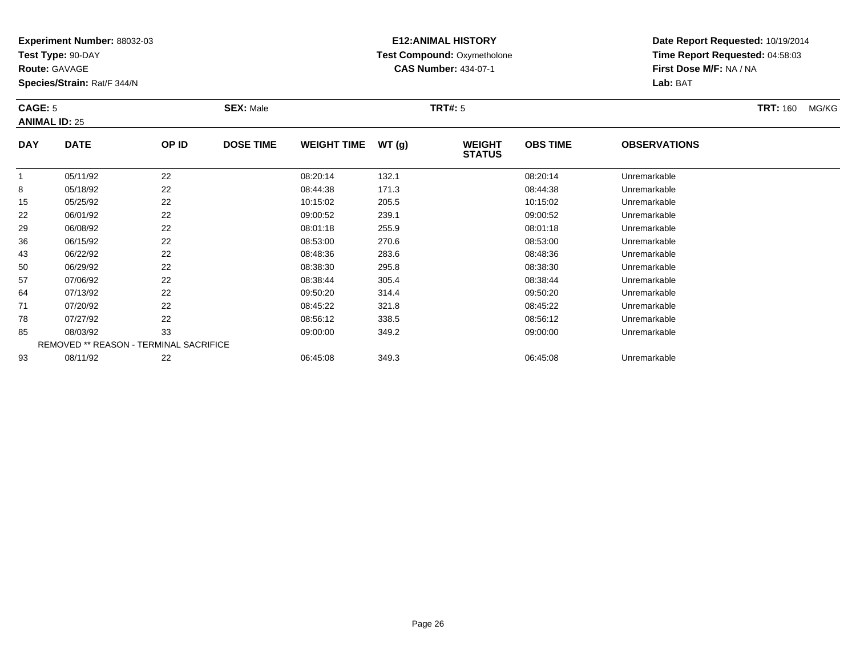**Test Type:** 90-DAY

**Route:** GAVAGE

**Species/Strain:** Rat/F 344/N

# **E12:ANIMAL HISTORY Test Compound:** Oxymetholone**CAS Number:** 434-07-1

**Date Report Requested:** 10/19/2014**Time Report Requested:** 04:58:03**First Dose M/F:** NA / NA**Lab:** BAT

#### **CAGE:** 5 **SEX:** Male **TRT#:** <sup>5</sup> **TRT:** 160 MG/KG**ANIMAL ID:** 25**DAY DATE OP IDDOSE TIME WEIGHT TIME WT** (g) **STATUSOBS TIMEOBSERVATIONS**

|    |          |                                               |          |       | .        |              |
|----|----------|-----------------------------------------------|----------|-------|----------|--------------|
|    | 05/11/92 | 22                                            | 08:20:14 | 132.1 | 08:20:14 | Unremarkable |
| 8  | 05/18/92 | 22                                            | 08:44:38 | 171.3 | 08:44:38 | Unremarkable |
| 15 | 05/25/92 | 22                                            | 10:15:02 | 205.5 | 10:15:02 | Unremarkable |
| 22 | 06/01/92 | 22                                            | 09:00:52 | 239.1 | 09:00:52 | Unremarkable |
| 29 | 06/08/92 | 22                                            | 08:01:18 | 255.9 | 08:01:18 | Unremarkable |
| 36 | 06/15/92 | 22                                            | 08:53:00 | 270.6 | 08:53:00 | Unremarkable |
| 43 | 06/22/92 | 22                                            | 08:48:36 | 283.6 | 08:48:36 | Unremarkable |
| 50 | 06/29/92 | 22                                            | 08:38:30 | 295.8 | 08:38:30 | Unremarkable |
| 57 | 07/06/92 | 22                                            | 08:38:44 | 305.4 | 08:38:44 | Unremarkable |
| 64 | 07/13/92 | 22                                            | 09:50:20 | 314.4 | 09:50:20 | Unremarkable |
| 71 | 07/20/92 | 22                                            | 08:45:22 | 321.8 | 08:45:22 | Unremarkable |
| 78 | 07/27/92 | 22                                            | 08:56:12 | 338.5 | 08:56:12 | Unremarkable |
| 85 | 08/03/92 | 33                                            | 09:00:00 | 349.2 | 09:00:00 | Unremarkable |
|    |          | <b>REMOVED ** REASON - TERMINAL SACRIFICE</b> |          |       |          |              |
| 93 | 08/11/92 | 22                                            | 06:45:08 | 349.3 | 06:45:08 | Unremarkable |
|    |          |                                               |          |       |          |              |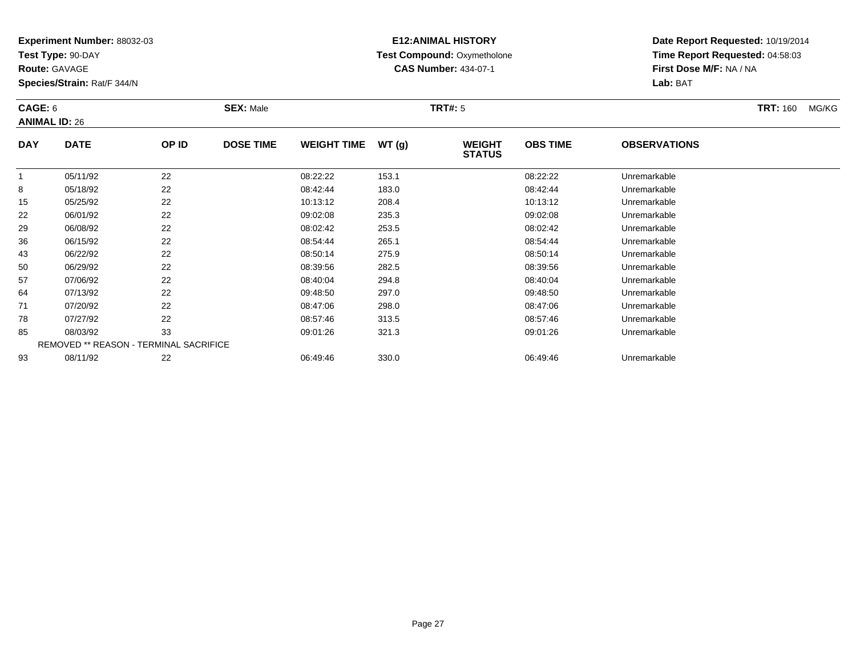**Test Type:** 90-DAY

**Route:** GAVAGE

**Species/Strain:** Rat/F 344/N

# **E12:ANIMAL HISTORY Test Compound:** Oxymetholone**CAS Number:** 434-07-1

**Date Report Requested:** 10/19/2014**Time Report Requested:** 04:58:03**First Dose M/F:** NA / NA**Lab:** BAT

#### **CAGE:** 6 **SEX:** Male **TRT#:** <sup>5</sup> **TRT:** 160 MG/KG**ANIMAL ID:** 26**DAY DATE OP IDDOSE TIME WEIGHT TIME WT** (g) **WEIGHT<br>STATUS OBS TIMEOBSERVATIONS**

|    |          |                                               |          |       | 31A1U3   |              |  |
|----|----------|-----------------------------------------------|----------|-------|----------|--------------|--|
|    | 05/11/92 | 22                                            | 08:22:22 | 153.1 | 08:22:22 | Unremarkable |  |
| 8  | 05/18/92 | 22                                            | 08:42:44 | 183.0 | 08:42:44 | Unremarkable |  |
| 15 | 05/25/92 | 22                                            | 10:13:12 | 208.4 | 10:13:12 | Unremarkable |  |
| 22 | 06/01/92 | 22                                            | 09:02:08 | 235.3 | 09:02:08 | Unremarkable |  |
| 29 | 06/08/92 | 22                                            | 08:02:42 | 253.5 | 08:02:42 | Unremarkable |  |
| 36 | 06/15/92 | 22                                            | 08:54:44 | 265.1 | 08:54:44 | Unremarkable |  |
| 43 | 06/22/92 | 22                                            | 08:50:14 | 275.9 | 08:50:14 | Unremarkable |  |
| 50 | 06/29/92 | 22                                            | 08:39:56 | 282.5 | 08:39:56 | Unremarkable |  |
| 57 | 07/06/92 | 22                                            | 08:40:04 | 294.8 | 08:40:04 | Unremarkable |  |
| 64 | 07/13/92 | 22                                            | 09:48:50 | 297.0 | 09:48:50 | Unremarkable |  |
| 71 | 07/20/92 | 22                                            | 08:47:06 | 298.0 | 08:47:06 | Unremarkable |  |
| 78 | 07/27/92 | 22                                            | 08:57:46 | 313.5 | 08:57:46 | Unremarkable |  |
| 85 | 08/03/92 | 33                                            | 09:01:26 | 321.3 | 09:01:26 | Unremarkable |  |
|    |          | <b>REMOVED ** REASON - TERMINAL SACRIFICE</b> |          |       |          |              |  |
| 93 | 08/11/92 | 22                                            | 06:49:46 | 330.0 | 06:49:46 | Unremarkable |  |
|    |          |                                               |          |       |          |              |  |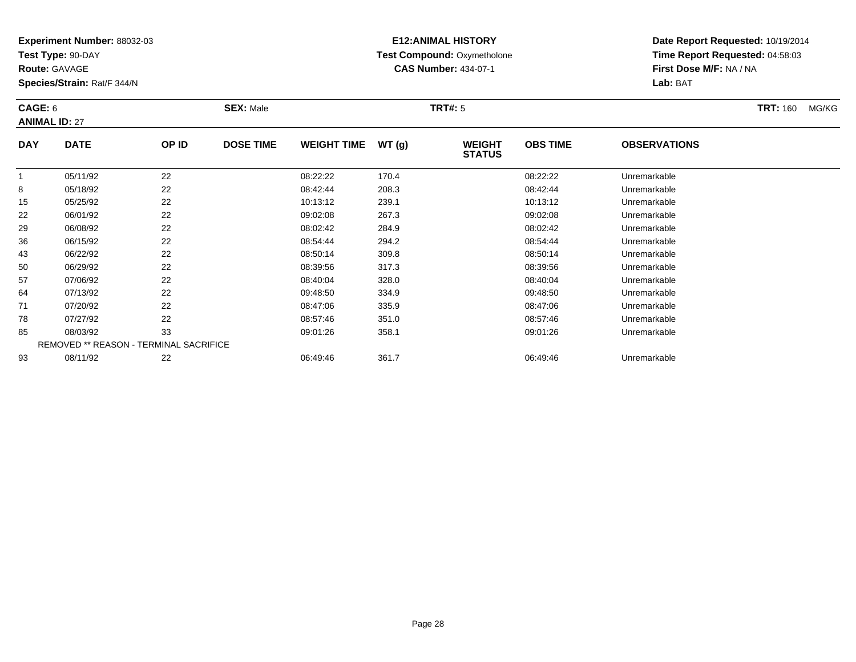**Test Type:** 90-DAY

**Route:** GAVAGE

**Species/Strain:** Rat/F 344/N

# **E12:ANIMAL HISTORY Test Compound:** Oxymetholone**CAS Number:** 434-07-1

**Date Report Requested:** 10/19/2014**Time Report Requested:** 04:58:03**First Dose M/F:** NA / NA**Lab:** BAT

#### **CAGE:** 6 **SEX:** Male **TRT#:** <sup>5</sup> **TRT:** 160 MG/KG**ANIMAL ID:** 27**DAY DATE OP ID DOSE TIME WEIGHT TIME WT (g) WEIGHT OBS TIMEOBSERVATIONS**

|    |          |                                        | - - - - - - - - - - | 197   | <b>STATUS</b> |              |
|----|----------|----------------------------------------|---------------------|-------|---------------|--------------|
|    | 05/11/92 | 22                                     | 08:22:22            | 170.4 | 08:22:22      | Unremarkable |
| 8  | 05/18/92 | 22                                     | 08:42:44            | 208.3 | 08:42:44      | Unremarkable |
| 15 | 05/25/92 | 22                                     | 10:13:12            | 239.1 | 10:13:12      | Unremarkable |
| 22 | 06/01/92 | 22                                     | 09:02:08            | 267.3 | 09:02:08      | Unremarkable |
| 29 | 06/08/92 | 22                                     | 08:02:42            | 284.9 | 08:02:42      | Unremarkable |
| 36 | 06/15/92 | 22                                     | 08:54:44            | 294.2 | 08:54:44      | Unremarkable |
| 43 | 06/22/92 | 22                                     | 08:50:14            | 309.8 | 08:50:14      | Unremarkable |
| 50 | 06/29/92 | 22                                     | 08:39:56            | 317.3 | 08:39:56      | Unremarkable |
| 57 | 07/06/92 | 22                                     | 08:40:04            | 328.0 | 08:40:04      | Unremarkable |
| 64 | 07/13/92 | 22                                     | 09:48:50            | 334.9 | 09:48:50      | Unremarkable |
| 71 | 07/20/92 | 22                                     | 08:47:06            | 335.9 | 08:47:06      | Unremarkable |
| 78 | 07/27/92 | 22                                     | 08:57:46            | 351.0 | 08:57:46      | Unremarkable |
| 85 | 08/03/92 | 33                                     | 09:01:26            | 358.1 | 09:01:26      | Unremarkable |
|    |          | REMOVED ** REASON - TERMINAL SACRIFICE |                     |       |               |              |
| 93 | 08/11/92 | 22                                     | 06:49:46            | 361.7 | 06:49:46      | Unremarkable |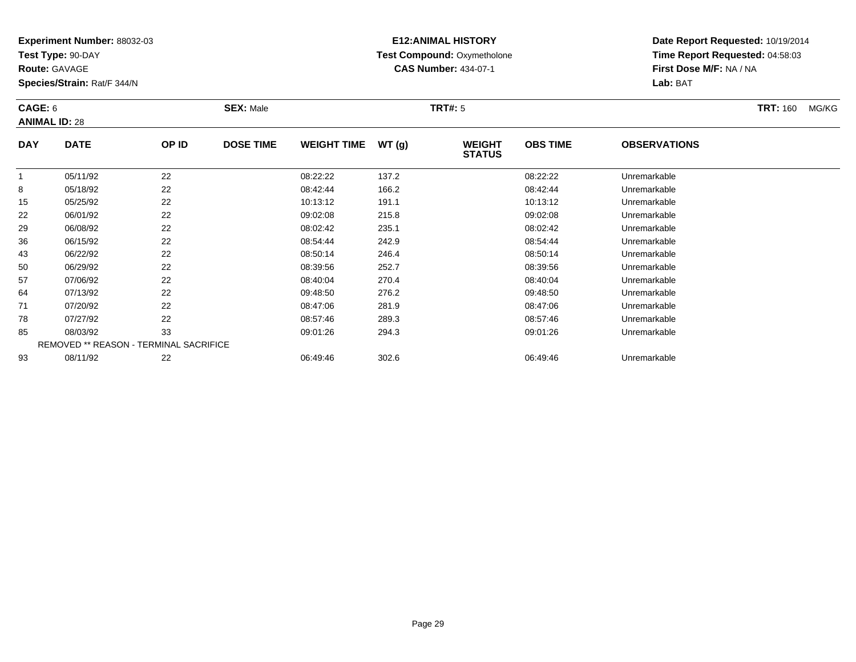**Test Type:** 90-DAY

**Route:** GAVAGE

**Species/Strain:** Rat/F 344/N

# **E12:ANIMAL HISTORY Test Compound:** Oxymetholone**CAS Number:** 434-07-1

**Date Report Requested:** 10/19/2014 **Time Report Requested:** 04:58:03**First Dose M/F:** NA / NA**Lab:** BAT

#### **CAGE:** 6 **SEX:** Male **TRT#:** <sup>5</sup> **TRT:** 160 MG/KG**ANIMAL ID:** 28**DAY DATE OP IDDOSE TIME WEIGHT TIME WT** (g) **STATUSOBS TIME OBSERVATIONS** 105/11/92 <sup>22</sup> 08:22:22 137.2 08:22:22 Unremarkable

|    | 05/11/92 | 22                                            | 08:22:22 | 137.2 | 08:22:22 | Unremarkable |  |
|----|----------|-----------------------------------------------|----------|-------|----------|--------------|--|
| 8  | 05/18/92 | 22                                            | 08:42:44 | 166.2 | 08:42:44 | Unremarkable |  |
| 15 | 05/25/92 | 22                                            | 10:13:12 | 191.1 | 10:13:12 | Unremarkable |  |
| 22 | 06/01/92 | 22                                            | 09:02:08 | 215.8 | 09:02:08 | Unremarkable |  |
| 29 | 06/08/92 | 22                                            | 08:02:42 | 235.1 | 08:02:42 | Unremarkable |  |
| 36 | 06/15/92 | 22                                            | 08:54:44 | 242.9 | 08:54:44 | Unremarkable |  |
| 43 | 06/22/92 | 22                                            | 08:50:14 | 246.4 | 08:50:14 | Unremarkable |  |
| 50 | 06/29/92 | 22                                            | 08:39:56 | 252.7 | 08:39:56 | Unremarkable |  |
| 57 | 07/06/92 | 22                                            | 08:40:04 | 270.4 | 08:40:04 | Unremarkable |  |
| 64 | 07/13/92 | 22                                            | 09:48:50 | 276.2 | 09:48:50 | Unremarkable |  |
| 71 | 07/20/92 | 22                                            | 08:47:06 | 281.9 | 08:47:06 | Unremarkable |  |
| 78 | 07/27/92 | 22                                            | 08:57:46 | 289.3 | 08:57:46 | Unremarkable |  |
| 85 | 08/03/92 | 33                                            | 09:01:26 | 294.3 | 09:01:26 | Unremarkable |  |
|    |          | <b>REMOVED ** REASON - TERMINAL SACRIFICE</b> |          |       |          |              |  |
| 93 | 08/11/92 | 22                                            | 06:49:46 | 302.6 | 06:49:46 | Unremarkable |  |
|    |          |                                               |          |       |          |              |  |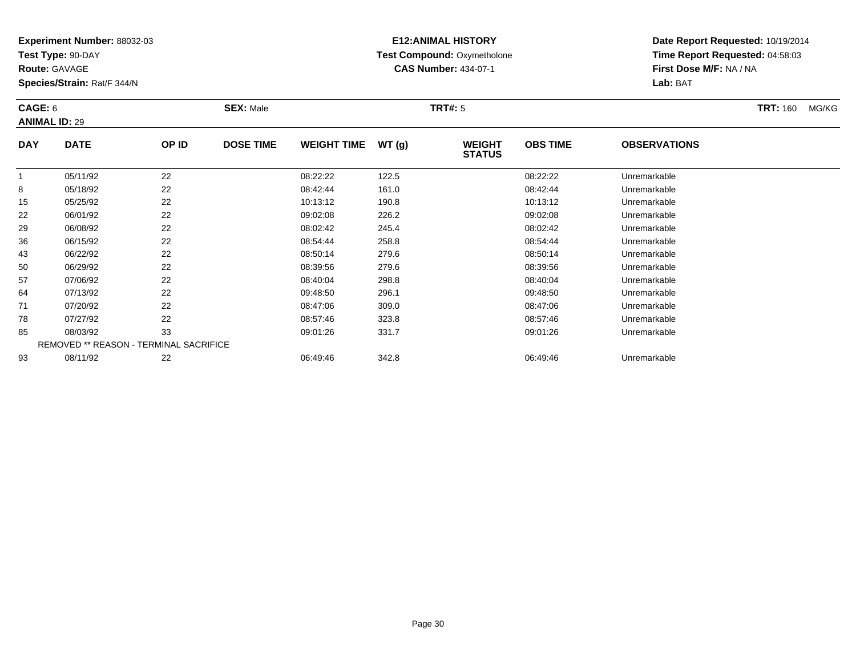**Test Type:** 90-DAY

**Route:** GAVAGE

**Species/Strain:** Rat/F 344/N

# **E12:ANIMAL HISTORY Test Compound:** Oxymetholone**CAS Number:** 434-07-1

**Date Report Requested:** 10/19/2014**Time Report Requested:** 04:58:03**First Dose M/F:** NA / NA**Lab:** BAT

#### **CAGE:** 6 **SEX:** Male **TRT#:** <sup>5</sup> **TRT:** 160 MG/KG**ANIMAL ID:** 29**DAY DATE OP IDDOSE TIME WEIGHT TIME WT** (g) WEIGHT **OBS TIMEOBSERVATIONS**

|    |          |                                               |          |       | SIAIUS   |              |  |
|----|----------|-----------------------------------------------|----------|-------|----------|--------------|--|
|    | 05/11/92 | 22                                            | 08:22:22 | 122.5 | 08:22:22 | Unremarkable |  |
| 8  | 05/18/92 | 22                                            | 08:42:44 | 161.0 | 08:42:44 | Unremarkable |  |
| 15 | 05/25/92 | 22                                            | 10:13:12 | 190.8 | 10:13:12 | Unremarkable |  |
| 22 | 06/01/92 | 22                                            | 09:02:08 | 226.2 | 09:02:08 | Unremarkable |  |
| 29 | 06/08/92 | 22                                            | 08:02:42 | 245.4 | 08:02:42 | Unremarkable |  |
| 36 | 06/15/92 | 22                                            | 08:54:44 | 258.8 | 08:54:44 | Unremarkable |  |
| 43 | 06/22/92 | 22                                            | 08:50:14 | 279.6 | 08:50:14 | Unremarkable |  |
| 50 | 06/29/92 | 22                                            | 08:39:56 | 279.6 | 08:39:56 | Unremarkable |  |
| 57 | 07/06/92 | 22                                            | 08:40:04 | 298.8 | 08:40:04 | Unremarkable |  |
| 64 | 07/13/92 | 22                                            | 09:48:50 | 296.1 | 09:48:50 | Unremarkable |  |
| 71 | 07/20/92 | 22                                            | 08:47:06 | 309.0 | 08:47:06 | Unremarkable |  |
| 78 | 07/27/92 | 22                                            | 08:57:46 | 323.8 | 08:57:46 | Unremarkable |  |
| 85 | 08/03/92 | 33                                            | 09:01:26 | 331.7 | 09:01:26 | Unremarkable |  |
|    |          | <b>REMOVED ** REASON - TERMINAL SACRIFICE</b> |          |       |          |              |  |
| 93 | 08/11/92 | 22                                            | 06:49:46 | 342.8 | 06:49:46 | Unremarkable |  |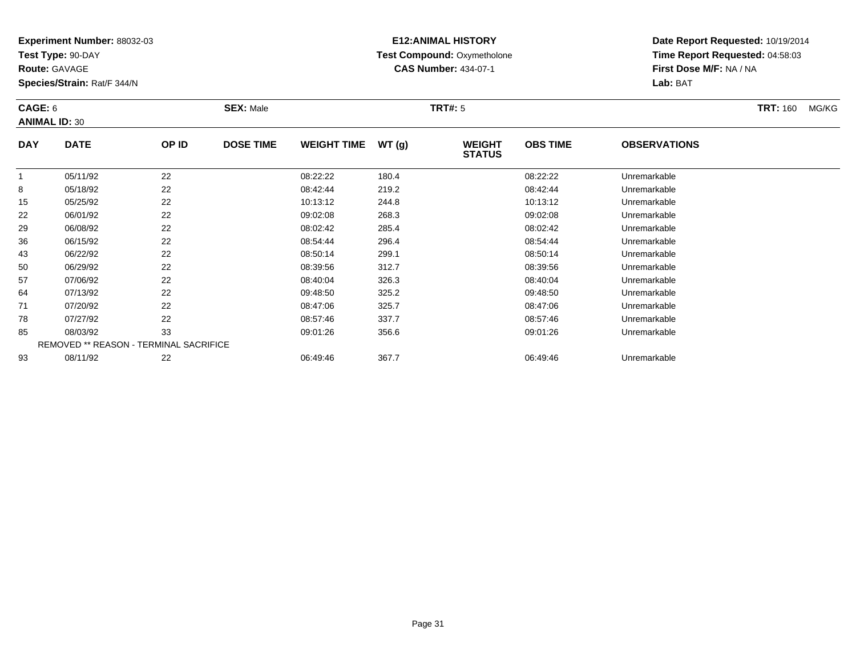**Test Type:** 90-DAY

**Route:** GAVAGE

**Species/Strain:** Rat/F 344/N

# **E12:ANIMAL HISTORY Test Compound:** Oxymetholone**CAS Number:** 434-07-1

**Date Report Requested:** 10/19/2014**Time Report Requested:** 04:58:03**First Dose M/F:** NA / NA**Lab:** BAT

#### **CAGE:** 6 **SEX:** Male **TRT#:** <sup>5</sup> **TRT:** 160 MG/KG**ANIMAL ID:** 30**DAY DATE OP IDDOSE TIME WEIGHT TIME WT** (g) **WEIGHT<br>STATUS OBS TIMEOBSERVATIONS**

|    |          |                                               |          |       | <b>918199</b> |              |
|----|----------|-----------------------------------------------|----------|-------|---------------|--------------|
|    | 05/11/92 | 22                                            | 08:22:22 | 180.4 | 08:22:22      | Unremarkable |
| 8  | 05/18/92 | 22                                            | 08:42:44 | 219.2 | 08:42:44      | Unremarkable |
| 15 | 05/25/92 | 22                                            | 10:13:12 | 244.8 | 10:13:12      | Unremarkable |
| 22 | 06/01/92 | 22                                            | 09:02:08 | 268.3 | 09:02:08      | Unremarkable |
| 29 | 06/08/92 | 22                                            | 08:02:42 | 285.4 | 08:02:42      | Unremarkable |
| 36 | 06/15/92 | 22                                            | 08:54:44 | 296.4 | 08:54:44      | Unremarkable |
| 43 | 06/22/92 | 22                                            | 08:50:14 | 299.1 | 08:50:14      | Unremarkable |
| 50 | 06/29/92 | 22                                            | 08:39:56 | 312.7 | 08:39:56      | Unremarkable |
| 57 | 07/06/92 | 22                                            | 08:40:04 | 326.3 | 08:40:04      | Unremarkable |
| 64 | 07/13/92 | 22                                            | 09:48:50 | 325.2 | 09:48:50      | Unremarkable |
| 71 | 07/20/92 | 22                                            | 08:47:06 | 325.7 | 08:47:06      | Unremarkable |
| 78 | 07/27/92 | 22                                            | 08:57:46 | 337.7 | 08:57:46      | Unremarkable |
| 85 | 08/03/92 | 33                                            | 09:01:26 | 356.6 | 09:01:26      | Unremarkable |
|    |          | <b>REMOVED ** REASON - TERMINAL SACRIFICE</b> |          |       |               |              |
| 93 | 08/11/92 | 22                                            | 06:49:46 | 367.7 | 06:49:46      | Unremarkable |
|    |          |                                               |          |       |               |              |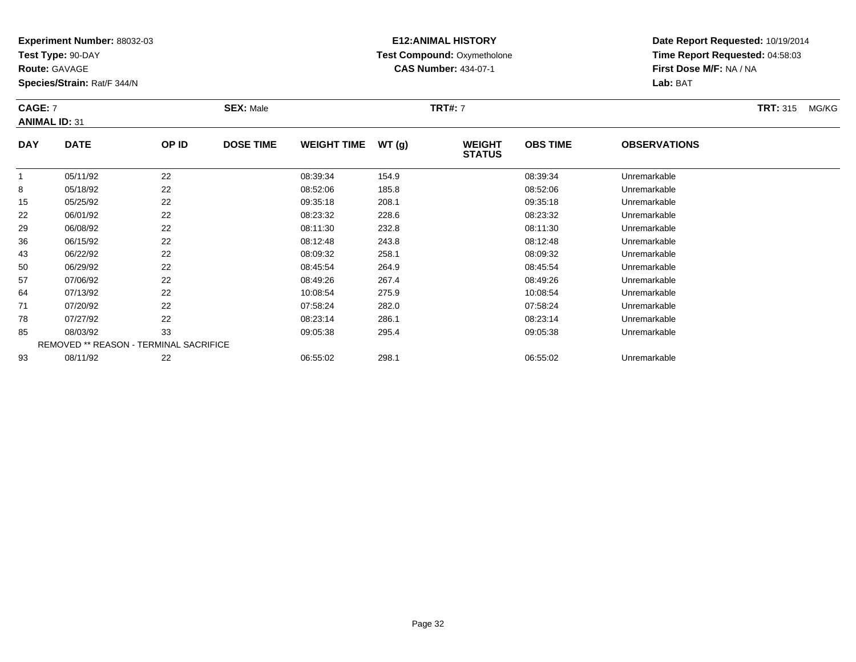**Test Type:** 90-DAY

**Route:** GAVAGE

**Species/Strain:** Rat/F 344/N

# **E12:ANIMAL HISTORY Test Compound:** Oxymetholone**CAS Number:** 434-07-1

**Date Report Requested:** 10/19/2014**Time Report Requested:** 04:58:03**First Dose M/F:** NA / NA**Lab:** BAT

#### **CAGE:** 7 **SEX:** Male **TRT#:** <sup>7</sup> **TRT:** 315 MG/KG**ANIMAL ID:** 31**DAY DATE OP ID DOSE TIME WEIGHT TIME WT (g) WEIGHT OBS TIMEOBSERVATIONS**

|    |                                               |    | _ _ |          | נכו יי | <b>STATUS</b> |          |              |  |
|----|-----------------------------------------------|----|-----|----------|--------|---------------|----------|--------------|--|
|    | 05/11/92                                      | 22 |     | 08:39:34 | 154.9  |               | 08:39:34 | Unremarkable |  |
| 8  | 05/18/92                                      | 22 |     | 08:52:06 | 185.8  |               | 08:52:06 | Unremarkable |  |
| 15 | 05/25/92                                      | 22 |     | 09:35:18 | 208.1  |               | 09:35:18 | Unremarkable |  |
| 22 | 06/01/92                                      | 22 |     | 08:23:32 | 228.6  |               | 08:23:32 | Unremarkable |  |
| 29 | 06/08/92                                      | 22 |     | 08:11:30 | 232.8  |               | 08:11:30 | Unremarkable |  |
| 36 | 06/15/92                                      | 22 |     | 08:12:48 | 243.8  |               | 08:12:48 | Unremarkable |  |
| 43 | 06/22/92                                      | 22 |     | 08:09:32 | 258.1  |               | 08:09:32 | Unremarkable |  |
| 50 | 06/29/92                                      | 22 |     | 08:45:54 | 264.9  |               | 08:45:54 | Unremarkable |  |
| 57 | 07/06/92                                      | 22 |     | 08:49:26 | 267.4  |               | 08:49:26 | Unremarkable |  |
| 64 | 07/13/92                                      | 22 |     | 10:08:54 | 275.9  |               | 10:08:54 | Unremarkable |  |
| 71 | 07/20/92                                      | 22 |     | 07:58:24 | 282.0  |               | 07:58:24 | Unremarkable |  |
| 78 | 07/27/92                                      | 22 |     | 08:23:14 | 286.1  |               | 08:23:14 | Unremarkable |  |
| 85 | 08/03/92                                      | 33 |     | 09:05:38 | 295.4  |               | 09:05:38 | Unremarkable |  |
|    | <b>REMOVED ** REASON - TERMINAL SACRIFICE</b> |    |     |          |        |               |          |              |  |
| 93 | 08/11/92                                      | 22 |     | 06:55:02 | 298.1  |               | 06:55:02 | Unremarkable |  |
|    |                                               |    |     |          |        |               |          |              |  |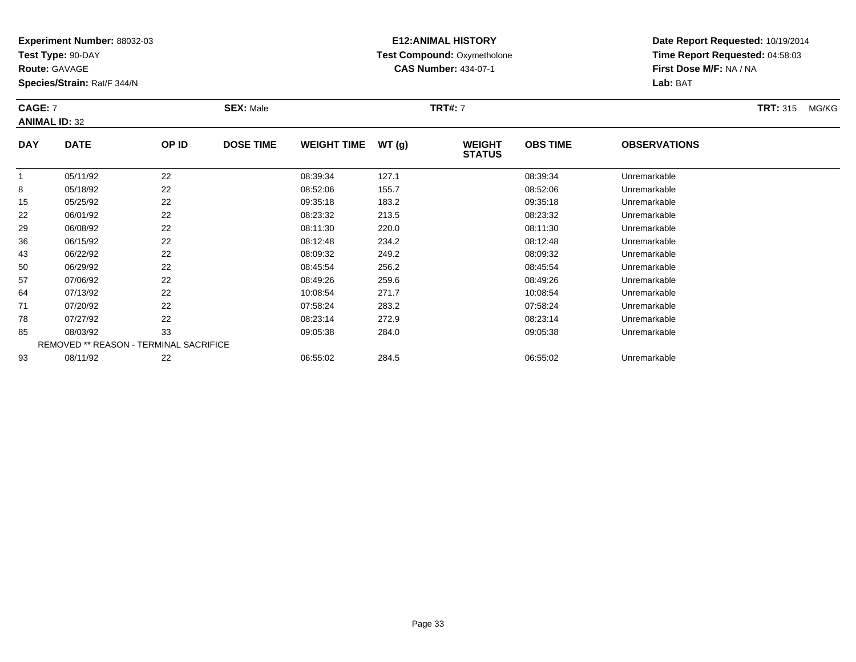**Test Type:** 90-DAY

**Route:** GAVAGE

**Species/Strain:** Rat/F 344/N

# **E12:ANIMAL HISTORY Test Compound:** Oxymetholone**CAS Number:** 434-07-1

**Date Report Requested:** 10/19/2014 **Time Report Requested:** 04:58:03**First Dose M/F:** NA / NA**Lab:** BAT

#### **CAGE:** 7 **SEX:** Male **TRT#:** <sup>7</sup> **TRT:** 315 MG/KG**ANIMAL ID:** 32**DAYOBS TIMEOBSERVATIONS**

| <b>DAY</b> | <b>DATE</b>                                   | OP ID | <b>DOSE TIME</b> | <b>WEIGHT TIME</b> | WT(g) | <b>WEIGHT</b><br><b>STATUS</b> | <b>OBS TIME</b> | <b>OBSERVATIONS</b> |  |
|------------|-----------------------------------------------|-------|------------------|--------------------|-------|--------------------------------|-----------------|---------------------|--|
|            | 05/11/92                                      | 22    |                  | 08:39:34           | 127.1 |                                | 08:39:34        | Unremarkable        |  |
| 8          | 05/18/92                                      | 22    |                  | 08:52:06           | 155.7 |                                | 08:52:06        | Unremarkable        |  |
| 15         | 05/25/92                                      | 22    |                  | 09:35:18           | 183.2 |                                | 09:35:18        | Unremarkable        |  |
| 22         | 06/01/92                                      | 22    |                  | 08:23:32           | 213.5 |                                | 08:23:32        | Unremarkable        |  |
| 29         | 06/08/92                                      | 22    |                  | 08:11:30           | 220.0 |                                | 08:11:30        | Unremarkable        |  |
| 36         | 06/15/92                                      | 22    |                  | 08:12:48           | 234.2 |                                | 08:12:48        | Unremarkable        |  |
| 43         | 06/22/92                                      | 22    |                  | 08:09:32           | 249.2 |                                | 08:09:32        | Unremarkable        |  |
| 50         | 06/29/92                                      | 22    |                  | 08:45:54           | 256.2 |                                | 08:45:54        | Unremarkable        |  |
| 57         | 07/06/92                                      | 22    |                  | 08:49:26           | 259.6 |                                | 08:49:26        | Unremarkable        |  |
| 64         | 07/13/92                                      | 22    |                  | 10:08:54           | 271.7 |                                | 10:08:54        | Unremarkable        |  |
| 71         | 07/20/92                                      | 22    |                  | 07:58:24           | 283.2 |                                | 07:58:24        | Unremarkable        |  |
| 78         | 07/27/92                                      | 22    |                  | 08:23:14           | 272.9 |                                | 08:23:14        | Unremarkable        |  |
| 85         | 08/03/92                                      | 33    |                  | 09:05:38           | 284.0 |                                | 09:05:38        | Unremarkable        |  |
|            | <b>REMOVED ** REASON - TERMINAL SACRIFICE</b> |       |                  |                    |       |                                |                 |                     |  |
| 93         | 08/11/92                                      | 22    |                  | 06:55:02           | 284.5 |                                | 06:55:02        | Unremarkable        |  |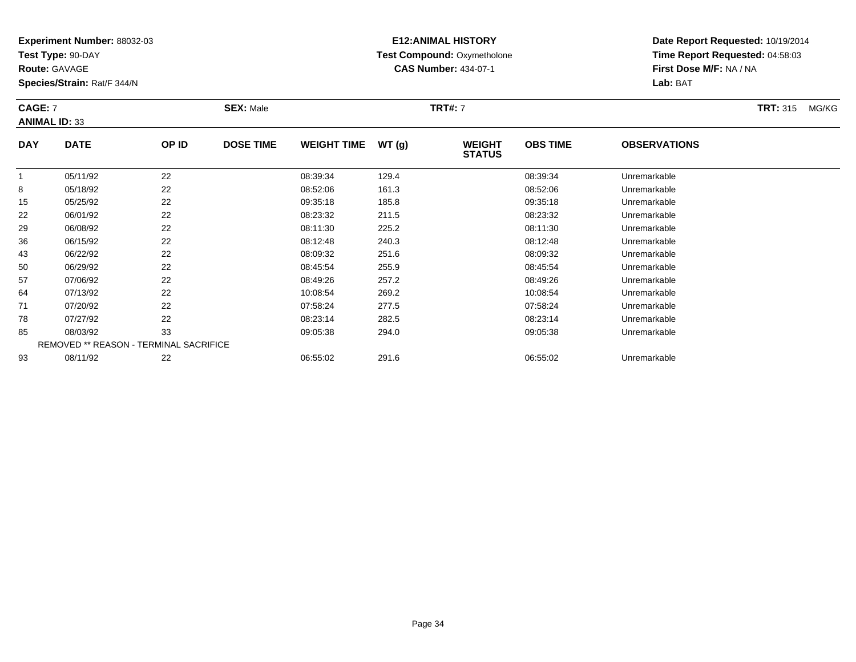**Test Type:** 90-DAY

**Route:** GAVAGE

**Species/Strain:** Rat/F 344/N

#### **E12:ANIMAL HISTORY Test Compound:** Oxymetholone**CAS Number:** 434-07-1

**Date Report Requested:** 10/19/2014**Time Report Requested:** 04:58:03**First Dose M/F:** NA / NA**Lab:** BAT

#### **CAGE:** 7 **SEX:** Male **TRT#:** <sup>7</sup> **TRT:** 315 MG/KG**ANIMAL ID:** 33**DAY DATE OP ID DOSE TIME WEIGHT TIME WT (g) WEIGHT OBS TIMEOBSERVATIONS**

| <u>vri</u> |                                               | טו י | <b>DUUL IIIIL</b> | *************** |       | ,,,,,,,,<br><b>STATUS</b> | ∟וווו טשט | <b>ULULIITATIUITU</b> |
|------------|-----------------------------------------------|------|-------------------|-----------------|-------|---------------------------|-----------|-----------------------|
|            | 05/11/92                                      | 22   |                   | 08:39:34        | 129.4 |                           | 08:39:34  | Unremarkable          |
| 8          | 05/18/92                                      | 22   |                   | 08:52:06        | 161.3 |                           | 08:52:06  | Unremarkable          |
| 15         | 05/25/92                                      | 22   |                   | 09:35:18        | 185.8 |                           | 09:35:18  | Unremarkable          |
| 22         | 06/01/92                                      | 22   |                   | 08:23:32        | 211.5 |                           | 08:23:32  | Unremarkable          |
| 29         | 06/08/92                                      | 22   |                   | 08:11:30        | 225.2 |                           | 08:11:30  | Unremarkable          |
| 36         | 06/15/92                                      | 22   |                   | 08:12:48        | 240.3 |                           | 08:12:48  | Unremarkable          |
| 43         | 06/22/92                                      | 22   |                   | 08:09:32        | 251.6 |                           | 08:09:32  | Unremarkable          |
| 50         | 06/29/92                                      | 22   |                   | 08:45:54        | 255.9 |                           | 08:45:54  | Unremarkable          |
| 57         | 07/06/92                                      | 22   |                   | 08:49:26        | 257.2 |                           | 08:49:26  | Unremarkable          |
| 64         | 07/13/92                                      | 22   |                   | 10:08:54        | 269.2 |                           | 10:08:54  | Unremarkable          |
| 71         | 07/20/92                                      | 22   |                   | 07:58:24        | 277.5 |                           | 07:58:24  | Unremarkable          |
| 78         | 07/27/92                                      | 22   |                   | 08:23:14        | 282.5 |                           | 08:23:14  | Unremarkable          |
| 85         | 08/03/92                                      | 33   |                   | 09:05:38        | 294.0 |                           | 09:05:38  | Unremarkable          |
|            | <b>REMOVED ** REASON - TERMINAL SACRIFICE</b> |      |                   |                 |       |                           |           |                       |
| 93         | 08/11/92                                      | 22   |                   | 06:55:02        | 291.6 |                           | 06:55:02  | Unremarkable          |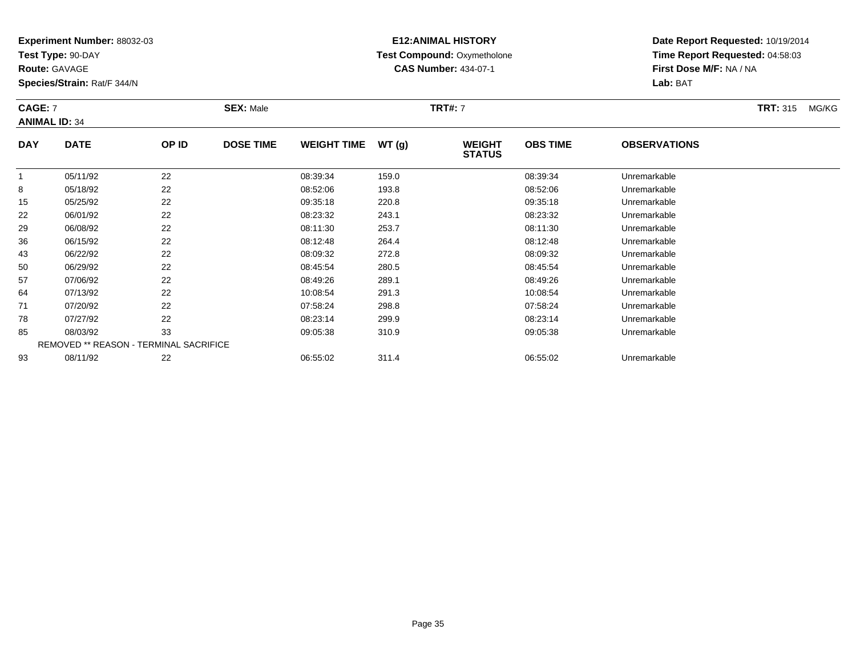**Test Type:** 90-DAY

**Route:** GAVAGE

**Species/Strain:** Rat/F 344/N

# **E12:ANIMAL HISTORY Test Compound:** Oxymetholone**CAS Number:** 434-07-1

**Date Report Requested:** 10/19/2014**Time Report Requested:** 04:58:03**First Dose M/F:** NA / NA**Lab:** BAT

#### **CAGE:** 7 **SEX:** Male **TRT#:** <sup>7</sup> **TRT:** 315 MG/KG**ANIMAL ID:** 34**DAY DATE OP ID DOSE TIME WEIGHT TIME WT (g) WEIGHT OBS TIMEOBSERVATIONS**

| ---- |                                        |    | ---- |          | נפו יי | <b>STATUS</b> | -        |              |  |
|------|----------------------------------------|----|------|----------|--------|---------------|----------|--------------|--|
|      | 05/11/92                               | 22 |      | 08:39:34 | 159.0  |               | 08:39:34 | Unremarkable |  |
| 8    | 05/18/92                               | 22 |      | 08:52:06 | 193.8  |               | 08:52:06 | Unremarkable |  |
| 15   | 05/25/92                               | 22 |      | 09:35:18 | 220.8  |               | 09:35:18 | Unremarkable |  |
| 22   | 06/01/92                               | 22 |      | 08:23:32 | 243.1  |               | 08:23:32 | Unremarkable |  |
| 29   | 06/08/92                               | 22 |      | 08:11:30 | 253.7  |               | 08:11:30 | Unremarkable |  |
| 36   | 06/15/92                               | 22 |      | 08:12:48 | 264.4  |               | 08:12:48 | Unremarkable |  |
| 43   | 06/22/92                               | 22 |      | 08:09:32 | 272.8  |               | 08:09:32 | Unremarkable |  |
| 50   | 06/29/92                               | 22 |      | 08:45:54 | 280.5  |               | 08:45:54 | Unremarkable |  |
| 57   | 07/06/92                               | 22 |      | 08:49:26 | 289.1  |               | 08:49:26 | Unremarkable |  |
| 64   | 07/13/92                               | 22 |      | 10:08:54 | 291.3  |               | 10:08:54 | Unremarkable |  |
| 71   | 07/20/92                               | 22 |      | 07:58:24 | 298.8  |               | 07:58:24 | Unremarkable |  |
| 78   | 07/27/92                               | 22 |      | 08:23:14 | 299.9  |               | 08:23:14 | Unremarkable |  |
| 85   | 08/03/92                               | 33 |      | 09:05:38 | 310.9  |               | 09:05:38 | Unremarkable |  |
|      | REMOVED ** REASON - TERMINAL SACRIFICE |    |      |          |        |               |          |              |  |
| 93   | 08/11/92                               | 22 |      | 06:55:02 | 311.4  |               | 06:55:02 | Unremarkable |  |
|      |                                        |    |      |          |        |               |          |              |  |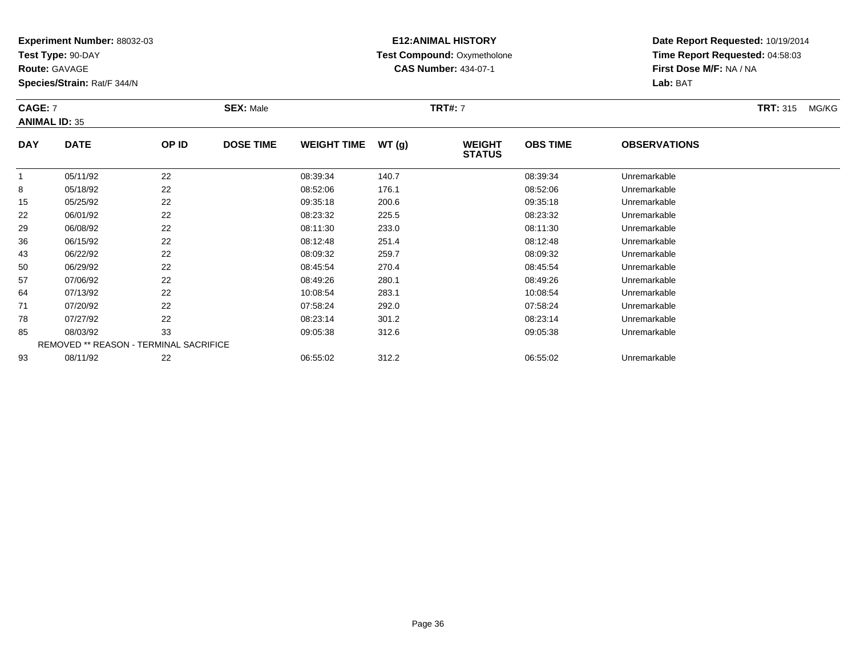**Test Type:** 90-DAY

**Route:** GAVAGE

**Species/Strain:** Rat/F 344/N

# **E12:ANIMAL HISTORY Test Compound:** Oxymetholone**CAS Number:** 434-07-1

**Date Report Requested:** 10/19/2014 **Time Report Requested:** 04:58:03**First Dose M/F:** NA / NA**Lab:** BAT

#### **CAGE:** 7 **SEX:** Male **TRT#:** <sup>7</sup> **TRT:** 315 MG/KG**ANIMAL ID:** 35**DAY DATE OP ID DOSE TIME WEIGHT TIME WT (g) WEIGHT OBS TIMEOBSERVATIONS**

|    |          |                                               |          |       | <b>STATUS</b> |              |  |
|----|----------|-----------------------------------------------|----------|-------|---------------|--------------|--|
|    | 05/11/92 | 22                                            | 08:39:34 | 140.7 | 08:39:34      | Unremarkable |  |
| 8  | 05/18/92 | 22                                            | 08:52:06 | 176.1 | 08:52:06      | Unremarkable |  |
| 15 | 05/25/92 | 22                                            | 09:35:18 | 200.6 | 09:35:18      | Unremarkable |  |
| 22 | 06/01/92 | 22                                            | 08:23:32 | 225.5 | 08:23:32      | Unremarkable |  |
| 29 | 06/08/92 | 22                                            | 08:11:30 | 233.0 | 08:11:30      | Unremarkable |  |
| 36 | 06/15/92 | 22                                            | 08:12:48 | 251.4 | 08:12:48      | Unremarkable |  |
| 43 | 06/22/92 | 22                                            | 08:09:32 | 259.7 | 08:09:32      | Unremarkable |  |
| 50 | 06/29/92 | 22                                            | 08:45:54 | 270.4 | 08:45:54      | Unremarkable |  |
| 57 | 07/06/92 | 22                                            | 08:49:26 | 280.1 | 08:49:26      | Unremarkable |  |
| 64 | 07/13/92 | 22                                            | 10:08:54 | 283.1 | 10:08:54      | Unremarkable |  |
| 71 | 07/20/92 | 22                                            | 07:58:24 | 292.0 | 07:58:24      | Unremarkable |  |
| 78 | 07/27/92 | 22                                            | 08:23:14 | 301.2 | 08:23:14      | Unremarkable |  |
| 85 | 08/03/92 | 33                                            | 09:05:38 | 312.6 | 09:05:38      | Unremarkable |  |
|    |          | <b>REMOVED ** REASON - TERMINAL SACRIFICE</b> |          |       |               |              |  |
| 93 | 08/11/92 | 22                                            | 06:55:02 | 312.2 | 06:55:02      | Unremarkable |  |
|    |          |                                               |          |       |               |              |  |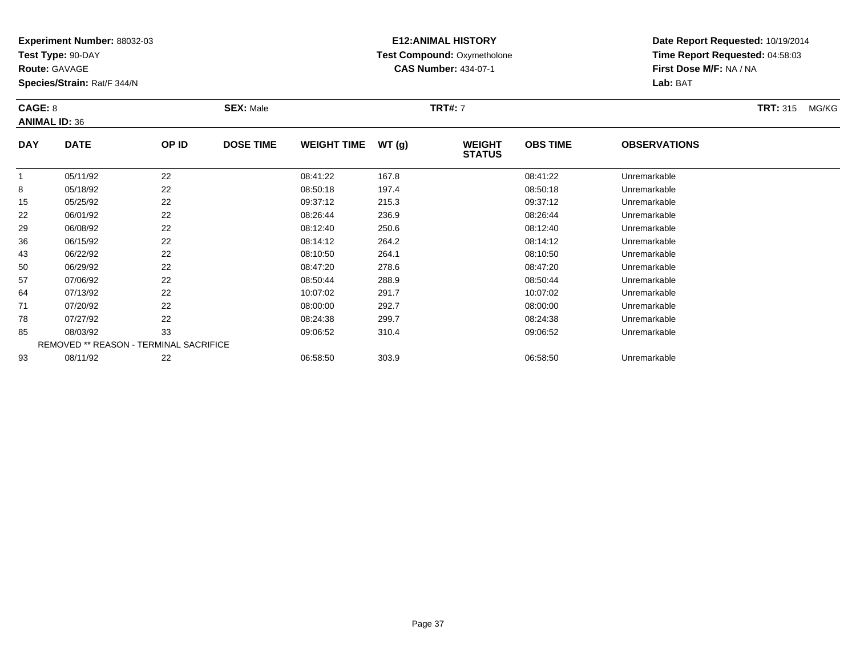**Test Type:** 90-DAY

**Route:** GAVAGE

**Species/Strain:** Rat/F 344/N

# **E12:ANIMAL HISTORY Test Compound:** Oxymetholone**CAS Number:** 434-07-1

**Date Report Requested:** 10/19/2014 **Time Report Requested:** 04:58:03**First Dose M/F:** NA / NA**Lab:** BAT

### **CAGE:** 8 **SEX:** Male **TRT#:** <sup>7</sup> **TRT:** 315 MG/KG**ANIMAL ID:** 36**DAY DATE OP ID DOSE TIME WEIGHT TIME WT (g) WEIGHT STATUSOBS TIMEOBSERVATIONS**

|    |          |                                               |          | $\ddotsc$ | <b>STATUS</b> |              |  |
|----|----------|-----------------------------------------------|----------|-----------|---------------|--------------|--|
|    | 05/11/92 | 22                                            | 08:41:22 | 167.8     | 08:41:22      | Unremarkable |  |
| 8  | 05/18/92 | 22                                            | 08:50:18 | 197.4     | 08:50:18      | Unremarkable |  |
| 15 | 05/25/92 | 22                                            | 09:37:12 | 215.3     | 09:37:12      | Unremarkable |  |
| 22 | 06/01/92 | 22                                            | 08:26:44 | 236.9     | 08:26:44      | Unremarkable |  |
| 29 | 06/08/92 | 22                                            | 08:12:40 | 250.6     | 08:12:40      | Unremarkable |  |
| 36 | 06/15/92 | 22                                            | 08:14:12 | 264.2     | 08:14:12      | Unremarkable |  |
| 43 | 06/22/92 | 22                                            | 08:10:50 | 264.1     | 08:10:50      | Unremarkable |  |
| 50 | 06/29/92 | 22                                            | 08:47:20 | 278.6     | 08:47:20      | Unremarkable |  |
| 57 | 07/06/92 | 22                                            | 08:50:44 | 288.9     | 08:50:44      | Unremarkable |  |
| 64 | 07/13/92 | 22                                            | 10:07:02 | 291.7     | 10:07:02      | Unremarkable |  |
| 71 | 07/20/92 | 22                                            | 08:00:00 | 292.7     | 08:00:00      | Unremarkable |  |
| 78 | 07/27/92 | 22                                            | 08:24:38 | 299.7     | 08:24:38      | Unremarkable |  |
| 85 | 08/03/92 | 33                                            | 09:06:52 | 310.4     | 09:06:52      | Unremarkable |  |
|    |          | <b>REMOVED ** REASON - TERMINAL SACRIFICE</b> |          |           |               |              |  |
| 93 | 08/11/92 | 22                                            | 06:58:50 | 303.9     | 06:58:50      | Unremarkable |  |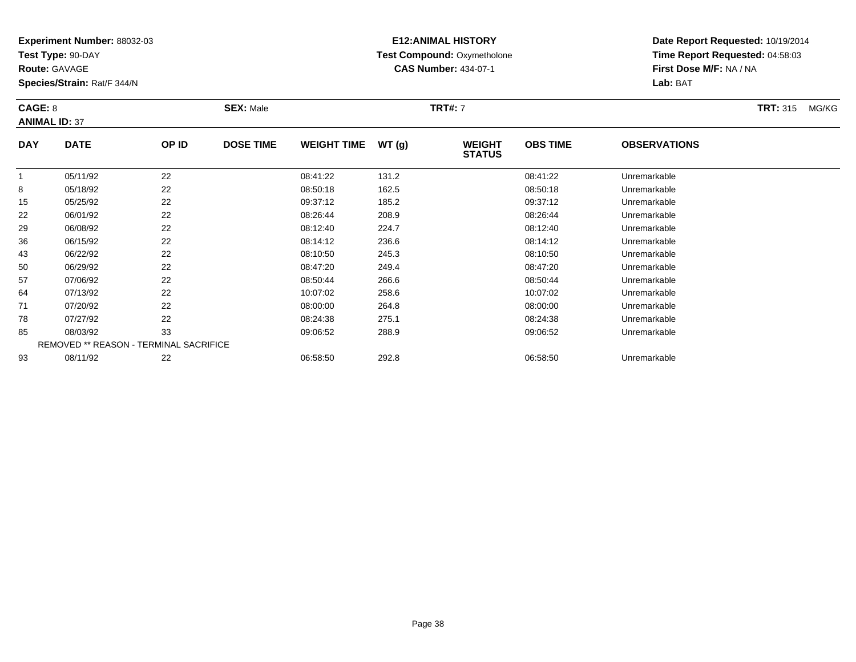**Test Type:** 90-DAY

**Route:** GAVAGE

**Species/Strain:** Rat/F 344/N

# **E12:ANIMAL HISTORY Test Compound:** Oxymetholone**CAS Number:** 434-07-1

**Date Report Requested:** 10/19/2014**Time Report Requested:** 04:58:03**First Dose M/F:** NA / NA**Lab:** BAT

#### **CAGE:** 8 **SEX:** Male **TRT#:** <sup>7</sup> **TRT:** 315 MG/KG**ANIMAL ID:** 37**DAY DATE OP ID DOSE TIME WEIGHT TIME WT (g) WEIGHT OBS TIMEOBSERVATIONS**

|    | 05/11/92                                      | 22 | 08:41:22 | 131.2 | 08:41:22 | Unremarkable |
|----|-----------------------------------------------|----|----------|-------|----------|--------------|
| 8  | 05/18/92                                      | 22 | 08:50:18 | 162.5 | 08:50:18 | Unremarkable |
| 15 | 05/25/92                                      | 22 | 09:37:12 | 185.2 | 09:37:12 | Unremarkable |
| 22 | 06/01/92                                      | 22 | 08:26:44 | 208.9 | 08:26:44 | Unremarkable |
| 29 | 06/08/92                                      | 22 | 08:12:40 | 224.7 | 08:12:40 | Unremarkable |
| 36 | 06/15/92                                      | 22 | 08:14:12 | 236.6 | 08:14:12 | Unremarkable |
| 43 | 06/22/92                                      | 22 | 08:10:50 | 245.3 | 08:10:50 | Unremarkable |
| 50 | 06/29/92                                      | 22 | 08:47:20 | 249.4 | 08:47:20 | Unremarkable |
| 57 | 07/06/92                                      | 22 | 08:50:44 | 266.6 | 08:50:44 | Unremarkable |
| 64 | 07/13/92                                      | 22 | 10:07:02 | 258.6 | 10:07:02 | Unremarkable |
| 71 | 07/20/92                                      | 22 | 08:00:00 | 264.8 | 08:00:00 | Unremarkable |
| 78 | 07/27/92                                      | 22 | 08:24:38 | 275.1 | 08:24:38 | Unremarkable |
| 85 | 08/03/92                                      | 33 | 09:06:52 | 288.9 | 09:06:52 | Unremarkable |
|    | <b>REMOVED ** REASON - TERMINAL SACRIFICE</b> |    |          |       |          |              |
| 93 | 08/11/92                                      | 22 | 06:58:50 | 292.8 | 06:58:50 | Unremarkable |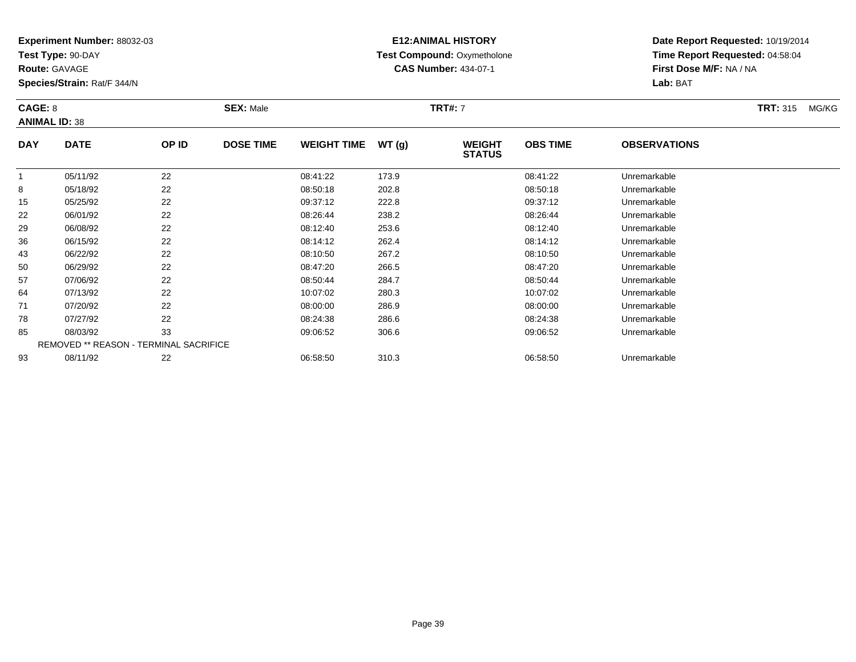**Test Type:** 90-DAY

**Route:** GAVAGE

**Species/Strain:** Rat/F 344/N

# **E12:ANIMAL HISTORY Test Compound:** Oxymetholone**CAS Number:** 434-07-1

| CAGE: 8<br><b>ANIMAL ID: 38</b> |                                                                                                                                                                                                                                                                                                                                                               |        | <b>SEX: Male</b> |                    |             | <b>TRT#: 7</b>                 |                 |                     |  | MG/KG |
|---------------------------------|---------------------------------------------------------------------------------------------------------------------------------------------------------------------------------------------------------------------------------------------------------------------------------------------------------------------------------------------------------------|--------|------------------|--------------------|-------------|--------------------------------|-----------------|---------------------|--|-------|
| <b>DAY</b>                      | <b>DATE</b>                                                                                                                                                                                                                                                                                                                                                   | OP ID  | <b>DOSE TIME</b> | <b>WEIGHT TIME</b> | WT (g)      | <b>WEIGHT</b><br><b>STATUS</b> | <b>OBS TIME</b> | <b>OBSERVATIONS</b> |  |       |
|                                 | $\theta$ = $\theta$ + $\theta$ + $\theta$ + $\theta$ + $\theta$ + $\theta$ + $\theta$ + $\theta$ + $\theta$ + $\theta$ + $\theta$ + $\theta$ + $\theta$ + $\theta$ + $\theta$ + $\theta$ + $\theta$ + $\theta$ + $\theta$ + $\theta$ + $\theta$ + $\theta$ + $\theta$ + $\theta$ + $\theta$ + $\theta$ + $\theta$ + $\theta$ + $\theta$ + $\theta$ + $\theta$ | $\sim$ |                  | 0.01100            | $1 - 2 - 2$ |                                | 0.01100         |                     |  |       |

|    | 05/11/92 | 22                                            | 08:41:22 | 173.9 | 08:41:22 | Unremarkable |  |
|----|----------|-----------------------------------------------|----------|-------|----------|--------------|--|
| 8  | 05/18/92 | 22                                            | 08:50:18 | 202.8 | 08:50:18 | Unremarkable |  |
| 15 | 05/25/92 | 22                                            | 09:37:12 | 222.8 | 09:37:12 | Unremarkable |  |
| 22 | 06/01/92 | 22                                            | 08:26:44 | 238.2 | 08:26:44 | Unremarkable |  |
| 29 | 06/08/92 | 22                                            | 08:12:40 | 253.6 | 08:12:40 | Unremarkable |  |
| 36 | 06/15/92 | 22                                            | 08:14:12 | 262.4 | 08:14:12 | Unremarkable |  |
| 43 | 06/22/92 | 22                                            | 08:10:50 | 267.2 | 08:10:50 | Unremarkable |  |
| 50 | 06/29/92 | 22                                            | 08:47:20 | 266.5 | 08:47:20 | Unremarkable |  |
| 57 | 07/06/92 | 22                                            | 08:50:44 | 284.7 | 08:50:44 | Unremarkable |  |
| 64 | 07/13/92 | 22                                            | 10:07:02 | 280.3 | 10:07:02 | Unremarkable |  |
| 71 | 07/20/92 | 22                                            | 08:00:00 | 286.9 | 08:00:00 | Unremarkable |  |
| 78 | 07/27/92 | 22                                            | 08:24:38 | 286.6 | 08:24:38 | Unremarkable |  |
| 85 | 08/03/92 | 33                                            | 09:06:52 | 306.6 | 09:06:52 | Unremarkable |  |
|    |          | <b>REMOVED ** REASON - TERMINAL SACRIFICE</b> |          |       |          |              |  |
| 93 | 08/11/92 | 22                                            | 06:58:50 | 310.3 | 06:58:50 | Unremarkable |  |
|    |          |                                               |          |       |          |              |  |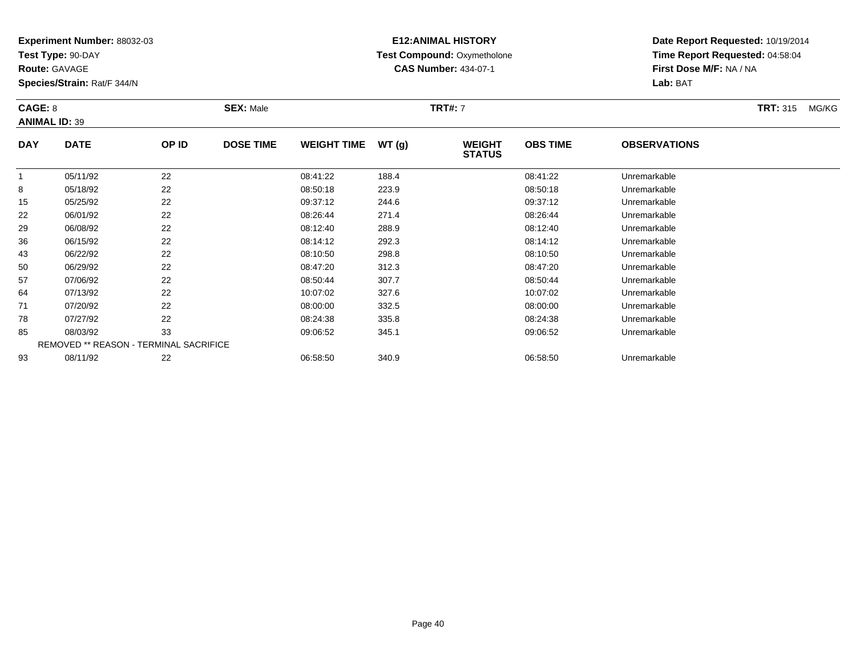**Test Type:** 90-DAY

**Route:** GAVAGE

**Species/Strain:** Rat/F 344/N

# **E12:ANIMAL HISTORY Test Compound:** Oxymetholone**CAS Number:** 434-07-1

|            | CAGE: 8<br><b>ANIMAL ID: 39</b> |       | <b>SEX: Male</b> |                    |        | <b>TRT#: 7</b>                 |                 |                     | <b>TRT: 315</b><br>MG/KG |
|------------|---------------------------------|-------|------------------|--------------------|--------|--------------------------------|-----------------|---------------------|--------------------------|
| <b>DAY</b> | <b>DATE</b>                     | OP ID | <b>DOSE TIME</b> | <b>WEIGHT TIME</b> | WT (q) | <b>WEIGHT</b><br><b>STATUS</b> | <b>OBS TIME</b> | <b>OBSERVATIONS</b> |                          |
|            | 05/11/92                        | 22    |                  | 08:41:22           | 188.4  |                                | 08:41:22        | Unremarkable        |                          |
|            | 05/18/92                        | 22    |                  | 08:50:18           | 223.9  |                                | 08:50:18        | Unremarkable        |                          |

|    | 05/11/92 | 22                                            | 08:41:22 | 188.4 | 08:41:22 | Unremarkable |  |
|----|----------|-----------------------------------------------|----------|-------|----------|--------------|--|
| 8  | 05/18/92 | 22                                            | 08:50:18 | 223.9 | 08:50:18 | Unremarkable |  |
| 15 | 05/25/92 | 22                                            | 09:37:12 | 244.6 | 09:37:12 | Unremarkable |  |
| 22 | 06/01/92 | 22                                            | 08:26:44 | 271.4 | 08:26:44 | Unremarkable |  |
| 29 | 06/08/92 | 22                                            | 08:12:40 | 288.9 | 08:12:40 | Unremarkable |  |
| 36 | 06/15/92 | 22                                            | 08:14:12 | 292.3 | 08:14:12 | Unremarkable |  |
| 43 | 06/22/92 | 22                                            | 08:10:50 | 298.8 | 08:10:50 | Unremarkable |  |
| 50 | 06/29/92 | 22                                            | 08:47:20 | 312.3 | 08:47:20 | Unremarkable |  |
| 57 | 07/06/92 | 22                                            | 08:50:44 | 307.7 | 08:50:44 | Unremarkable |  |
| 64 | 07/13/92 | 22                                            | 10:07:02 | 327.6 | 10:07:02 | Unremarkable |  |
| 71 | 07/20/92 | 22                                            | 08:00:00 | 332.5 | 08:00:00 | Unremarkable |  |
| 78 | 07/27/92 | 22                                            | 08:24:38 | 335.8 | 08:24:38 | Unremarkable |  |
| 85 | 08/03/92 | 33                                            | 09:06:52 | 345.1 | 09:06:52 | Unremarkable |  |
|    |          | <b>REMOVED ** REASON - TERMINAL SACRIFICE</b> |          |       |          |              |  |
| 93 | 08/11/92 | 22                                            | 06:58:50 | 340.9 | 06:58:50 | Unremarkable |  |
|    |          |                                               |          |       |          |              |  |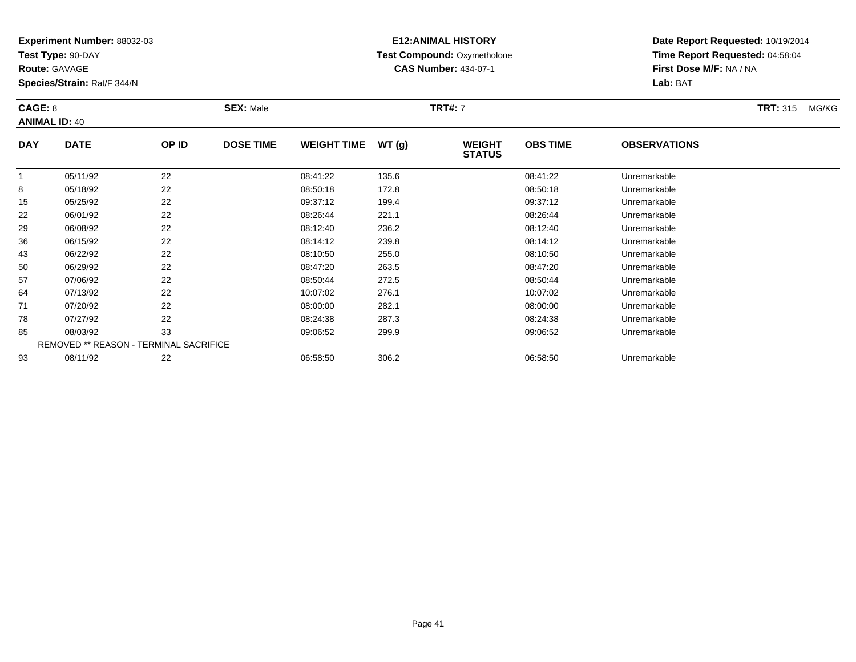**Test Type:** 90-DAY

**Route:** GAVAGE

**Species/Strain:** Rat/F 344/N

# **E12:ANIMAL HISTORY Test Compound:** Oxymetholone**CAS Number:** 434-07-1

**Date Report Requested:** 10/19/2014**Time Report Requested:** 04:58:04**First Dose M/F:** NA / NA**Lab:** BAT

### **CAGE:** 8 **SEX:** Male **TRT#:** <sup>7</sup> **TRT:** 315 MG/KG**ANIMAL ID:** 40**DAY DATE OP IDDOSE TIME WEIGHT TIME WT** (g) **STATUSOBS TIME OBSERVATIONS**  $\overline{1}$ 05/11/92 <sup>22</sup> 08:41:22 135.6 08:41:22 Unremarkable

| 8  | 05/18/92                                      | 22 | 08:50:18 | 172.8 | 08:50:18 | Unremarkable |
|----|-----------------------------------------------|----|----------|-------|----------|--------------|
| 15 | 05/25/92                                      | 22 | 09:37:12 | 199.4 | 09:37:12 | Unremarkable |
| 22 | 06/01/92                                      | 22 | 08:26:44 | 221.1 | 08:26:44 | Unremarkable |
| 29 | 06/08/92                                      | 22 | 08:12:40 | 236.2 | 08:12:40 | Unremarkable |
| 36 | 06/15/92                                      | 22 | 08:14:12 | 239.8 | 08:14:12 | Unremarkable |
| 43 | 06/22/92                                      | 22 | 08:10:50 | 255.0 | 08:10:50 | Unremarkable |
| 50 | 06/29/92                                      | 22 | 08:47:20 | 263.5 | 08:47:20 | Unremarkable |
| 57 | 07/06/92                                      | 22 | 08:50:44 | 272.5 | 08:50:44 | Unremarkable |
| 64 | 07/13/92                                      | 22 | 10:07:02 | 276.1 | 10:07:02 | Unremarkable |
| 71 | 07/20/92                                      | 22 | 08:00:00 | 282.1 | 08:00:00 | Unremarkable |
| 78 | 07/27/92                                      | 22 | 08:24:38 | 287.3 | 08:24:38 | Unremarkable |
| 85 | 08/03/92                                      | 33 | 09:06:52 | 299.9 | 09:06:52 | Unremarkable |
|    | <b>REMOVED ** REASON - TERMINAL SACRIFICE</b> |    |          |       |          |              |
| 93 | 08/11/92                                      | 22 | 06:58:50 | 306.2 | 06:58:50 | Unremarkable |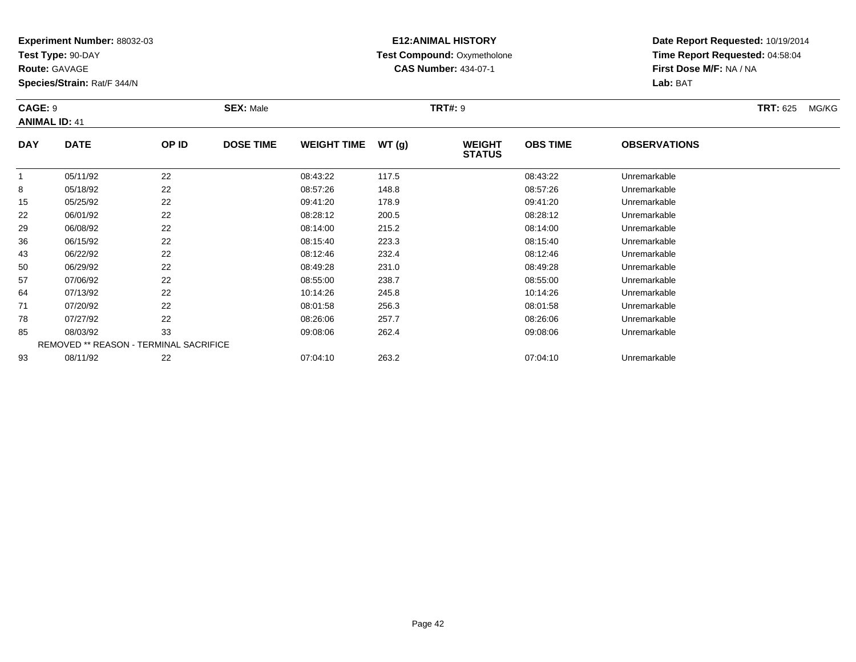**Test Type:** 90-DAY

**Route:** GAVAGE

**Species/Strain:** Rat/F 344/N

# **E12:ANIMAL HISTORY Test Compound:** Oxymetholone**CAS Number:** 434-07-1

**Date Report Requested:** 10/19/2014**Time Report Requested:** 04:58:04**First Dose M/F:** NA / NA**Lab:** BAT

### **CAGE:** 9 **SEX:** Male **TRT#:** <sup>9</sup> **TRT:** 625 MG/KG**ANIMAL ID:** 41**DAY DATE OP IDDOSE TIME WEIGHT TIME WT** (g) **WEIGHT OBS TIMEOBSERVATIONS**

|    |          |                                               |          |       | SIAIUS   |              |  |
|----|----------|-----------------------------------------------|----------|-------|----------|--------------|--|
|    | 05/11/92 | 22                                            | 08:43:22 | 117.5 | 08:43:22 | Unremarkable |  |
| 8  | 05/18/92 | 22                                            | 08:57:26 | 148.8 | 08:57:26 | Unremarkable |  |
| 15 | 05/25/92 | 22                                            | 09:41:20 | 178.9 | 09:41:20 | Unremarkable |  |
| 22 | 06/01/92 | 22                                            | 08:28:12 | 200.5 | 08:28:12 | Unremarkable |  |
| 29 | 06/08/92 | 22                                            | 08:14:00 | 215.2 | 08:14:00 | Unremarkable |  |
| 36 | 06/15/92 | 22                                            | 08:15:40 | 223.3 | 08:15:40 | Unremarkable |  |
| 43 | 06/22/92 | 22                                            | 08:12:46 | 232.4 | 08:12:46 | Unremarkable |  |
| 50 | 06/29/92 | 22                                            | 08:49:28 | 231.0 | 08:49:28 | Unremarkable |  |
| 57 | 07/06/92 | 22                                            | 08:55:00 | 238.7 | 08:55:00 | Unremarkable |  |
| 64 | 07/13/92 | 22                                            | 10:14:26 | 245.8 | 10:14:26 | Unremarkable |  |
| 71 | 07/20/92 | 22                                            | 08:01:58 | 256.3 | 08:01:58 | Unremarkable |  |
| 78 | 07/27/92 | 22                                            | 08:26:06 | 257.7 | 08:26:06 | Unremarkable |  |
| 85 | 08/03/92 | 33                                            | 09:08:06 | 262.4 | 09:08:06 | Unremarkable |  |
|    |          | <b>REMOVED ** REASON - TERMINAL SACRIFICE</b> |          |       |          |              |  |
| 93 | 08/11/92 | 22                                            | 07:04:10 | 263.2 | 07:04:10 | Unremarkable |  |
|    |          |                                               |          |       |          |              |  |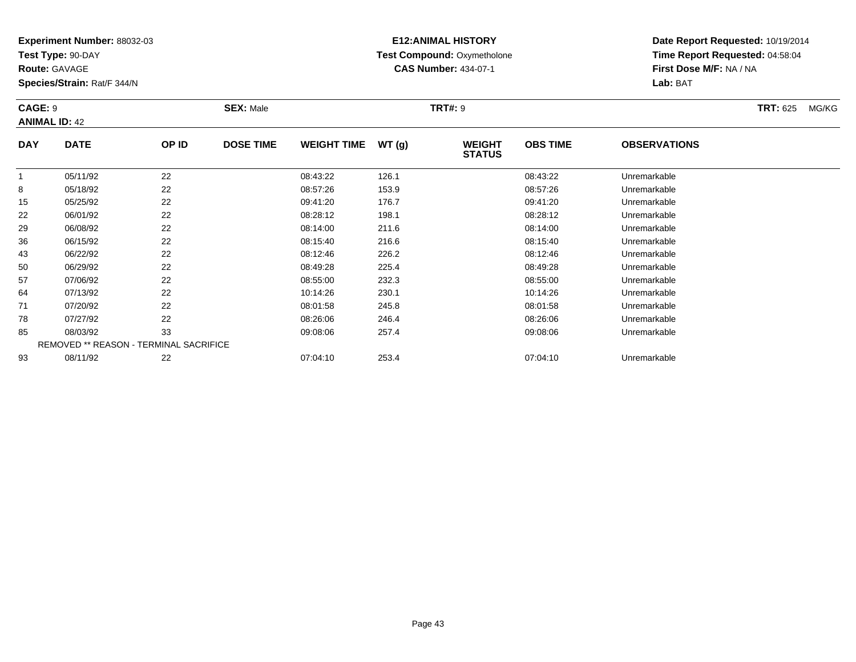**Test Type:** 90-DAY

**Route:** GAVAGE

**Species/Strain:** Rat/F 344/N

# **E12:ANIMAL HISTORY Test Compound:** Oxymetholone**CAS Number:** 434-07-1

**Date Report Requested:** 10/19/2014**Time Report Requested:** 04:58:04**First Dose M/F:** NA / NA**Lab:** BAT

### **CAGE:** 9 **SEX:** Male **TRT#:** <sup>9</sup> **TRT:** 625 MG/KG**ANIMAL ID:** 42**DAY DATE OP IDDOSE TIME WEIGHT TIME WT** (g) **WEIGHT OBS TIMEOBSERVATIONS**

|    |          |                                               |          |       | SIAIUS   |              |  |
|----|----------|-----------------------------------------------|----------|-------|----------|--------------|--|
|    | 05/11/92 | 22                                            | 08:43:22 | 126.1 | 08:43:22 | Unremarkable |  |
| 8  | 05/18/92 | 22                                            | 08:57:26 | 153.9 | 08:57:26 | Unremarkable |  |
| 15 | 05/25/92 | 22                                            | 09:41:20 | 176.7 | 09:41:20 | Unremarkable |  |
| 22 | 06/01/92 | 22                                            | 08:28:12 | 198.1 | 08:28:12 | Unremarkable |  |
| 29 | 06/08/92 | 22                                            | 08:14:00 | 211.6 | 08:14:00 | Unremarkable |  |
| 36 | 06/15/92 | 22                                            | 08:15:40 | 216.6 | 08:15:40 | Unremarkable |  |
| 43 | 06/22/92 | 22                                            | 08:12:46 | 226.2 | 08:12:46 | Unremarkable |  |
| 50 | 06/29/92 | 22                                            | 08:49:28 | 225.4 | 08:49:28 | Unremarkable |  |
| 57 | 07/06/92 | 22                                            | 08:55:00 | 232.3 | 08:55:00 | Unremarkable |  |
| 64 | 07/13/92 | 22                                            | 10:14:26 | 230.1 | 10:14:26 | Unremarkable |  |
| 71 | 07/20/92 | 22                                            | 08:01:58 | 245.8 | 08:01:58 | Unremarkable |  |
| 78 | 07/27/92 | 22                                            | 08:26:06 | 246.4 | 08:26:06 | Unremarkable |  |
| 85 | 08/03/92 | 33                                            | 09:08:06 | 257.4 | 09:08:06 | Unremarkable |  |
|    |          | <b>REMOVED ** REASON - TERMINAL SACRIFICE</b> |          |       |          |              |  |
| 93 | 08/11/92 | 22                                            | 07:04:10 | 253.4 | 07:04:10 | Unremarkable |  |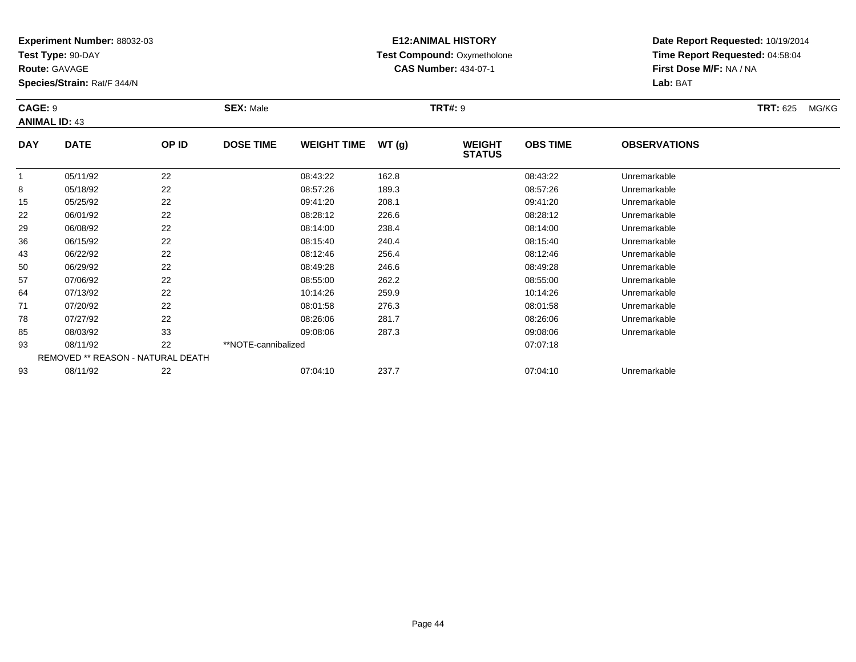**Test Type:** 90-DAY

**Route:** GAVAGE

**Species/Strain:** Rat/F 344/N

## **E12:ANIMAL HISTORY Test Compound:** Oxymetholone**CAS Number:** 434-07-1

**Date Report Requested:** 10/19/2014**Time Report Requested:** 04:58:04**First Dose M/F:** NA / NA**Lab:** BAT

### **CAGE:** 9 **SEX:** Male **TRT#:** <sup>9</sup> **TRT:** 625 MG/KG**ANIMAL ID:** 43**DAY DATE OP IDDOSE TIME WEIGHT TIME WT** (g) **STATUSOBS TIME OBSERVATIONS** 1 05/11/92 <sup>22</sup> 08:43:22 162.8 08:43:22 Unremarkable  $\circ$  05/18/92 <sup>22</sup> 08:57:26 189.3 08:57:26 Unremarkable 15 05/25/92 <sup>22</sup> 09:41:20 208.1 09:41:20 Unremarkable 22

| ŏ  | 26/91/00                          | 22 | U8:57:20            | 189.3 | U8:37:20 | Unremarkable |  |
|----|-----------------------------------|----|---------------------|-------|----------|--------------|--|
| 15 | 05/25/92                          | 22 | 09:41:20            | 208.1 | 09:41:20 | Unremarkable |  |
| 22 | 06/01/92                          | 22 | 08:28:12            | 226.6 | 08:28:12 | Unremarkable |  |
| 29 | 06/08/92                          | 22 | 08:14:00            | 238.4 | 08:14:00 | Unremarkable |  |
| 36 | 06/15/92                          | 22 | 08:15:40            | 240.4 | 08:15:40 | Unremarkable |  |
| 43 | 06/22/92                          | 22 | 08:12:46            | 256.4 | 08:12:46 | Unremarkable |  |
| 50 | 06/29/92                          | 22 | 08:49:28            | 246.6 | 08:49:28 | Unremarkable |  |
| 57 | 07/06/92                          | 22 | 08:55:00            | 262.2 | 08:55:00 | Unremarkable |  |
| 64 | 07/13/92                          | 22 | 10:14:26            | 259.9 | 10:14:26 | Unremarkable |  |
| 71 | 07/20/92                          | 22 | 08:01:58            | 276.3 | 08:01:58 | Unremarkable |  |
| 78 | 07/27/92                          | 22 | 08:26:06            | 281.7 | 08:26:06 | Unremarkable |  |
| 85 | 08/03/92                          | 33 | 09:08:06            | 287.3 | 09:08:06 | Unremarkable |  |
| 93 | 08/11/92                          | 22 | **NOTE-cannibalized |       | 07:07:18 |              |  |
|    | REMOVED ** REASON - NATURAL DEATH |    |                     |       |          |              |  |
| 93 | 08/11/92                          | 22 | 07:04:10            | 237.7 | 07:04:10 | Unremarkable |  |
|    |                                   |    |                     |       |          |              |  |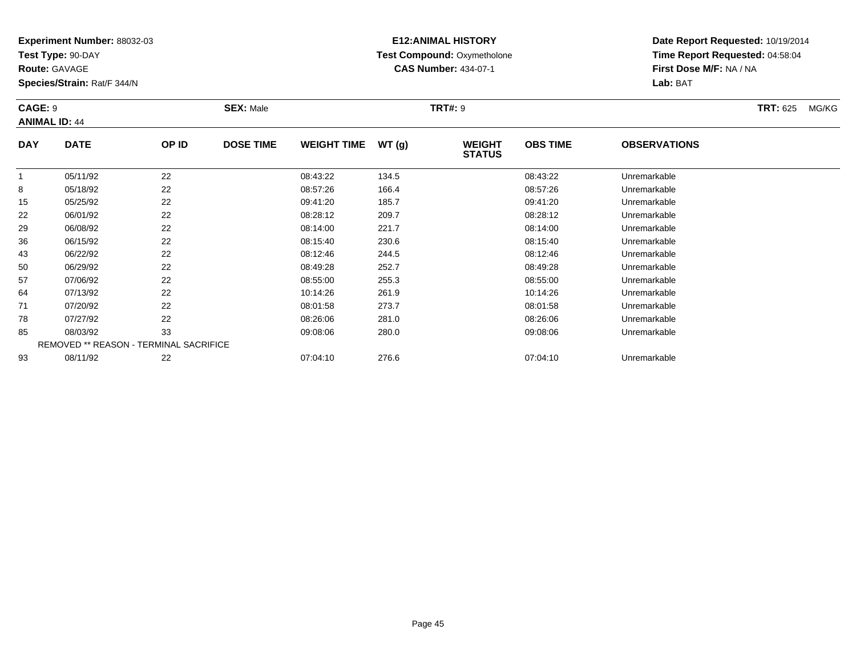**Test Type:** 90-DAY

**Route:** GAVAGE

**Species/Strain:** Rat/F 344/N

# **E12:ANIMAL HISTORY Test Compound:** Oxymetholone**CAS Number:** 434-07-1

**Date Report Requested:** 10/19/2014**Time Report Requested:** 04:58:04**First Dose M/F:** NA / NA**Lab:** BAT

### **CAGE:** 9 **SEX:** Male **TRT#:** <sup>9</sup> **TRT:** 625 MG/KG**ANIMAL ID:** 44**DAY DATE OP IDDOSE TIME WEIGHT TIME WT** (g) **STATUSOBS TIME OBSERVATIONS** 105/11/92 <sup>22</sup> 08:43:22 134.5 08:43:22 Unremarkable

|    | 05/11/92 | 22                                            | 08:43:22 | 134.5 | 08:43:22 | Unremarkable |  |
|----|----------|-----------------------------------------------|----------|-------|----------|--------------|--|
| 8  | 05/18/92 | 22                                            | 08:57:26 | 166.4 | 08:57:26 | Unremarkable |  |
| 15 | 05/25/92 | 22                                            | 09:41:20 | 185.7 | 09:41:20 | Unremarkable |  |
| 22 | 06/01/92 | 22                                            | 08:28:12 | 209.7 | 08:28:12 | Unremarkable |  |
| 29 | 06/08/92 | 22                                            | 08:14:00 | 221.7 | 08:14:00 | Unremarkable |  |
| 36 | 06/15/92 | 22                                            | 08:15:40 | 230.6 | 08:15:40 | Unremarkable |  |
| 43 | 06/22/92 | 22                                            | 08:12:46 | 244.5 | 08:12:46 | Unremarkable |  |
| 50 | 06/29/92 | 22                                            | 08:49:28 | 252.7 | 08:49:28 | Unremarkable |  |
| 57 | 07/06/92 | 22                                            | 08:55:00 | 255.3 | 08:55:00 | Unremarkable |  |
| 64 | 07/13/92 | 22                                            | 10:14:26 | 261.9 | 10:14:26 | Unremarkable |  |
| 71 | 07/20/92 | 22                                            | 08:01:58 | 273.7 | 08:01:58 | Unremarkable |  |
| 78 | 07/27/92 | 22                                            | 08:26:06 | 281.0 | 08:26:06 | Unremarkable |  |
| 85 | 08/03/92 | 33                                            | 09:08:06 | 280.0 | 09:08:06 | Unremarkable |  |
|    |          | <b>REMOVED ** REASON - TERMINAL SACRIFICE</b> |          |       |          |              |  |
| 93 | 08/11/92 | 22                                            | 07:04:10 | 276.6 | 07:04:10 | Unremarkable |  |
|    |          |                                               |          |       |          |              |  |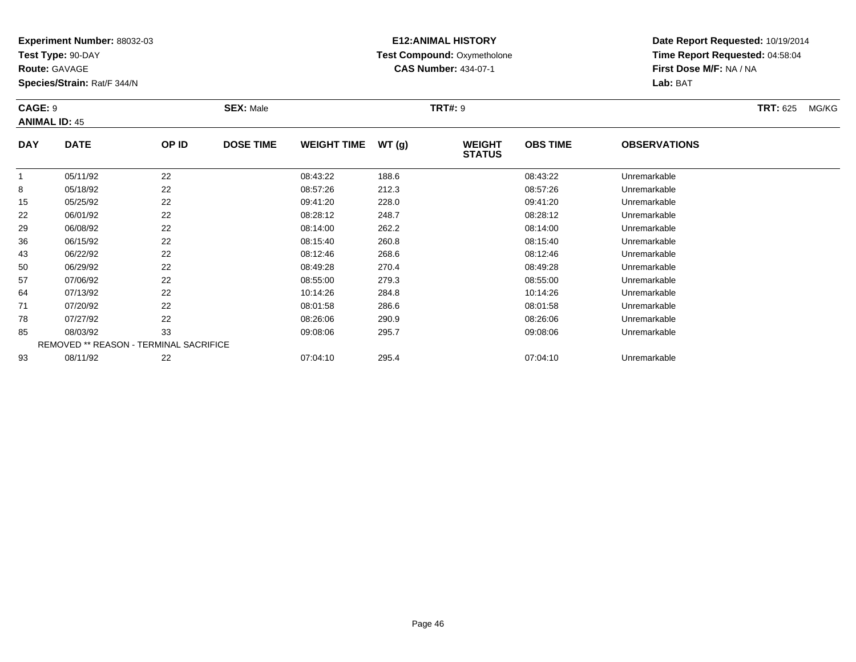**Test Type:** 90-DAY

**Route:** GAVAGE

**Species/Strain:** Rat/F 344/N

# **E12:ANIMAL HISTORY Test Compound:** Oxymetholone**CAS Number:** 434-07-1

**Date Report Requested:** 10/19/2014**Time Report Requested:** 04:58:04**First Dose M/F:** NA / NA**Lab:** BAT

### **CAGE:** 9 **SEX:** Male **TRT#:** <sup>9</sup> **TRT:** 625 MG/KG**ANIMAL ID:** 45**DAY DATE OP IDDOSE TIME WEIGHT TIME WT** (g) **STATUSOBS TIME OBSERVATIONS** 11 05/11/92 22 2 08:43:22 188.6 08:43:22 08:43:22 Unremarkable 8

|    | 05/11/92 | 22                                            | 08:43:22 | 188.6 | 08:43:22 | Unremarkable |  |
|----|----------|-----------------------------------------------|----------|-------|----------|--------------|--|
| 8  | 05/18/92 | 22                                            | 08:57:26 | 212.3 | 08:57:26 | Unremarkable |  |
| 15 | 05/25/92 | 22                                            | 09:41:20 | 228.0 | 09:41:20 | Unremarkable |  |
| 22 | 06/01/92 | 22                                            | 08:28:12 | 248.7 | 08:28:12 | Unremarkable |  |
| 29 | 06/08/92 | 22                                            | 08:14:00 | 262.2 | 08:14:00 | Unremarkable |  |
| 36 | 06/15/92 | 22                                            | 08:15:40 | 260.8 | 08:15:40 | Unremarkable |  |
| 43 | 06/22/92 | 22                                            | 08:12:46 | 268.6 | 08:12:46 | Unremarkable |  |
| 50 | 06/29/92 | 22                                            | 08:49:28 | 270.4 | 08:49:28 | Unremarkable |  |
| 57 | 07/06/92 | 22                                            | 08:55:00 | 279.3 | 08:55:00 | Unremarkable |  |
| 64 | 07/13/92 | 22                                            | 10:14:26 | 284.8 | 10:14:26 | Unremarkable |  |
| 71 | 07/20/92 | 22                                            | 08:01:58 | 286.6 | 08:01:58 | Unremarkable |  |
| 78 | 07/27/92 | 22                                            | 08:26:06 | 290.9 | 08:26:06 | Unremarkable |  |
| 85 | 08/03/92 | 33                                            | 09:08:06 | 295.7 | 09:08:06 | Unremarkable |  |
|    |          | <b>REMOVED ** REASON - TERMINAL SACRIFICE</b> |          |       |          |              |  |
| 93 | 08/11/92 | 22                                            | 07:04:10 | 295.4 | 07:04:10 | Unremarkable |  |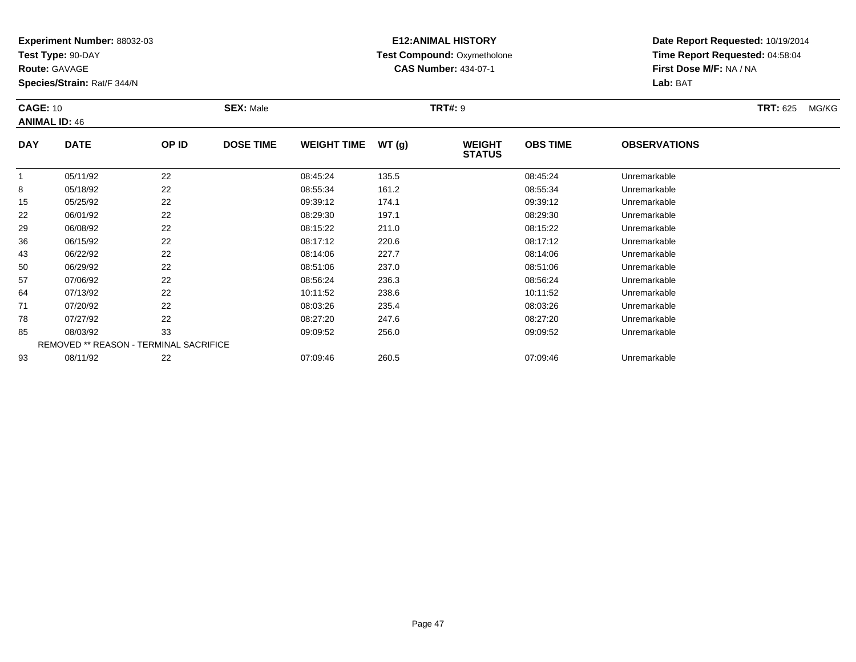**Test Type:** 90-DAY

**Route:** GAVAGE

36

43

50

57

64

71

78

85

93

**Species/Strain:** Rat/F 344/N

## **E12:ANIMAL HISTORY Test Compound:** Oxymetholone**CAS Number:** 434-07-1

**Date Report Requested:** 10/19/2014**Time Report Requested:** 04:58:04**First Dose M/F:** NA / NA**Lab:** BAT

| <b>CAGE: 10</b><br><b>ANIMAL ID: 46</b> |             |       | <b>SEX: Male</b> |                    |       | <b>TRT#: 9</b>                 |                 | <b>TRT: 625</b>     | MG/KG |  |
|-----------------------------------------|-------------|-------|------------------|--------------------|-------|--------------------------------|-----------------|---------------------|-------|--|
| <b>DAY</b>                              | <b>DATE</b> | OP ID | <b>DOSE TIME</b> | <b>WEIGHT TIME</b> | WT(g) | <b>WEIGHT</b><br><b>STATUS</b> | <b>OBS TIME</b> | <b>OBSERVATIONS</b> |       |  |
|                                         | 05/11/92    | 22    |                  | 08:45:24           | 135.5 |                                | 08:45:24        | Unremarkable        |       |  |
| 8                                       | 05/18/92    | 22    |                  | 08:55:34           | 161.2 |                                | 08.55.34        | Unremarkable        |       |  |
| 15                                      | 05/25/92    | 22    |                  | 09:39:12           | 174.1 |                                | 09:39:12        | Unremarkable        |       |  |
| 22                                      | 06/01/92    | 22    |                  | 08:29:30           | 197.1 |                                | 08:29:30        | Unremarkable        |       |  |
| 29                                      | 06/08/92    | 22    |                  | 08:15:22           | 211.0 |                                | 08:15:22        | Unremarkable        |       |  |

06/15/92 <sup>22</sup> 08:17:12 220.6 08:17:12 Unremarkable

3 06/22/92 22 20 08:14:06 227.7 08:14:06 08:14:06 08:14:06 Diremarkable

0 06/29/92 22 2 08:51:06 237.0 0 08:52.0 08:51:06 Diremarkable

07/06/92 <sup>22</sup> 08:56:24 236.3 08:56:24 Unremarkable

07/13/92 <sup>22</sup> 10:11:52 238.6 10:11:52 Unremarkable

07/20/92 <sup>22</sup> 08:03:26 235.4 08:03:26 Unremarkable

07/27/92 <sup>22</sup> 08:27:20 247.6 08:27:20 Unremarkable

| 08/03/92 | ົາ<br>ບບ                                      | 09:09:52 | 256.0 | 09:09:52 | Unremarkable |
|----------|-----------------------------------------------|----------|-------|----------|--------------|
|          | <b>REMOVED ** REASON - TERMINAL SACRIFICE</b> |          |       |          |              |
| 08/11/92 | ے                                             | 07:09:46 | 260.5 | 07:09:46 | Unremarkable |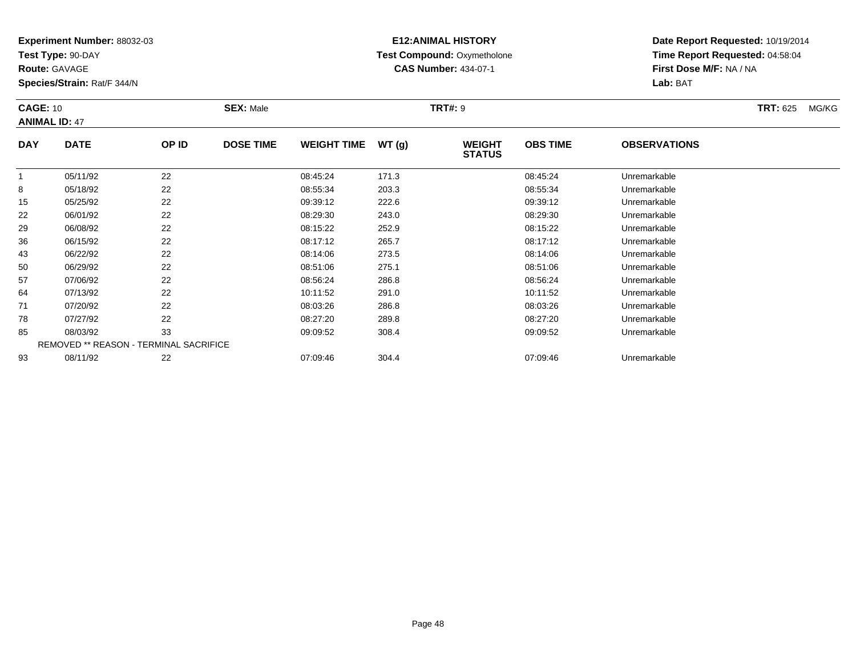**Test Type:** 90-DAY

**Route:** GAVAGE

**Species/Strain:** Rat/F 344/N

# **E12:ANIMAL HISTORY Test Compound:** Oxymetholone**CAS Number:** 434-07-1

**Date Report Requested:** 10/19/2014**Time Report Requested:** 04:58:04**First Dose M/F:** NA / NA**Lab:** BAT

### **CAGE:** 10**SEX:** Male **SEX:** Male **TRT#:** 9 **TRT#:** 9 **TRT TRT: 625** MG/KG **ANIMAL ID:** 47**DAY DATE OP IDDOSE TIME WEIGHT TIME WT** (g) **WEIGHT OBS TIMEOBSERVATIONS**

|    |          |                                               |          |       | 31A1U3   |              |  |
|----|----------|-----------------------------------------------|----------|-------|----------|--------------|--|
|    | 05/11/92 | 22                                            | 08:45:24 | 171.3 | 08:45:24 | Unremarkable |  |
| 8  | 05/18/92 | 22                                            | 08:55:34 | 203.3 | 08:55:34 | Unremarkable |  |
| 15 | 05/25/92 | 22                                            | 09:39:12 | 222.6 | 09:39:12 | Unremarkable |  |
| 22 | 06/01/92 | 22                                            | 08:29:30 | 243.0 | 08:29:30 | Unremarkable |  |
| 29 | 06/08/92 | 22                                            | 08:15:22 | 252.9 | 08:15:22 | Unremarkable |  |
| 36 | 06/15/92 | 22                                            | 08:17:12 | 265.7 | 08:17:12 | Unremarkable |  |
| 43 | 06/22/92 | 22                                            | 08:14:06 | 273.5 | 08:14:06 | Unremarkable |  |
| 50 | 06/29/92 | 22                                            | 08:51:06 | 275.1 | 08:51:06 | Unremarkable |  |
| 57 | 07/06/92 | 22                                            | 08:56:24 | 286.8 | 08:56:24 | Unremarkable |  |
| 64 | 07/13/92 | 22                                            | 10:11:52 | 291.0 | 10:11:52 | Unremarkable |  |
| 71 | 07/20/92 | 22                                            | 08:03:26 | 286.8 | 08:03:26 | Unremarkable |  |
| 78 | 07/27/92 | 22                                            | 08:27:20 | 289.8 | 08:27:20 | Unremarkable |  |
| 85 | 08/03/92 | 33                                            | 09:09:52 | 308.4 | 09:09:52 | Unremarkable |  |
|    |          | <b>REMOVED ** REASON - TERMINAL SACRIFICE</b> |          |       |          |              |  |
| 93 | 08/11/92 | 22                                            | 07:09:46 | 304.4 | 07:09:46 | Unremarkable |  |
|    |          |                                               |          |       |          |              |  |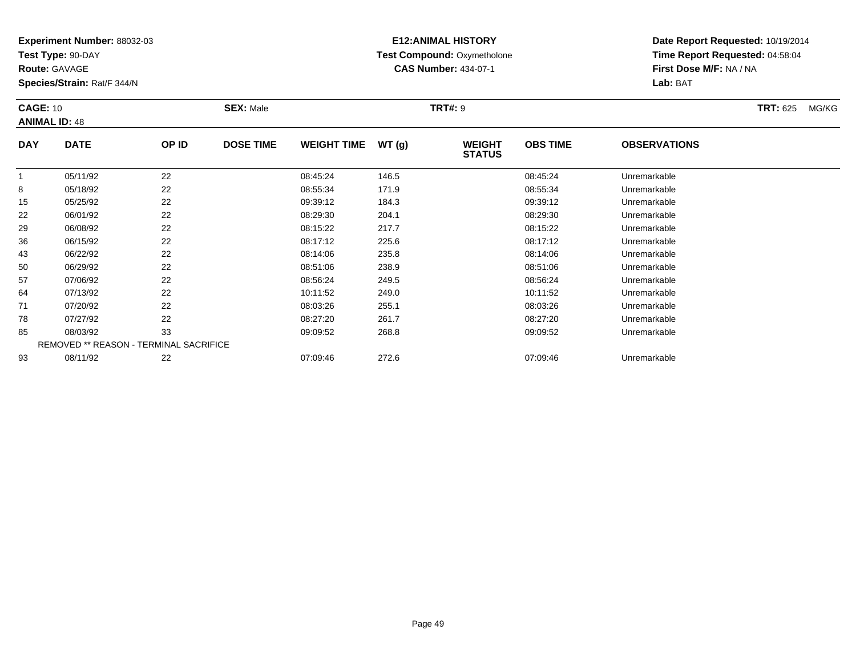**Test Type:** 90-DAY

**Route:** GAVAGE

43

**Species/Strain:** Rat/F 344/N

# **E12:ANIMAL HISTORY Test Compound:** Oxymetholone**CAS Number:** 434-07-1

**Date Report Requested:** 10/19/2014**Time Report Requested:** 04:58:04**First Dose M/F:** NA / NA**Lab:** BAT

| <b>CAGE: 10</b><br><b>ANIMAL ID: 48</b> |             |       | <b>SEX: Male</b> |                    |       | <b>TRT#: 9</b>                 | <b>TRT:</b> 625<br>MG/KG |                     |  |
|-----------------------------------------|-------------|-------|------------------|--------------------|-------|--------------------------------|--------------------------|---------------------|--|
| <b>DAY</b>                              | <b>DATE</b> | OP ID | <b>DOSE TIME</b> | <b>WEIGHT TIME</b> | WT(g) | <b>WEIGHT</b><br><b>STATUS</b> | <b>OBS TIME</b>          | <b>OBSERVATIONS</b> |  |
|                                         | 05/11/92    | 22    |                  | 08:45:24           | 146.5 |                                | 08:45:24                 | Unremarkable        |  |
| 8                                       | 05/18/92    | 22    |                  | 08:55:34           | 171.9 |                                | 08:55:34                 | Unremarkable        |  |
| 15                                      | 05/25/92    | 22    |                  | 09:39:12           | 184.3 |                                | 09:39:12                 | Unremarkable        |  |
| 22                                      | 06/01/92    | 22    |                  | 08:29:30           | 204.1 |                                | 08:29:30                 | Unremarkable        |  |
| 29                                      | 06/08/92    | 22    |                  | 08:15:22           | 217.7 |                                | 08:15:22                 | Unremarkable        |  |
| 36                                      | 06/15/92    | 22    |                  | 08:17:12           | 225.6 |                                | 08:17:12                 | Unremarkable        |  |

| 50 | 06/29/92 | 22                                     | 08:51:06 | 238.9 | 08:51:06 | Unremarkable |
|----|----------|----------------------------------------|----------|-------|----------|--------------|
| 57 | 07/06/92 | 22                                     | 08:56:24 | 249.5 | 08:56:24 | Unremarkable |
| 64 | 07/13/92 | 22                                     | 10:11:52 | 249.0 | 10:11:52 | Unremarkable |
| 71 | 07/20/92 | 22                                     | 08:03:26 | 255.1 | 08:03:26 | Unremarkable |
| 78 | 07/27/92 | 22                                     | 08:27:20 | 261.7 | 08:27:20 | Unremarkable |
| 85 | 08/03/92 | 33                                     | 09:09:52 | 268.8 | 09:09:52 | Unremarkable |
|    |          | REMOVED ** REASON - TERMINAL SACRIFICE |          |       |          |              |
| 93 | 08/11/92 | 22                                     | 07:09:46 | 272.6 | 07:09:46 | Unremarkable |

06/22/92 <sup>22</sup> 08:14:06 235.8 08:14:06 Unremarkable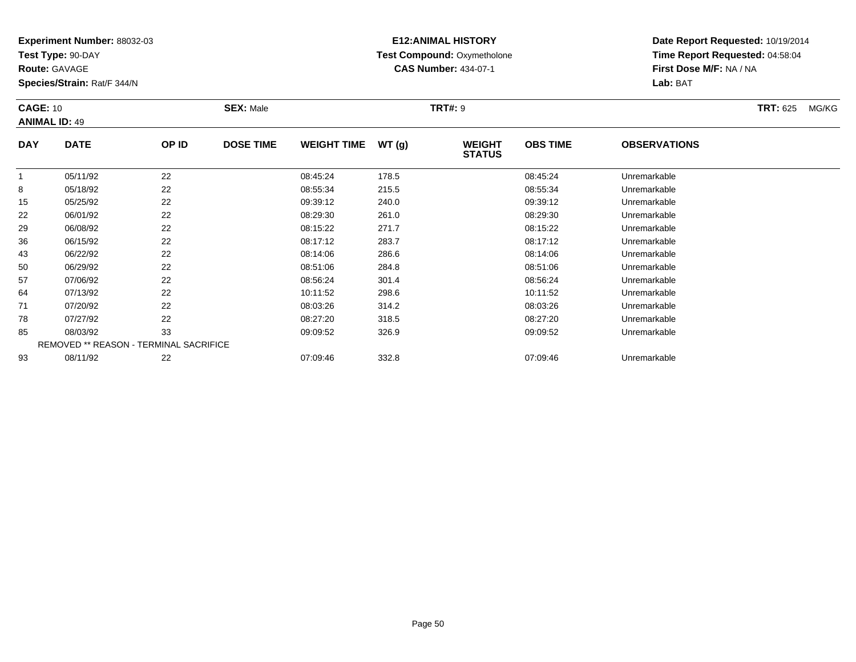**Test Type:** 90-DAY

**Route:** GAVAGE

**Species/Strain:** Rat/F 344/N

# **E12:ANIMAL HISTORY Test Compound:** Oxymetholone**CAS Number:** 434-07-1

| <b>CAGE: 10</b> | <b>ANIMAL ID: 49</b> |       | <b>SEX: Male</b> |                    |        | <b>TRT#: 9</b>                 | <b>TRT: 625</b><br>MG/KG |                     |  |
|-----------------|----------------------|-------|------------------|--------------------|--------|--------------------------------|--------------------------|---------------------|--|
| <b>DAY</b>      | <b>DATE</b>          | OP ID | <b>DOSE TIME</b> | <b>WEIGHT TIME</b> | WT (q) | <b>WEIGHT</b><br><b>STATUS</b> | <b>OBS TIME</b>          | <b>OBSERVATIONS</b> |  |
|                 | 05/11/92             | 22    |                  | 08:45:24           | 178.5  |                                | 08:45:24                 | Unremarkable        |  |
| 8               | 05/18/92             | 22    |                  | 08:55:34           | 215.5  |                                | 08.55.34                 | Unremarkable        |  |
| 15              | 05/25/92             | 22    |                  | 09:39:12           | 240.0  |                                | 09:39:12                 | Unremarkable        |  |
| 22              | 06/01/92             | 22    |                  | 08:29:30           | 261.0  |                                | 08:29:30                 | Unremarkable        |  |
| 29              | 06/08/92             | 22    |                  | 08.15.22           | 2717   |                                | OR 15 22                 | <b>Unremarkable</b> |  |

| 29 | 06/08/92 | 22                                            | 08:15:22 | 271.7 | 08:15:22 | Unremarkable |  |
|----|----------|-----------------------------------------------|----------|-------|----------|--------------|--|
| 36 | 06/15/92 | 22                                            | 08:17:12 | 283.7 | 08:17:12 | Unremarkable |  |
| 43 | 06/22/92 | 22                                            | 08:14:06 | 286.6 | 08:14:06 | Unremarkable |  |
| 50 | 06/29/92 | 22                                            | 08:51:06 | 284.8 | 08:51:06 | Unremarkable |  |
| 57 | 07/06/92 | 22                                            | 08:56:24 | 301.4 | 08:56:24 | Unremarkable |  |
| 64 | 07/13/92 | 22                                            | 10:11:52 | 298.6 | 10:11:52 | Unremarkable |  |
| 71 | 07/20/92 | 22                                            | 08:03:26 | 314.2 | 08:03:26 | Unremarkable |  |
| 78 | 07/27/92 | 22                                            | 08:27:20 | 318.5 | 08:27:20 | Unremarkable |  |
| 85 | 08/03/92 | 33                                            | 09:09:52 | 326.9 | 09:09:52 | Unremarkable |  |
|    |          | <b>REMOVED ** REASON - TERMINAL SACRIFICE</b> |          |       |          |              |  |
| 93 | 08/11/92 | 22                                            | 07:09:46 | 332.8 | 07:09:46 | Unremarkable |  |
|    |          |                                               |          |       |          |              |  |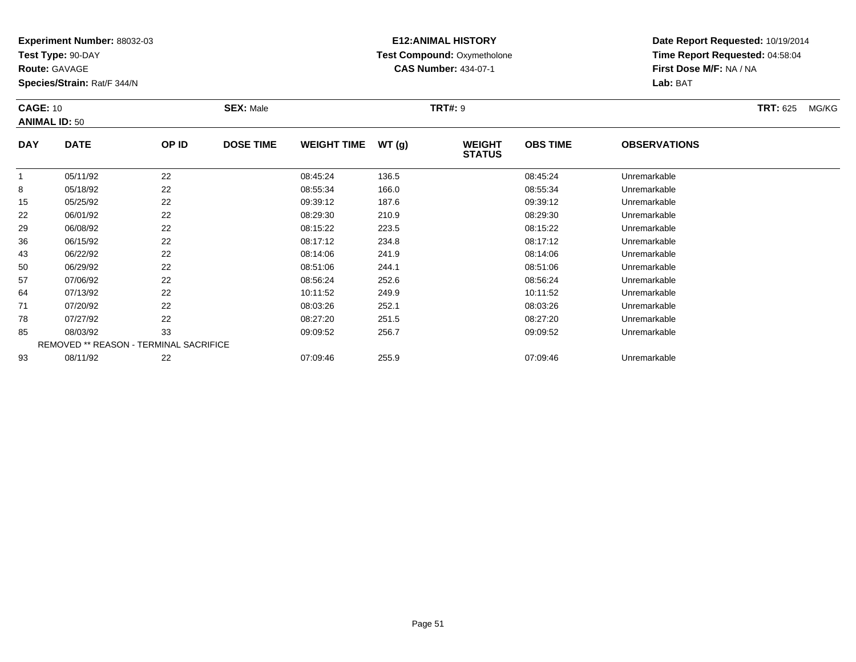**Test Type:** 90-DAY

**Route:** GAVAGE

**Species/Strain:** Rat/F 344/N

# **E12:ANIMAL HISTORY Test Compound:** Oxymetholone**CAS Number:** 434-07-1

| <b>CAGE: 10</b><br><b>ANIMAL ID: 50</b> |             |       | <b>SEX: Male</b> |                    |       | <b>TRT#: 9</b>                 |                 |                     |  | MG/KG |
|-----------------------------------------|-------------|-------|------------------|--------------------|-------|--------------------------------|-----------------|---------------------|--|-------|
| <b>DAY</b>                              | <b>DATE</b> | OP ID | <b>DOSE TIME</b> | <b>WEIGHT TIME</b> | WT(g) | <b>WEIGHT</b><br><b>STATUS</b> | <b>OBS TIME</b> | <b>OBSERVATIONS</b> |  |       |
|                                         | 05/11/92    | 22    |                  | 08:45:24           | 136.5 |                                | 08:45:24        | Unremarkable        |  |       |

|    | 05/11/92                                      | 22 | 08:45:24 | 136.5 | 08:45:24 | Unremarkable |
|----|-----------------------------------------------|----|----------|-------|----------|--------------|
| 8  | 05/18/92                                      | 22 | 08:55:34 | 166.0 | 08:55:34 | Unremarkable |
| 15 | 05/25/92                                      | 22 | 09:39:12 | 187.6 | 09:39:12 | Unremarkable |
| 22 | 06/01/92                                      | 22 | 08:29:30 | 210.9 | 08:29:30 | Unremarkable |
| 29 | 06/08/92                                      | 22 | 08:15:22 | 223.5 | 08:15:22 | Unremarkable |
| 36 | 06/15/92                                      | 22 | 08:17:12 | 234.8 | 08:17:12 | Unremarkable |
| 43 | 06/22/92                                      | 22 | 08:14:06 | 241.9 | 08:14:06 | Unremarkable |
| 50 | 06/29/92                                      | 22 | 08:51:06 | 244.1 | 08:51:06 | Unremarkable |
| 57 | 07/06/92                                      | 22 | 08:56:24 | 252.6 | 08:56:24 | Unremarkable |
| 64 | 07/13/92                                      | 22 | 10:11:52 | 249.9 | 10:11:52 | Unremarkable |
| 71 | 07/20/92                                      | 22 | 08:03:26 | 252.1 | 08:03:26 | Unremarkable |
| 78 | 07/27/92                                      | 22 | 08:27:20 | 251.5 | 08:27:20 | Unremarkable |
| 85 | 08/03/92                                      | 33 | 09:09:52 | 256.7 | 09:09:52 | Unremarkable |
|    | <b>REMOVED ** REASON - TERMINAL SACRIFICE</b> |    |          |       |          |              |
| 93 | 08/11/92                                      | 22 | 07:09:46 | 255.9 | 07:09:46 | Unremarkable |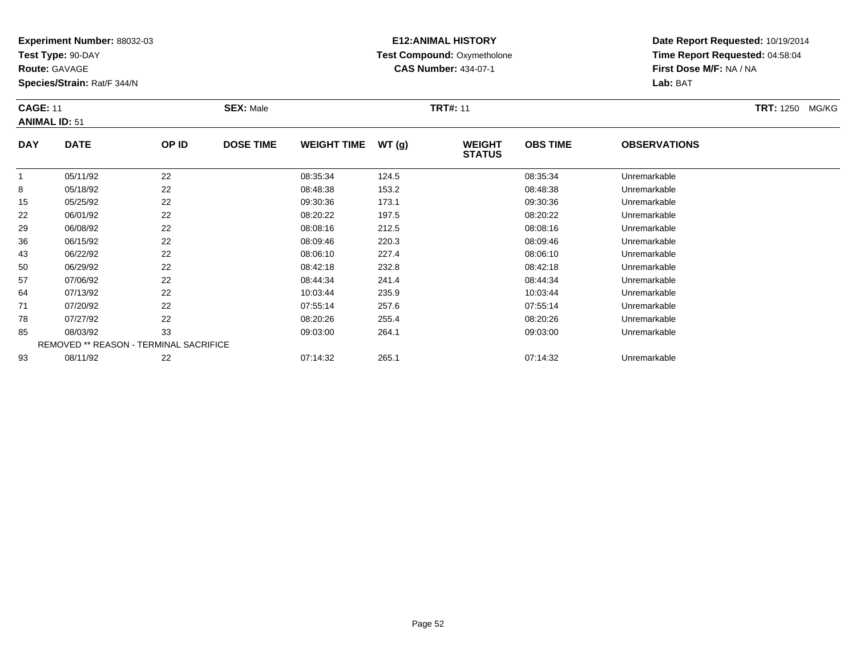**Test Type:** 90-DAY

**Route:** GAVAGE

**Species/Strain:** Rat/F 344/N

# **E12:ANIMAL HISTORY Test Compound:** Oxymetholone**CAS Number:** 434-07-1

**Date Report Requested:** 10/19/2014**Time Report Requested:** 04:58:04**First Dose M/F:** NA / NA**Lab:** BAT

### **CAGE:** 11 **SEX:** Male **TRT#:** <sup>11</sup> **TRT:** 1250 MG/KG**ANIMAL ID:** 51**DAY DATE OP IDDOSE TIME WEIGHT TIME WT** (g) **STATUSOBS TIME OBSERVATIONS** 1 05/11/92 <sup>22</sup> 08:35:34 124.5 08:35:34 Unremarkable  $\circ$  05/18/92 <sup>22</sup> 08:48:38 153.2 08:48:38 Unremarkable 1505/25/92 <sup>22</sup> 09:30:36 173.1 09:30:36 Unremarkable

| ŏ  | U5/18/92 | 22                                            | U0.40.30 | 153.Z | U8:48:38 | Unremarkable |  |
|----|----------|-----------------------------------------------|----------|-------|----------|--------------|--|
| 15 | 05/25/92 | 22                                            | 09:30:36 | 173.1 | 09:30:36 | Unremarkable |  |
| 22 | 06/01/92 | 22                                            | 08:20:22 | 197.5 | 08:20:22 | Unremarkable |  |
| 29 | 06/08/92 | 22                                            | 08:08:16 | 212.5 | 08:08:16 | Unremarkable |  |
| 36 | 06/15/92 | 22                                            | 08:09:46 | 220.3 | 08:09:46 | Unremarkable |  |
| 43 | 06/22/92 | 22                                            | 08:06:10 | 227.4 | 08:06:10 | Unremarkable |  |
| 50 | 06/29/92 | 22                                            | 08:42:18 | 232.8 | 08:42:18 | Unremarkable |  |
| 57 | 07/06/92 | 22                                            | 08:44:34 | 241.4 | 08:44:34 | Unremarkable |  |
| 64 | 07/13/92 | 22                                            | 10:03:44 | 235.9 | 10:03:44 | Unremarkable |  |
| 71 | 07/20/92 | 22                                            | 07:55:14 | 257.6 | 07:55:14 | Unremarkable |  |
| 78 | 07/27/92 | 22                                            | 08:20:26 | 255.4 | 08:20:26 | Unremarkable |  |
| 85 | 08/03/92 | 33                                            | 09:03:00 | 264.1 | 09:03:00 | Unremarkable |  |
|    |          | <b>REMOVED ** REASON - TERMINAL SACRIFICE</b> |          |       |          |              |  |
| 93 | 08/11/92 | 22                                            | 07:14:32 | 265.1 | 07:14:32 | Unremarkable |  |
|    |          |                                               |          |       |          |              |  |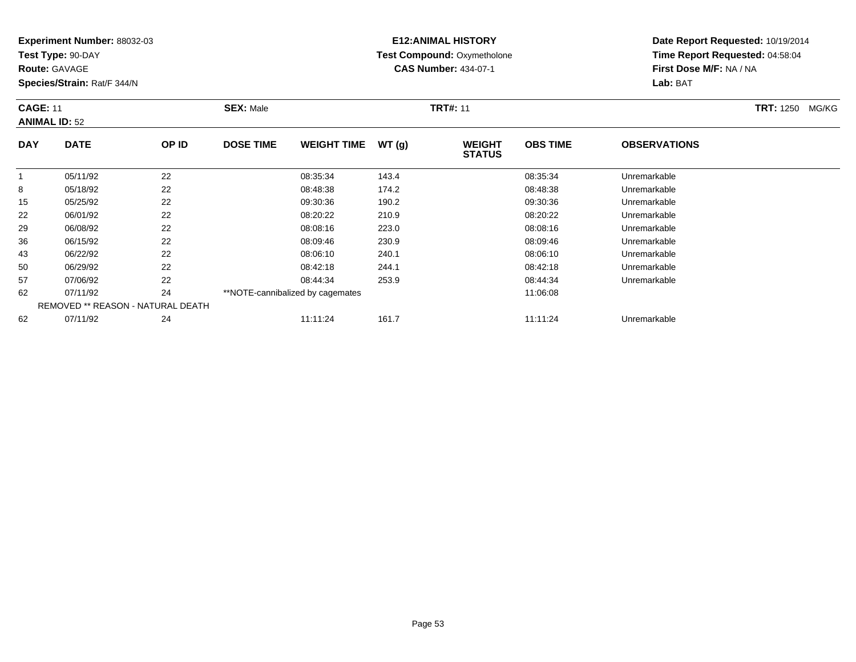**Test Type:** 90-DAY

**Route:** GAVAGE

62

**Species/Strain:** Rat/F 344/N

REMOVED \*\* REASON - NATURAL DEATH

## **E12:ANIMAL HISTORY Test Compound:** Oxymetholone**CAS Number:** 434-07-1

**Date Report Requested:** 10/19/2014**Time Report Requested:** 04:58:04**First Dose M/F:** NA / NA**Lab:** BAT

| <b>CAGE: 11</b> | <b>ANIMAL ID: 52</b> |       | <b>SEX: Male</b> |                                  |       | <b>TRT#: 11</b>                |                 |                     | <b>TRT: 1250</b><br>MG/KG |
|-----------------|----------------------|-------|------------------|----------------------------------|-------|--------------------------------|-----------------|---------------------|---------------------------|
| <b>DAY</b>      | <b>DATE</b>          | OP ID | <b>DOSE TIME</b> | <b>WEIGHT TIME</b>               | WT(g) | <b>WEIGHT</b><br><b>STATUS</b> | <b>OBS TIME</b> | <b>OBSERVATIONS</b> |                           |
|                 | 05/11/92             | 22    |                  | 08:35:34                         | 143.4 |                                | 08:35:34        | Unremarkable        |                           |
| 8               | 05/18/92             | 22    |                  | 08:48:38                         | 174.2 |                                | 08:48:38        | Unremarkable        |                           |
| 15              | 05/25/92             | 22    |                  | 09:30:36                         | 190.2 |                                | 09:30:36        | Unremarkable        |                           |
| 22              | 06/01/92             | 22    |                  | 08:20:22                         | 210.9 |                                | 08:20:22        | Unremarkable        |                           |
| 29              | 06/08/92             | 22    |                  | 08:08:16                         | 223.0 |                                | 08:08:16        | Unremarkable        |                           |
| 36              | 06/15/92             | 22    |                  | 08:09:46                         | 230.9 |                                | 08:09:46        | Unremarkable        |                           |
| 43              | 06/22/92             | 22    |                  | 08:06:10                         | 240.1 |                                | 08:06:10        | Unremarkable        |                           |
| 50              | 06/29/92             | 22    |                  | 08:42:18                         | 244.1 |                                | 08:42:18        | Unremarkable        |                           |
| 57              | 07/06/92             | 22    |                  | 08:44:34                         | 253.9 |                                | 08:44:34        | Unremarkable        |                           |
| 62              | 07/11/92             | 24    |                  | **NOTE-cannibalized by cagemates |       |                                | 11:06:08        |                     |                           |

07/11/92 <sup>24</sup> 11:11:24 161.7 11:11:24 Unremarkable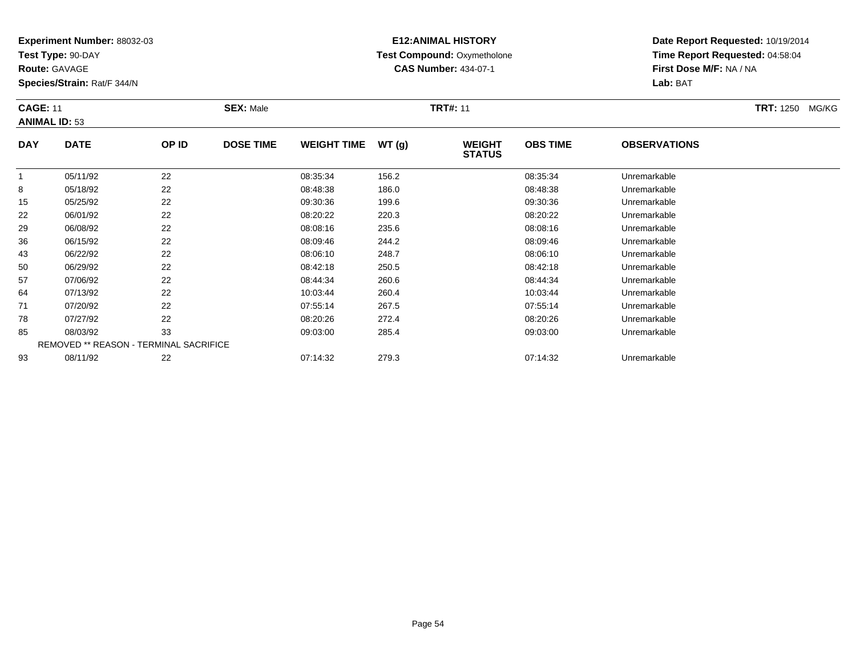**Test Type:** 90-DAY

**Route:** GAVAGE

**Species/Strain:** Rat/F 344/N

# **E12:ANIMAL HISTORY Test Compound:** Oxymetholone**CAS Number:** 434-07-1

| <b>CAGE: 11</b><br><b>ANIMAL ID: 53</b> |             | <b>SEX: Male</b> |                  |                    | <b>TRT#: 11</b> |                                |                 | <b>TRT: 1250</b>    | MG/KG |  |
|-----------------------------------------|-------------|------------------|------------------|--------------------|-----------------|--------------------------------|-----------------|---------------------|-------|--|
| <b>DAY</b>                              | <b>DATE</b> | OP ID            | <b>DOSE TIME</b> | <b>WEIGHT TIME</b> | WT (g)          | <b>WEIGHT</b><br><b>STATUS</b> | <b>OBS TIME</b> | <b>OBSERVATIONS</b> |       |  |

|    |          |                                               |          |       | .        |              |
|----|----------|-----------------------------------------------|----------|-------|----------|--------------|
|    | 05/11/92 | 22                                            | 08:35:34 | 156.2 | 08:35:34 | Unremarkable |
| 8  | 05/18/92 | 22                                            | 08:48:38 | 186.0 | 08:48:38 | Unremarkable |
| 15 | 05/25/92 | 22                                            | 09:30:36 | 199.6 | 09:30:36 | Unremarkable |
| 22 | 06/01/92 | 22                                            | 08:20:22 | 220.3 | 08:20:22 | Unremarkable |
| 29 | 06/08/92 | 22                                            | 08:08:16 | 235.6 | 08:08:16 | Unremarkable |
| 36 | 06/15/92 | 22                                            | 08:09:46 | 244.2 | 08:09:46 | Unremarkable |
| 43 | 06/22/92 | 22                                            | 08:06:10 | 248.7 | 08:06:10 | Unremarkable |
| 50 | 06/29/92 | 22                                            | 08:42:18 | 250.5 | 08:42:18 | Unremarkable |
| 57 | 07/06/92 | 22                                            | 08:44:34 | 260.6 | 08:44:34 | Unremarkable |
| 64 | 07/13/92 | 22                                            | 10:03:44 | 260.4 | 10:03:44 | Unremarkable |
| 71 | 07/20/92 | 22                                            | 07:55:14 | 267.5 | 07:55:14 | Unremarkable |
| 78 | 07/27/92 | 22                                            | 08:20:26 | 272.4 | 08:20:26 | Unremarkable |
| 85 | 08/03/92 | 33                                            | 09:03:00 | 285.4 | 09:03:00 | Unremarkable |
|    |          | <b>REMOVED ** REASON - TERMINAL SACRIFICE</b> |          |       |          |              |
| 93 | 08/11/92 | 22                                            | 07:14:32 | 279.3 | 07:14:32 | Unremarkable |
|    |          |                                               |          |       |          |              |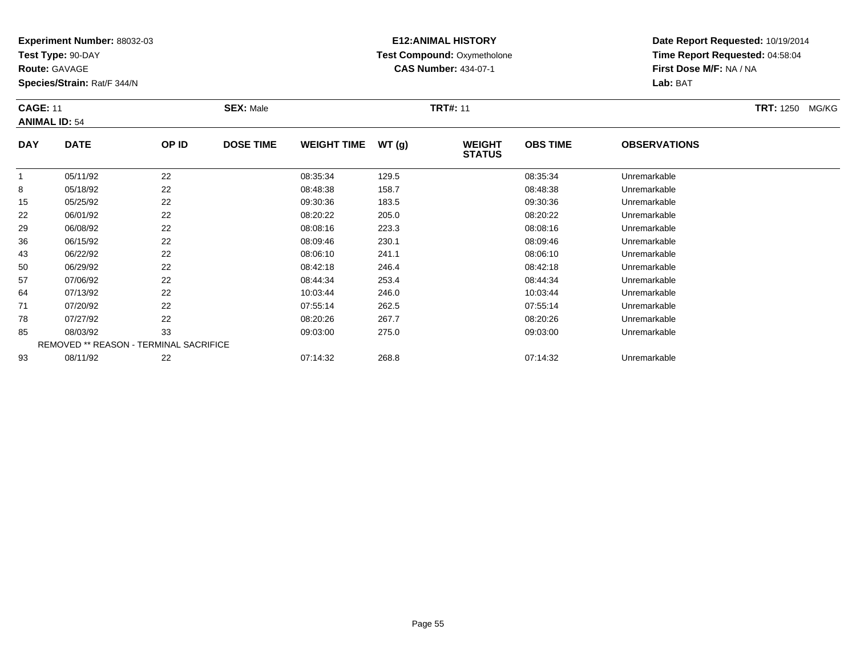**Test Type:** 90-DAY

**Route:** GAVAGE

**Species/Strain:** Rat/F 344/N

# **E12:ANIMAL HISTORY Test Compound:** Oxymetholone**CAS Number:** 434-07-1

**Date Report Requested:** 10/19/2014**Time Report Requested:** 04:58:04**First Dose M/F:** NA / NA**Lab:** BAT

### **CAGE:** 11 **SEX:** Male **TRT#:** <sup>11</sup> **TRT:** 1250 MG/KG**ANIMAL ID:** 54**DAY DATE OP IDDOSE TIME WEIGHT TIME WT** (g) **WEIGHT OBS TIMEOBSERVATIONS**

|    |          |                                               |          |       | <b>SIAIUS</b> |              |  |
|----|----------|-----------------------------------------------|----------|-------|---------------|--------------|--|
|    | 05/11/92 | 22                                            | 08:35:34 | 129.5 | 08:35:34      | Unremarkable |  |
| 8  | 05/18/92 | 22                                            | 08:48:38 | 158.7 | 08:48:38      | Unremarkable |  |
| 15 | 05/25/92 | 22                                            | 09:30:36 | 183.5 | 09:30:36      | Unremarkable |  |
| 22 | 06/01/92 | 22                                            | 08:20:22 | 205.0 | 08:20:22      | Unremarkable |  |
| 29 | 06/08/92 | 22                                            | 08:08:16 | 223.3 | 08:08:16      | Unremarkable |  |
| 36 | 06/15/92 | 22                                            | 08:09:46 | 230.1 | 08:09:46      | Unremarkable |  |
| 43 | 06/22/92 | 22                                            | 08:06:10 | 241.1 | 08:06:10      | Unremarkable |  |
| 50 | 06/29/92 | 22                                            | 08:42:18 | 246.4 | 08:42:18      | Unremarkable |  |
| 57 | 07/06/92 | 22                                            | 08:44:34 | 253.4 | 08:44:34      | Unremarkable |  |
| 64 | 07/13/92 | 22                                            | 10:03:44 | 246.0 | 10:03:44      | Unremarkable |  |
| 71 | 07/20/92 | 22                                            | 07:55:14 | 262.5 | 07:55:14      | Unremarkable |  |
| 78 | 07/27/92 | 22                                            | 08:20:26 | 267.7 | 08:20:26      | Unremarkable |  |
| 85 | 08/03/92 | 33                                            | 09:03:00 | 275.0 | 09:03:00      | Unremarkable |  |
|    |          | <b>REMOVED ** REASON - TERMINAL SACRIFICE</b> |          |       |               |              |  |
| 93 | 08/11/92 | 22                                            | 07:14:32 | 268.8 | 07:14:32      | Unremarkable |  |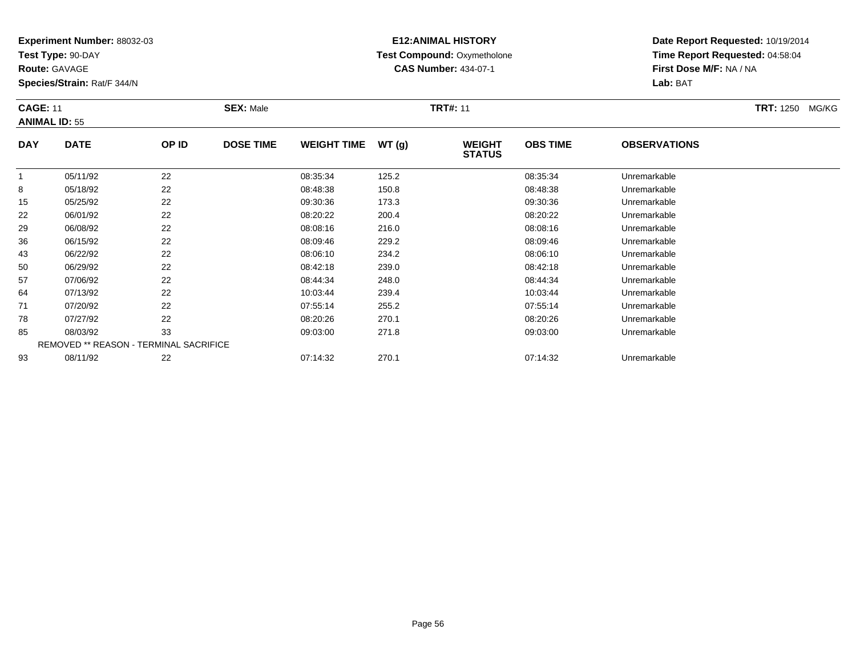**Test Type:** 90-DAY

**Route:** GAVAGE

**Species/Strain:** Rat/F 344/N

# **E12:ANIMAL HISTORY Test Compound:** Oxymetholone**CAS Number:** 434-07-1

**Date Report Requested:** 10/19/2014**Time Report Requested:** 04:58:04**First Dose M/F:** NA / NA**Lab:** BAT

### **CAGE:** 11 **SEX:** Male **TRT#:** <sup>11</sup> **TRT:** 1250 MG/KG**ANIMAL ID:** 55**DAY DATE OP IDDOSE TIME WEIGHT TIME WT** (g) **STATUSOBS TIMEOBSERVATIONS**

|    | 05/11/92 | 22                                            | 08:35:34 | 125.2 | 08:35:34 | Unremarkable |  |
|----|----------|-----------------------------------------------|----------|-------|----------|--------------|--|
| 8  | 05/18/92 | 22                                            | 08:48:38 | 150.8 | 08:48:38 | Unremarkable |  |
| 15 | 05/25/92 | 22                                            | 09:30:36 | 173.3 | 09:30:36 | Unremarkable |  |
| 22 | 06/01/92 | 22                                            | 08:20:22 | 200.4 | 08:20:22 | Unremarkable |  |
| 29 | 06/08/92 | 22                                            | 08:08:16 | 216.0 | 08:08:16 | Unremarkable |  |
| 36 | 06/15/92 | 22                                            | 08:09:46 | 229.2 | 08:09:46 | Unremarkable |  |
| 43 | 06/22/92 | 22                                            | 08:06:10 | 234.2 | 08:06:10 | Unremarkable |  |
| 50 | 06/29/92 | 22                                            | 08:42:18 | 239.0 | 08:42:18 | Unremarkable |  |
| 57 | 07/06/92 | 22                                            | 08:44:34 | 248.0 | 08:44:34 | Unremarkable |  |
| 64 | 07/13/92 | 22                                            | 10:03:44 | 239.4 | 10:03:44 | Unremarkable |  |
| 71 | 07/20/92 | 22                                            | 07:55:14 | 255.2 | 07:55:14 | Unremarkable |  |
| 78 | 07/27/92 | 22                                            | 08:20:26 | 270.1 | 08:20:26 | Unremarkable |  |
| 85 | 08/03/92 | 33                                            | 09:03:00 | 271.8 | 09:03:00 | Unremarkable |  |
|    |          | <b>REMOVED ** REASON - TERMINAL SACRIFICE</b> |          |       |          |              |  |
| 93 | 08/11/92 | 22                                            | 07:14:32 | 270.1 | 07:14:32 | Unremarkable |  |
|    |          |                                               |          |       |          |              |  |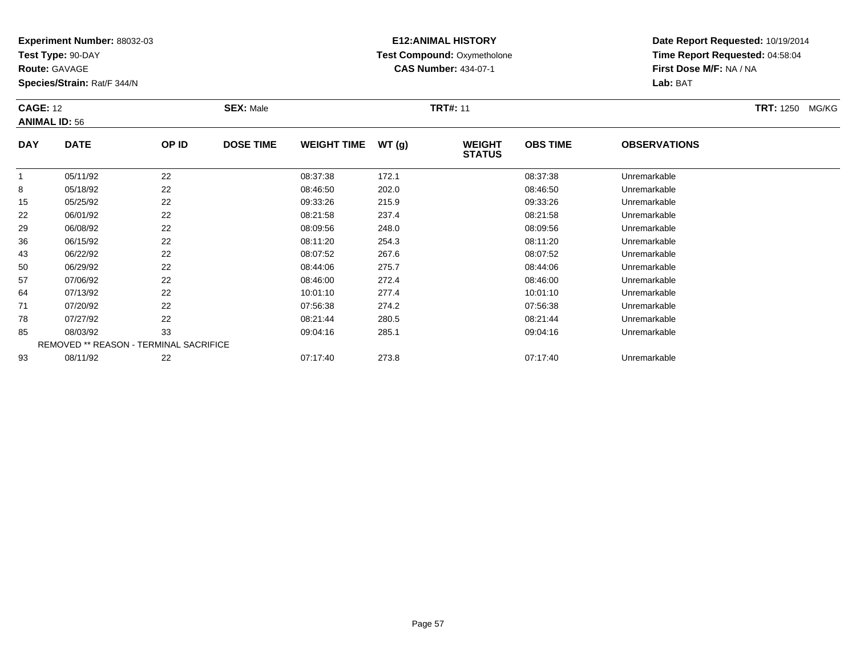**Test Type:** 90-DAY

**Route:** GAVAGE

**Species/Strain:** Rat/F 344/N

# **E12:ANIMAL HISTORY Test Compound:** Oxymetholone**CAS Number:** 434-07-1

| <b>CAGE: 12</b><br><b>ANIMAL ID: 56</b> |             |       | <b>SEX: Male</b> |                    |       |                                | <b>TRT#: 11</b> |                     |  |  |
|-----------------------------------------|-------------|-------|------------------|--------------------|-------|--------------------------------|-----------------|---------------------|--|--|
| <b>DAY</b>                              | <b>DATE</b> | OP ID | <b>DOSE TIME</b> | <b>WEIGHT TIME</b> | WT(g) | <b>WEIGHT</b><br><b>STATUS</b> | <b>OBS TIME</b> | <b>OBSERVATIONS</b> |  |  |
|                                         | 05/11/92    | ົດ    |                  | 08:37:38           | 172.  |                                | 08:37:38        | Unremarkable        |  |  |

|    | 05/11/92 | 22                                     | 08:37:38 | 172.1 | 08:37:38 | Unremarkable |  |
|----|----------|----------------------------------------|----------|-------|----------|--------------|--|
| 8  | 05/18/92 | 22                                     | 08:46:50 | 202.0 | 08:46:50 | Unremarkable |  |
| 15 | 05/25/92 | 22                                     | 09:33:26 | 215.9 | 09:33:26 | Unremarkable |  |
| 22 | 06/01/92 | 22                                     | 08:21:58 | 237.4 | 08:21:58 | Unremarkable |  |
| 29 | 06/08/92 | 22                                     | 08:09:56 | 248.0 | 08:09:56 | Unremarkable |  |
| 36 | 06/15/92 | 22                                     | 08:11:20 | 254.3 | 08:11:20 | Unremarkable |  |
| 43 | 06/22/92 | 22                                     | 08:07:52 | 267.6 | 08:07:52 | Unremarkable |  |
| 50 | 06/29/92 | 22                                     | 08:44:06 | 275.7 | 08:44:06 | Unremarkable |  |
| 57 | 07/06/92 | 22                                     | 08:46:00 | 272.4 | 08:46:00 | Unremarkable |  |
| 64 | 07/13/92 | 22                                     | 10:01:10 | 277.4 | 10:01:10 | Unremarkable |  |
| 71 | 07/20/92 | 22                                     | 07:56:38 | 274.2 | 07:56:38 | Unremarkable |  |
| 78 | 07/27/92 | 22                                     | 08:21:44 | 280.5 | 08:21:44 | Unremarkable |  |
| 85 | 08/03/92 | 33                                     | 09:04:16 | 285.1 | 09:04:16 | Unremarkable |  |
|    |          | REMOVED ** REASON - TERMINAL SACRIFICE |          |       |          |              |  |
| 93 | 08/11/92 | 22                                     | 07:17:40 | 273.8 | 07:17:40 | Unremarkable |  |
|    |          |                                        |          |       |          |              |  |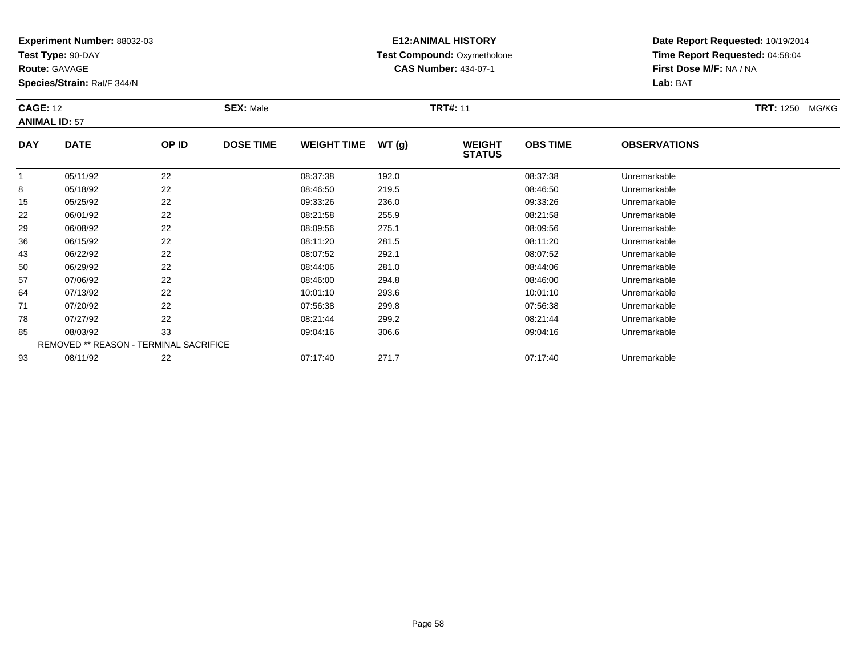**Test Type:** 90-DAY

**Route:** GAVAGE

**Species/Strain:** Rat/F 344/N

# **E12:ANIMAL HISTORY Test Compound:** Oxymetholone**CAS Number:** 434-07-1

| <b>CAGE: 12</b><br><b>ANIMAL ID: 57</b> |             |       | <b>SEX: Male</b> |                    |       | <b>TRT#: 11</b>                |                 |                     | <b>TRT: 1250</b> | MG/KG |
|-----------------------------------------|-------------|-------|------------------|--------------------|-------|--------------------------------|-----------------|---------------------|------------------|-------|
| <b>DAY</b>                              | <b>DATE</b> | OP ID | <b>DOSE TIME</b> | <b>WEIGHT TIME</b> | WT(g) | <b>WEIGHT</b><br><b>STATUS</b> | <b>OBS TIME</b> | <b>OBSERVATIONS</b> |                  |       |

|    |          |                                               |          |       | -        |              |
|----|----------|-----------------------------------------------|----------|-------|----------|--------------|
|    | 05/11/92 | 22                                            | 08:37:38 | 192.0 | 08:37:38 | Unremarkable |
| 8  | 05/18/92 | 22                                            | 08:46:50 | 219.5 | 08:46:50 | Unremarkable |
| 15 | 05/25/92 | 22                                            | 09:33:26 | 236.0 | 09:33:26 | Unremarkable |
| 22 | 06/01/92 | 22                                            | 08:21:58 | 255.9 | 08:21:58 | Unremarkable |
| 29 | 06/08/92 | 22                                            | 08:09:56 | 275.1 | 08:09:56 | Unremarkable |
| 36 | 06/15/92 | 22                                            | 08:11:20 | 281.5 | 08:11:20 | Unremarkable |
| 43 | 06/22/92 | 22                                            | 08:07:52 | 292.1 | 08:07:52 | Unremarkable |
| 50 | 06/29/92 | 22                                            | 08:44:06 | 281.0 | 08:44:06 | Unremarkable |
| 57 | 07/06/92 | 22                                            | 08:46:00 | 294.8 | 08:46:00 | Unremarkable |
| 64 | 07/13/92 | 22                                            | 10:01:10 | 293.6 | 10:01:10 | Unremarkable |
| 71 | 07/20/92 | 22                                            | 07:56:38 | 299.8 | 07:56:38 | Unremarkable |
| 78 | 07/27/92 | 22                                            | 08:21:44 | 299.2 | 08:21:44 | Unremarkable |
| 85 | 08/03/92 | 33                                            | 09:04:16 | 306.6 | 09:04:16 | Unremarkable |
|    |          | <b>REMOVED ** REASON - TERMINAL SACRIFICE</b> |          |       |          |              |
| 93 | 08/11/92 | 22                                            | 07:17:40 | 271.7 | 07:17:40 | Unremarkable |
|    |          |                                               |          |       |          |              |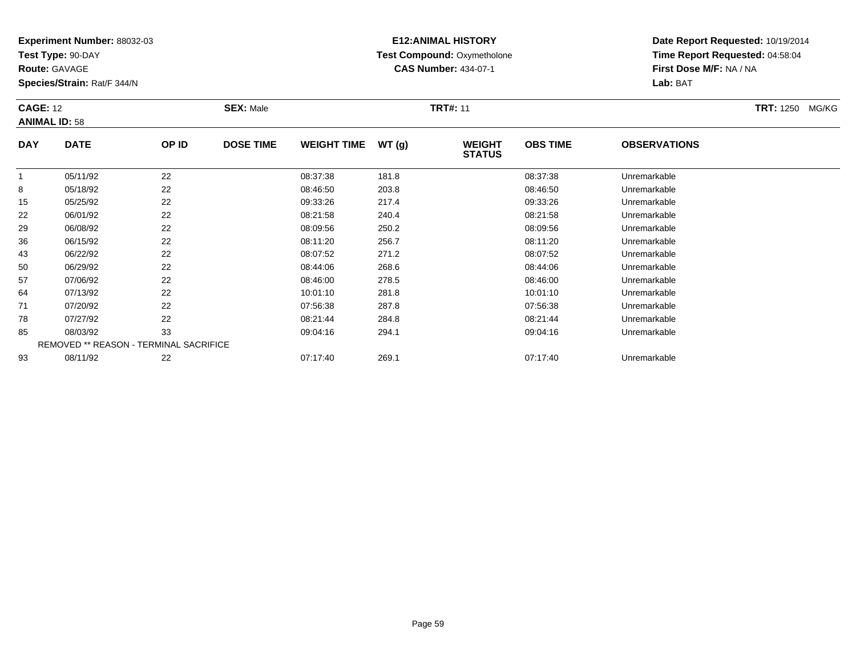**Test Type:** 90-DAY

**Route:** GAVAGE

**Species/Strain:** Rat/F 344/N

# **E12:ANIMAL HISTORY Test Compound:** Oxymetholone**CAS Number:** 434-07-1

| <b>CAGE: 12</b><br><b>ANIMAL ID: 58</b> |             |       | <b>SEX: Male</b> |                    |        | <b>TRT#: 11</b>                | <b>TRT: 1250</b> | MG/KG               |  |  |
|-----------------------------------------|-------------|-------|------------------|--------------------|--------|--------------------------------|------------------|---------------------|--|--|
| <b>DAY</b>                              | <b>DATE</b> | OP ID | <b>DOSE TIME</b> | <b>WEIGHT TIME</b> | WT (q) | <b>WEIGHT</b><br><b>STATUS</b> | <b>OBS TIME</b>  | <b>OBSERVATIONS</b> |  |  |
|                                         | 05/11/92    | 22    |                  | 08:37:38           | 181.8  |                                | 08:37:38         | Unremarkable        |  |  |
| 8                                       | 05/18/92    | 22    |                  | 08:46:50           | 203.8  |                                | 08:46:50         | Unremarkable        |  |  |

|    | <b>JUILIJL</b> | ∠∠                                            | <u>00.07.00</u> | 101.0 | <u>00.07.00</u> | <b>UILLEILIAINAVIC</b> |  |
|----|----------------|-----------------------------------------------|-----------------|-------|-----------------|------------------------|--|
| 8  | 05/18/92       | 22                                            | 08:46:50        | 203.8 | 08:46:50        | Unremarkable           |  |
| 15 | 05/25/92       | 22                                            | 09:33:26        | 217.4 | 09:33:26        | Unremarkable           |  |
| 22 | 06/01/92       | 22                                            | 08:21:58        | 240.4 | 08:21:58        | Unremarkable           |  |
| 29 | 06/08/92       | 22                                            | 08:09:56        | 250.2 | 08:09:56        | Unremarkable           |  |
| 36 | 06/15/92       | 22                                            | 08:11:20        | 256.7 | 08:11:20        | Unremarkable           |  |
| 43 | 06/22/92       | 22                                            | 08:07:52        | 271.2 | 08:07:52        | Unremarkable           |  |
| 50 | 06/29/92       | 22                                            | 08:44:06        | 268.6 | 08:44:06        | Unremarkable           |  |
| 57 | 07/06/92       | 22                                            | 08:46:00        | 278.5 | 08:46:00        | Unremarkable           |  |
| 64 | 07/13/92       | 22                                            | 10:01:10        | 281.8 | 10:01:10        | Unremarkable           |  |
| 71 | 07/20/92       | 22                                            | 07:56:38        | 287.8 | 07:56:38        | Unremarkable           |  |
| 78 | 07/27/92       | 22                                            | 08:21:44        | 284.8 | 08:21:44        | Unremarkable           |  |
| 85 | 08/03/92       | 33                                            | 09:04:16        | 294.1 | 09:04:16        | Unremarkable           |  |
|    |                | <b>REMOVED ** REASON - TERMINAL SACRIFICE</b> |                 |       |                 |                        |  |
| 93 | 08/11/92       | 22                                            | 07:17:40        | 269.1 | 07:17:40        | Unremarkable           |  |
|    |                |                                               |                 |       |                 |                        |  |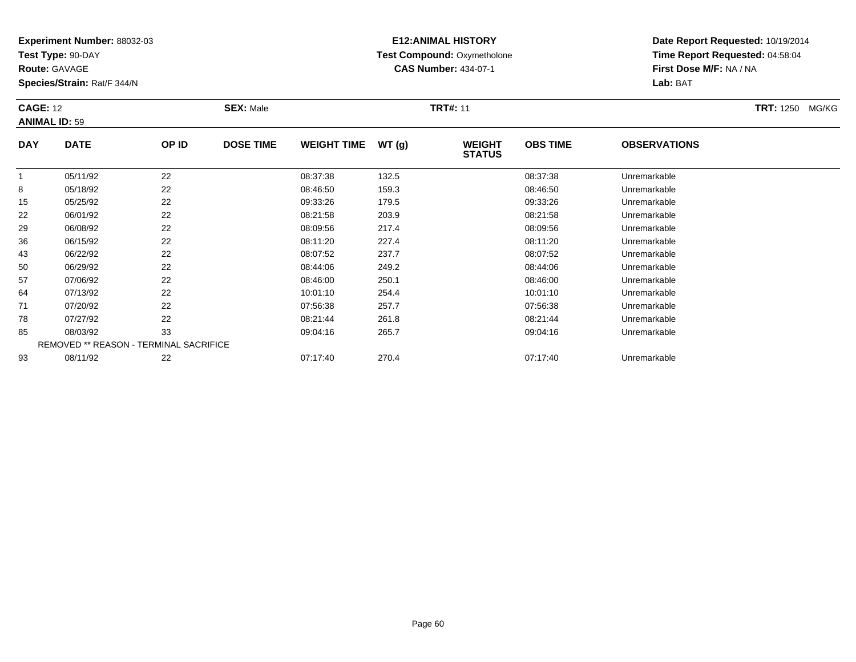**Test Type:** 90-DAY

**Route:** GAVAGE

**Species/Strain:** Rat/F 344/N

# **E12:ANIMAL HISTORY Test Compound:** Oxymetholone**CAS Number:** 434-07-1

| <b>CAGE: 12</b><br><b>ANIMAL ID: 59</b> |             |        | <b>SEX: Male</b> |                    |            | <b>TRT#: 11</b>                | <b>TRT: 1250</b><br>MG/KG |                               |  |
|-----------------------------------------|-------------|--------|------------------|--------------------|------------|--------------------------------|---------------------------|-------------------------------|--|
| <b>DAY</b>                              | <b>DATE</b> | OP ID  | <b>DOSE TIME</b> | <b>WEIGHT TIME</b> | WT(g)      | <b>WEIGHT</b><br><b>STATUS</b> | <b>OBS TIME</b>           | <b>OBSERVATIONS</b>           |  |
|                                         | QF/A A/2Q   | $\sim$ |                  | 00.27.20           | $\sqrt{2}$ |                                | 00.27.20                  | الملاحلة والمستحقق ومستحيلاته |  |

|    | 05/11/92 | 22                                            | 08:37:38 | 132.5 | 08:37:38 | Unremarkable |  |
|----|----------|-----------------------------------------------|----------|-------|----------|--------------|--|
| 8  | 05/18/92 | 22                                            | 08:46:50 | 159.3 | 08:46:50 | Unremarkable |  |
| 15 | 05/25/92 | 22                                            | 09:33:26 | 179.5 | 09:33:26 | Unremarkable |  |
| 22 | 06/01/92 | 22                                            | 08:21:58 | 203.9 | 08:21:58 | Unremarkable |  |
| 29 | 06/08/92 | 22                                            | 08:09:56 | 217.4 | 08:09:56 | Unremarkable |  |
| 36 | 06/15/92 | 22                                            | 08:11:20 | 227.4 | 08:11:20 | Unremarkable |  |
| 43 | 06/22/92 | 22                                            | 08:07:52 | 237.7 | 08:07:52 | Unremarkable |  |
| 50 | 06/29/92 | 22                                            | 08:44:06 | 249.2 | 08:44:06 | Unremarkable |  |
| 57 | 07/06/92 | 22                                            | 08:46:00 | 250.1 | 08:46:00 | Unremarkable |  |
| 64 | 07/13/92 | 22                                            | 10:01:10 | 254.4 | 10:01:10 | Unremarkable |  |
| 71 | 07/20/92 | 22                                            | 07:56:38 | 257.7 | 07:56:38 | Unremarkable |  |
| 78 | 07/27/92 | 22                                            | 08:21:44 | 261.8 | 08:21:44 | Unremarkable |  |
| 85 | 08/03/92 | 33                                            | 09:04:16 | 265.7 | 09:04:16 | Unremarkable |  |
|    |          | <b>REMOVED ** REASON - TERMINAL SACRIFICE</b> |          |       |          |              |  |
| 93 | 08/11/92 | 22                                            | 07:17:40 | 270.4 | 07:17:40 | Unremarkable |  |
|    |          |                                               |          |       |          |              |  |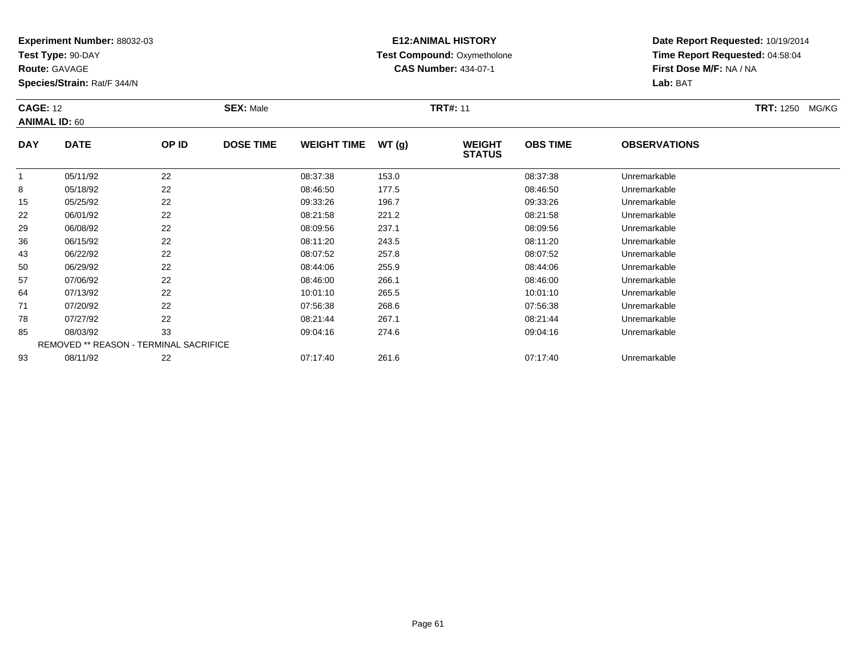**Test Type:** 90-DAY

**Route:** GAVAGE

**Species/Strain:** Rat/F 344/N

# **E12:ANIMAL HISTORY Test Compound:** Oxymetholone**CAS Number:** 434-07-1

| <b>CAGE: 12</b><br><b>ANIMAL ID: 60</b> |             |       | <b>SEX: Male</b> |                    |       | <b>TRT#: 11</b>                | <b>TRT: 1250</b><br>MG/KG |                      |  |
|-----------------------------------------|-------------|-------|------------------|--------------------|-------|--------------------------------|---------------------------|----------------------|--|
| <b>DAY</b>                              | <b>DATE</b> | OP ID | <b>DOSE TIME</b> | <b>WEIGHT TIME</b> | WT(g) | <b>WEIGHT</b><br><b>STATUS</b> | <b>OBS TIME</b>           | <b>OBSERVATIONS</b>  |  |
|                                         | 05/11/02    | າາ    |                  | <b>00.27.20</b>    | 1520  |                                | <b>00.27.20</b>           | <b>Lloromarkable</b> |  |

|    | 05/11/92 | 22                                     | 08:37:38 | 153.0 | 08:37:38 | Unremarkable |  |
|----|----------|----------------------------------------|----------|-------|----------|--------------|--|
| 8  | 05/18/92 | 22                                     | 08:46:50 | 177.5 | 08:46:50 | Unremarkable |  |
| 15 | 05/25/92 | 22                                     | 09:33:26 | 196.7 | 09:33:26 | Unremarkable |  |
| 22 | 06/01/92 | 22                                     | 08:21:58 | 221.2 | 08:21:58 | Unremarkable |  |
| 29 | 06/08/92 | 22                                     | 08:09:56 | 237.1 | 08:09:56 | Unremarkable |  |
| 36 | 06/15/92 | 22                                     | 08:11:20 | 243.5 | 08:11:20 | Unremarkable |  |
| 43 | 06/22/92 | 22                                     | 08:07:52 | 257.8 | 08:07:52 | Unremarkable |  |
| 50 | 06/29/92 | 22                                     | 08:44:06 | 255.9 | 08:44:06 | Unremarkable |  |
| 57 | 07/06/92 | 22                                     | 08:46:00 | 266.1 | 08:46:00 | Unremarkable |  |
| 64 | 07/13/92 | 22                                     | 10:01:10 | 265.5 | 10:01:10 | Unremarkable |  |
| 71 | 07/20/92 | 22                                     | 07:56:38 | 268.6 | 07:56:38 | Unremarkable |  |
| 78 | 07/27/92 | 22                                     | 08:21:44 | 267.1 | 08:21:44 | Unremarkable |  |
| 85 | 08/03/92 | 33                                     | 09:04:16 | 274.6 | 09:04:16 | Unremarkable |  |
|    |          | REMOVED ** REASON - TERMINAL SACRIFICE |          |       |          |              |  |
| 93 | 08/11/92 | 22                                     | 07:17:40 | 261.6 | 07:17:40 | Unremarkable |  |
|    |          |                                        |          |       |          |              |  |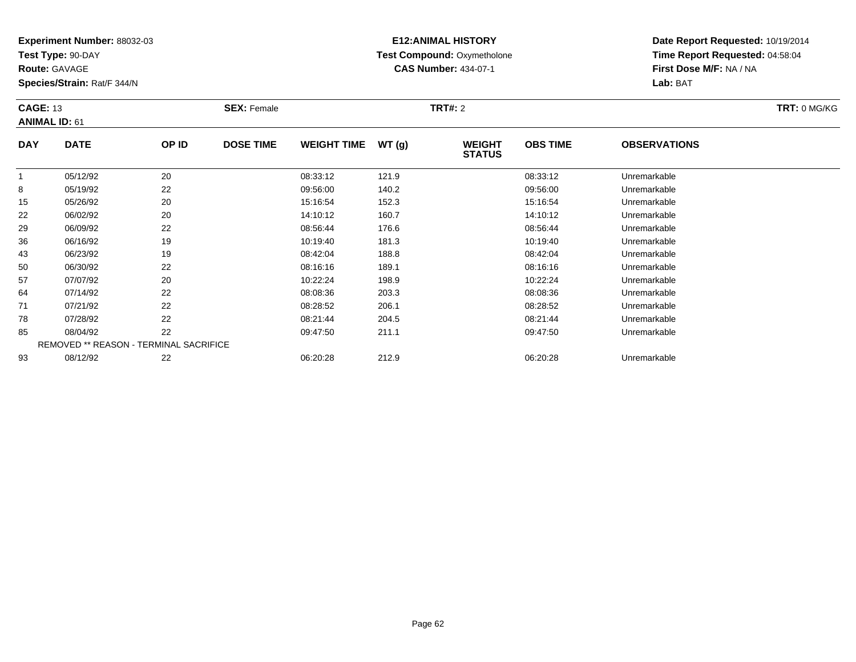**Test Type:** 90-DAY

**Route:** GAVAGE

93

**Species/Strain:** Rat/F 344/N

REMOVED \*\* REASON - TERMINAL SACRIFICE

## **E12:ANIMAL HISTORY Test Compound:** Oxymetholone**CAS Number:** 434-07-1

**Date Report Requested:** 10/19/2014**Time Report Requested:** 04:58:04**First Dose M/F:** NA / NA**Lab:** BAT

|            | <b>CAGE: 13</b><br><b>ANIMAL ID: 61</b> |       | <b>SEX: Female</b> |                    |       | <b>TRT#: 2</b>                 |                 | TRT: 0 MG/KG        |  |
|------------|-----------------------------------------|-------|--------------------|--------------------|-------|--------------------------------|-----------------|---------------------|--|
| <b>DAY</b> | <b>DATE</b>                             | OP ID | <b>DOSE TIME</b>   | <b>WEIGHT TIME</b> | WT(g) | <b>WEIGHT</b><br><b>STATUS</b> | <b>OBS TIME</b> | <b>OBSERVATIONS</b> |  |
|            | 05/12/92                                | 20    |                    | 08:33:12           | 121.9 |                                | 08:33:12        | Unremarkable        |  |
| 8          | 05/19/92                                | 22    |                    | 09:56:00           | 140.2 |                                | 09:56:00        | Unremarkable        |  |
| 15         | 05/26/92                                | 20    |                    | 15:16:54           | 152.3 |                                | 15:16:54        | Unremarkable        |  |
| 22         | 06/02/92                                | 20    |                    | 14:10:12           | 160.7 |                                | 14:10:12        | Unremarkable        |  |
| 29         | 06/09/92                                | 22    |                    | 08:56:44           | 176.6 |                                | 08:56:44        | Unremarkable        |  |
| 36         | 06/16/92                                | 19    |                    | 10:19:40           | 181.3 |                                | 10:19:40        | Unremarkable        |  |
| 43         | 06/23/92                                | 19    |                    | 08:42:04           | 188.8 |                                | 08:42:04        | Unremarkable        |  |
| 50         | 06/30/92                                | 22    |                    | 08:16:16           | 189.1 |                                | 08:16:16        | Unremarkable        |  |
| 57         | 07/07/92                                | 20    |                    | 10:22:24           | 198.9 |                                | 10:22:24        | Unremarkable        |  |
| 64         | 07/14/92                                | 22    |                    | 08:08:36           | 203.3 |                                | 08:08:36        | Unremarkable        |  |
| 71         | 07/21/92                                | 22    |                    | 08:28:52           | 206.1 |                                | 08:28:52        | Unremarkable        |  |
| 78         | 07/28/92                                | 22    |                    | 08:21:44           | 204.5 |                                | 08:21:44        | Unremarkable        |  |
| 85         | 08/04/92                                | 22    |                    | 09:47:50           | 211.1 |                                | 09:47:50        | Unremarkable        |  |

08/12/92 <sup>22</sup> 06:20:28 212.9 06:20:28 Unremarkable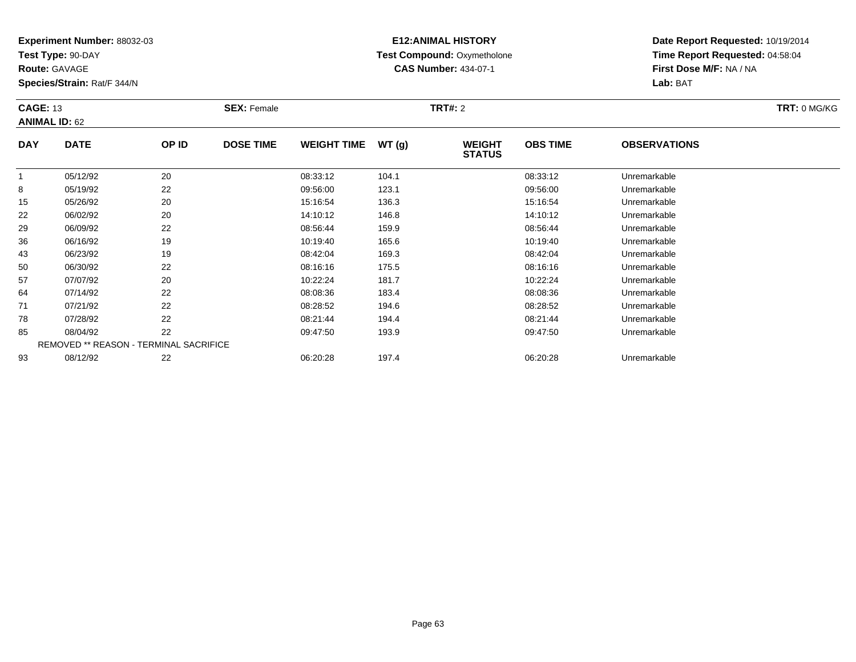**Test Type:** 90-DAY

**Route:** GAVAGE

**Species/Strain:** Rat/F 344/N

# **E12:ANIMAL HISTORY Test Compound:** Oxymetholone**CAS Number:** 434-07-1

**Date Report Requested:** 10/19/2014**Time Report Requested:** 04:58:04**First Dose M/F:** NA / NA**Lab:** BAT

| <b>CAGE: 13</b> | <b>ANIMAL ID: 62</b>                          |       | <b>SEX: Female</b> |                    |       | <b>TRT#: 2</b>                 |                 |                     | TRT: 0 MG/KG |
|-----------------|-----------------------------------------------|-------|--------------------|--------------------|-------|--------------------------------|-----------------|---------------------|--------------|
| <b>DAY</b>      | <b>DATE</b>                                   | OP ID | <b>DOSE TIME</b>   | <b>WEIGHT TIME</b> | WT(g) | <b>WEIGHT</b><br><b>STATUS</b> | <b>OBS TIME</b> | <b>OBSERVATIONS</b> |              |
|                 | 05/12/92                                      | 20    |                    | 08:33:12           | 104.1 |                                | 08:33:12        | Unremarkable        |              |
| 8               | 05/19/92                                      | 22    |                    | 09:56:00           | 123.1 |                                | 09:56:00        | Unremarkable        |              |
| 15              | 05/26/92                                      | 20    |                    | 15:16:54           | 136.3 |                                | 15:16:54        | Unremarkable        |              |
| 22              | 06/02/92                                      | 20    |                    | 14:10:12           | 146.8 |                                | 14:10:12        | Unremarkable        |              |
| 29              | 06/09/92                                      | 22    |                    | 08:56:44           | 159.9 |                                | 08:56:44        | Unremarkable        |              |
| 36              | 06/16/92                                      | 19    |                    | 10:19:40           | 165.6 |                                | 10:19:40        | Unremarkable        |              |
| 43              | 06/23/92                                      | 19    |                    | 08:42:04           | 169.3 |                                | 08:42:04        | Unremarkable        |              |
| 50              | 06/30/92                                      | 22    |                    | 08:16:16           | 175.5 |                                | 08:16:16        | Unremarkable        |              |
| 57              | 07/07/92                                      | 20    |                    | 10:22:24           | 181.7 |                                | 10:22:24        | Unremarkable        |              |
| 64              | 07/14/92                                      | 22    |                    | 08:08:36           | 183.4 |                                | 08:08:36        | Unremarkable        |              |
| 71              | 07/21/92                                      | 22    |                    | 08:28:52           | 194.6 |                                | 08:28:52        | Unremarkable        |              |
| 78              | 07/28/92                                      | 22    |                    | 08:21:44           | 194.4 |                                | 08:21:44        | Unremarkable        |              |
| 85              | 08/04/92                                      | 22    |                    | 09:47:50           | 193.9 |                                | 09:47:50        | Unremarkable        |              |
|                 | <b>REMOVED ** REASON - TERMINAL SACRIFICE</b> |       |                    |                    |       |                                |                 |                     |              |
| 93              | 08/12/92                                      | 22    |                    | 06:20:28           | 197.4 |                                | 06:20:28        | Unremarkable        |              |

08/12/92 <sup>22</sup> 06:20:28 197.4 06:20:28 Unremarkable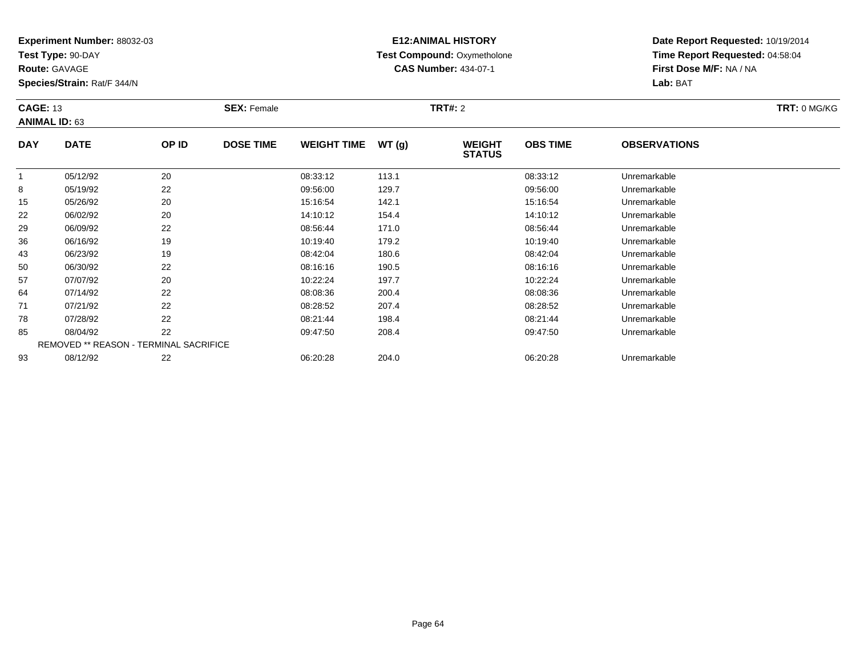**Test Type:** 90-DAY

**Route:** GAVAGE

93

**Species/Strain:** Rat/F 344/N

# **E12:ANIMAL HISTORY Test Compound:** Oxymetholone**CAS Number:** 434-07-1

**Date Report Requested:** 10/19/2014**Time Report Requested:** 04:58:04**First Dose M/F:** NA / NA**Lab:** BAT

|            | <b>CAGE: 13</b><br><b>ANIMAL ID: 63</b>       |       | <b>SEX: Female</b> |                    |       | <b>TRT#: 2</b>                 |                 | TRT: 0 MG/KG        |  |
|------------|-----------------------------------------------|-------|--------------------|--------------------|-------|--------------------------------|-----------------|---------------------|--|
| <b>DAY</b> | <b>DATE</b>                                   | OP ID | <b>DOSE TIME</b>   | <b>WEIGHT TIME</b> | WT(g) | <b>WEIGHT</b><br><b>STATUS</b> | <b>OBS TIME</b> | <b>OBSERVATIONS</b> |  |
|            | 05/12/92                                      | 20    |                    | 08:33:12           | 113.1 |                                | 08:33:12        | Unremarkable        |  |
| 8          | 05/19/92                                      | 22    |                    | 09:56:00           | 129.7 |                                | 09:56:00        | Unremarkable        |  |
| 15         | 05/26/92                                      | 20    |                    | 15:16:54           | 142.1 |                                | 15:16:54        | Unremarkable        |  |
| 22         | 06/02/92                                      | 20    |                    | 14:10:12           | 154.4 |                                | 14:10:12        | Unremarkable        |  |
| 29         | 06/09/92                                      | 22    |                    | 08:56:44           | 171.0 |                                | 08:56:44        | Unremarkable        |  |
| 36         | 06/16/92                                      | 19    |                    | 10:19:40           | 179.2 |                                | 10:19:40        | Unremarkable        |  |
| 43         | 06/23/92                                      | 19    |                    | 08:42:04           | 180.6 |                                | 08:42:04        | Unremarkable        |  |
| 50         | 06/30/92                                      | 22    |                    | 08:16:16           | 190.5 |                                | 08:16:16        | Unremarkable        |  |
| 57         | 07/07/92                                      | 20    |                    | 10:22:24           | 197.7 |                                | 10:22:24        | Unremarkable        |  |
| 64         | 07/14/92                                      | 22    |                    | 08:08:36           | 200.4 |                                | 08:08:36        | Unremarkable        |  |
| 71         | 07/21/92                                      | 22    |                    | 08:28:52           | 207.4 |                                | 08:28:52        | Unremarkable        |  |
| 78         | 07/28/92                                      | 22    |                    | 08:21:44           | 198.4 |                                | 08:21:44        | Unremarkable        |  |
| 85         | 08/04/92                                      | 22    |                    | 09:47:50           | 208.4 |                                | 09:47:50        | Unremarkable        |  |
|            | <b>REMOVED ** REASON - TERMINAL SACRIFICE</b> |       |                    |                    |       |                                |                 |                     |  |

08/12/92 <sup>22</sup> 06:20:28 204.0 06:20:28 Unremarkable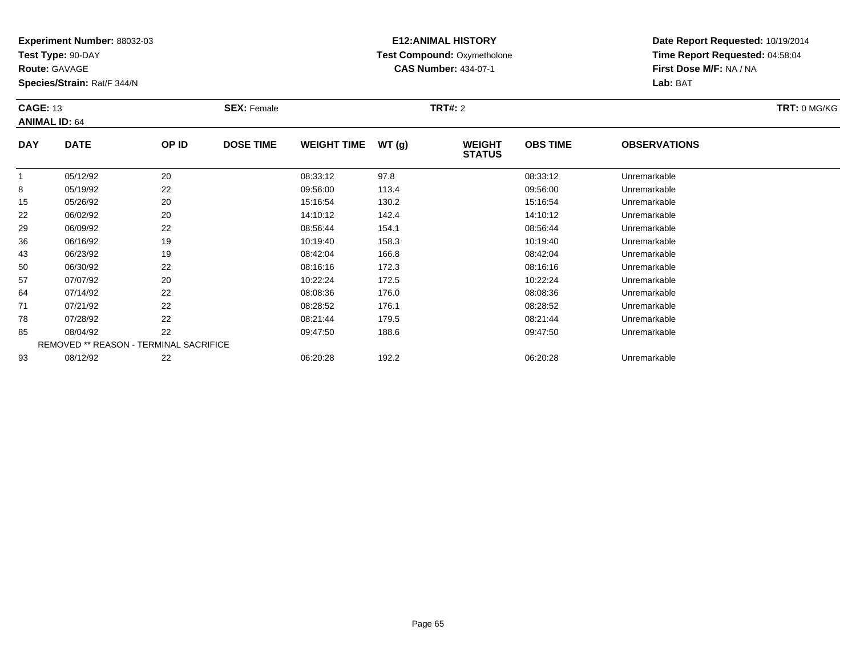**Test Type:** 90-DAY

**Route:** GAVAGE

93

**Species/Strain:** Rat/F 344/N

# **E12:ANIMAL HISTORY Test Compound:** Oxymetholone**CAS Number:** 434-07-1

**Date Report Requested:** 10/19/2014**Time Report Requested:** 04:58:04**First Dose M/F:** NA / NA**Lab:** BAT

|            | <b>CAGE: 13</b><br><b>ANIMAL ID: 64</b>       |       | <b>SEX: Female</b> |                    |       | <b>TRT#: 2</b>                 | TRT: 0 MG/KG    |                     |  |
|------------|-----------------------------------------------|-------|--------------------|--------------------|-------|--------------------------------|-----------------|---------------------|--|
| <b>DAY</b> | <b>DATE</b>                                   | OP ID | <b>DOSE TIME</b>   | <b>WEIGHT TIME</b> | WT(g) | <b>WEIGHT</b><br><b>STATUS</b> | <b>OBS TIME</b> | <b>OBSERVATIONS</b> |  |
|            | 05/12/92                                      | 20    |                    | 08:33:12           | 97.8  |                                | 08:33:12        | Unremarkable        |  |
| 8          | 05/19/92                                      | 22    |                    | 09:56:00           | 113.4 |                                | 09:56:00        | Unremarkable        |  |
| 15         | 05/26/92                                      | 20    |                    | 15:16:54           | 130.2 |                                | 15:16:54        | Unremarkable        |  |
| 22         | 06/02/92                                      | 20    |                    | 14:10:12           | 142.4 |                                | 14:10:12        | Unremarkable        |  |
| 29         | 06/09/92                                      | 22    |                    | 08:56:44           | 154.1 |                                | 08:56:44        | Unremarkable        |  |
| 36         | 06/16/92                                      | 19    |                    | 10:19:40           | 158.3 |                                | 10:19:40        | Unremarkable        |  |
| 43         | 06/23/92                                      | 19    |                    | 08:42:04           | 166.8 |                                | 08:42:04        | Unremarkable        |  |
| 50         | 06/30/92                                      | 22    |                    | 08:16:16           | 172.3 |                                | 08:16:16        | Unremarkable        |  |
| 57         | 07/07/92                                      | 20    |                    | 10:22:24           | 172.5 |                                | 10:22:24        | Unremarkable        |  |
| 64         | 07/14/92                                      | 22    |                    | 08:08:36           | 176.0 |                                | 08:08:36        | Unremarkable        |  |
| 71         | 07/21/92                                      | 22    |                    | 08:28:52           | 176.1 |                                | 08:28:52        | Unremarkable        |  |
| 78         | 07/28/92                                      | 22    |                    | 08:21:44           | 179.5 |                                | 08:21:44        | Unremarkable        |  |
| 85         | 08/04/92                                      | 22    |                    | 09:47:50           | 188.6 |                                | 09:47:50        | Unremarkable        |  |
|            | <b>REMOVED ** REASON - TERMINAL SACRIFICE</b> |       |                    |                    |       |                                |                 |                     |  |

08/12/92 <sup>22</sup> 06:20:28 192.2 06:20:28 Unremarkable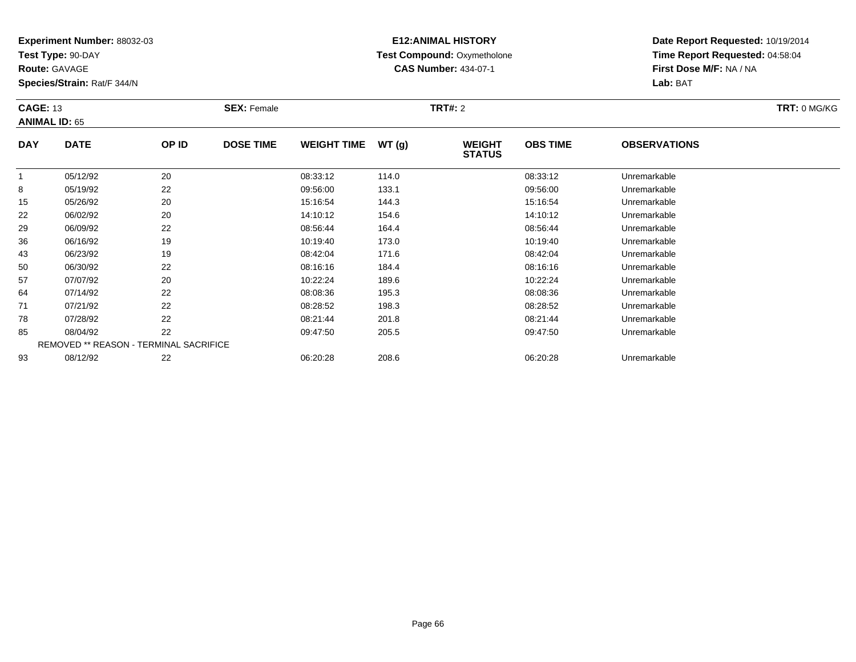**Test Type:** 90-DAY

**Route:** GAVAGE

**Species/Strain:** Rat/F 344/N

# **E12:ANIMAL HISTORY Test Compound:** Oxymetholone**CAS Number:** 434-07-1

**Date Report Requested:** 10/19/2014**Time Report Requested:** 04:58:04**First Dose M/F:** NA / NA**Lab:** BAT

| <b>CAGE: 13</b> | <b>ANIMAL ID: 65</b>                   |       | <b>SEX: Female</b> |                    |       | <b>TRT#: 2</b>                 |                 |                     | TRT: 0 MG/KG |
|-----------------|----------------------------------------|-------|--------------------|--------------------|-------|--------------------------------|-----------------|---------------------|--------------|
| <b>DAY</b>      | <b>DATE</b>                            | OP ID | <b>DOSE TIME</b>   | <b>WEIGHT TIME</b> | WT(g) | <b>WEIGHT</b><br><b>STATUS</b> | <b>OBS TIME</b> | <b>OBSERVATIONS</b> |              |
|                 | 05/12/92                               | 20    |                    | 08:33:12           | 114.0 |                                | 08:33:12        | Unremarkable        |              |
| 8               | 05/19/92                               | 22    |                    | 09:56:00           | 133.1 |                                | 09:56:00        | Unremarkable        |              |
| 15              | 05/26/92                               | 20    |                    | 15:16:54           | 144.3 |                                | 15:16:54        | Unremarkable        |              |
| 22              | 06/02/92                               | 20    |                    | 14:10:12           | 154.6 |                                | 14:10:12        | Unremarkable        |              |
| 29              | 06/09/92                               | 22    |                    | 08:56:44           | 164.4 |                                | 08:56:44        | Unremarkable        |              |
| 36              | 06/16/92                               | 19    |                    | 10:19:40           | 173.0 |                                | 10:19:40        | Unremarkable        |              |
| 43              | 06/23/92                               | 19    |                    | 08:42:04           | 171.6 |                                | 08:42:04        | Unremarkable        |              |
| 50              | 06/30/92                               | 22    |                    | 08:16:16           | 184.4 |                                | 08:16:16        | Unremarkable        |              |
| 57              | 07/07/92                               | 20    |                    | 10:22:24           | 189.6 |                                | 10:22:24        | Unremarkable        |              |
| 64              | 07/14/92                               | 22    |                    | 08:08:36           | 195.3 |                                | 08:08:36        | Unremarkable        |              |
| 71              | 07/21/92                               | 22    |                    | 08:28:52           | 198.3 |                                | 08:28:52        | Unremarkable        |              |
| 78              | 07/28/92                               | 22    |                    | 08:21:44           | 201.8 |                                | 08:21:44        | Unremarkable        |              |
| 85              | 08/04/92                               | 22    |                    | 09:47:50           | 205.5 |                                | 09:47:50        | Unremarkable        |              |
|                 | REMOVED ** REASON - TERMINAL SACRIFICE |       |                    |                    |       |                                |                 |                     |              |
| 93              | 08/12/92                               | 22    |                    | 06:20:28           | 208.6 |                                | 06:20:28        | Unremarkable        |              |

08/12/92 <sup>22</sup> 06:20:28 208.6 06:20:28 Unremarkable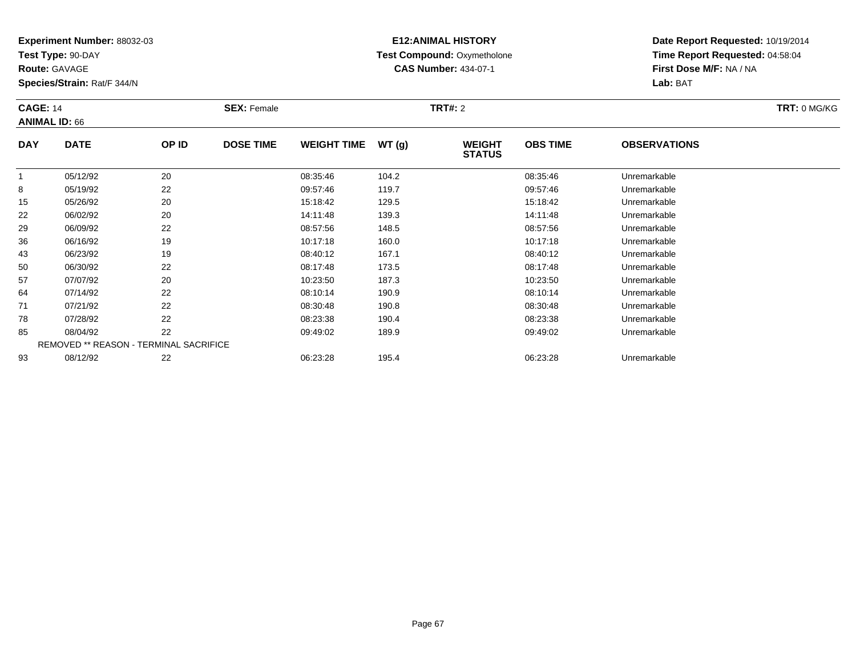**Test Type:** 90-DAY

**Route:** GAVAGE

**Species/Strain:** Rat/F 344/N

# **E12:ANIMAL HISTORY Test Compound:** Oxymetholone**CAS Number:** 434-07-1

| <b>CAGE: 14</b> | <b>ANIMAL ID: 66</b>                   |       | <b>SEX: Female</b> |                    |       | <b>TRT#: 2</b>                 |                 |                     | TRT: 0 MG/KG |
|-----------------|----------------------------------------|-------|--------------------|--------------------|-------|--------------------------------|-----------------|---------------------|--------------|
| <b>DAY</b>      | <b>DATE</b>                            | OP ID | <b>DOSE TIME</b>   | <b>WEIGHT TIME</b> | WT(g) | <b>WEIGHT</b><br><b>STATUS</b> | <b>OBS TIME</b> | <b>OBSERVATIONS</b> |              |
|                 | 05/12/92                               | 20    |                    | 08:35:46           | 104.2 |                                | 08:35:46        | Unremarkable        |              |
| 8               | 05/19/92                               | 22    |                    | 09:57:46           | 119.7 |                                | 09:57:46        | Unremarkable        |              |
| 15              | 05/26/92                               | 20    |                    | 15:18:42           | 129.5 |                                | 15:18:42        | Unremarkable        |              |
| 22              | 06/02/92                               | 20    |                    | 14:11:48           | 139.3 |                                | 14:11:48        | Unremarkable        |              |
| 29              | 06/09/92                               | 22    |                    | 08:57:56           | 148.5 |                                | 08:57:56        | Unremarkable        |              |
| 36              | 06/16/92                               | 19    |                    | 10:17:18           | 160.0 |                                | 10:17:18        | Unremarkable        |              |
| 43              | 06/23/92                               | 19    |                    | 08:40:12           | 167.1 |                                | 08:40:12        | Unremarkable        |              |
| 50              | 06/30/92                               | 22    |                    | 08:17:48           | 173.5 |                                | 08:17:48        | Unremarkable        |              |
| 57              | 07/07/92                               | 20    |                    | 10:23:50           | 187.3 |                                | 10:23:50        | Unremarkable        |              |
| 64              | 07/14/92                               | 22    |                    | 08:10:14           | 190.9 |                                | 08:10:14        | Unremarkable        |              |
| 71              | 07/21/92                               | 22    |                    | 08:30:48           | 190.8 |                                | 08:30:48        | Unremarkable        |              |
| 78              | 07/28/92                               | 22    |                    | 08:23:38           | 190.4 |                                | 08:23:38        | Unremarkable        |              |
| 85              | 08/04/92                               | 22    |                    | 09:49:02           | 189.9 |                                | 09:49:02        | Unremarkable        |              |
|                 | REMOVED ** REASON - TERMINAL SACRIFICE |       |                    |                    |       |                                |                 |                     |              |
| 93              | 08/12/92                               | 22    |                    | 06:23:28           | 195.4 |                                | 06:23:28        | Unremarkable        |              |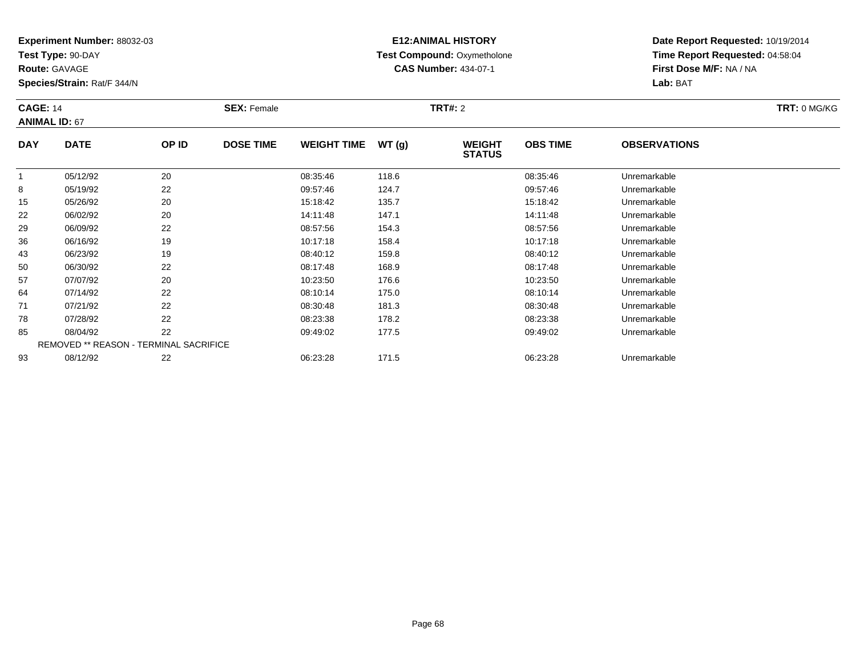**Test Type:** 90-DAY

**Route:** GAVAGE

93

**Species/Strain:** Rat/F 344/N

# **E12:ANIMAL HISTORY Test Compound:** Oxymetholone**CAS Number:** 434-07-1

**Date Report Requested:** 10/19/2014**Time Report Requested:** 04:58:04**First Dose M/F:** NA / NA**Lab:** BAT

|            | <b>CAGE: 14</b><br><b>ANIMAL ID: 67</b> |       | <b>SEX: Female</b> |                    |       | <b>TRT#: 2</b>                 | TRT: 0 MG/KG    |                     |  |
|------------|-----------------------------------------|-------|--------------------|--------------------|-------|--------------------------------|-----------------|---------------------|--|
| <b>DAY</b> | <b>DATE</b>                             | OP ID | <b>DOSE TIME</b>   | <b>WEIGHT TIME</b> | WT(g) | <b>WEIGHT</b><br><b>STATUS</b> | <b>OBS TIME</b> | <b>OBSERVATIONS</b> |  |
|            | 05/12/92                                | 20    |                    | 08:35:46           | 118.6 |                                | 08:35:46        | Unremarkable        |  |
| 8          | 05/19/92                                | 22    |                    | 09:57:46           | 124.7 |                                | 09:57:46        | Unremarkable        |  |
| 15         | 05/26/92                                | 20    |                    | 15:18:42           | 135.7 |                                | 15:18:42        | Unremarkable        |  |
| 22         | 06/02/92                                | 20    |                    | 14:11:48           | 147.1 |                                | 14:11:48        | Unremarkable        |  |
| 29         | 06/09/92                                | 22    |                    | 08:57:56           | 154.3 |                                | 08:57:56        | Unremarkable        |  |
| 36         | 06/16/92                                | 19    |                    | 10:17:18           | 158.4 |                                | 10:17:18        | Unremarkable        |  |
| 43         | 06/23/92                                | 19    |                    | 08:40:12           | 159.8 |                                | 08:40:12        | Unremarkable        |  |
| 50         | 06/30/92                                | 22    |                    | 08:17:48           | 168.9 |                                | 08:17:48        | Unremarkable        |  |
| 57         | 07/07/92                                | 20    |                    | 10:23:50           | 176.6 |                                | 10:23:50        | Unremarkable        |  |
| 64         | 07/14/92                                | 22    |                    | 08:10:14           | 175.0 |                                | 08:10:14        | Unremarkable        |  |
| 71         | 07/21/92                                | 22    |                    | 08:30:48           | 181.3 |                                | 08:30:48        | Unremarkable        |  |
| 78         | 07/28/92                                | 22    |                    | 08:23:38           | 178.2 |                                | 08:23:38        | Unremarkable        |  |
| 85         | 08/04/92                                | 22    |                    | 09:49:02           | 177.5 |                                | 09:49:02        | Unremarkable        |  |
|            | REMOVED ** REASON - TERMINAL SACRIFICE  |       |                    |                    |       |                                |                 |                     |  |

08/12/92 <sup>22</sup> 06:23:28 171.5 06:23:28 Unremarkable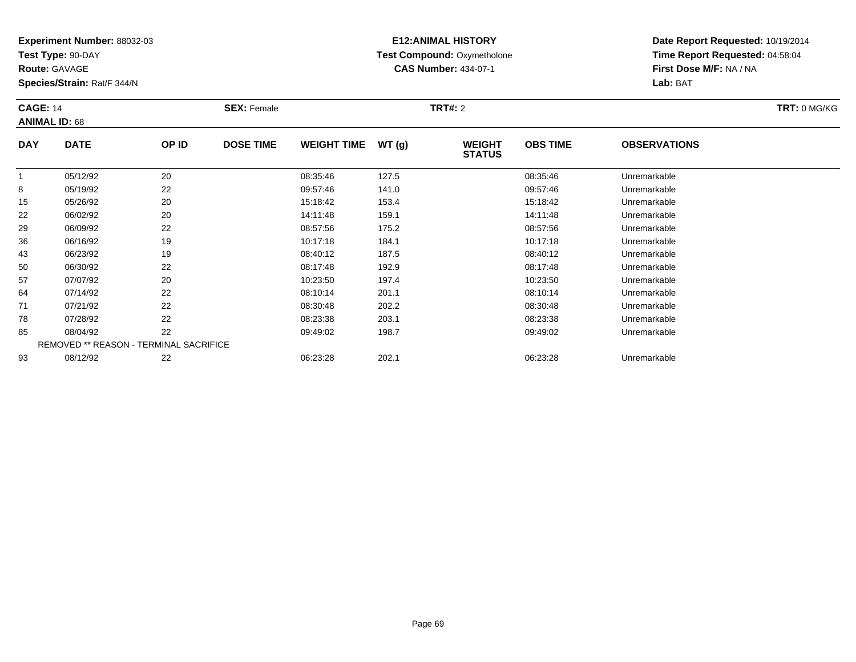**Test Type:** 90-DAY

**Route:** GAVAGE

**Species/Strain:** Rat/F 344/N

# **E12:ANIMAL HISTORY Test Compound:** Oxymetholone**CAS Number:** 434-07-1

| <b>CAGE: 14</b> | <b>ANIMAL ID: 68</b>                          |       | <b>SEX: Female</b> |                    |       | <b>TRT#: 2</b>                 |                 |                     | TRT: 0 MG/KG |
|-----------------|-----------------------------------------------|-------|--------------------|--------------------|-------|--------------------------------|-----------------|---------------------|--------------|
| <b>DAY</b>      | <b>DATE</b>                                   | OP ID | <b>DOSE TIME</b>   | <b>WEIGHT TIME</b> | WT(g) | <b>WEIGHT</b><br><b>STATUS</b> | <b>OBS TIME</b> | <b>OBSERVATIONS</b> |              |
|                 | 05/12/92                                      | 20    |                    | 08:35:46           | 127.5 |                                | 08:35:46        | Unremarkable        |              |
| 8               | 05/19/92                                      | 22    |                    | 09:57:46           | 141.0 |                                | 09:57:46        | Unremarkable        |              |
| 15              | 05/26/92                                      | 20    |                    | 15:18:42           | 153.4 |                                | 15:18:42        | Unremarkable        |              |
| 22              | 06/02/92                                      | 20    |                    | 14:11:48           | 159.1 |                                | 14:11:48        | Unremarkable        |              |
| 29              | 06/09/92                                      | 22    |                    | 08:57:56           | 175.2 |                                | 08:57:56        | Unremarkable        |              |
| 36              | 06/16/92                                      | 19    |                    | 10:17:18           | 184.1 |                                | 10:17:18        | Unremarkable        |              |
| 43              | 06/23/92                                      | 19    |                    | 08:40:12           | 187.5 |                                | 08:40:12        | Unremarkable        |              |
| 50              | 06/30/92                                      | 22    |                    | 08:17:48           | 192.9 |                                | 08:17:48        | Unremarkable        |              |
| 57              | 07/07/92                                      | 20    |                    | 10:23:50           | 197.4 |                                | 10:23:50        | Unremarkable        |              |
| 64              | 07/14/92                                      | 22    |                    | 08:10:14           | 201.1 |                                | 08:10:14        | Unremarkable        |              |
| 71              | 07/21/92                                      | 22    |                    | 08:30:48           | 202.2 |                                | 08:30:48        | Unremarkable        |              |
| 78              | 07/28/92                                      | 22    |                    | 08:23:38           | 203.1 |                                | 08:23:38        | Unremarkable        |              |
| 85              | 08/04/92                                      | 22    |                    | 09:49:02           | 198.7 |                                | 09:49:02        | Unremarkable        |              |
|                 | <b>REMOVED ** REASON - TERMINAL SACRIFICE</b> |       |                    |                    |       |                                |                 |                     |              |
| 93              | 08/12/92                                      | 22    |                    | 06:23:28           | 202.1 |                                | 06:23:28        | Unremarkable        |              |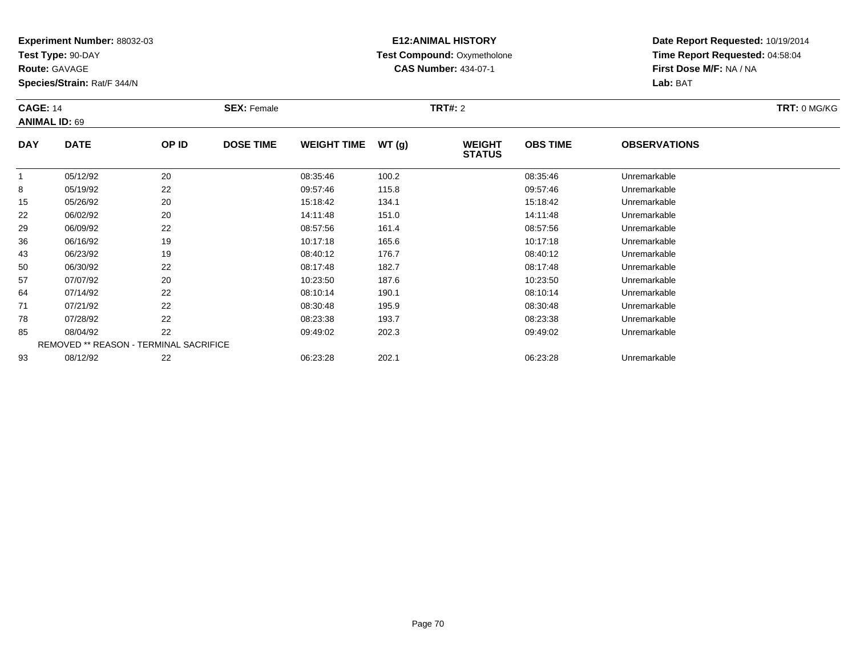**Test Type:** 90-DAY

**Route:** GAVAGE

**Species/Strain:** Rat/F 344/N

# **E12:ANIMAL HISTORY Test Compound:** Oxymetholone**CAS Number:** 434-07-1

| <b>CAGE: 14</b> | <b>ANIMAL ID: 69</b> |                                        | <b>SEX: Female</b> |                    |       | <b>TRT#: 2</b>                 |                 |                     | TRT: 0 MG/KG |
|-----------------|----------------------|----------------------------------------|--------------------|--------------------|-------|--------------------------------|-----------------|---------------------|--------------|
| <b>DAY</b>      | <b>DATE</b>          | OP ID                                  | <b>DOSE TIME</b>   | <b>WEIGHT TIME</b> | WT(g) | <b>WEIGHT</b><br><b>STATUS</b> | <b>OBS TIME</b> | <b>OBSERVATIONS</b> |              |
|                 | 05/12/92             | 20                                     |                    | 08:35:46           | 100.2 |                                | 08:35:46        | Unremarkable        |              |
| 8               | 05/19/92             | 22                                     |                    | 09:57:46           | 115.8 |                                | 09:57:46        | Unremarkable        |              |
| 15              | 05/26/92             | 20                                     |                    | 15:18:42           | 134.1 |                                | 15:18:42        | Unremarkable        |              |
| 22              | 06/02/92             | 20                                     |                    | 14:11:48           | 151.0 |                                | 14:11:48        | Unremarkable        |              |
| 29              | 06/09/92             | 22                                     |                    | 08:57:56           | 161.4 |                                | 08:57:56        | Unremarkable        |              |
| 36              | 06/16/92             | 19                                     |                    | 10:17:18           | 165.6 |                                | 10:17:18        | Unremarkable        |              |
| 43              | 06/23/92             | 19                                     |                    | 08:40:12           | 176.7 |                                | 08:40:12        | Unremarkable        |              |
| 50              | 06/30/92             | 22                                     |                    | 08:17:48           | 182.7 |                                | 08:17:48        | Unremarkable        |              |
| 57              | 07/07/92             | 20                                     |                    | 10:23:50           | 187.6 |                                | 10:23:50        | Unremarkable        |              |
| 64              | 07/14/92             | 22                                     |                    | 08:10:14           | 190.1 |                                | 08:10:14        | Unremarkable        |              |
| 71              | 07/21/92             | 22                                     |                    | 08:30:48           | 195.9 |                                | 08:30:48        | Unremarkable        |              |
| 78              | 07/28/92             | 22                                     |                    | 08:23:38           | 193.7 |                                | 08:23:38        | Unremarkable        |              |
| 85              | 08/04/92             | 22                                     |                    | 09:49:02           | 202.3 |                                | 09:49:02        | Unremarkable        |              |
|                 |                      | REMOVED ** REASON - TERMINAL SACRIFICE |                    |                    |       |                                |                 |                     |              |
| 93              | 08/12/92             | 22                                     |                    | 06:23:28           | 202.1 |                                | 06:23:28        | Unremarkable        |              |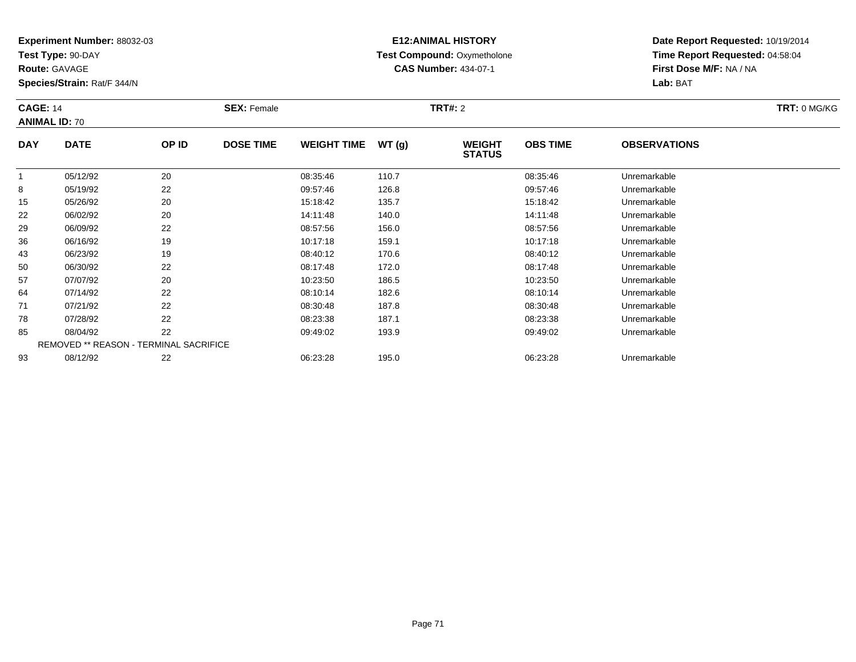**Test Type:** 90-DAY

**Route:** GAVAGE

**Species/Strain:** Rat/F 344/N

# **E12:ANIMAL HISTORY Test Compound:** Oxymetholone**CAS Number:** 434-07-1

**Date Report Requested:** 10/19/2014**Time Report Requested:** 04:58:04**First Dose M/F:** NA / NA**Lab:** BAT

| <b>CAGE: 14</b> | <b>ANIMAL ID: 70</b>                   |       | <b>SEX: Female</b> |                    |       | <b>TRT#: 2</b>                 |                 |                     | TRT: 0 MG/KG |
|-----------------|----------------------------------------|-------|--------------------|--------------------|-------|--------------------------------|-----------------|---------------------|--------------|
| <b>DAY</b>      | <b>DATE</b>                            | OP ID | <b>DOSE TIME</b>   | <b>WEIGHT TIME</b> | WT(g) | <b>WEIGHT</b><br><b>STATUS</b> | <b>OBS TIME</b> | <b>OBSERVATIONS</b> |              |
|                 | 05/12/92                               | 20    |                    | 08:35:46           | 110.7 |                                | 08:35:46        | Unremarkable        |              |
| 8               | 05/19/92                               | 22    |                    | 09:57:46           | 126.8 |                                | 09:57:46        | Unremarkable        |              |
| 15              | 05/26/92                               | 20    |                    | 15:18:42           | 135.7 |                                | 15:18:42        | Unremarkable        |              |
| 22              | 06/02/92                               | 20    |                    | 14:11:48           | 140.0 |                                | 14:11:48        | Unremarkable        |              |
| 29              | 06/09/92                               | 22    |                    | 08:57:56           | 156.0 |                                | 08:57:56        | Unremarkable        |              |
| 36              | 06/16/92                               | 19    |                    | 10:17:18           | 159.1 |                                | 10:17:18        | Unremarkable        |              |
| 43              | 06/23/92                               | 19    |                    | 08:40:12           | 170.6 |                                | 08:40:12        | Unremarkable        |              |
| 50              | 06/30/92                               | 22    |                    | 08:17:48           | 172.0 |                                | 08:17:48        | Unremarkable        |              |
| 57              | 07/07/92                               | 20    |                    | 10:23:50           | 186.5 |                                | 10:23:50        | Unremarkable        |              |
| 64              | 07/14/92                               | 22    |                    | 08:10:14           | 182.6 |                                | 08:10:14        | Unremarkable        |              |
| 71              | 07/21/92                               | 22    |                    | 08:30:48           | 187.8 |                                | 08:30:48        | Unremarkable        |              |
| 78              | 07/28/92                               | 22    |                    | 08:23:38           | 187.1 |                                | 08:23:38        | Unremarkable        |              |
| 85              | 08/04/92                               | 22    |                    | 09:49:02           | 193.9 |                                | 09:49:02        | Unremarkable        |              |
|                 | REMOVED ** REASON - TERMINAL SACRIFICE |       |                    |                    |       |                                |                 |                     |              |
| 93              | 08/12/92                               | 22    |                    | 06:23:28           | 195.0 |                                | 06:23:28        | Unremarkable        |              |

08/12/92 <sup>22</sup> 06:23:28 195.0 06:23:28 Unremarkable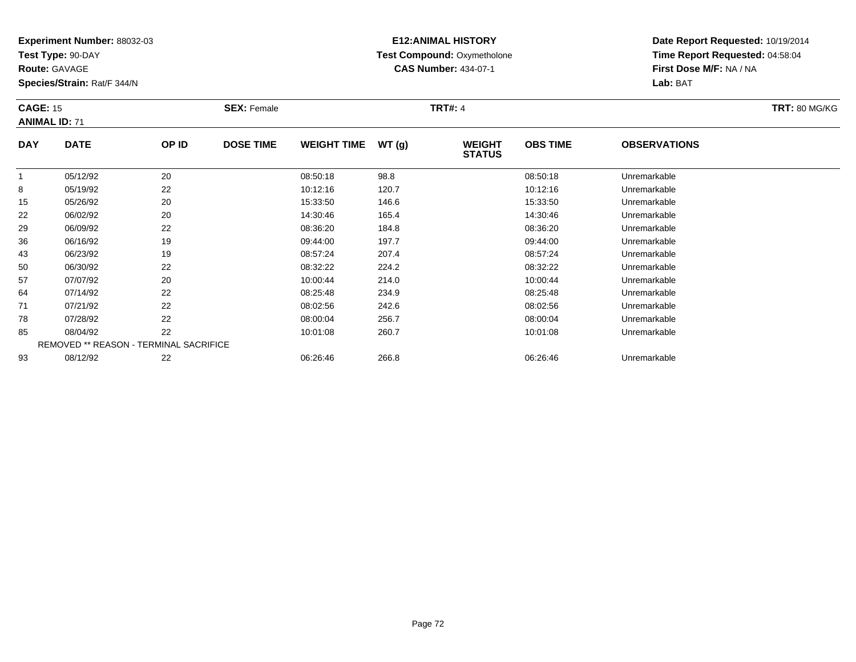**Test Type:** 90-DAY

**Route:** GAVAGE

85

93

**Species/Strain:** Rat/F 344/N

REMOVED \*\* REASON - TERMINAL SACRIFICE

## **E12:ANIMAL HISTORY Test Compound:** Oxymetholone**CAS Number:** 434-07-1

**Date Report Requested:** 10/19/2014**Time Report Requested:** 04:58:04**First Dose M/F:** NA / NA**Lab:** BAT

|            | <b>CAGE: 15</b><br><b>ANIMAL ID: 71</b> |       | <b>SEX: Female</b> |                    |       | <b>TRT#: 4</b>                 | <b>TRT: 80 MG/KG</b> |                     |  |
|------------|-----------------------------------------|-------|--------------------|--------------------|-------|--------------------------------|----------------------|---------------------|--|
| <b>DAY</b> | <b>DATE</b>                             | OP ID | <b>DOSE TIME</b>   | <b>WEIGHT TIME</b> | WT(g) | <b>WEIGHT</b><br><b>STATUS</b> | <b>OBS TIME</b>      | <b>OBSERVATIONS</b> |  |
|            | 05/12/92                                | 20    |                    | 08:50:18           | 98.8  |                                | 08:50:18             | Unremarkable        |  |
| 8          | 05/19/92                                | 22    |                    | 10:12:16           | 120.7 |                                | 10:12:16             | Unremarkable        |  |
| 15         | 05/26/92                                | 20    |                    | 15:33:50           | 146.6 |                                | 15:33:50             | Unremarkable        |  |
| 22         | 06/02/92                                | 20    |                    | 14:30:46           | 165.4 |                                | 14:30:46             | Unremarkable        |  |
| 29         | 06/09/92                                | 22    |                    | 08:36:20           | 184.8 |                                | 08:36:20             | Unremarkable        |  |
| 36         | 06/16/92                                | 19    |                    | 09:44:00           | 197.7 |                                | 09:44:00             | Unremarkable        |  |
| 43         | 06/23/92                                | 19    |                    | 08:57:24           | 207.4 |                                | 08:57:24             | Unremarkable        |  |
| 50         | 06/30/92                                | 22    |                    | 08:32:22           | 224.2 |                                | 08:32:22             | Unremarkable        |  |
| 57         | 07/07/92                                | 20    |                    | 10:00:44           | 214.0 |                                | 10:00:44             | Unremarkable        |  |
| 64         | 07/14/92                                | 22    |                    | 08:25:48           | 234.9 |                                | 08:25:48             | Unremarkable        |  |
| 71         | 07/21/92                                | 22    |                    | 08:02:56           | 242.6 |                                | 08:02:56             | Unremarkable        |  |
| 78         | 07/28/92                                | 22    |                    | 08:00:04           | 256.7 |                                | 08:00:04             | Unremarkable        |  |

07/28/92 <sup>22</sup> 08:00:04 256.7 08:00:04 Unremarkable

08/04/92 <sup>22</sup> 10:01:08 260.7 10:01:08 Unremarkable

08/12/92 <sup>22</sup> 06:26:46 266.8 06:26:46 Unremarkable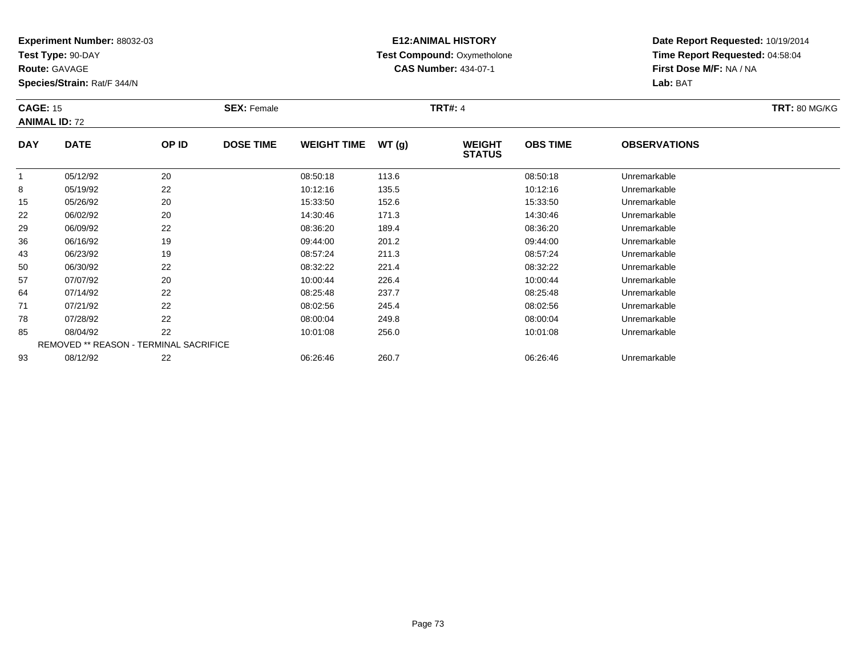**Test Type:** 90-DAY

**Route:** GAVAGE

93

**Species/Strain:** Rat/F 344/N

#### **E12:ANIMAL HISTORY Test Compound:** Oxymetholone**CAS Number:** 434-07-1

**Date Report Requested:** 10/19/2014**Time Report Requested:** 04:58:04**First Dose M/F:** NA / NA**Lab:** BAT

| <b>CAGE: 15</b> | <b>ANIMAL ID: 72</b>                          |       | <b>SEX: Female</b> |                    |       | <b>TRT#: 4</b>                 |                 |                     | <b>TRT: 80 MG/KG</b> |
|-----------------|-----------------------------------------------|-------|--------------------|--------------------|-------|--------------------------------|-----------------|---------------------|----------------------|
| <b>DAY</b>      | <b>DATE</b>                                   | OP ID | <b>DOSE TIME</b>   | <b>WEIGHT TIME</b> | WT(g) | <b>WEIGHT</b><br><b>STATUS</b> | <b>OBS TIME</b> | <b>OBSERVATIONS</b> |                      |
|                 | 05/12/92                                      | 20    |                    | 08:50:18           | 113.6 |                                | 08:50:18        | Unremarkable        |                      |
| 8               | 05/19/92                                      | 22    |                    | 10:12:16           | 135.5 |                                | 10:12:16        | Unremarkable        |                      |
| 15              | 05/26/92                                      | 20    |                    | 15:33:50           | 152.6 |                                | 15:33:50        | Unremarkable        |                      |
| 22              | 06/02/92                                      | 20    |                    | 14:30:46           | 171.3 |                                | 14:30:46        | Unremarkable        |                      |
| 29              | 06/09/92                                      | 22    |                    | 08:36:20           | 189.4 |                                | 08:36:20        | Unremarkable        |                      |
| 36              | 06/16/92                                      | 19    |                    | 09:44:00           | 201.2 |                                | 09:44:00        | Unremarkable        |                      |
| 43              | 06/23/92                                      | 19    |                    | 08:57:24           | 211.3 |                                | 08:57:24        | Unremarkable        |                      |
| 50              | 06/30/92                                      | 22    |                    | 08:32:22           | 221.4 |                                | 08:32:22        | Unremarkable        |                      |
| 57              | 07/07/92                                      | 20    |                    | 10:00:44           | 226.4 |                                | 10:00:44        | Unremarkable        |                      |
| 64              | 07/14/92                                      | 22    |                    | 08:25:48           | 237.7 |                                | 08:25:48        | Unremarkable        |                      |
| 71              | 07/21/92                                      | 22    |                    | 08:02:56           | 245.4 |                                | 08:02:56        | Unremarkable        |                      |
| 78              | 07/28/92                                      | 22    |                    | 08:00:04           | 249.8 |                                | 08:00:04        | Unremarkable        |                      |
| 85              | 08/04/92                                      | 22    |                    | 10:01:08           | 256.0 |                                | 10:01:08        | Unremarkable        |                      |
|                 | <b>REMOVED ** REASON - TERMINAL SACRIFICE</b> |       |                    |                    |       |                                |                 |                     |                      |

08/12/92 <sup>22</sup> 06:26:46 260.7 06:26:46 Unremarkable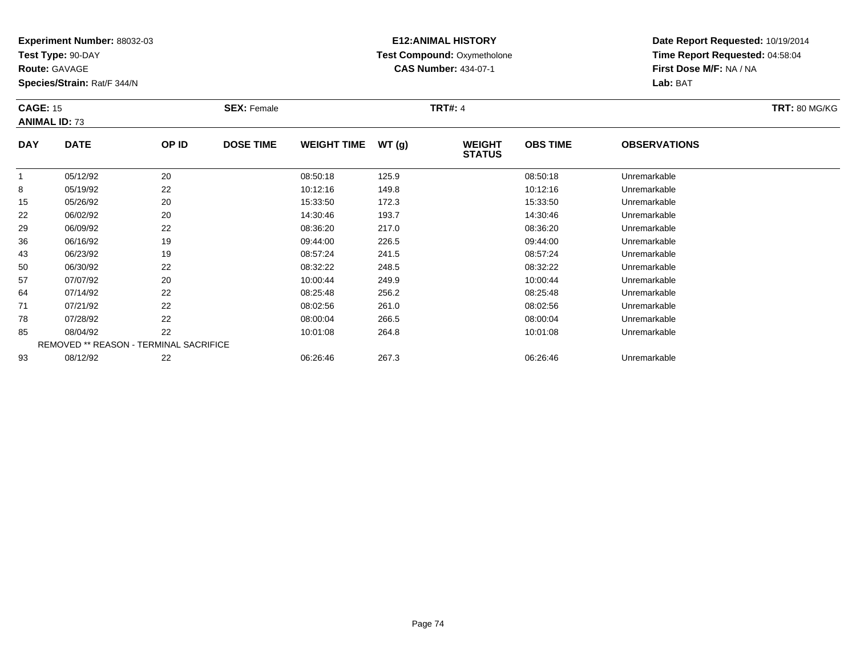**Test Type:** 90-DAY

**Route:** GAVAGE

93

**Species/Strain:** Rat/F 344/N

# **E12:ANIMAL HISTORY Test Compound:** Oxymetholone**CAS Number:** 434-07-1

**Date Report Requested:** 10/19/2014**Time Report Requested:** 04:58:04**First Dose M/F:** NA / NA**Lab:** BAT

|            | <b>CAGE: 15</b><br><b>ANIMAL ID: 73</b>       |       | <b>SEX: Female</b> |                    |       | <b>TRT#: 4</b>                 | <b>TRT: 80 MG/KG</b> |                     |  |
|------------|-----------------------------------------------|-------|--------------------|--------------------|-------|--------------------------------|----------------------|---------------------|--|
| <b>DAY</b> | <b>DATE</b>                                   | OP ID | <b>DOSE TIME</b>   | <b>WEIGHT TIME</b> | WT(g) | <b>WEIGHT</b><br><b>STATUS</b> | <b>OBS TIME</b>      | <b>OBSERVATIONS</b> |  |
|            | 05/12/92                                      | 20    |                    | 08:50:18           | 125.9 |                                | 08:50:18             | Unremarkable        |  |
| 8          | 05/19/92                                      | 22    |                    | 10:12:16           | 149.8 |                                | 10:12:16             | Unremarkable        |  |
| 15         | 05/26/92                                      | 20    |                    | 15:33:50           | 172.3 |                                | 15:33:50             | Unremarkable        |  |
| 22         | 06/02/92                                      | 20    |                    | 14:30:46           | 193.7 |                                | 14:30:46             | Unremarkable        |  |
| 29         | 06/09/92                                      | 22    |                    | 08:36:20           | 217.0 |                                | 08:36:20             | Unremarkable        |  |
| 36         | 06/16/92                                      | 19    |                    | 09:44:00           | 226.5 |                                | 09:44:00             | Unremarkable        |  |
| 43         | 06/23/92                                      | 19    |                    | 08:57:24           | 241.5 |                                | 08:57:24             | Unremarkable        |  |
| 50         | 06/30/92                                      | 22    |                    | 08:32:22           | 248.5 |                                | 08:32:22             | Unremarkable        |  |
| 57         | 07/07/92                                      | 20    |                    | 10:00:44           | 249.9 |                                | 10:00:44             | Unremarkable        |  |
| 64         | 07/14/92                                      | 22    |                    | 08:25:48           | 256.2 |                                | 08:25:48             | Unremarkable        |  |
| 71         | 07/21/92                                      | 22    |                    | 08:02:56           | 261.0 |                                | 08:02:56             | Unremarkable        |  |
| 78         | 07/28/92                                      | 22    |                    | 08:00:04           | 266.5 |                                | 08:00:04             | Unremarkable        |  |
| 85         | 08/04/92                                      | 22    |                    | 10:01:08           | 264.8 |                                | 10:01:08             | Unremarkable        |  |
|            | <b>REMOVED ** REASON - TERMINAL SACRIFICE</b> |       |                    |                    |       |                                |                      |                     |  |

08/12/92 <sup>22</sup> 06:26:46 267.3 06:26:46 Unremarkable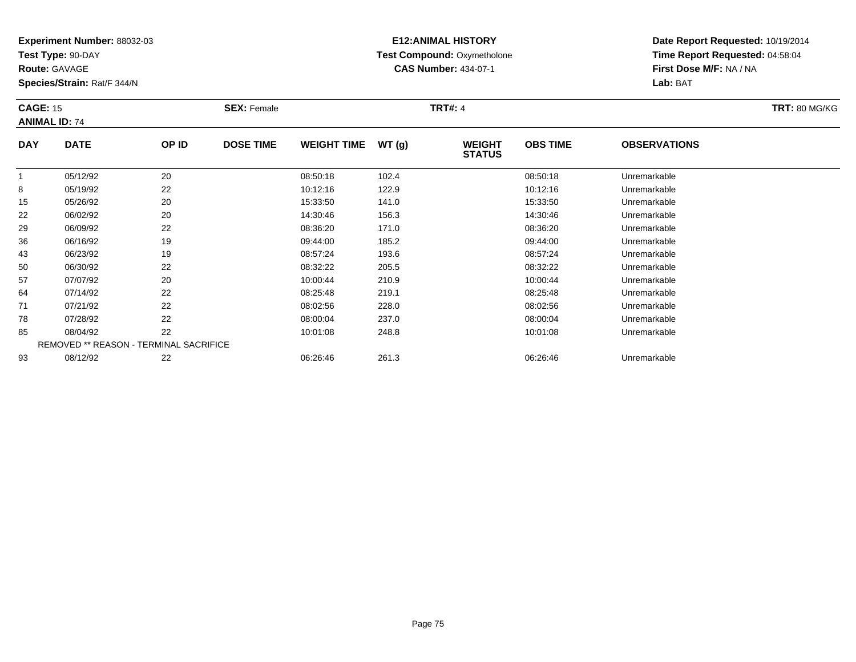**Test Type:** 90-DAY

**Route:** GAVAGE

**Species/Strain:** Rat/F 344/N

# **E12:ANIMAL HISTORY Test Compound:** Oxymetholone**CAS Number:** 434-07-1

| <b>CAGE: 15</b><br><b>ANIMAL ID: 74</b> |                                               |       | <b>SEX: Female</b> |                    |       | <b>TRT#: 4</b>                 |                 |                     | <b>TRT: 80 MG/KG</b> |
|-----------------------------------------|-----------------------------------------------|-------|--------------------|--------------------|-------|--------------------------------|-----------------|---------------------|----------------------|
| <b>DAY</b>                              | <b>DATE</b>                                   | OP ID | <b>DOSE TIME</b>   | <b>WEIGHT TIME</b> | WT(g) | <b>WEIGHT</b><br><b>STATUS</b> | <b>OBS TIME</b> | <b>OBSERVATIONS</b> |                      |
|                                         | 05/12/92                                      | 20    |                    | 08:50:18           | 102.4 |                                | 08:50:18        | Unremarkable        |                      |
| 8                                       | 05/19/92                                      | 22    |                    | 10:12:16           | 122.9 |                                | 10:12:16        | Unremarkable        |                      |
| 15                                      | 05/26/92                                      | 20    |                    | 15:33:50           | 141.0 |                                | 15:33:50        | Unremarkable        |                      |
| 22                                      | 06/02/92                                      | 20    |                    | 14:30:46           | 156.3 |                                | 14:30:46        | Unremarkable        |                      |
| 29                                      | 06/09/92                                      | 22    |                    | 08:36:20           | 171.0 |                                | 08:36:20        | Unremarkable        |                      |
| 36                                      | 06/16/92                                      | 19    |                    | 09:44:00           | 185.2 |                                | 09:44:00        | Unremarkable        |                      |
| 43                                      | 06/23/92                                      | 19    |                    | 08:57:24           | 193.6 |                                | 08:57:24        | Unremarkable        |                      |
| 50                                      | 06/30/92                                      | 22    |                    | 08:32:22           | 205.5 |                                | 08:32:22        | Unremarkable        |                      |
| 57                                      | 07/07/92                                      | 20    |                    | 10:00:44           | 210.9 |                                | 10:00:44        | Unremarkable        |                      |
| 64                                      | 07/14/92                                      | 22    |                    | 08:25:48           | 219.1 |                                | 08:25:48        | Unremarkable        |                      |
| 71                                      | 07/21/92                                      | 22    |                    | 08:02:56           | 228.0 |                                | 08:02:56        | Unremarkable        |                      |
| 78                                      | 07/28/92                                      | 22    |                    | 08:00:04           | 237.0 |                                | 08:00:04        | Unremarkable        |                      |
| 85                                      | 08/04/92                                      | 22    |                    | 10:01:08           | 248.8 |                                | 10:01:08        | Unremarkable        |                      |
|                                         | <b>REMOVED ** REASON - TERMINAL SACRIFICE</b> |       |                    |                    |       |                                |                 |                     |                      |
| 93                                      | 08/12/92                                      | 22    |                    | 06:26:46           | 261.3 |                                | 06:26:46        | Unremarkable        |                      |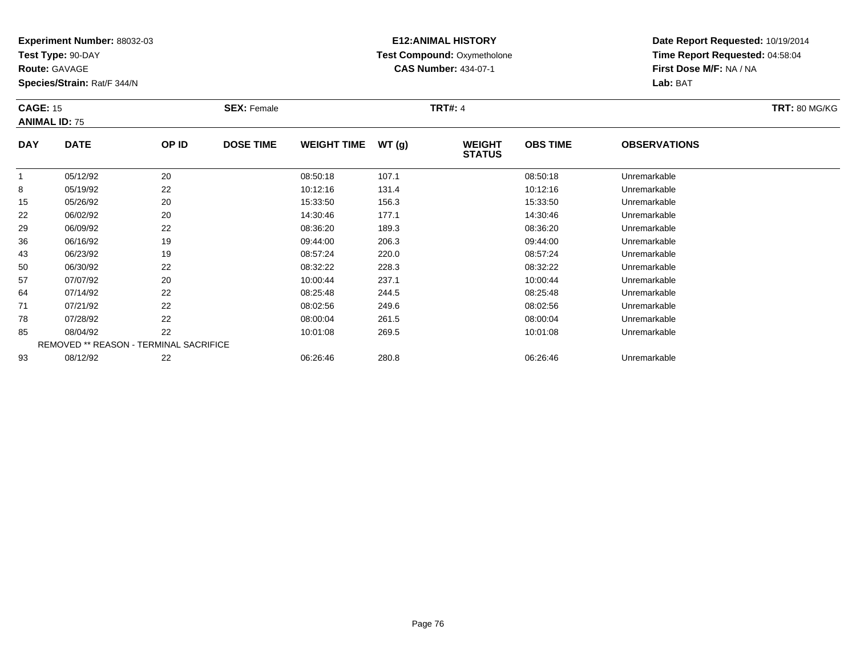**Test Type:** 90-DAY

**Route:** GAVAGE

**Species/Strain:** Rat/F 344/N

# **E12:ANIMAL HISTORY Test Compound:** Oxymetholone**CAS Number:** 434-07-1

| <b>CAGE: 15</b> | <b>ANIMAL ID: 75</b>                          |       | <b>SEX: Female</b> |                    |       | <b>TRT#: 4</b>                 |                 |                     | <b>TRT: 80 MG/KG</b> |
|-----------------|-----------------------------------------------|-------|--------------------|--------------------|-------|--------------------------------|-----------------|---------------------|----------------------|
| <b>DAY</b>      | <b>DATE</b>                                   | OP ID | <b>DOSE TIME</b>   | <b>WEIGHT TIME</b> | WT(g) | <b>WEIGHT</b><br><b>STATUS</b> | <b>OBS TIME</b> | <b>OBSERVATIONS</b> |                      |
| 1               | 05/12/92                                      | 20    |                    | 08:50:18           | 107.1 |                                | 08:50:18        | Unremarkable        |                      |
| 8               | 05/19/92                                      | 22    |                    | 10:12:16           | 131.4 |                                | 10:12:16        | Unremarkable        |                      |
| 15              | 05/26/92                                      | 20    |                    | 15:33:50           | 156.3 |                                | 15:33:50        | Unremarkable        |                      |
| 22              | 06/02/92                                      | 20    |                    | 14:30:46           | 177.1 |                                | 14:30:46        | Unremarkable        |                      |
| 29              | 06/09/92                                      | 22    |                    | 08:36:20           | 189.3 |                                | 08:36:20        | Unremarkable        |                      |
| 36              | 06/16/92                                      | 19    |                    | 09:44:00           | 206.3 |                                | 09:44:00        | Unremarkable        |                      |
| 43              | 06/23/92                                      | 19    |                    | 08:57:24           | 220.0 |                                | 08:57:24        | Unremarkable        |                      |
| 50              | 06/30/92                                      | 22    |                    | 08:32:22           | 228.3 |                                | 08:32:22        | Unremarkable        |                      |
| 57              | 07/07/92                                      | 20    |                    | 10:00:44           | 237.1 |                                | 10:00:44        | Unremarkable        |                      |
| 64              | 07/14/92                                      | 22    |                    | 08:25:48           | 244.5 |                                | 08:25:48        | Unremarkable        |                      |
| 71              | 07/21/92                                      | 22    |                    | 08:02:56           | 249.6 |                                | 08:02:56        | Unremarkable        |                      |
| 78              | 07/28/92                                      | 22    |                    | 08:00:04           | 261.5 |                                | 08:00:04        | Unremarkable        |                      |
| 85              | 08/04/92                                      | 22    |                    | 10:01:08           | 269.5 |                                | 10:01:08        | Unremarkable        |                      |
|                 | <b>REMOVED ** REASON - TERMINAL SACRIFICE</b> |       |                    |                    |       |                                |                 |                     |                      |
| 93              | 08/12/92                                      | 22    |                    | 06:26:46           | 280.8 |                                | 06:26:46        | Unremarkable        |                      |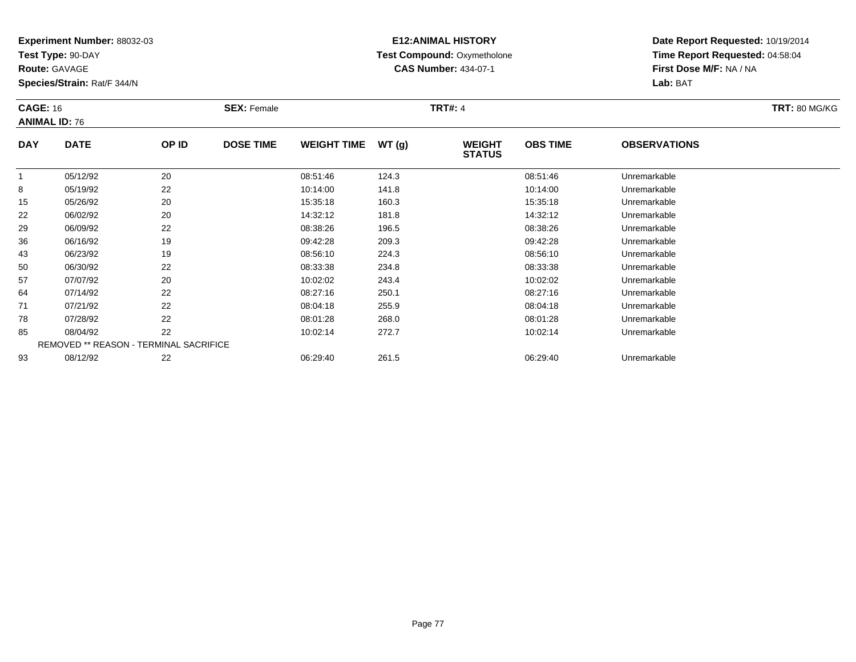**Test Type:** 90-DAY

**Route:** GAVAGE

**Species/Strain:** Rat/F 344/N

# **E12:ANIMAL HISTORY Test Compound:** Oxymetholone**CAS Number:** 434-07-1

| <b>CAGE: 16</b><br><b>ANIMAL ID: 76</b> |                                               |       | <b>SEX: Female</b> |                    |       | <b>TRT#: 4</b>                 |                 |                     | <b>TRT: 80 MG/KG</b> |
|-----------------------------------------|-----------------------------------------------|-------|--------------------|--------------------|-------|--------------------------------|-----------------|---------------------|----------------------|
| <b>DAY</b>                              | <b>DATE</b>                                   | OP ID | <b>DOSE TIME</b>   | <b>WEIGHT TIME</b> | WT(g) | <b>WEIGHT</b><br><b>STATUS</b> | <b>OBS TIME</b> | <b>OBSERVATIONS</b> |                      |
|                                         | 05/12/92                                      | 20    |                    | 08:51:46           | 124.3 |                                | 08:51:46        | Unremarkable        |                      |
| 8                                       | 05/19/92                                      | 22    |                    | 10:14:00           | 141.8 |                                | 10:14:00        | Unremarkable        |                      |
| 15                                      | 05/26/92                                      | 20    |                    | 15:35:18           | 160.3 |                                | 15:35:18        | Unremarkable        |                      |
| 22                                      | 06/02/92                                      | 20    |                    | 14:32:12           | 181.8 |                                | 14:32:12        | Unremarkable        |                      |
| 29                                      | 06/09/92                                      | 22    |                    | 08:38:26           | 196.5 |                                | 08:38:26        | Unremarkable        |                      |
| 36                                      | 06/16/92                                      | 19    |                    | 09:42:28           | 209.3 |                                | 09:42:28        | Unremarkable        |                      |
| 43                                      | 06/23/92                                      | 19    |                    | 08:56:10           | 224.3 |                                | 08:56:10        | Unremarkable        |                      |
| 50                                      | 06/30/92                                      | 22    |                    | 08:33:38           | 234.8 |                                | 08:33:38        | Unremarkable        |                      |
| 57                                      | 07/07/92                                      | 20    |                    | 10:02:02           | 243.4 |                                | 10:02:02        | Unremarkable        |                      |
| 64                                      | 07/14/92                                      | 22    |                    | 08:27:16           | 250.1 |                                | 08:27:16        | Unremarkable        |                      |
| 71                                      | 07/21/92                                      | 22    |                    | 08:04:18           | 255.9 |                                | 08:04:18        | Unremarkable        |                      |
| 78                                      | 07/28/92                                      | 22    |                    | 08:01:28           | 268.0 |                                | 08:01:28        | Unremarkable        |                      |
| 85                                      | 08/04/92                                      | 22    |                    | 10:02:14           | 272.7 |                                | 10:02:14        | Unremarkable        |                      |
|                                         | <b>REMOVED ** REASON - TERMINAL SACRIFICE</b> |       |                    |                    |       |                                |                 |                     |                      |
| 93                                      | 08/12/92                                      | 22    |                    | 06:29:40           | 261.5 |                                | 06:29:40        | Unremarkable        |                      |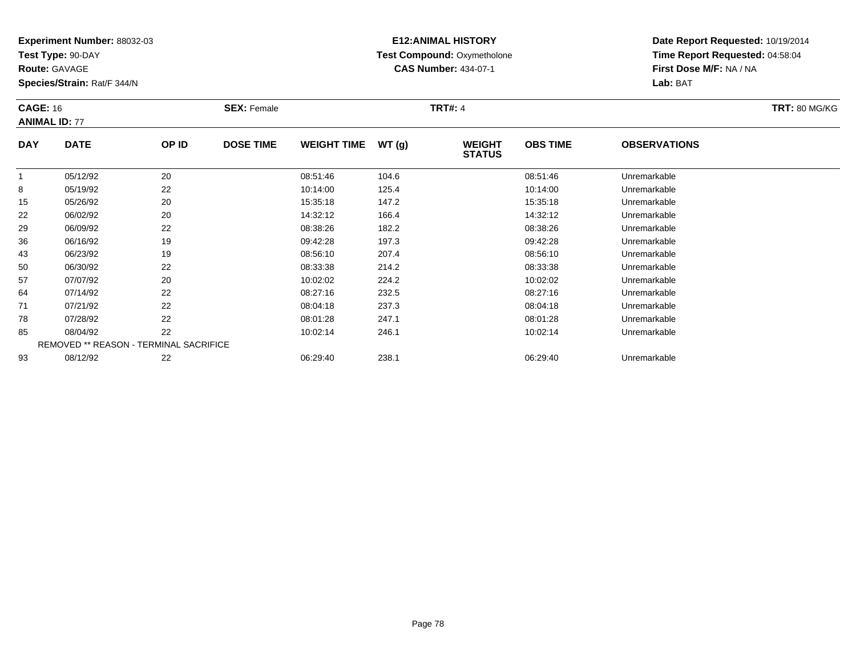**Test Type:** 90-DAY

**Route:** GAVAGE

93

**Species/Strain:** Rat/F 344/N

# **E12:ANIMAL HISTORY Test Compound:** Oxymetholone**CAS Number:** 434-07-1

**Date Report Requested:** 10/19/2014**Time Report Requested:** 04:58:04**First Dose M/F:** NA / NA**Lab:** BAT

| <b>CAGE: 16</b> | <b>ANIMAL ID: 77</b>                          |       | <b>SEX: Female</b> |                    |       | <b>TRT#: 4</b>                 |                 |                     | <b>TRT: 80 MG/KG</b> |
|-----------------|-----------------------------------------------|-------|--------------------|--------------------|-------|--------------------------------|-----------------|---------------------|----------------------|
| <b>DAY</b>      | <b>DATE</b>                                   | OP ID | <b>DOSE TIME</b>   | <b>WEIGHT TIME</b> | WT(g) | <b>WEIGHT</b><br><b>STATUS</b> | <b>OBS TIME</b> | <b>OBSERVATIONS</b> |                      |
| $\mathbf{1}$    | 05/12/92                                      | 20    |                    | 08:51:46           | 104.6 |                                | 08:51:46        | Unremarkable        |                      |
| 8               | 05/19/92                                      | 22    |                    | 10:14:00           | 125.4 |                                | 10:14:00        | Unremarkable        |                      |
| 15              | 05/26/92                                      | 20    |                    | 15:35:18           | 147.2 |                                | 15:35:18        | Unremarkable        |                      |
| 22              | 06/02/92                                      | 20    |                    | 14:32:12           | 166.4 |                                | 14:32:12        | Unremarkable        |                      |
| 29              | 06/09/92                                      | 22    |                    | 08:38:26           | 182.2 |                                | 08:38:26        | Unremarkable        |                      |
| 36              | 06/16/92                                      | 19    |                    | 09:42:28           | 197.3 |                                | 09:42:28        | Unremarkable        |                      |
| 43              | 06/23/92                                      | 19    |                    | 08:56:10           | 207.4 |                                | 08:56:10        | Unremarkable        |                      |
| 50              | 06/30/92                                      | 22    |                    | 08:33:38           | 214.2 |                                | 08:33:38        | Unremarkable        |                      |
| 57              | 07/07/92                                      | 20    |                    | 10:02:02           | 224.2 |                                | 10:02:02        | Unremarkable        |                      |
| 64              | 07/14/92                                      | 22    |                    | 08:27:16           | 232.5 |                                | 08:27:16        | Unremarkable        |                      |
| 71              | 07/21/92                                      | 22    |                    | 08:04:18           | 237.3 |                                | 08:04:18        | Unremarkable        |                      |
| 78              | 07/28/92                                      | 22    |                    | 08:01:28           | 247.1 |                                | 08:01:28        | Unremarkable        |                      |
| 85              | 08/04/92                                      | 22    |                    | 10:02:14           | 246.1 |                                | 10:02:14        | Unremarkable        |                      |
|                 | <b>REMOVED ** REASON - TERMINAL SACRIFICE</b> |       |                    |                    |       |                                |                 |                     |                      |

08/12/92 <sup>22</sup> 06:29:40 238.1 06:29:40 Unremarkable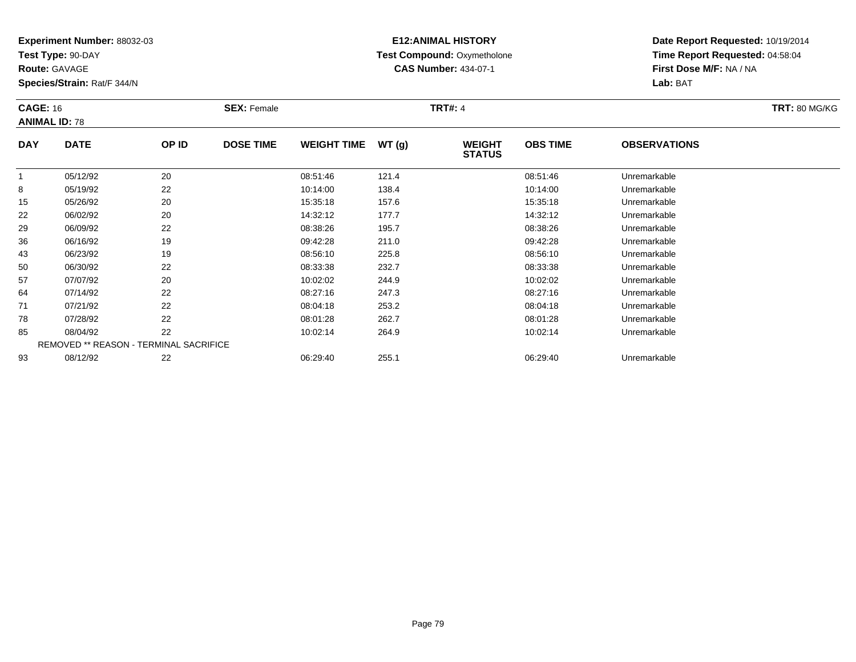**Test Type:** 90-DAY

**Route:** GAVAGE

**Species/Strain:** Rat/F 344/N

# **E12:ANIMAL HISTORY Test Compound:** Oxymetholone**CAS Number:** 434-07-1

| <b>CAGE: 16</b> | <b>ANIMAL ID: 78</b>                          |       | <b>SEX: Female</b> |                    |       | <b>TRT#: 4</b>                 |                 |                     | <b>TRT: 80 MG/KG</b> |
|-----------------|-----------------------------------------------|-------|--------------------|--------------------|-------|--------------------------------|-----------------|---------------------|----------------------|
| <b>DAY</b>      | <b>DATE</b>                                   | OP ID | <b>DOSE TIME</b>   | <b>WEIGHT TIME</b> | WT(g) | <b>WEIGHT</b><br><b>STATUS</b> | <b>OBS TIME</b> | <b>OBSERVATIONS</b> |                      |
|                 | 05/12/92                                      | 20    |                    | 08:51:46           | 121.4 |                                | 08:51:46        | Unremarkable        |                      |
| 8               | 05/19/92                                      | 22    |                    | 10:14:00           | 138.4 |                                | 10:14:00        | Unremarkable        |                      |
| 15              | 05/26/92                                      | 20    |                    | 15:35:18           | 157.6 |                                | 15:35:18        | Unremarkable        |                      |
| 22              | 06/02/92                                      | 20    |                    | 14:32:12           | 177.7 |                                | 14:32:12        | Unremarkable        |                      |
| 29              | 06/09/92                                      | 22    |                    | 08:38:26           | 195.7 |                                | 08:38:26        | Unremarkable        |                      |
| 36              | 06/16/92                                      | 19    |                    | 09:42:28           | 211.0 |                                | 09:42:28        | Unremarkable        |                      |
| 43              | 06/23/92                                      | 19    |                    | 08:56:10           | 225.8 |                                | 08:56:10        | Unremarkable        |                      |
| 50              | 06/30/92                                      | 22    |                    | 08:33:38           | 232.7 |                                | 08:33:38        | Unremarkable        |                      |
| 57              | 07/07/92                                      | 20    |                    | 10:02:02           | 244.9 |                                | 10:02:02        | Unremarkable        |                      |
| 64              | 07/14/92                                      | 22    |                    | 08:27:16           | 247.3 |                                | 08:27:16        | Unremarkable        |                      |
| 71              | 07/21/92                                      | 22    |                    | 08:04:18           | 253.2 |                                | 08:04:18        | Unremarkable        |                      |
| 78              | 07/28/92                                      | 22    |                    | 08:01:28           | 262.7 |                                | 08:01:28        | Unremarkable        |                      |
| 85              | 08/04/92                                      | 22    |                    | 10:02:14           | 264.9 |                                | 10:02:14        | Unremarkable        |                      |
|                 | <b>REMOVED ** REASON - TERMINAL SACRIFICE</b> |       |                    |                    |       |                                |                 |                     |                      |
| 93              | 08/12/92                                      | 22    |                    | 06:29:40           | 255.1 |                                | 06:29:40        | Unremarkable        |                      |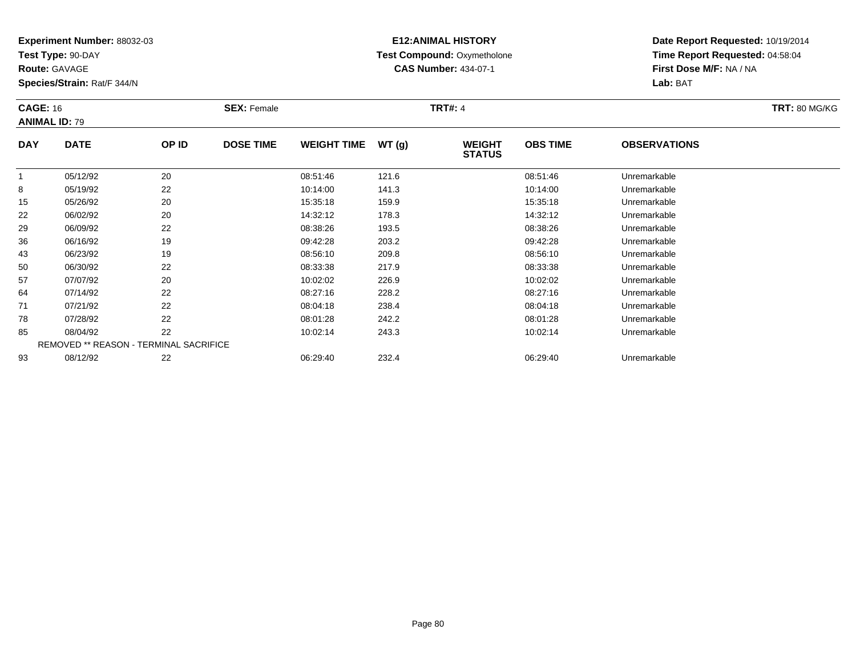**Test Type:** 90-DAY

**Route:** GAVAGE

**Species/Strain:** Rat/F 344/N

# **E12:ANIMAL HISTORY Test Compound:** Oxymetholone**CAS Number:** 434-07-1

| <b>CAGE: 16</b> | <b>ANIMAL ID: 79</b>                          |       | <b>SEX: Female</b> |                    |       | <b>TRT#: 4</b>                 |                 |                     | <b>TRT: 80 MG/KG</b> |
|-----------------|-----------------------------------------------|-------|--------------------|--------------------|-------|--------------------------------|-----------------|---------------------|----------------------|
| <b>DAY</b>      | <b>DATE</b>                                   | OP ID | <b>DOSE TIME</b>   | <b>WEIGHT TIME</b> | WT(g) | <b>WEIGHT</b><br><b>STATUS</b> | <b>OBS TIME</b> | <b>OBSERVATIONS</b> |                      |
|                 | 05/12/92                                      | 20    |                    | 08:51:46           | 121.6 |                                | 08:51:46        | Unremarkable        |                      |
| 8               | 05/19/92                                      | 22    |                    | 10:14:00           | 141.3 |                                | 10:14:00        | Unremarkable        |                      |
| 15              | 05/26/92                                      | 20    |                    | 15:35:18           | 159.9 |                                | 15:35:18        | Unremarkable        |                      |
| 22              | 06/02/92                                      | 20    |                    | 14:32:12           | 178.3 |                                | 14:32:12        | Unremarkable        |                      |
| 29              | 06/09/92                                      | 22    |                    | 08:38:26           | 193.5 |                                | 08:38:26        | Unremarkable        |                      |
| 36              | 06/16/92                                      | 19    |                    | 09:42:28           | 203.2 |                                | 09:42:28        | Unremarkable        |                      |
| 43              | 06/23/92                                      | 19    |                    | 08:56:10           | 209.8 |                                | 08:56:10        | Unremarkable        |                      |
| 50              | 06/30/92                                      | 22    |                    | 08:33:38           | 217.9 |                                | 08:33:38        | Unremarkable        |                      |
| 57              | 07/07/92                                      | 20    |                    | 10:02:02           | 226.9 |                                | 10:02:02        | Unremarkable        |                      |
| 64              | 07/14/92                                      | 22    |                    | 08:27:16           | 228.2 |                                | 08:27:16        | Unremarkable        |                      |
| 71              | 07/21/92                                      | 22    |                    | 08:04:18           | 238.4 |                                | 08:04:18        | Unremarkable        |                      |
| 78              | 07/28/92                                      | 22    |                    | 08:01:28           | 242.2 |                                | 08:01:28        | Unremarkable        |                      |
| 85              | 08/04/92                                      | 22    |                    | 10:02:14           | 243.3 |                                | 10:02:14        | Unremarkable        |                      |
|                 | <b>REMOVED ** REASON - TERMINAL SACRIFICE</b> |       |                    |                    |       |                                |                 |                     |                      |
| 93              | 08/12/92                                      | 22    |                    | 06:29:40           | 232.4 |                                | 06:29:40        | Unremarkable        |                      |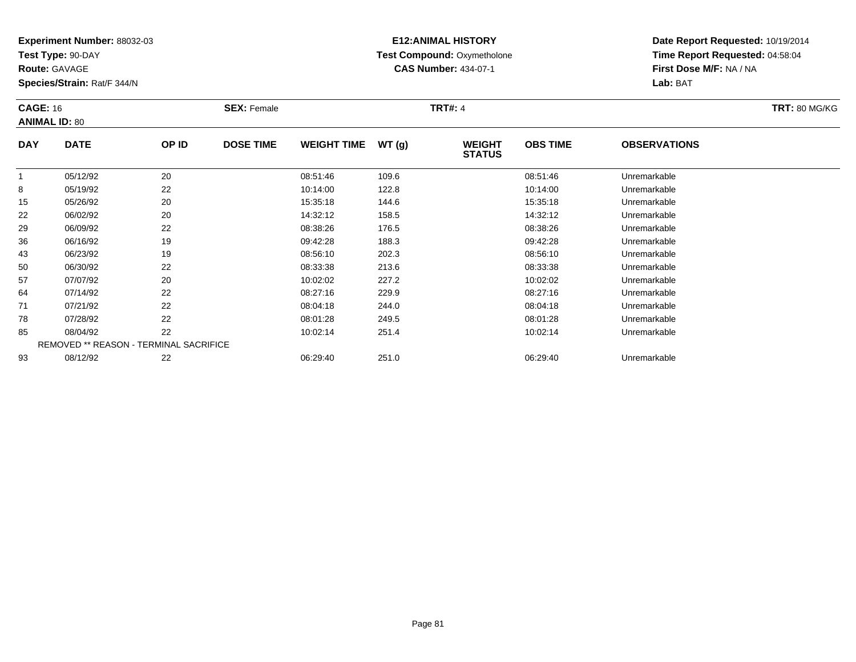**Test Type:** 90-DAY

**Route:** GAVAGE

**Species/Strain:** Rat/F 344/N

# **E12:ANIMAL HISTORY Test Compound:** Oxymetholone**CAS Number:** 434-07-1

| <b>CAGE: 16</b> | <b>ANIMAL ID: 80</b> |                                        | <b>SEX: Female</b> |                    |       | <b>TRT#: 4</b>                 |                 |                     | <b>TRT: 80 MG/KG</b> |
|-----------------|----------------------|----------------------------------------|--------------------|--------------------|-------|--------------------------------|-----------------|---------------------|----------------------|
| <b>DAY</b>      | <b>DATE</b>          | OP ID                                  | <b>DOSE TIME</b>   | <b>WEIGHT TIME</b> | WT(g) | <b>WEIGHT</b><br><b>STATUS</b> | <b>OBS TIME</b> | <b>OBSERVATIONS</b> |                      |
|                 | 05/12/92             | 20                                     |                    | 08:51:46           | 109.6 |                                | 08:51:46        | Unremarkable        |                      |
| 8               | 05/19/92             | 22                                     |                    | 10:14:00           | 122.8 |                                | 10:14:00        | Unremarkable        |                      |
| 15              | 05/26/92             | 20                                     |                    | 15:35:18           | 144.6 |                                | 15:35:18        | Unremarkable        |                      |
| 22              | 06/02/92             | 20                                     |                    | 14:32:12           | 158.5 |                                | 14:32:12        | Unremarkable        |                      |
| 29              | 06/09/92             | 22                                     |                    | 08:38:26           | 176.5 |                                | 08:38:26        | Unremarkable        |                      |
| 36              | 06/16/92             | 19                                     |                    | 09:42:28           | 188.3 |                                | 09:42:28        | Unremarkable        |                      |
| 43              | 06/23/92             | 19                                     |                    | 08:56:10           | 202.3 |                                | 08:56:10        | Unremarkable        |                      |
| 50              | 06/30/92             | 22                                     |                    | 08:33:38           | 213.6 |                                | 08:33:38        | Unremarkable        |                      |
| 57              | 07/07/92             | 20                                     |                    | 10:02:02           | 227.2 |                                | 10:02:02        | Unremarkable        |                      |
| 64              | 07/14/92             | 22                                     |                    | 08:27:16           | 229.9 |                                | 08:27:16        | Unremarkable        |                      |
| 71              | 07/21/92             | 22                                     |                    | 08:04:18           | 244.0 |                                | 08:04:18        | Unremarkable        |                      |
| 78              | 07/28/92             | 22                                     |                    | 08:01:28           | 249.5 |                                | 08:01:28        | Unremarkable        |                      |
| 85              | 08/04/92             | 22                                     |                    | 10:02:14           | 251.4 |                                | 10:02:14        | Unremarkable        |                      |
|                 |                      | REMOVED ** REASON - TERMINAL SACRIFICE |                    |                    |       |                                |                 |                     |                      |
| 93              | 08/12/92             | 22                                     |                    | 06:29:40           | 251.0 |                                | 06:29:40        | Unremarkable        |                      |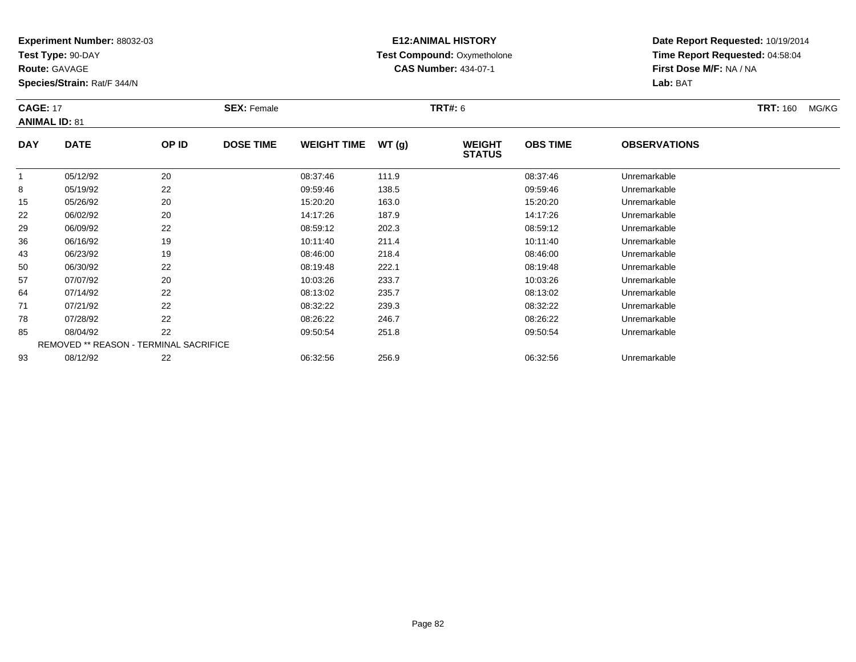**Test Type:** 90-DAY

**Route:** GAVAGE

93

**Species/Strain:** Rat/F 344/N

REMOVED \*\* REASON - TERMINAL SACRIFICE

#### **E12:ANIMAL HISTORY Test Compound:** Oxymetholone**CAS Number:** 434-07-1

**Date Report Requested:** 10/19/2014**Time Report Requested:** 04:58:04**First Dose M/F:** NA / NA**Lab:** BAT

| <b>CAGE: 17</b> | <b>ANIMAL ID: 81</b> |       | <b>SEX: Female</b> |                    |       | <b>TRT#: 6</b>                 |                 |                     | <b>TRT: 160</b> | MG/KG |
|-----------------|----------------------|-------|--------------------|--------------------|-------|--------------------------------|-----------------|---------------------|-----------------|-------|
| <b>DAY</b>      | <b>DATE</b>          | OP ID | <b>DOSE TIME</b>   | <b>WEIGHT TIME</b> | WT(g) | <b>WEIGHT</b><br><b>STATUS</b> | <b>OBS TIME</b> | <b>OBSERVATIONS</b> |                 |       |
| 1               | 05/12/92             | 20    |                    | 08:37:46           | 111.9 |                                | 08:37:46        | Unremarkable        |                 |       |
| 8               | 05/19/92             | 22    |                    | 09:59:46           | 138.5 |                                | 09:59:46        | Unremarkable        |                 |       |
| 15              | 05/26/92             | 20    |                    | 15:20:20           | 163.0 |                                | 15:20:20        | Unremarkable        |                 |       |
| 22              | 06/02/92             | 20    |                    | 14:17:26           | 187.9 |                                | 14:17:26        | Unremarkable        |                 |       |
| 29              | 06/09/92             | 22    |                    | 08:59:12           | 202.3 |                                | 08:59:12        | Unremarkable        |                 |       |
| 36              | 06/16/92             | 19    |                    | 10:11:40           | 211.4 |                                | 10:11:40        | Unremarkable        |                 |       |
| 43              | 06/23/92             | 19    |                    | 08:46:00           | 218.4 |                                | 08:46:00        | Unremarkable        |                 |       |
| 50              | 06/30/92             | 22    |                    | 08:19:48           | 222.1 |                                | 08:19:48        | Unremarkable        |                 |       |
| 57              | 07/07/92             | 20    |                    | 10:03:26           | 233.7 |                                | 10:03:26        | Unremarkable        |                 |       |
| 64              | 07/14/92             | 22    |                    | 08:13:02           | 235.7 |                                | 08:13:02        | Unremarkable        |                 |       |
| 71              | 07/21/92             | 22    |                    | 08:32:22           | 239.3 |                                | 08:32:22        | Unremarkable        |                 |       |
| 78              | 07/28/92             | 22    |                    | 08:26:22           | 246.7 |                                | 08:26:22        | Unremarkable        |                 |       |
| 85              | 08/04/92             | 22    |                    | 09:50:54           | 251.8 |                                | 09:50:54        | Unremarkable        |                 |       |

08/04/92 <sup>22</sup> 09:50:54 251.8 09:50:54 Unremarkable

08/12/92 <sup>22</sup> 06:32:56 256.9 06:32:56 Unremarkable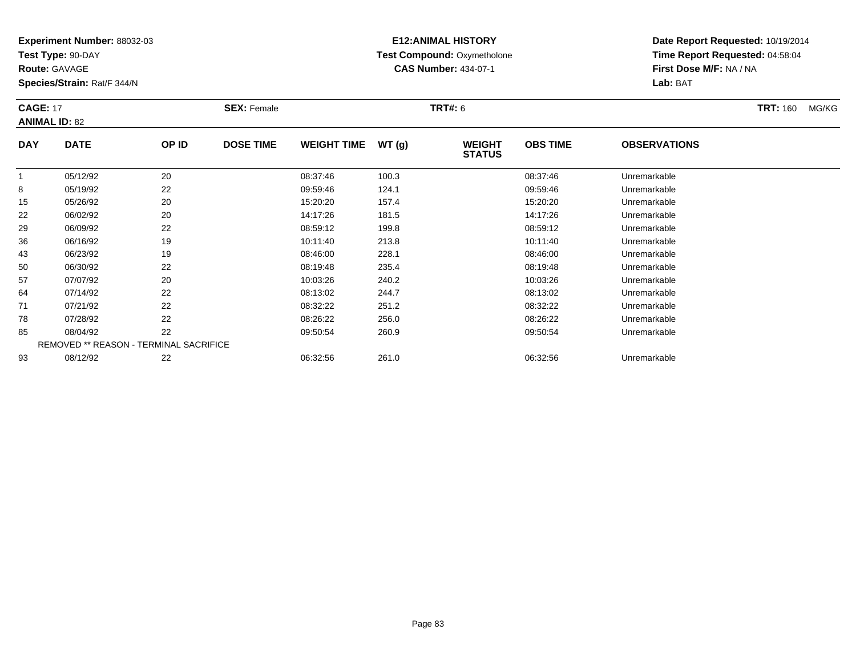**Test Type:** 90-DAY

**Route:** GAVAGE

93

**Species/Strain:** Rat/F 344/N

#### **E12:ANIMAL HISTORY Test Compound:** Oxymetholone**CAS Number:** 434-07-1

**Date Report Requested:** 10/19/2014**Time Report Requested:** 04:58:04**First Dose M/F:** NA / NA**Lab:** BAT

| <b>CAGE: 17</b> | <b>ANIMAL ID: 82</b>                          |       | <b>SEX: Female</b> |                    |       | <b>TRT#: 6</b>                 |                 |                     | <b>TRT: 160</b> | MG/KG |
|-----------------|-----------------------------------------------|-------|--------------------|--------------------|-------|--------------------------------|-----------------|---------------------|-----------------|-------|
| <b>DAY</b>      | <b>DATE</b>                                   | OP ID | <b>DOSE TIME</b>   | <b>WEIGHT TIME</b> | WT(g) | <b>WEIGHT</b><br><b>STATUS</b> | <b>OBS TIME</b> | <b>OBSERVATIONS</b> |                 |       |
|                 | 05/12/92                                      | 20    |                    | 08:37:46           | 100.3 |                                | 08:37:46        | Unremarkable        |                 |       |
| 8               | 05/19/92                                      | 22    |                    | 09:59:46           | 124.1 |                                | 09:59:46        | Unremarkable        |                 |       |
| 15              | 05/26/92                                      | 20    |                    | 15:20:20           | 157.4 |                                | 15:20:20        | Unremarkable        |                 |       |
| 22              | 06/02/92                                      | 20    |                    | 14:17:26           | 181.5 |                                | 14:17:26        | Unremarkable        |                 |       |
| 29              | 06/09/92                                      | 22    |                    | 08:59:12           | 199.8 |                                | 08:59:12        | Unremarkable        |                 |       |
| 36              | 06/16/92                                      | 19    |                    | 10:11:40           | 213.8 |                                | 10:11:40        | Unremarkable        |                 |       |
| 43              | 06/23/92                                      | 19    |                    | 08:46:00           | 228.1 |                                | 08:46:00        | Unremarkable        |                 |       |
| 50              | 06/30/92                                      | 22    |                    | 08:19:48           | 235.4 |                                | 08:19:48        | Unremarkable        |                 |       |
| 57              | 07/07/92                                      | 20    |                    | 10:03:26           | 240.2 |                                | 10:03:26        | Unremarkable        |                 |       |
| 64              | 07/14/92                                      | 22    |                    | 08:13:02           | 244.7 |                                | 08:13:02        | Unremarkable        |                 |       |
| 71              | 07/21/92                                      | 22    |                    | 08:32:22           | 251.2 |                                | 08:32:22        | Unremarkable        |                 |       |
| 78              | 07/28/92                                      | 22    |                    | 08:26:22           | 256.0 |                                | 08:26:22        | Unremarkable        |                 |       |
| 85              | 08/04/92                                      | 22    |                    | 09:50:54           | 260.9 |                                | 09:50:54        | Unremarkable        |                 |       |
|                 | <b>REMOVED ** REASON - TERMINAL SACRIFICE</b> |       |                    |                    |       |                                |                 |                     |                 |       |

08/12/92 <sup>22</sup> 06:32:56 261.0 06:32:56 Unremarkable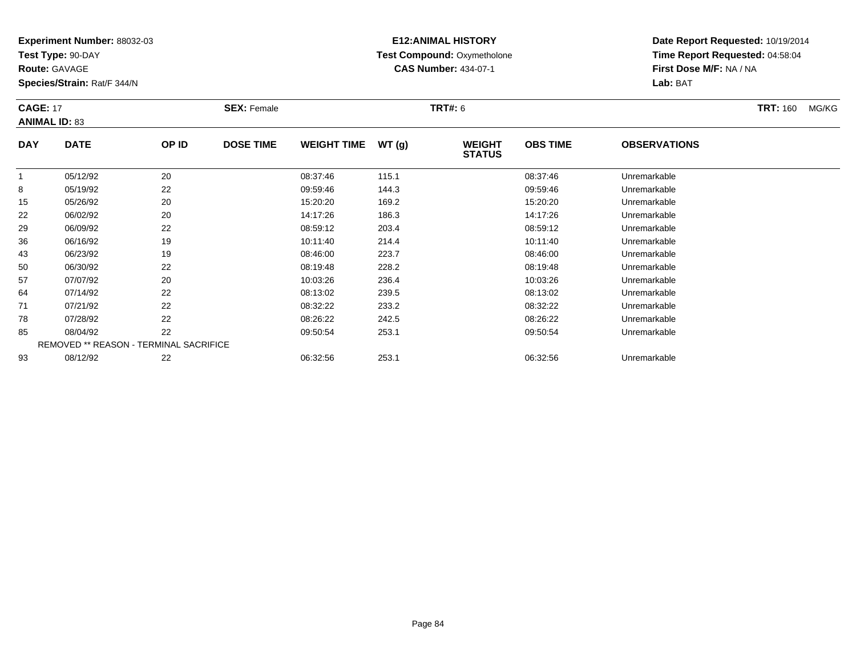**Test Type:** 90-DAY

**Route:** GAVAGE

93

**Species/Strain:** Rat/F 344/N

#### **E12:ANIMAL HISTORY Test Compound:** Oxymetholone**CAS Number:** 434-07-1

**Date Report Requested:** 10/19/2014**Time Report Requested:** 04:58:04**First Dose M/F:** NA / NA**Lab:** BAT

| <b>CAGE: 17</b> | <b>ANIMAL ID: 83</b>                          |       | <b>SEX: Female</b> |                    |       | <b>TRT#: 6</b>                 |                 |                     | <b>TRT: 160</b> | MG/KG |
|-----------------|-----------------------------------------------|-------|--------------------|--------------------|-------|--------------------------------|-----------------|---------------------|-----------------|-------|
| <b>DAY</b>      | <b>DATE</b>                                   | OP ID | <b>DOSE TIME</b>   | <b>WEIGHT TIME</b> | WT(g) | <b>WEIGHT</b><br><b>STATUS</b> | <b>OBS TIME</b> | <b>OBSERVATIONS</b> |                 |       |
|                 | 05/12/92                                      | 20    |                    | 08:37:46           | 115.1 |                                | 08:37:46        | Unremarkable        |                 |       |
| 8               | 05/19/92                                      | 22    |                    | 09:59:46           | 144.3 |                                | 09:59:46        | Unremarkable        |                 |       |
| 15              | 05/26/92                                      | 20    |                    | 15:20:20           | 169.2 |                                | 15:20:20        | Unremarkable        |                 |       |
| 22              | 06/02/92                                      | 20    |                    | 14:17:26           | 186.3 |                                | 14:17:26        | Unremarkable        |                 |       |
| 29              | 06/09/92                                      | 22    |                    | 08:59:12           | 203.4 |                                | 08:59:12        | Unremarkable        |                 |       |
| 36              | 06/16/92                                      | 19    |                    | 10:11:40           | 214.4 |                                | 10:11:40        | Unremarkable        |                 |       |
| 43              | 06/23/92                                      | 19    |                    | 08:46:00           | 223.7 |                                | 08:46:00        | Unremarkable        |                 |       |
| 50              | 06/30/92                                      | 22    |                    | 08:19:48           | 228.2 |                                | 08:19:48        | Unremarkable        |                 |       |
| 57              | 07/07/92                                      | 20    |                    | 10:03:26           | 236.4 |                                | 10:03:26        | Unremarkable        |                 |       |
| 64              | 07/14/92                                      | 22    |                    | 08:13:02           | 239.5 |                                | 08:13:02        | Unremarkable        |                 |       |
| 71              | 07/21/92                                      | 22    |                    | 08:32:22           | 233.2 |                                | 08:32:22        | Unremarkable        |                 |       |
| 78              | 07/28/92                                      | 22    |                    | 08:26:22           | 242.5 |                                | 08:26:22        | Unremarkable        |                 |       |
| 85              | 08/04/92                                      | 22    |                    | 09:50:54           | 253.1 |                                | 09:50:54        | Unremarkable        |                 |       |
|                 | <b>REMOVED ** REASON - TERMINAL SACRIFICE</b> |       |                    |                    |       |                                |                 |                     |                 |       |

08/12/92 <sup>22</sup> 06:32:56 253.1 06:32:56 Unremarkable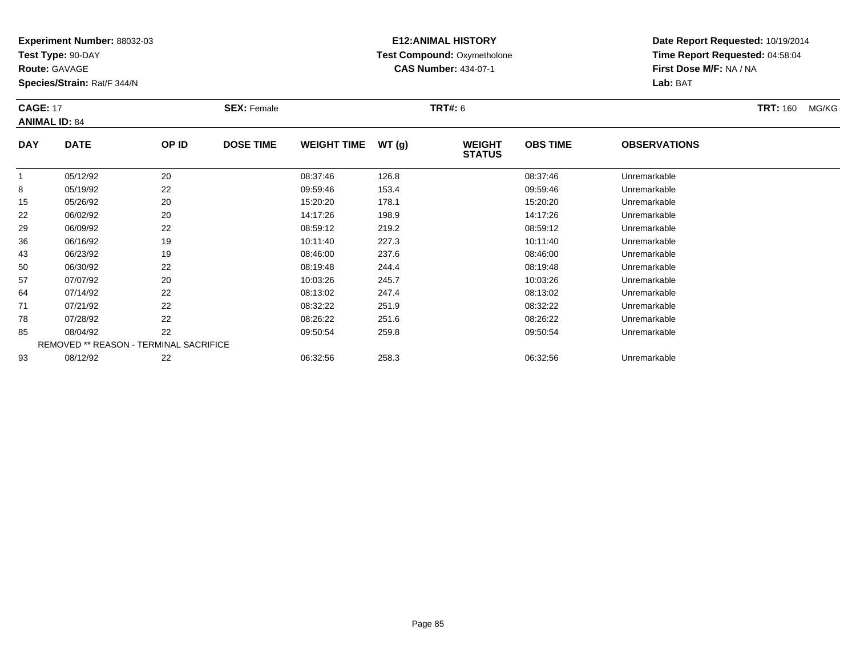**Test Type:** 90-DAY

**Route:** GAVAGE

93

**Species/Strain:** Rat/F 344/N

# **E12:ANIMAL HISTORY Test Compound:** Oxymetholone**CAS Number:** 434-07-1

**Date Report Requested:** 10/19/2014**Time Report Requested:** 04:58:04**First Dose M/F:** NA / NA**Lab:** BAT

| <b>CAGE: 17</b> | <b>ANIMAL ID: 84</b>                          |       | <b>SEX: Female</b> |                    |       | <b>TRT#: 6</b>                 |                 |                     | <b>TRT: 160</b> | MG/KG |
|-----------------|-----------------------------------------------|-------|--------------------|--------------------|-------|--------------------------------|-----------------|---------------------|-----------------|-------|
| <b>DAY</b>      | <b>DATE</b>                                   | OP ID | <b>DOSE TIME</b>   | <b>WEIGHT TIME</b> | WT(g) | <b>WEIGHT</b><br><b>STATUS</b> | <b>OBS TIME</b> | <b>OBSERVATIONS</b> |                 |       |
|                 | 05/12/92                                      | 20    |                    | 08:37:46           | 126.8 |                                | 08:37:46        | Unremarkable        |                 |       |
| 8               | 05/19/92                                      | 22    |                    | 09:59:46           | 153.4 |                                | 09:59:46        | Unremarkable        |                 |       |
| 15              | 05/26/92                                      | 20    |                    | 15:20:20           | 178.1 |                                | 15:20:20        | Unremarkable        |                 |       |
| 22              | 06/02/92                                      | 20    |                    | 14:17:26           | 198.9 |                                | 14:17:26        | Unremarkable        |                 |       |
| 29              | 06/09/92                                      | 22    |                    | 08:59:12           | 219.2 |                                | 08:59:12        | Unremarkable        |                 |       |
| 36              | 06/16/92                                      | 19    |                    | 10:11:40           | 227.3 |                                | 10:11:40        | Unremarkable        |                 |       |
| 43              | 06/23/92                                      | 19    |                    | 08:46:00           | 237.6 |                                | 08:46:00        | Unremarkable        |                 |       |
| 50              | 06/30/92                                      | 22    |                    | 08:19:48           | 244.4 |                                | 08:19:48        | Unremarkable        |                 |       |
| 57              | 07/07/92                                      | 20    |                    | 10:03:26           | 245.7 |                                | 10:03:26        | Unremarkable        |                 |       |
| 64              | 07/14/92                                      | 22    |                    | 08:13:02           | 247.4 |                                | 08:13:02        | Unremarkable        |                 |       |
| 71              | 07/21/92                                      | 22    |                    | 08:32:22           | 251.9 |                                | 08:32:22        | Unremarkable        |                 |       |
| 78              | 07/28/92                                      | 22    |                    | 08:26:22           | 251.6 |                                | 08:26:22        | Unremarkable        |                 |       |
| 85              | 08/04/92                                      | 22    |                    | 09:50:54           | 259.8 |                                | 09:50:54        | Unremarkable        |                 |       |
|                 | <b>REMOVED ** REASON - TERMINAL SACRIFICE</b> |       |                    |                    |       |                                |                 |                     |                 |       |

08/12/92 <sup>22</sup> 06:32:56 258.3 06:32:56 Unremarkable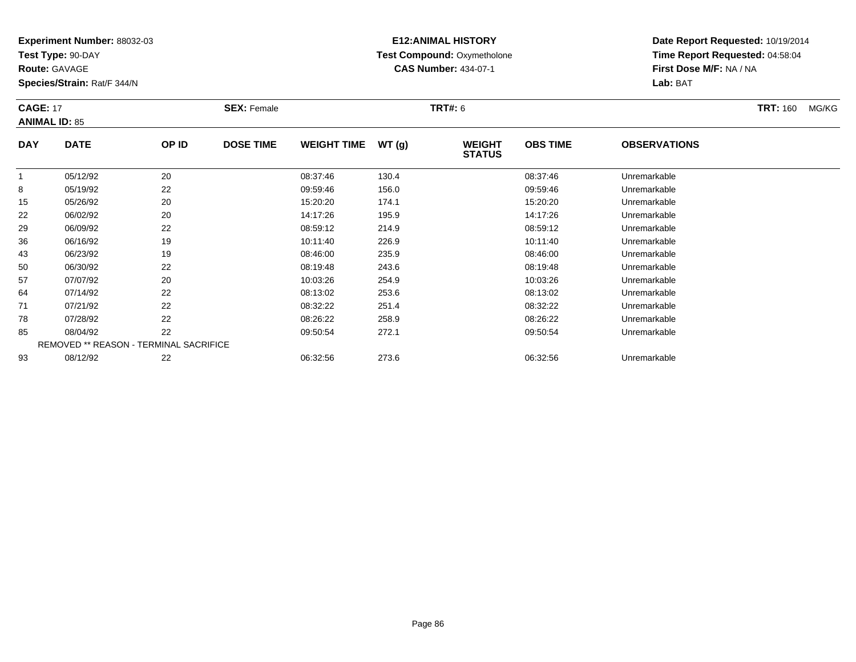**Test Type:** 90-DAY

**Route:** GAVAGE

93

**Species/Strain:** Rat/F 344/N

# **E12:ANIMAL HISTORY Test Compound:** Oxymetholone**CAS Number:** 434-07-1

**Date Report Requested:** 10/19/2014**Time Report Requested:** 04:58:04**First Dose M/F:** NA / NA**Lab:** BAT

| <b>CAGE: 17</b> | <b>ANIMAL ID: 85</b>                          |       | <b>SEX: Female</b> |                    |       | <b>TRT#: 6</b>                 |                 |                     | <b>TRT: 160</b> | MG/KG |
|-----------------|-----------------------------------------------|-------|--------------------|--------------------|-------|--------------------------------|-----------------|---------------------|-----------------|-------|
| <b>DAY</b>      | <b>DATE</b>                                   | OP ID | <b>DOSE TIME</b>   | <b>WEIGHT TIME</b> | WT(g) | <b>WEIGHT</b><br><b>STATUS</b> | <b>OBS TIME</b> | <b>OBSERVATIONS</b> |                 |       |
|                 | 05/12/92                                      | 20    |                    | 08:37:46           | 130.4 |                                | 08:37:46        | Unremarkable        |                 |       |
| 8               | 05/19/92                                      | 22    |                    | 09:59:46           | 156.0 |                                | 09:59:46        | Unremarkable        |                 |       |
| 15              | 05/26/92                                      | 20    |                    | 15:20:20           | 174.1 |                                | 15:20:20        | Unremarkable        |                 |       |
| 22              | 06/02/92                                      | 20    |                    | 14:17:26           | 195.9 |                                | 14:17:26        | Unremarkable        |                 |       |
| 29              | 06/09/92                                      | 22    |                    | 08:59:12           | 214.9 |                                | 08:59:12        | Unremarkable        |                 |       |
| 36              | 06/16/92                                      | 19    |                    | 10:11:40           | 226.9 |                                | 10:11:40        | Unremarkable        |                 |       |
| 43              | 06/23/92                                      | 19    |                    | 08:46:00           | 235.9 |                                | 08:46:00        | Unremarkable        |                 |       |
| 50              | 06/30/92                                      | 22    |                    | 08:19:48           | 243.6 |                                | 08:19:48        | Unremarkable        |                 |       |
| 57              | 07/07/92                                      | 20    |                    | 10:03:26           | 254.9 |                                | 10:03:26        | Unremarkable        |                 |       |
| 64              | 07/14/92                                      | 22    |                    | 08:13:02           | 253.6 |                                | 08:13:02        | Unremarkable        |                 |       |
| 71              | 07/21/92                                      | 22    |                    | 08:32:22           | 251.4 |                                | 08:32:22        | Unremarkable        |                 |       |
| 78              | 07/28/92                                      | 22    |                    | 08:26:22           | 258.9 |                                | 08:26:22        | Unremarkable        |                 |       |
| 85              | 08/04/92                                      | 22    |                    | 09:50:54           | 272.1 |                                | 09:50:54        | Unremarkable        |                 |       |
|                 | <b>REMOVED ** REASON - TERMINAL SACRIFICE</b> |       |                    |                    |       |                                |                 |                     |                 |       |

08/12/92 <sup>22</sup> 06:32:56 273.6 06:32:56 Unremarkable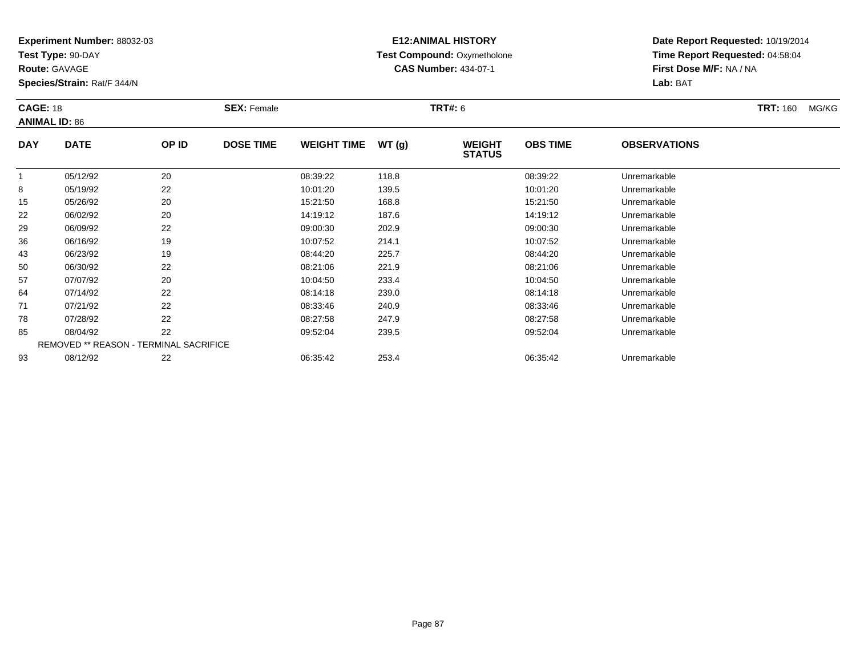**Test Type:** 90-DAY

**Route:** GAVAGE

**Species/Strain:** Rat/F 344/N

# **E12:ANIMAL HISTORY Test Compound:** Oxymetholone**CAS Number:** 434-07-1

| <b>CAGE: 18</b><br><b>ANIMAL ID: 86</b> |                                        | <b>SEX: Female</b> |                  |                    | <b>TRT#:</b> 6 |                                | <b>TRT: 160</b> | MG/KG               |  |  |
|-----------------------------------------|----------------------------------------|--------------------|------------------|--------------------|----------------|--------------------------------|-----------------|---------------------|--|--|
| <b>DAY</b>                              | <b>DATE</b>                            | OP ID              | <b>DOSE TIME</b> | <b>WEIGHT TIME</b> | WT(g)          | <b>WEIGHT</b><br><b>STATUS</b> | <b>OBS TIME</b> | <b>OBSERVATIONS</b> |  |  |
| $\overline{1}$                          | 05/12/92                               | 20                 |                  | 08:39:22           | 118.8          |                                | 08:39:22        | Unremarkable        |  |  |
| 8                                       | 05/19/92                               | 22                 |                  | 10:01:20           | 139.5          |                                | 10:01:20        | Unremarkable        |  |  |
| 15                                      | 05/26/92                               | 20                 |                  | 15:21:50           | 168.8          |                                | 15:21:50        | Unremarkable        |  |  |
| 22                                      | 06/02/92                               | 20                 |                  | 14:19:12           | 187.6          |                                | 14:19:12        | Unremarkable        |  |  |
| 29                                      | 06/09/92                               | 22                 |                  | 09:00:30           | 202.9          |                                | 09:00:30        | Unremarkable        |  |  |
| 36                                      | 06/16/92                               | 19                 |                  | 10:07:52           | 214.1          |                                | 10:07:52        | Unremarkable        |  |  |
| 43                                      | 06/23/92                               | 19                 |                  | 08:44:20           | 225.7          |                                | 08:44:20        | Unremarkable        |  |  |
| 50                                      | 06/30/92                               | 22                 |                  | 08:21:06           | 221.9          |                                | 08:21:06        | Unremarkable        |  |  |
| 57                                      | 07/07/92                               | 20                 |                  | 10:04:50           | 233.4          |                                | 10:04:50        | Unremarkable        |  |  |
| 64                                      | 07/14/92                               | 22                 |                  | 08:14:18           | 239.0          |                                | 08:14:18        | Unremarkable        |  |  |
| 71                                      | 07/21/92                               | 22                 |                  | 08:33:46           | 240.9          |                                | 08:33:46        | Unremarkable        |  |  |
| 78                                      | 07/28/92                               | 22                 |                  | 08:27:58           | 247.9          |                                | 08:27:58        | Unremarkable        |  |  |
| 85                                      | 08/04/92                               | 22                 |                  | 09:52:04           | 239.5          |                                | 09:52:04        | Unremarkable        |  |  |
|                                         | REMOVED ** REASON - TERMINAL SACRIFICE |                    |                  |                    |                |                                |                 |                     |  |  |
| 93                                      | 08/12/92                               | 22                 |                  | 06:35:42           | 253.4          |                                | 06:35:42        | Unremarkable        |  |  |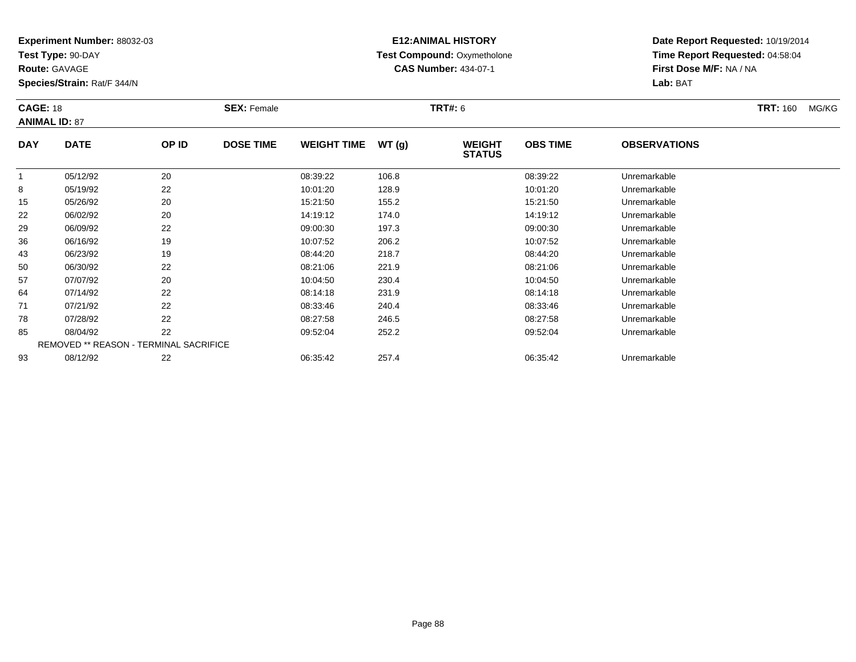**Test Type:** 90-DAY

**Route:** GAVAGE

93

**Species/Strain:** Rat/F 344/N

REMOVED \*\* REASON - TERMINAL SACRIFICE

#### **E12:ANIMAL HISTORY Test Compound:** Oxymetholone**CAS Number:** 434-07-1

**Date Report Requested:** 10/19/2014**Time Report Requested:** 04:58:04**First Dose M/F:** NA / NA**Lab:** BAT

| <b>CAGE: 18</b><br><b>ANIMAL ID: 87</b> |             |       | <b>SEX: Female</b> |                    |       | <b>TRT#: 6</b>                 |                 |                     | <b>TRT: 160</b> | MG/KG |
|-----------------------------------------|-------------|-------|--------------------|--------------------|-------|--------------------------------|-----------------|---------------------|-----------------|-------|
| <b>DAY</b>                              | <b>DATE</b> | OP ID | <b>DOSE TIME</b>   | <b>WEIGHT TIME</b> | WT(g) | <b>WEIGHT</b><br><b>STATUS</b> | <b>OBS TIME</b> | <b>OBSERVATIONS</b> |                 |       |
|                                         | 05/12/92    | 20    |                    | 08:39:22           | 106.8 |                                | 08:39:22        | Unremarkable        |                 |       |
| 8                                       | 05/19/92    | 22    |                    | 10:01:20           | 128.9 |                                | 10:01:20        | Unremarkable        |                 |       |
| 15                                      | 05/26/92    | 20    |                    | 15:21:50           | 155.2 |                                | 15:21:50        | Unremarkable        |                 |       |
| 22                                      | 06/02/92    | 20    |                    | 14:19:12           | 174.0 |                                | 14:19:12        | Unremarkable        |                 |       |
| 29                                      | 06/09/92    | 22    |                    | 09:00:30           | 197.3 |                                | 09:00:30        | Unremarkable        |                 |       |
| 36                                      | 06/16/92    | 19    |                    | 10:07:52           | 206.2 |                                | 10:07:52        | Unremarkable        |                 |       |
| 43                                      | 06/23/92    | 19    |                    | 08:44:20           | 218.7 |                                | 08:44:20        | Unremarkable        |                 |       |
| 50                                      | 06/30/92    | 22    |                    | 08:21:06           | 221.9 |                                | 08:21:06        | Unremarkable        |                 |       |
| 57                                      | 07/07/92    | 20    |                    | 10:04:50           | 230.4 |                                | 10:04:50        | Unremarkable        |                 |       |
| 64                                      | 07/14/92    | 22    |                    | 08:14:18           | 231.9 |                                | 08:14:18        | Unremarkable        |                 |       |
| 71                                      | 07/21/92    | 22    |                    | 08:33:46           | 240.4 |                                | 08:33:46        | Unremarkable        |                 |       |
| 78                                      | 07/28/92    | 22    |                    | 08:27:58           | 246.5 |                                | 08:27:58        | Unremarkable        |                 |       |
| 85                                      | 08/04/92    | 22    |                    | 09:52:04           | 252.2 |                                | 09:52:04        | Unremarkable        |                 |       |

08/12/92 <sup>22</sup> 06:35:42 257.4 06:35:42 Unremarkable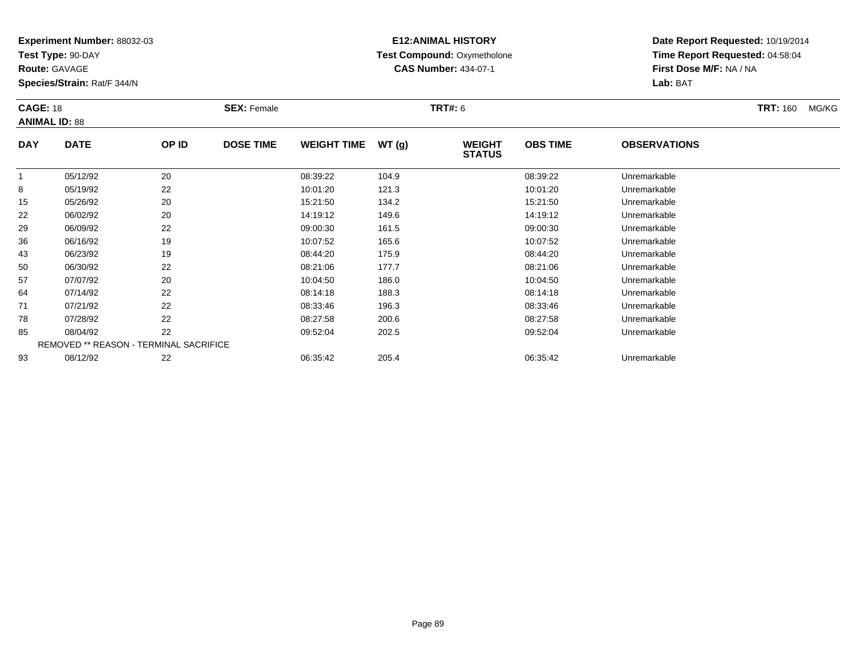**Test Type:** 90-DAY

**Route:** GAVAGE

**Species/Strain:** Rat/F 344/N

# **E12:ANIMAL HISTORY Test Compound:** Oxymetholone**CAS Number:** 434-07-1

**Date Report Requested:** 10/19/2014**Time Report Requested:** 04:58:04**First Dose M/F:** NA / NA**Lab:** BAT

| <b>CAGE: 18</b> | <b>ANIMAL ID: 88</b>                          |       | <b>SEX: Female</b> |                    |       | <b>TRT#: 6</b>                 |                 |                     | <b>TRT: 160</b> | MG/KG |
|-----------------|-----------------------------------------------|-------|--------------------|--------------------|-------|--------------------------------|-----------------|---------------------|-----------------|-------|
| <b>DAY</b>      | <b>DATE</b>                                   | OP ID | <b>DOSE TIME</b>   | <b>WEIGHT TIME</b> | WT(g) | <b>WEIGHT</b><br><b>STATUS</b> | <b>OBS TIME</b> | <b>OBSERVATIONS</b> |                 |       |
|                 |                                               |       |                    |                    |       |                                |                 |                     |                 |       |
|                 | 05/12/92                                      | 20    |                    | 08:39:22           | 104.9 |                                | 08:39:22        | Unremarkable        |                 |       |
| 8               | 05/19/92                                      | 22    |                    | 10:01:20           | 121.3 |                                | 10:01:20        | Unremarkable        |                 |       |
| 15              | 05/26/92                                      | 20    |                    | 15:21:50           | 134.2 |                                | 15:21:50        | Unremarkable        |                 |       |
| 22              | 06/02/92                                      | 20    |                    | 14:19:12           | 149.6 |                                | 14:19:12        | Unremarkable        |                 |       |
| 29              | 06/09/92                                      | 22    |                    | 09:00:30           | 161.5 |                                | 09:00:30        | Unremarkable        |                 |       |
| 36              | 06/16/92                                      | 19    |                    | 10:07:52           | 165.6 |                                | 10:07:52        | Unremarkable        |                 |       |
| 43              | 06/23/92                                      | 19    |                    | 08:44:20           | 175.9 |                                | 08:44:20        | Unremarkable        |                 |       |
| 50              | 06/30/92                                      | 22    |                    | 08:21:06           | 177.7 |                                | 08:21:06        | Unremarkable        |                 |       |
| 57              | 07/07/92                                      | 20    |                    | 10:04:50           | 186.0 |                                | 10:04:50        | Unremarkable        |                 |       |
| 64              | 07/14/92                                      | 22    |                    | 08:14:18           | 188.3 |                                | 08:14:18        | Unremarkable        |                 |       |
| 71              | 07/21/92                                      | 22    |                    | 08:33:46           | 196.3 |                                | 08:33:46        | Unremarkable        |                 |       |
| 78              | 07/28/92                                      | 22    |                    | 08:27:58           | 200.6 |                                | 08:27:58        | Unremarkable        |                 |       |
| 85              | 08/04/92                                      | 22    |                    | 09:52:04           | 202.5 |                                | 09:52:04        | Unremarkable        |                 |       |
|                 | <b>REMOVED ** REASON - TERMINAL SACRIFICE</b> |       |                    |                    |       |                                |                 |                     |                 |       |
| 93              | 08/12/92                                      | 22    |                    | 06:35:42           | 205.4 |                                | 06:35:42        | Unremarkable        |                 |       |

08/12/92 <sup>22</sup> 06:35:42 205.4 06:35:42 Unremarkable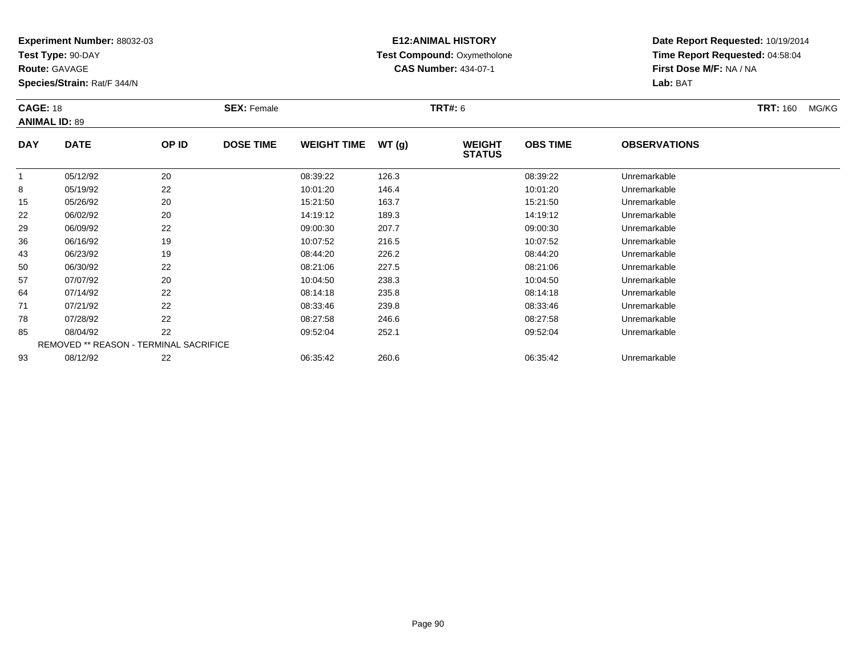**Test Type:** 90-DAY

**Route:** GAVAGE

93

**Species/Strain:** Rat/F 344/N

# **E12:ANIMAL HISTORY Test Compound:** Oxymetholone**CAS Number:** 434-07-1

**Date Report Requested:** 10/19/2014**Time Report Requested:** 04:58:04**First Dose M/F:** NA / NA**Lab:** BAT

| <b>CAGE: 18</b> | <b>ANIMAL ID: 89</b> |                                               | <b>SEX: Female</b> |                    |       | <b>TRT#: 6</b>                 |                 |                     | <b>TRT: 160</b> | MG/KG |
|-----------------|----------------------|-----------------------------------------------|--------------------|--------------------|-------|--------------------------------|-----------------|---------------------|-----------------|-------|
| <b>DAY</b>      | <b>DATE</b>          | OP ID                                         | <b>DOSE TIME</b>   | <b>WEIGHT TIME</b> | WT(g) | <b>WEIGHT</b><br><b>STATUS</b> | <b>OBS TIME</b> | <b>OBSERVATIONS</b> |                 |       |
|                 | 05/12/92             | 20                                            |                    | 08:39:22           | 126.3 |                                | 08:39:22        | Unremarkable        |                 |       |
| 8               | 05/19/92             | 22                                            |                    | 10:01:20           | 146.4 |                                | 10:01:20        | Unremarkable        |                 |       |
| 15              | 05/26/92             | 20                                            |                    | 15:21:50           | 163.7 |                                | 15:21:50        | Unremarkable        |                 |       |
| 22              | 06/02/92             | 20                                            |                    | 14:19:12           | 189.3 |                                | 14:19:12        | Unremarkable        |                 |       |
| 29              | 06/09/92             | 22                                            |                    | 09:00:30           | 207.7 |                                | 09:00:30        | Unremarkable        |                 |       |
| 36              | 06/16/92             | 19                                            |                    | 10:07:52           | 216.5 |                                | 10:07:52        | Unremarkable        |                 |       |
| 43              | 06/23/92             | 19                                            |                    | 08:44:20           | 226.2 |                                | 08:44:20        | Unremarkable        |                 |       |
| 50              | 06/30/92             | 22                                            |                    | 08:21:06           | 227.5 |                                | 08:21:06        | Unremarkable        |                 |       |
| 57              | 07/07/92             | 20                                            |                    | 10:04:50           | 238.3 |                                | 10:04:50        | Unremarkable        |                 |       |
| 64              | 07/14/92             | 22                                            |                    | 08:14:18           | 235.8 |                                | 08:14:18        | Unremarkable        |                 |       |
| 71              | 07/21/92             | 22                                            |                    | 08:33:46           | 239.8 |                                | 08:33:46        | Unremarkable        |                 |       |
| 78              | 07/28/92             | 22                                            |                    | 08:27:58           | 246.6 |                                | 08:27:58        | Unremarkable        |                 |       |
| 85              | 08/04/92             | 22                                            |                    | 09:52:04           | 252.1 |                                | 09:52:04        | Unremarkable        |                 |       |
|                 |                      | <b>REMOVED ** REASON - TERMINAL SACRIFICE</b> |                    |                    |       |                                |                 |                     |                 |       |

08/12/92 <sup>22</sup> 06:35:42 260.6 06:35:42 Unremarkable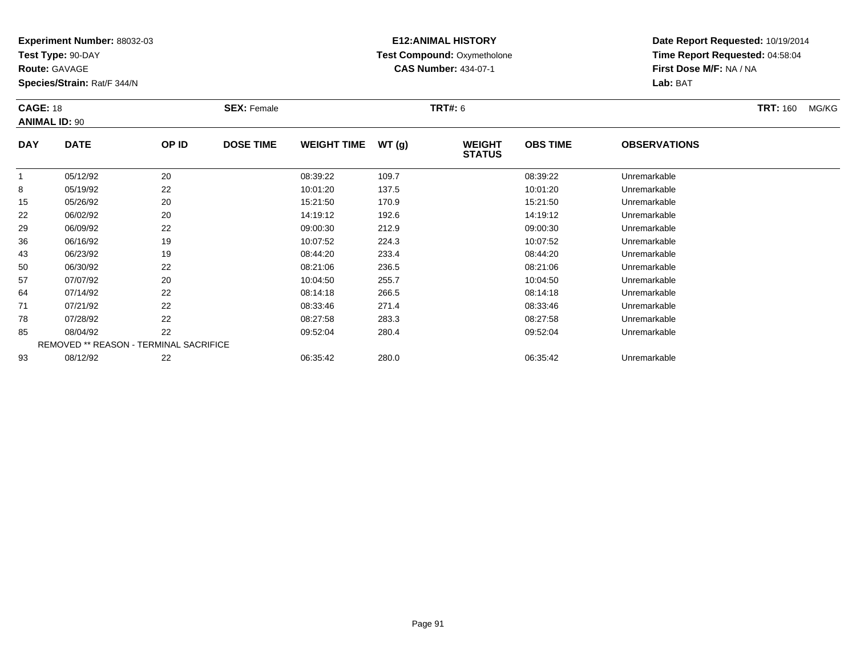**Test Type:** 90-DAY

**Route:** GAVAGE

93

**Species/Strain:** Rat/F 344/N

# **E12:ANIMAL HISTORY Test Compound:** Oxymetholone**CAS Number:** 434-07-1

**Date Report Requested:** 10/19/2014**Time Report Requested:** 04:58:04**First Dose M/F:** NA / NA**Lab:** BAT

| <b>CAGE: 18</b> |                      |                                               | <b>SEX: Female</b> |                    |       | <b>TRT#: 6</b>                 |                 |                     | <b>TRT: 160</b> | MG/KG |
|-----------------|----------------------|-----------------------------------------------|--------------------|--------------------|-------|--------------------------------|-----------------|---------------------|-----------------|-------|
|                 | <b>ANIMAL ID: 90</b> |                                               |                    |                    |       |                                |                 |                     |                 |       |
| <b>DAY</b>      | <b>DATE</b>          | OP ID                                         | <b>DOSE TIME</b>   | <b>WEIGHT TIME</b> | WT(g) | <b>WEIGHT</b><br><b>STATUS</b> | <b>OBS TIME</b> | <b>OBSERVATIONS</b> |                 |       |
|                 | 05/12/92             | 20                                            |                    | 08:39:22           | 109.7 |                                | 08:39:22        | Unremarkable        |                 |       |
| 8               | 05/19/92             | 22                                            |                    | 10:01:20           | 137.5 |                                | 10:01:20        | Unremarkable        |                 |       |
| 15              | 05/26/92             | 20                                            |                    | 15:21:50           | 170.9 |                                | 15:21:50        | Unremarkable        |                 |       |
| 22              | 06/02/92             | 20                                            |                    | 14:19:12           | 192.6 |                                | 14:19:12        | Unremarkable        |                 |       |
| 29              | 06/09/92             | 22                                            |                    | 09:00:30           | 212.9 |                                | 09:00:30        | Unremarkable        |                 |       |
| 36              | 06/16/92             | 19                                            |                    | 10:07:52           | 224.3 |                                | 10:07:52        | Unremarkable        |                 |       |
| 43              | 06/23/92             | 19                                            |                    | 08:44:20           | 233.4 |                                | 08:44:20        | Unremarkable        |                 |       |
| 50              | 06/30/92             | 22                                            |                    | 08:21:06           | 236.5 |                                | 08:21:06        | Unremarkable        |                 |       |
| 57              | 07/07/92             | 20                                            |                    | 10:04:50           | 255.7 |                                | 10:04:50        | Unremarkable        |                 |       |
| 64              | 07/14/92             | 22                                            |                    | 08:14:18           | 266.5 |                                | 08:14:18        | Unremarkable        |                 |       |
| 71              | 07/21/92             | 22                                            |                    | 08:33:46           | 271.4 |                                | 08:33:46        | Unremarkable        |                 |       |
| 78              | 07/28/92             | 22                                            |                    | 08:27:58           | 283.3 |                                | 08:27:58        | Unremarkable        |                 |       |
| 85              | 08/04/92             | 22                                            |                    | 09:52:04           | 280.4 |                                | 09:52:04        | Unremarkable        |                 |       |
|                 |                      | <b>REMOVED ** REASON - TERMINAL SACRIFICE</b> |                    |                    |       |                                |                 |                     |                 |       |

08/12/92 <sup>22</sup> 06:35:42 280.0 06:35:42 Unremarkable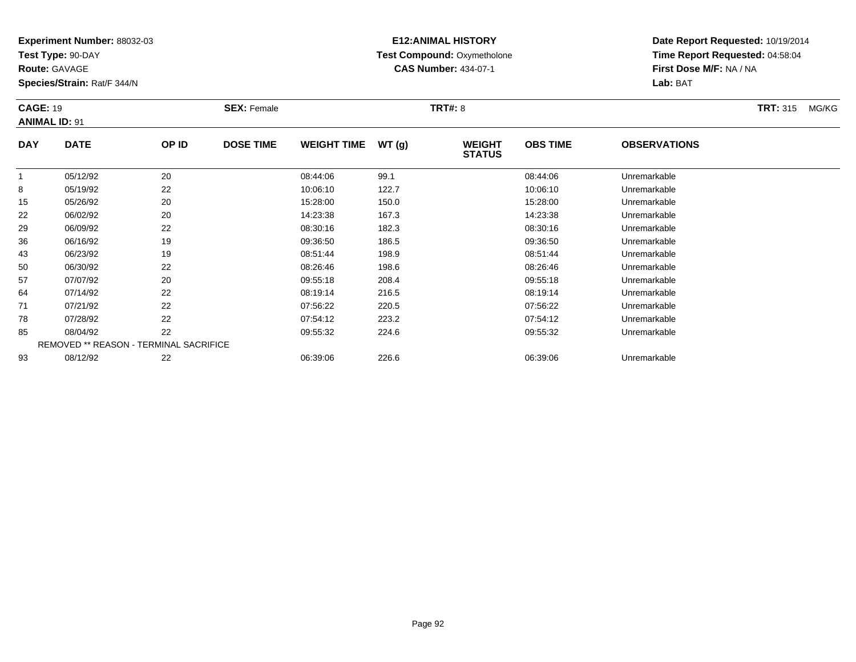**Test Type:** 90-DAY

**Route:** GAVAGE

93

**Species/Strain:** Rat/F 344/N

# **E12:ANIMAL HISTORY Test Compound:** Oxymetholone**CAS Number:** 434-07-1

**Date Report Requested:** 10/19/2014**Time Report Requested:** 04:58:04**First Dose M/F:** NA / NA**Lab:** BAT

| <b>CAGE: 19</b> | <b>ANIMAL ID: 91</b>                          |       | <b>SEX: Female</b> |                    |       | <b>TRT#: 8</b>                 |                 |                     | <b>TRT: 315</b> | MG/KG |
|-----------------|-----------------------------------------------|-------|--------------------|--------------------|-------|--------------------------------|-----------------|---------------------|-----------------|-------|
| <b>DAY</b>      | <b>DATE</b>                                   | OP ID | <b>DOSE TIME</b>   | <b>WEIGHT TIME</b> | WT(g) | <b>WEIGHT</b><br><b>STATUS</b> | <b>OBS TIME</b> | <b>OBSERVATIONS</b> |                 |       |
|                 | 05/12/92                                      | 20    |                    | 08:44:06           | 99.1  |                                | 08:44:06        | Unremarkable        |                 |       |
| 8               | 05/19/92                                      | 22    |                    | 10:06:10           | 122.7 |                                | 10:06:10        | Unremarkable        |                 |       |
| 15              | 05/26/92                                      | 20    |                    | 15:28:00           | 150.0 |                                | 15:28:00        | Unremarkable        |                 |       |
| 22              | 06/02/92                                      | 20    |                    | 14:23:38           | 167.3 |                                | 14:23:38        | Unremarkable        |                 |       |
| 29              | 06/09/92                                      | 22    |                    | 08:30:16           | 182.3 |                                | 08:30:16        | Unremarkable        |                 |       |
| 36              | 06/16/92                                      | 19    |                    | 09:36:50           | 186.5 |                                | 09:36:50        | Unremarkable        |                 |       |
| 43              | 06/23/92                                      | 19    |                    | 08:51:44           | 198.9 |                                | 08:51:44        | Unremarkable        |                 |       |
| 50              | 06/30/92                                      | 22    |                    | 08:26:46           | 198.6 |                                | 08:26:46        | Unremarkable        |                 |       |
| 57              | 07/07/92                                      | 20    |                    | 09:55:18           | 208.4 |                                | 09:55:18        | Unremarkable        |                 |       |
| 64              | 07/14/92                                      | 22    |                    | 08:19:14           | 216.5 |                                | 08:19:14        | Unremarkable        |                 |       |
| 71              | 07/21/92                                      | 22    |                    | 07:56:22           | 220.5 |                                | 07:56:22        | Unremarkable        |                 |       |
| 78              | 07/28/92                                      | 22    |                    | 07:54:12           | 223.2 |                                | 07:54:12        | Unremarkable        |                 |       |
| 85              | 08/04/92                                      | 22    |                    | 09:55:32           | 224.6 |                                | 09:55:32        | Unremarkable        |                 |       |
|                 | <b>REMOVED ** REASON - TERMINAL SACRIFICE</b> |       |                    |                    |       |                                |                 |                     |                 |       |

08/12/92 <sup>22</sup> 06:39:06 226.6 06:39:06 Unremarkable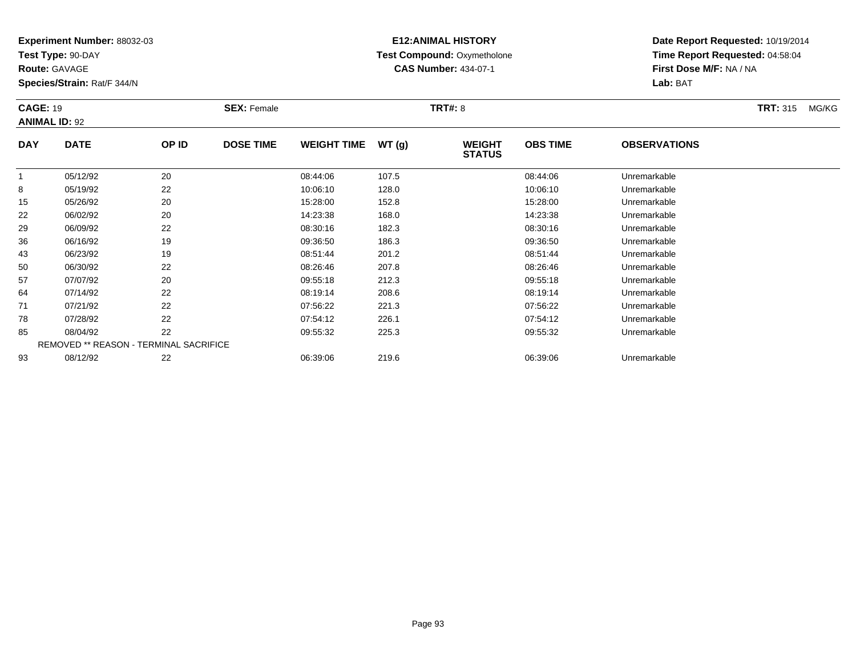**Test Type:** 90-DAY

**Route:** GAVAGE

93

**Species/Strain:** Rat/F 344/N

REMOVED \*\* REASON - TERMINAL SACRIFICE

# **E12:ANIMAL HISTORY Test Compound:** Oxymetholone**CAS Number:** 434-07-1

**Date Report Requested:** 10/19/2014**Time Report Requested:** 04:58:04**First Dose M/F:** NA / NA**Lab:** BAT

| <b>CAGE: 19</b><br><b>ANIMAL ID: 92</b> |             |       | <b>SEX: Female</b> |                    |       | <b>TRT#: 8</b>                 |                 |                     | <b>TRT: 315</b> | MG/KG |
|-----------------------------------------|-------------|-------|--------------------|--------------------|-------|--------------------------------|-----------------|---------------------|-----------------|-------|
| <b>DAY</b>                              | <b>DATE</b> | OP ID | <b>DOSE TIME</b>   | <b>WEIGHT TIME</b> | WT(g) | <b>WEIGHT</b><br><b>STATUS</b> | <b>OBS TIME</b> | <b>OBSERVATIONS</b> |                 |       |
|                                         | 05/12/92    | 20    |                    | 08:44:06           | 107.5 |                                | 08:44:06        | Unremarkable        |                 |       |
| 8                                       | 05/19/92    | 22    |                    | 10:06:10           | 128.0 |                                | 10:06:10        | Unremarkable        |                 |       |
| 15                                      | 05/26/92    | 20    |                    | 15:28:00           | 152.8 |                                | 15:28:00        | Unremarkable        |                 |       |
| 22                                      | 06/02/92    | 20    |                    | 14:23:38           | 168.0 |                                | 14:23:38        | Unremarkable        |                 |       |
| 29                                      | 06/09/92    | 22    |                    | 08:30:16           | 182.3 |                                | 08:30:16        | Unremarkable        |                 |       |
| 36                                      | 06/16/92    | 19    |                    | 09:36:50           | 186.3 |                                | 09:36:50        | Unremarkable        |                 |       |
| 43                                      | 06/23/92    | 19    |                    | 08:51:44           | 201.2 |                                | 08:51:44        | Unremarkable        |                 |       |
| 50                                      | 06/30/92    | 22    |                    | 08:26:46           | 207.8 |                                | 08:26:46        | Unremarkable        |                 |       |
| 57                                      | 07/07/92    | 20    |                    | 09:55:18           | 212.3 |                                | 09:55:18        | Unremarkable        |                 |       |
| 64                                      | 07/14/92    | 22    |                    | 08:19:14           | 208.6 |                                | 08:19:14        | Unremarkable        |                 |       |
| 71                                      | 07/21/92    | 22    |                    | 07:56:22           | 221.3 |                                | 07:56:22        | Unremarkable        |                 |       |
| 78                                      | 07/28/92    | 22    |                    | 07:54:12           | 226.1 |                                | 07:54:12        | Unremarkable        |                 |       |
| 85                                      | 08/04/92    | 22    |                    | 09:55:32           | 225.3 |                                | 09:55:32        | Unremarkable        |                 |       |

08/12/92 <sup>22</sup> 06:39:06 219.6 06:39:06 Unremarkable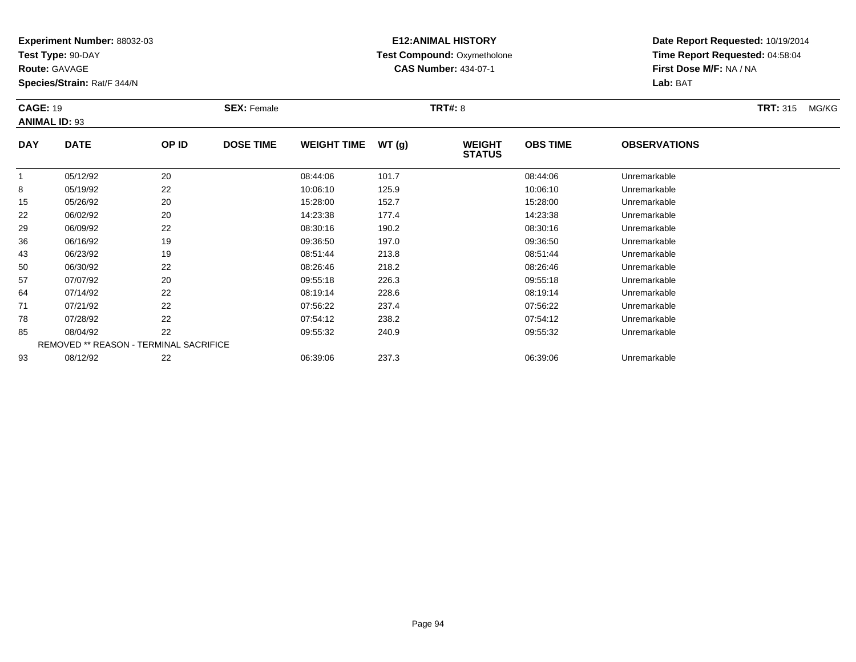**Test Type:** 90-DAY

**Route:** GAVAGE

**Species/Strain:** Rat/F 344/N

# **E12:ANIMAL HISTORY Test Compound:** Oxymetholone**CAS Number:** 434-07-1

**Date Report Requested:** 10/19/2014**Time Report Requested:** 04:58:04**First Dose M/F:** NA / NA**Lab:** BAT

| <b>CAGE: 19</b> | <b>ANIMAL ID: 93</b>                   |       | <b>SEX: Female</b> |                    |       | <b>TRT#: 8</b>                 |                 |                     | <b>TRT: 315</b> | MG/KG |
|-----------------|----------------------------------------|-------|--------------------|--------------------|-------|--------------------------------|-----------------|---------------------|-----------------|-------|
| <b>DAY</b>      | <b>DATE</b>                            | OP ID | <b>DOSE TIME</b>   | <b>WEIGHT TIME</b> | WT(g) | <b>WEIGHT</b><br><b>STATUS</b> | <b>OBS TIME</b> | <b>OBSERVATIONS</b> |                 |       |
|                 | 05/12/92                               | 20    |                    | 08:44:06           | 101.7 |                                | 08:44:06        | Unremarkable        |                 |       |
| 8               | 05/19/92                               | 22    |                    | 10:06:10           | 125.9 |                                | 10:06:10        | Unremarkable        |                 |       |
| 15              | 05/26/92                               | 20    |                    | 15:28:00           | 152.7 |                                | 15:28:00        | Unremarkable        |                 |       |
| 22              | 06/02/92                               | 20    |                    | 14:23:38           | 177.4 |                                | 14:23:38        | Unremarkable        |                 |       |
| 29              | 06/09/92                               | 22    |                    | 08:30:16           | 190.2 |                                | 08:30:16        | Unremarkable        |                 |       |
| 36              | 06/16/92                               | 19    |                    | 09:36:50           | 197.0 |                                | 09:36:50        | Unremarkable        |                 |       |
| 43              | 06/23/92                               | 19    |                    | 08:51:44           | 213.8 |                                | 08:51:44        | Unremarkable        |                 |       |
| 50              | 06/30/92                               | 22    |                    | 08:26:46           | 218.2 |                                | 08:26:46        | Unremarkable        |                 |       |
| 57              | 07/07/92                               | 20    |                    | 09:55:18           | 226.3 |                                | 09:55:18        | Unremarkable        |                 |       |
| 64              | 07/14/92                               | 22    |                    | 08:19:14           | 228.6 |                                | 08:19:14        | Unremarkable        |                 |       |
| 71              | 07/21/92                               | 22    |                    | 07:56:22           | 237.4 |                                | 07:56:22        | Unremarkable        |                 |       |
| 78              | 07/28/92                               | 22    |                    | 07:54:12           | 238.2 |                                | 07:54:12        | Unremarkable        |                 |       |
| 85              | 08/04/92                               | 22    |                    | 09:55:32           | 240.9 |                                | 09:55:32        | Unremarkable        |                 |       |
|                 | REMOVED ** REASON - TERMINAL SACRIFICE |       |                    |                    |       |                                |                 |                     |                 |       |
| 93              | 08/12/92                               | 22    |                    | 06:39:06           | 237.3 |                                | 06:39:06        | Unremarkable        |                 |       |

08/12/92 <sup>22</sup> 06:39:06 237.3 06:39:06 Unremarkable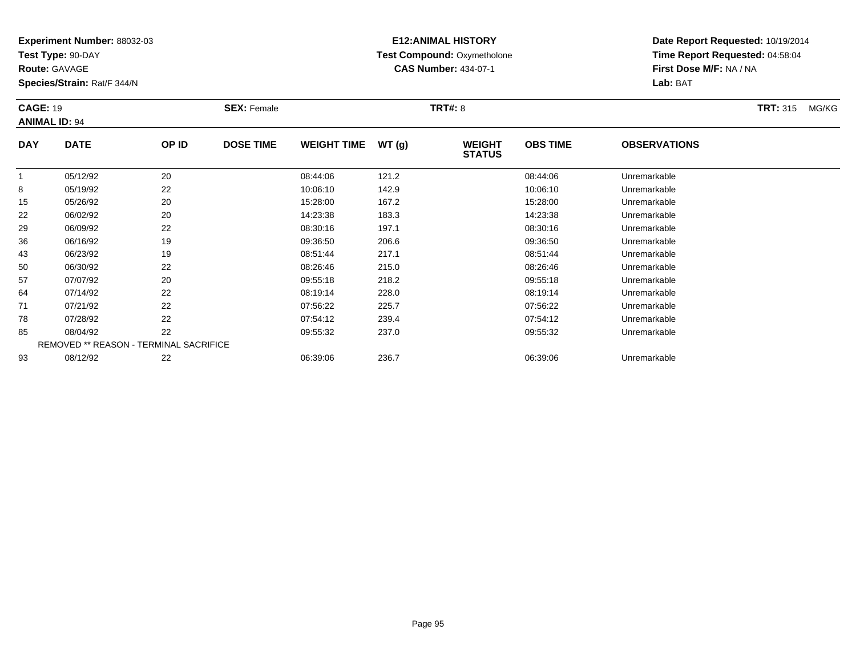**Test Type:** 90-DAY

**Route:** GAVAGE

**Species/Strain:** Rat/F 344/N

# **E12:ANIMAL HISTORY Test Compound:** Oxymetholone**CAS Number:** 434-07-1

| <b>CAGE: 19</b> | <b>ANIMAL ID: 94</b>                          |       | <b>SEX: Female</b> |                    |       | <b>TRT#: 8</b>                 |                 |                     | <b>TRT: 315</b> | MG/KG |
|-----------------|-----------------------------------------------|-------|--------------------|--------------------|-------|--------------------------------|-----------------|---------------------|-----------------|-------|
| <b>DAY</b>      | <b>DATE</b>                                   | OP ID | <b>DOSE TIME</b>   | <b>WEIGHT TIME</b> | WT(g) | <b>WEIGHT</b><br><b>STATUS</b> | <b>OBS TIME</b> | <b>OBSERVATIONS</b> |                 |       |
|                 | 05/12/92                                      | 20    |                    | 08:44:06           | 121.2 |                                | 08:44:06        | Unremarkable        |                 |       |
| 8               | 05/19/92                                      | 22    |                    | 10:06:10           | 142.9 |                                | 10:06:10        | Unremarkable        |                 |       |
| 15              | 05/26/92                                      | 20    |                    | 15:28:00           | 167.2 |                                | 15:28:00        | Unremarkable        |                 |       |
| 22              | 06/02/92                                      | 20    |                    | 14:23:38           | 183.3 |                                | 14:23:38        | Unremarkable        |                 |       |
| 29              | 06/09/92                                      | 22    |                    | 08:30:16           | 197.1 |                                | 08:30:16        | Unremarkable        |                 |       |
| 36              | 06/16/92                                      | 19    |                    | 09:36:50           | 206.6 |                                | 09:36:50        | Unremarkable        |                 |       |
| 43              | 06/23/92                                      | 19    |                    | 08:51:44           | 217.1 |                                | 08:51:44        | Unremarkable        |                 |       |
| 50              | 06/30/92                                      | 22    |                    | 08:26:46           | 215.0 |                                | 08:26:46        | Unremarkable        |                 |       |
| 57              | 07/07/92                                      | 20    |                    | 09:55:18           | 218.2 |                                | 09:55:18        | Unremarkable        |                 |       |
| 64              | 07/14/92                                      | 22    |                    | 08:19:14           | 228.0 |                                | 08:19:14        | Unremarkable        |                 |       |
| 71              | 07/21/92                                      | 22    |                    | 07:56:22           | 225.7 |                                | 07:56:22        | Unremarkable        |                 |       |
| 78              | 07/28/92                                      | 22    |                    | 07:54:12           | 239.4 |                                | 07:54:12        | Unremarkable        |                 |       |
| 85              | 08/04/92                                      | 22    |                    | 09:55:32           | 237.0 |                                | 09:55:32        | Unremarkable        |                 |       |
|                 | <b>REMOVED ** REASON - TERMINAL SACRIFICE</b> |       |                    |                    |       |                                |                 |                     |                 |       |
| 93              | 08/12/92                                      | 22    |                    | 06:39:06           | 236.7 |                                | 06:39:06        | Unremarkable        |                 |       |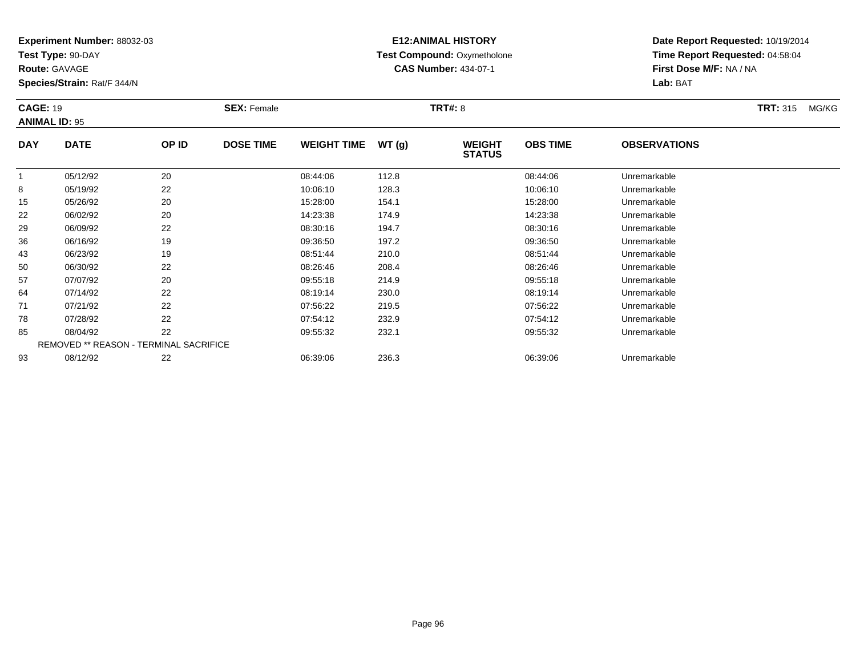**Test Type:** 90-DAY

**Route:** GAVAGE

**Species/Strain:** Rat/F 344/N

# **E12:ANIMAL HISTORY Test Compound:** Oxymetholone**CAS Number:** 434-07-1

| <b>CAGE: 19</b><br><b>ANIMAL ID: 95</b> |                                        | <b>SEX: Female</b> |                  |                    |       | <b>TRT#: 8</b>                 |                 |                     |  |
|-----------------------------------------|----------------------------------------|--------------------|------------------|--------------------|-------|--------------------------------|-----------------|---------------------|--|
| <b>DAY</b>                              | <b>DATE</b>                            | OP ID              | <b>DOSE TIME</b> | <b>WEIGHT TIME</b> | WT(g) | <b>WEIGHT</b><br><b>STATUS</b> | <b>OBS TIME</b> | <b>OBSERVATIONS</b> |  |
| 1                                       | 05/12/92                               | 20                 |                  | 08:44:06           | 112.8 |                                | 08:44:06        | Unremarkable        |  |
| 8                                       | 05/19/92                               | 22                 |                  | 10:06:10           | 128.3 |                                | 10:06:10        | Unremarkable        |  |
| 15                                      | 05/26/92                               | 20                 |                  | 15:28:00           | 154.1 |                                | 15:28:00        | Unremarkable        |  |
| 22                                      | 06/02/92                               | 20                 |                  | 14:23:38           | 174.9 |                                | 14:23:38        | Unremarkable        |  |
| 29                                      | 06/09/92                               | 22                 |                  | 08:30:16           | 194.7 |                                | 08:30:16        | Unremarkable        |  |
| 36                                      | 06/16/92                               | 19                 |                  | 09:36:50           | 197.2 |                                | 09:36:50        | Unremarkable        |  |
| 43                                      | 06/23/92                               | 19                 |                  | 08:51:44           | 210.0 |                                | 08:51:44        | Unremarkable        |  |
| 50                                      | 06/30/92                               | 22                 |                  | 08:26:46           | 208.4 |                                | 08:26:46        | Unremarkable        |  |
| 57                                      | 07/07/92                               | 20                 |                  | 09:55:18           | 214.9 |                                | 09:55:18        | Unremarkable        |  |
| 64                                      | 07/14/92                               | 22                 |                  | 08:19:14           | 230.0 |                                | 08:19:14        | Unremarkable        |  |
| 71                                      | 07/21/92                               | 22                 |                  | 07:56:22           | 219.5 |                                | 07:56:22        | Unremarkable        |  |
| 78                                      | 07/28/92                               | 22                 |                  | 07:54:12           | 232.9 |                                | 07:54:12        | Unremarkable        |  |
| 85                                      | 08/04/92                               | 22                 |                  | 09:55:32           | 232.1 |                                | 09:55:32        | Unremarkable        |  |
|                                         | REMOVED ** REASON - TERMINAL SACRIFICE |                    |                  |                    |       |                                |                 |                     |  |
| 93                                      | 08/12/92                               | 22                 |                  | 06:39:06           | 236.3 |                                | 06:39:06        | Unremarkable        |  |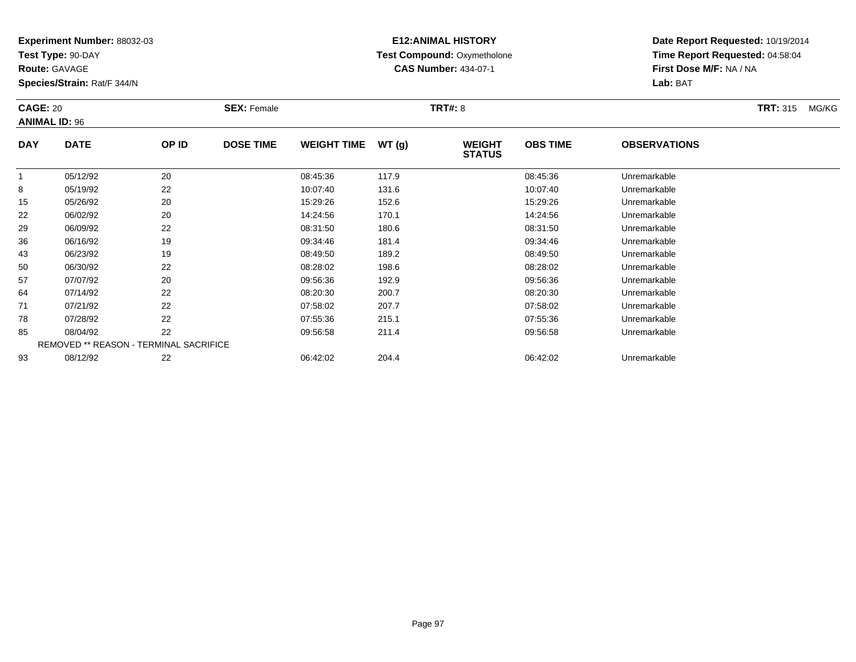**Test Type:** 90-DAY

**Route:** GAVAGE

**Species/Strain:** Rat/F 344/N

# **E12:ANIMAL HISTORY Test Compound:** Oxymetholone**CAS Number:** 434-07-1

| <b>CAGE: 20</b><br><b>ANIMAL ID: 96</b> |                                               |       | <b>SEX: Female</b> |                    |       | <b>TRT#: 8</b>                 |                 |                     | <b>TRT: 315</b><br>MG/KG |  |
|-----------------------------------------|-----------------------------------------------|-------|--------------------|--------------------|-------|--------------------------------|-----------------|---------------------|--------------------------|--|
| <b>DAY</b>                              | <b>DATE</b>                                   | OP ID | <b>DOSE TIME</b>   | <b>WEIGHT TIME</b> | WT(g) | <b>WEIGHT</b><br><b>STATUS</b> | <b>OBS TIME</b> | <b>OBSERVATIONS</b> |                          |  |
|                                         | 05/12/92                                      | 20    |                    | 08:45:36           | 117.9 |                                | 08:45:36        | Unremarkable        |                          |  |
| 8                                       | 05/19/92                                      | 22    |                    | 10:07:40           | 131.6 |                                | 10:07:40        | Unremarkable        |                          |  |
| 15                                      | 05/26/92                                      | 20    |                    | 15:29:26           | 152.6 |                                | 15:29:26        | Unremarkable        |                          |  |
| 22                                      | 06/02/92                                      | 20    |                    | 14:24:56           | 170.1 |                                | 14:24:56        | Unremarkable        |                          |  |
| 29                                      | 06/09/92                                      | 22    |                    | 08:31:50           | 180.6 |                                | 08:31:50        | Unremarkable        |                          |  |
| 36                                      | 06/16/92                                      | 19    |                    | 09:34:46           | 181.4 |                                | 09:34:46        | Unremarkable        |                          |  |
| 43                                      | 06/23/92                                      | 19    |                    | 08:49:50           | 189.2 |                                | 08:49:50        | Unremarkable        |                          |  |
| 50                                      | 06/30/92                                      | 22    |                    | 08:28:02           | 198.6 |                                | 08:28:02        | Unremarkable        |                          |  |
| 57                                      | 07/07/92                                      | 20    |                    | 09:56:36           | 192.9 |                                | 09:56:36        | Unremarkable        |                          |  |
| 64                                      | 07/14/92                                      | 22    |                    | 08:20:30           | 200.7 |                                | 08:20:30        | Unremarkable        |                          |  |
| 71                                      | 07/21/92                                      | 22    |                    | 07:58:02           | 207.7 |                                | 07:58:02        | Unremarkable        |                          |  |
| 78                                      | 07/28/92                                      | 22    |                    | 07:55:36           | 215.1 |                                | 07:55:36        | Unremarkable        |                          |  |
| 85                                      | 08/04/92                                      | 22    |                    | 09:56:58           | 211.4 |                                | 09:56:58        | Unremarkable        |                          |  |
|                                         | <b>REMOVED ** REASON - TERMINAL SACRIFICE</b> |       |                    |                    |       |                                |                 |                     |                          |  |
| 93                                      | 08/12/92                                      | 22    |                    | 06:42:02           | 204.4 |                                | 06:42:02        | Unremarkable        |                          |  |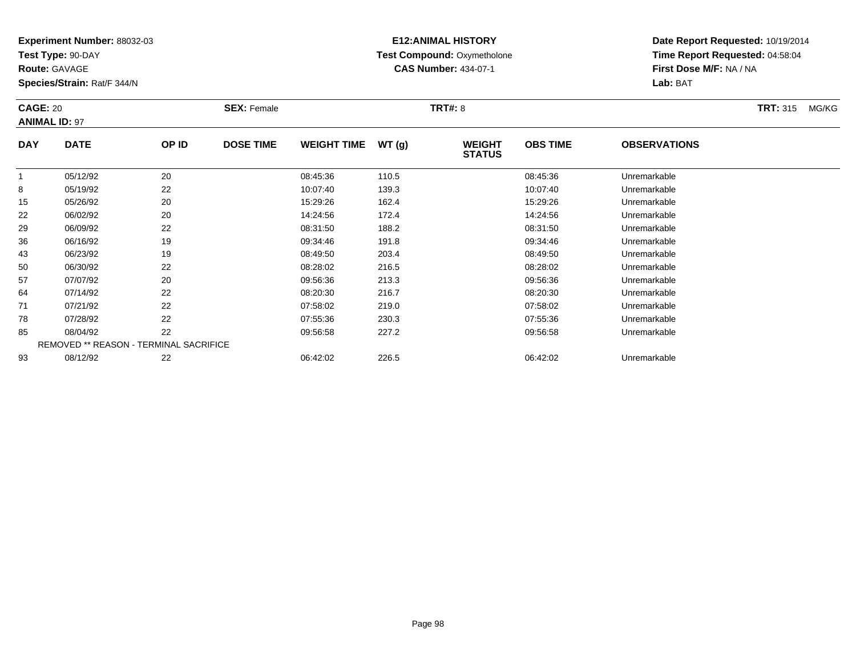**Test Type:** 90-DAY

**Route:** GAVAGE

93

**Species/Strain:** Rat/F 344/N

# **E12:ANIMAL HISTORY Test Compound:** Oxymetholone**CAS Number:** 434-07-1

**Date Report Requested:** 10/19/2014**Time Report Requested:** 04:58:04**First Dose M/F:** NA / NA**Lab:** BAT

| <b>CAGE: 20</b> | <b>ANIMAL ID: 97</b>                          |       | <b>SEX: Female</b> |                    |       | <b>TRT#: 8</b>                 |                 |                     | <b>TRT: 315</b> | MG/KG |
|-----------------|-----------------------------------------------|-------|--------------------|--------------------|-------|--------------------------------|-----------------|---------------------|-----------------|-------|
| <b>DAY</b>      | <b>DATE</b>                                   | OP ID | <b>DOSE TIME</b>   | <b>WEIGHT TIME</b> | WT(g) | <b>WEIGHT</b><br><b>STATUS</b> | <b>OBS TIME</b> | <b>OBSERVATIONS</b> |                 |       |
| $\mathbf{1}$    | 05/12/92                                      | 20    |                    | 08:45:36           | 110.5 |                                | 08:45:36        | Unremarkable        |                 |       |
| 8               | 05/19/92                                      | 22    |                    | 10:07:40           | 139.3 |                                | 10:07:40        | Unremarkable        |                 |       |
| 15              | 05/26/92                                      | 20    |                    | 15:29:26           | 162.4 |                                | 15:29:26        | Unremarkable        |                 |       |
| 22              | 06/02/92                                      | 20    |                    | 14:24:56           | 172.4 |                                | 14:24:56        | Unremarkable        |                 |       |
| 29              | 06/09/92                                      | 22    |                    | 08:31:50           | 188.2 |                                | 08:31:50        | Unremarkable        |                 |       |
| 36              | 06/16/92                                      | 19    |                    | 09:34:46           | 191.8 |                                | 09:34:46        | Unremarkable        |                 |       |
| 43              | 06/23/92                                      | 19    |                    | 08:49:50           | 203.4 |                                | 08:49:50        | Unremarkable        |                 |       |
| 50              | 06/30/92                                      | 22    |                    | 08:28:02           | 216.5 |                                | 08:28:02        | Unremarkable        |                 |       |
| 57              | 07/07/92                                      | 20    |                    | 09:56:36           | 213.3 |                                | 09:56:36        | Unremarkable        |                 |       |
| 64              | 07/14/92                                      | 22    |                    | 08:20:30           | 216.7 |                                | 08:20:30        | Unremarkable        |                 |       |
| 71              | 07/21/92                                      | 22    |                    | 07:58:02           | 219.0 |                                | 07:58:02        | Unremarkable        |                 |       |
| 78              | 07/28/92                                      | 22    |                    | 07:55:36           | 230.3 |                                | 07:55:36        | Unremarkable        |                 |       |
| 85              | 08/04/92                                      | 22    |                    | 09:56:58           | 227.2 |                                | 09:56:58        | Unremarkable        |                 |       |
|                 | <b>REMOVED ** REASON - TERMINAL SACRIFICE</b> |       |                    |                    |       |                                |                 |                     |                 |       |

08/12/92 <sup>22</sup> 06:42:02 226.5 06:42:02 Unremarkable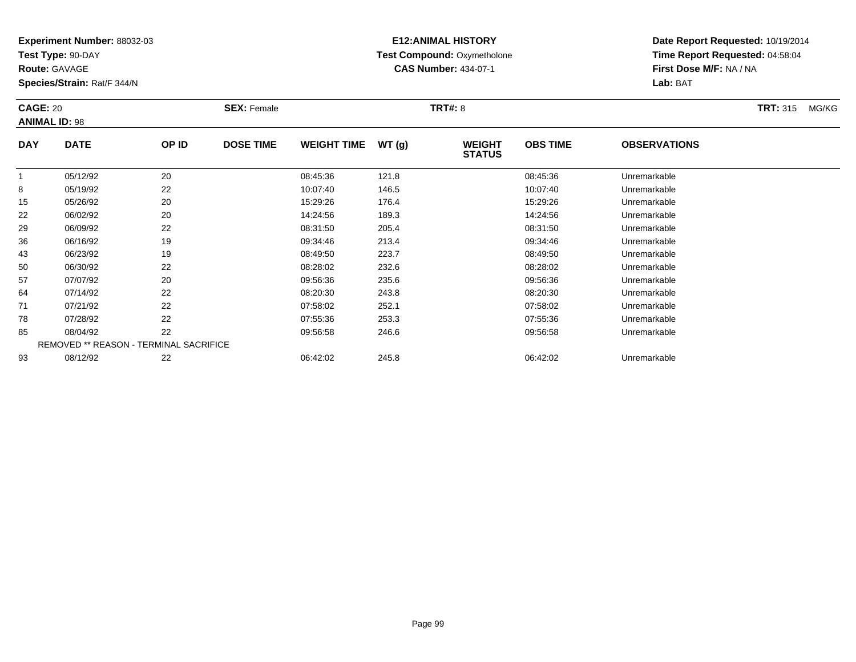**Test Type:** 90-DAY

**Route:** GAVAGE

**Species/Strain:** Rat/F 344/N

# **E12:ANIMAL HISTORY Test Compound:** Oxymetholone**CAS Number:** 434-07-1

| <b>CAGE: 20</b> | <b>ANIMAL ID: 98</b>                          |       | <b>SEX: Female</b> |                    |       | <b>TRT#: 8</b>                 |                 |                     | <b>TRT: 315</b> | MG/KG |
|-----------------|-----------------------------------------------|-------|--------------------|--------------------|-------|--------------------------------|-----------------|---------------------|-----------------|-------|
| <b>DAY</b>      | <b>DATE</b>                                   | OP ID | <b>DOSE TIME</b>   | <b>WEIGHT TIME</b> | WT(g) | <b>WEIGHT</b><br><b>STATUS</b> | <b>OBS TIME</b> | <b>OBSERVATIONS</b> |                 |       |
|                 | 05/12/92                                      | 20    |                    | 08:45:36           | 121.8 |                                | 08:45:36        | Unremarkable        |                 |       |
| 8               | 05/19/92                                      | 22    |                    | 10:07:40           | 146.5 |                                | 10:07:40        | Unremarkable        |                 |       |
| 15              | 05/26/92                                      | 20    |                    | 15:29:26           | 176.4 |                                | 15:29:26        | Unremarkable        |                 |       |
| 22              | 06/02/92                                      | 20    |                    | 14:24:56           | 189.3 |                                | 14:24:56        | Unremarkable        |                 |       |
| 29              | 06/09/92                                      | 22    |                    | 08:31:50           | 205.4 |                                | 08:31:50        | Unremarkable        |                 |       |
| 36              | 06/16/92                                      | 19    |                    | 09:34:46           | 213.4 |                                | 09:34:46        | Unremarkable        |                 |       |
| 43              | 06/23/92                                      | 19    |                    | 08:49:50           | 223.7 |                                | 08:49:50        | Unremarkable        |                 |       |
| 50              | 06/30/92                                      | 22    |                    | 08:28:02           | 232.6 |                                | 08:28:02        | Unremarkable        |                 |       |
| 57              | 07/07/92                                      | 20    |                    | 09:56:36           | 235.6 |                                | 09:56:36        | Unremarkable        |                 |       |
| 64              | 07/14/92                                      | 22    |                    | 08:20:30           | 243.8 |                                | 08:20:30        | Unremarkable        |                 |       |
| 71              | 07/21/92                                      | 22    |                    | 07:58:02           | 252.1 |                                | 07:58:02        | Unremarkable        |                 |       |
| 78              | 07/28/92                                      | 22    |                    | 07:55:36           | 253.3 |                                | 07:55:36        | Unremarkable        |                 |       |
| 85              | 08/04/92                                      | 22    |                    | 09:56:58           | 246.6 |                                | 09:56:58        | Unremarkable        |                 |       |
|                 | <b>REMOVED ** REASON - TERMINAL SACRIFICE</b> |       |                    |                    |       |                                |                 |                     |                 |       |
| 93              | 08/12/92                                      | 22    |                    | 06:42:02           | 245.8 |                                | 06:42:02        | Unremarkable        |                 |       |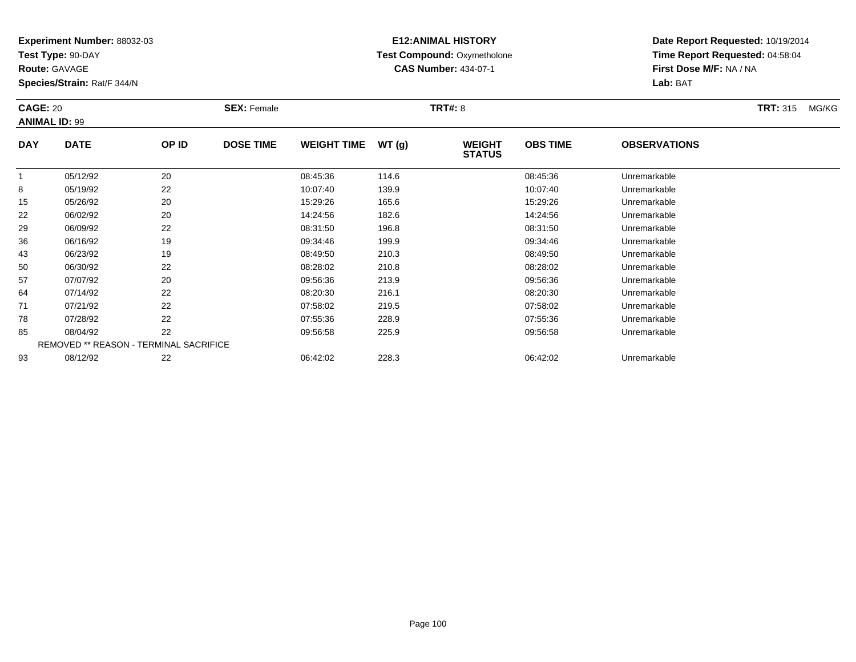**Test Type:** 90-DAY

**Route:** GAVAGE

**Species/Strain:** Rat/F 344/N

# **E12:ANIMAL HISTORY Test Compound:** Oxymetholone**CAS Number:** 434-07-1

|              | <b>CAGE: 20</b><br><b>ANIMAL ID: 99</b> |       | <b>SEX: Female</b> |                    |       | <b>TRT#: 8</b>                 |                 |                     | <b>TRT: 315</b> | MG/KG |
|--------------|-----------------------------------------|-------|--------------------|--------------------|-------|--------------------------------|-----------------|---------------------|-----------------|-------|
| <b>DAY</b>   | <b>DATE</b>                             | OP ID | <b>DOSE TIME</b>   | <b>WEIGHT TIME</b> | WT(g) | <b>WEIGHT</b><br><b>STATUS</b> | <b>OBS TIME</b> | <b>OBSERVATIONS</b> |                 |       |
| $\mathbf{1}$ | 05/12/92                                | 20    |                    | 08:45:36           | 114.6 |                                | 08:45:36        | Unremarkable        |                 |       |
| 8            | 05/19/92                                | 22    |                    | 10:07:40           | 139.9 |                                | 10:07:40        | Unremarkable        |                 |       |
| 15           | 05/26/92                                | 20    |                    | 15:29:26           | 165.6 |                                | 15:29:26        | Unremarkable        |                 |       |
| 22           | 06/02/92                                | 20    |                    | 14:24:56           | 182.6 |                                | 14:24:56        | Unremarkable        |                 |       |
| 29           | 06/09/92                                | 22    |                    | 08:31:50           | 196.8 |                                | 08:31:50        | Unremarkable        |                 |       |
| 36           | 06/16/92                                | 19    |                    | 09:34:46           | 199.9 |                                | 09:34:46        | Unremarkable        |                 |       |
| 43           | 06/23/92                                | 19    |                    | 08:49:50           | 210.3 |                                | 08:49:50        | Unremarkable        |                 |       |
| 50           | 06/30/92                                | 22    |                    | 08:28:02           | 210.8 |                                | 08:28:02        | Unremarkable        |                 |       |
| 57           | 07/07/92                                | 20    |                    | 09:56:36           | 213.9 |                                | 09:56:36        | Unremarkable        |                 |       |
| 64           | 07/14/92                                | 22    |                    | 08:20:30           | 216.1 |                                | 08:20:30        | Unremarkable        |                 |       |
| 71           | 07/21/92                                | 22    |                    | 07:58:02           | 219.5 |                                | 07:58:02        | Unremarkable        |                 |       |
| 78           | 07/28/92                                | 22    |                    | 07:55:36           | 228.9 |                                | 07:55:36        | Unremarkable        |                 |       |
| 85           | 08/04/92                                | 22    |                    | 09:56:58           | 225.9 |                                | 09:56:58        | Unremarkable        |                 |       |
|              | REMOVED ** REASON - TERMINAL SACRIFICE  |       |                    |                    |       |                                |                 |                     |                 |       |
| 93           | 08/12/92                                | 22    |                    | 06:42:02           | 228.3 |                                | 06:42:02        | Unremarkable        |                 |       |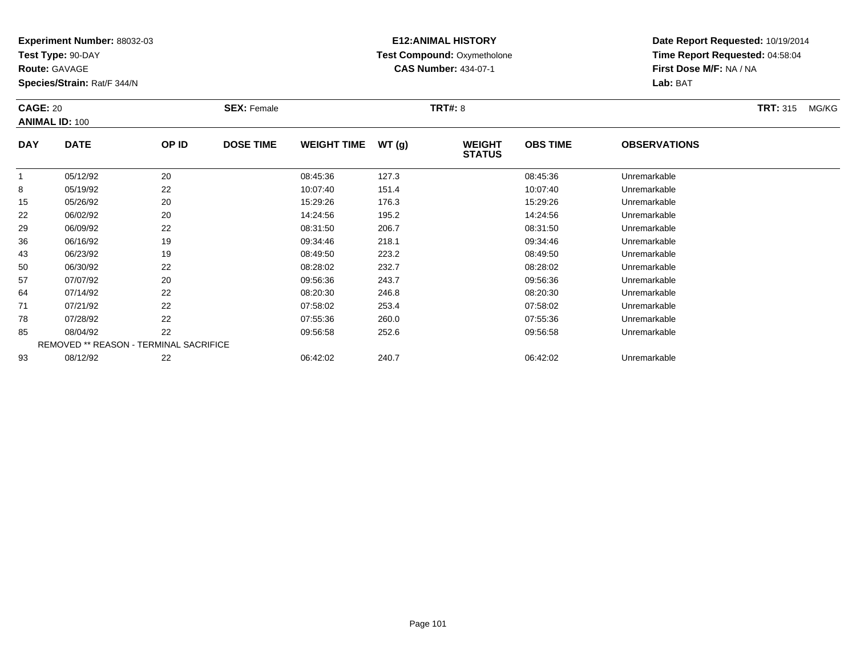**Test Type:** 90-DAY

**Route:** GAVAGE

**Species/Strain:** Rat/F 344/N

# **E12:ANIMAL HISTORY Test Compound:** Oxymetholone**CAS Number:** 434-07-1

| <b>CAGE: 20</b> |                                        |       | <b>SEX: Female</b> |                    |       | <b>TRT#: 8</b>                 |                 |                     | <b>TRT:</b> 315<br>MG/KG |
|-----------------|----------------------------------------|-------|--------------------|--------------------|-------|--------------------------------|-----------------|---------------------|--------------------------|
|                 | <b>ANIMAL ID: 100</b>                  |       |                    |                    |       |                                |                 |                     |                          |
| <b>DAY</b>      | <b>DATE</b>                            | OP ID | <b>DOSE TIME</b>   | <b>WEIGHT TIME</b> | WT(g) | <b>WEIGHT</b><br><b>STATUS</b> | <b>OBS TIME</b> | <b>OBSERVATIONS</b> |                          |
|                 | 05/12/92                               | 20    |                    | 08:45:36           | 127.3 |                                | 08:45:36        | Unremarkable        |                          |
| 8               | 05/19/92                               | 22    |                    | 10:07:40           | 151.4 |                                | 10:07:40        | Unremarkable        |                          |
| 15              | 05/26/92                               | 20    |                    | 15:29:26           | 176.3 |                                | 15:29:26        | Unremarkable        |                          |
| 22              | 06/02/92                               | 20    |                    | 14:24:56           | 195.2 |                                | 14:24:56        | Unremarkable        |                          |
| 29              | 06/09/92                               | 22    |                    | 08:31:50           | 206.7 |                                | 08:31:50        | Unremarkable        |                          |
| 36              | 06/16/92                               | 19    |                    | 09:34:46           | 218.1 |                                | 09:34:46        | Unremarkable        |                          |
| 43              | 06/23/92                               | 19    |                    | 08:49:50           | 223.2 |                                | 08:49:50        | Unremarkable        |                          |
| 50              | 06/30/92                               | 22    |                    | 08:28:02           | 232.7 |                                | 08:28:02        | Unremarkable        |                          |
| 57              | 07/07/92                               | 20    |                    | 09:56:36           | 243.7 |                                | 09:56:36        | Unremarkable        |                          |
| 64              | 07/14/92                               | 22    |                    | 08:20:30           | 246.8 |                                | 08:20:30        | Unremarkable        |                          |
| 71              | 07/21/92                               | 22    |                    | 07:58:02           | 253.4 |                                | 07:58:02        | Unremarkable        |                          |
| 78              | 07/28/92                               | 22    |                    | 07:55:36           | 260.0 |                                | 07:55:36        | Unremarkable        |                          |
| 85              | 08/04/92                               | 22    |                    | 09:56:58           | 252.6 |                                | 09:56:58        | Unremarkable        |                          |
|                 | REMOVED ** REASON - TERMINAL SACRIFICE |       |                    |                    |       |                                |                 |                     |                          |
| 93              | 08/12/92                               | 22    |                    | 06:42:02           | 240.7 |                                | 06:42:02        | Unremarkable        |                          |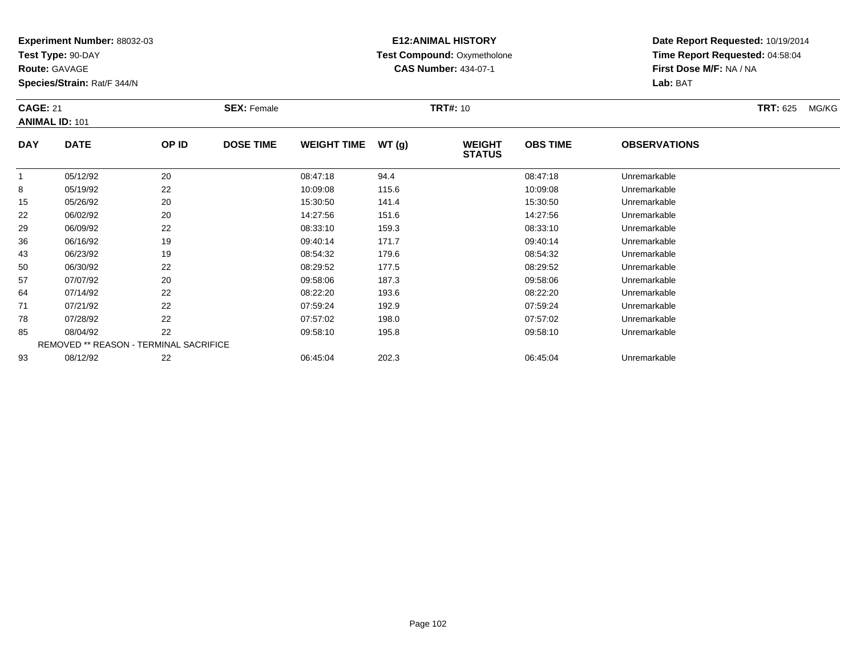**Test Type:** 90-DAY

**Route:** GAVAGE

93

**Species/Strain:** Rat/F 344/N

# **E12:ANIMAL HISTORY Test Compound:** Oxymetholone**CAS Number:** 434-07-1

**Date Report Requested:** 10/19/2014**Time Report Requested:** 04:58:04**First Dose M/F:** NA / NA**Lab:** BAT

| <b>CAGE: 21</b> | <b>ANIMAL ID: 101</b> |                                               | <b>SEX: Female</b> |                    |       | <b>TRT#: 10</b>                |                 |                     | <b>TRT: 625</b> | MG/KG |
|-----------------|-----------------------|-----------------------------------------------|--------------------|--------------------|-------|--------------------------------|-----------------|---------------------|-----------------|-------|
| <b>DAY</b>      | <b>DATE</b>           | OP ID                                         | <b>DOSE TIME</b>   | <b>WEIGHT TIME</b> | WT(g) | <b>WEIGHT</b><br><b>STATUS</b> | <b>OBS TIME</b> | <b>OBSERVATIONS</b> |                 |       |
|                 | 05/12/92              | 20                                            |                    | 08:47:18           | 94.4  |                                | 08:47:18        | Unremarkable        |                 |       |
| 8               | 05/19/92              | 22                                            |                    | 10:09:08           | 115.6 |                                | 10:09:08        | Unremarkable        |                 |       |
| 15              | 05/26/92              | 20                                            |                    | 15:30:50           | 141.4 |                                | 15:30:50        | Unremarkable        |                 |       |
| 22              | 06/02/92              | 20                                            |                    | 14:27:56           | 151.6 |                                | 14:27:56        | Unremarkable        |                 |       |
| 29              | 06/09/92              | 22                                            |                    | 08:33:10           | 159.3 |                                | 08:33:10        | Unremarkable        |                 |       |
| 36              | 06/16/92              | 19                                            |                    | 09:40:14           | 171.7 |                                | 09:40:14        | Unremarkable        |                 |       |
| 43              | 06/23/92              | 19                                            |                    | 08:54:32           | 179.6 |                                | 08:54:32        | Unremarkable        |                 |       |
| 50              | 06/30/92              | 22                                            |                    | 08:29:52           | 177.5 |                                | 08:29:52        | Unremarkable        |                 |       |
| 57              | 07/07/92              | 20                                            |                    | 09:58:06           | 187.3 |                                | 09:58:06        | Unremarkable        |                 |       |
| 64              | 07/14/92              | 22                                            |                    | 08:22:20           | 193.6 |                                | 08:22:20        | Unremarkable        |                 |       |
| 71              | 07/21/92              | 22                                            |                    | 07:59:24           | 192.9 |                                | 07:59:24        | Unremarkable        |                 |       |
| 78              | 07/28/92              | 22                                            |                    | 07:57:02           | 198.0 |                                | 07:57:02        | Unremarkable        |                 |       |
| 85              | 08/04/92              | 22                                            |                    | 09:58:10           | 195.8 |                                | 09:58:10        | Unremarkable        |                 |       |
|                 |                       | <b>REMOVED ** REASON - TERMINAL SACRIFICE</b> |                    |                    |       |                                |                 |                     |                 |       |

08/12/92 <sup>22</sup> 06:45:04 202.3 06:45:04 Unremarkable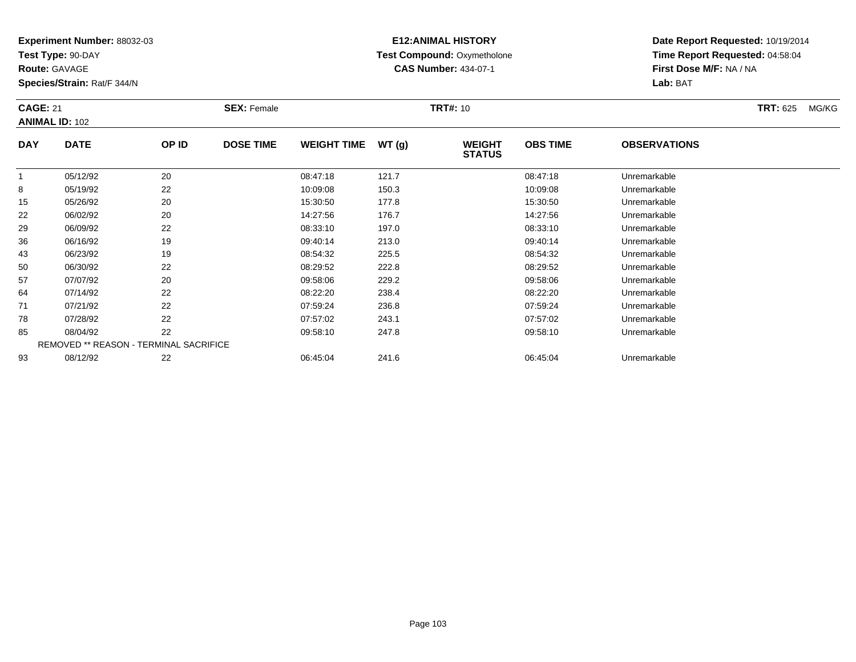**Test Type:** 90-DAY

**Route:** GAVAGE

93

**Species/Strain:** Rat/F 344/N

# **E12:ANIMAL HISTORY Test Compound:** Oxymetholone**CAS Number:** 434-07-1

**Date Report Requested:** 10/19/2014**Time Report Requested:** 04:58:04**First Dose M/F:** NA / NA**Lab:** BAT

| <b>CAGE: 21</b> | <b>ANIMAL ID: 102</b>                         |       | <b>SEX: Female</b> |                    |       | <b>TRT#: 10</b>                |                 |                     | <b>TRT: 625</b> | MG/KG |
|-----------------|-----------------------------------------------|-------|--------------------|--------------------|-------|--------------------------------|-----------------|---------------------|-----------------|-------|
| <b>DAY</b>      | <b>DATE</b>                                   | OP ID | <b>DOSE TIME</b>   | <b>WEIGHT TIME</b> | WT(g) | <b>WEIGHT</b><br><b>STATUS</b> | <b>OBS TIME</b> | <b>OBSERVATIONS</b> |                 |       |
|                 | 05/12/92                                      | 20    |                    | 08:47:18           | 121.7 |                                | 08:47:18        | Unremarkable        |                 |       |
| 8               | 05/19/92                                      | 22    |                    | 10:09:08           | 150.3 |                                | 10:09:08        | Unremarkable        |                 |       |
| 15              | 05/26/92                                      | 20    |                    | 15:30:50           | 177.8 |                                | 15:30:50        | Unremarkable        |                 |       |
| 22              | 06/02/92                                      | 20    |                    | 14:27:56           | 176.7 |                                | 14:27:56        | Unremarkable        |                 |       |
| 29              | 06/09/92                                      | 22    |                    | 08:33:10           | 197.0 |                                | 08:33:10        | Unremarkable        |                 |       |
| 36              | 06/16/92                                      | 19    |                    | 09:40:14           | 213.0 |                                | 09:40:14        | Unremarkable        |                 |       |
| 43              | 06/23/92                                      | 19    |                    | 08:54:32           | 225.5 |                                | 08:54:32        | Unremarkable        |                 |       |
| 50              | 06/30/92                                      | 22    |                    | 08:29:52           | 222.8 |                                | 08:29:52        | Unremarkable        |                 |       |
| 57              | 07/07/92                                      | 20    |                    | 09:58:06           | 229.2 |                                | 09:58:06        | Unremarkable        |                 |       |
| 64              | 07/14/92                                      | 22    |                    | 08:22:20           | 238.4 |                                | 08:22:20        | Unremarkable        |                 |       |
| 71              | 07/21/92                                      | 22    |                    | 07:59:24           | 236.8 |                                | 07:59:24        | Unremarkable        |                 |       |
| 78              | 07/28/92                                      | 22    |                    | 07:57:02           | 243.1 |                                | 07:57:02        | Unremarkable        |                 |       |
| 85              | 08/04/92                                      | 22    |                    | 09:58:10           | 247.8 |                                | 09:58:10        | Unremarkable        |                 |       |
|                 | <b>REMOVED ** REASON - TERMINAL SACRIFICE</b> |       |                    |                    |       |                                |                 |                     |                 |       |

08/12/92 <sup>22</sup> 06:45:04 241.6 06:45:04 Unremarkable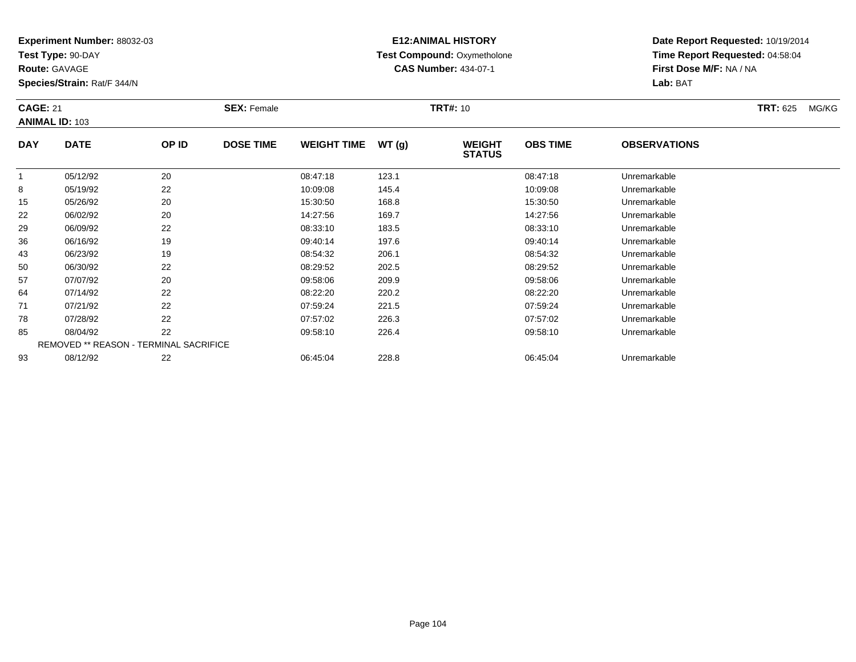**Test Type:** 90-DAY

**Route:** GAVAGE

**Species/Strain:** Rat/F 344/N

# **E12:ANIMAL HISTORY Test Compound:** Oxymetholone**CAS Number:** 434-07-1

| <b>CAGE: 21</b> |                                        |       | <b>SEX: Female</b> |                    |       | <b>TRT#: 10</b>                |                 |                     | <b>TRT: 625</b> | MG/KG |
|-----------------|----------------------------------------|-------|--------------------|--------------------|-------|--------------------------------|-----------------|---------------------|-----------------|-------|
|                 | <b>ANIMAL ID: 103</b>                  |       |                    |                    |       |                                |                 |                     |                 |       |
| <b>DAY</b>      | <b>DATE</b>                            | OP ID | <b>DOSE TIME</b>   | <b>WEIGHT TIME</b> | WT(g) | <b>WEIGHT</b><br><b>STATUS</b> | <b>OBS TIME</b> | <b>OBSERVATIONS</b> |                 |       |
| $\mathbf{1}$    | 05/12/92                               | 20    |                    | 08:47:18           | 123.1 |                                | 08:47:18        | Unremarkable        |                 |       |
| 8               | 05/19/92                               | 22    |                    | 10:09:08           | 145.4 |                                | 10:09:08        | Unremarkable        |                 |       |
| 15              | 05/26/92                               | 20    |                    | 15:30:50           | 168.8 |                                | 15:30:50        | Unremarkable        |                 |       |
| 22              | 06/02/92                               | 20    |                    | 14:27:56           | 169.7 |                                | 14:27:56        | Unremarkable        |                 |       |
| 29              | 06/09/92                               | 22    |                    | 08:33:10           | 183.5 |                                | 08:33:10        | Unremarkable        |                 |       |
| 36              | 06/16/92                               | 19    |                    | 09:40:14           | 197.6 |                                | 09:40:14        | Unremarkable        |                 |       |
| 43              | 06/23/92                               | 19    |                    | 08:54:32           | 206.1 |                                | 08:54:32        | Unremarkable        |                 |       |
| 50              | 06/30/92                               | 22    |                    | 08:29:52           | 202.5 |                                | 08:29:52        | Unremarkable        |                 |       |
| 57              | 07/07/92                               | 20    |                    | 09:58:06           | 209.9 |                                | 09:58:06        | Unremarkable        |                 |       |
| 64              | 07/14/92                               | 22    |                    | 08:22:20           | 220.2 |                                | 08:22:20        | Unremarkable        |                 |       |
| 71              | 07/21/92                               | 22    |                    | 07:59:24           | 221.5 |                                | 07:59:24        | Unremarkable        |                 |       |
| 78              | 07/28/92                               | 22    |                    | 07:57:02           | 226.3 |                                | 07:57:02        | Unremarkable        |                 |       |
| 85              | 08/04/92                               | 22    |                    | 09:58:10           | 226.4 |                                | 09:58:10        | Unremarkable        |                 |       |
|                 | REMOVED ** REASON - TERMINAL SACRIFICE |       |                    |                    |       |                                |                 |                     |                 |       |
| 93              | 08/12/92                               | 22    |                    | 06:45:04           | 228.8 |                                | 06:45:04        | Unremarkable        |                 |       |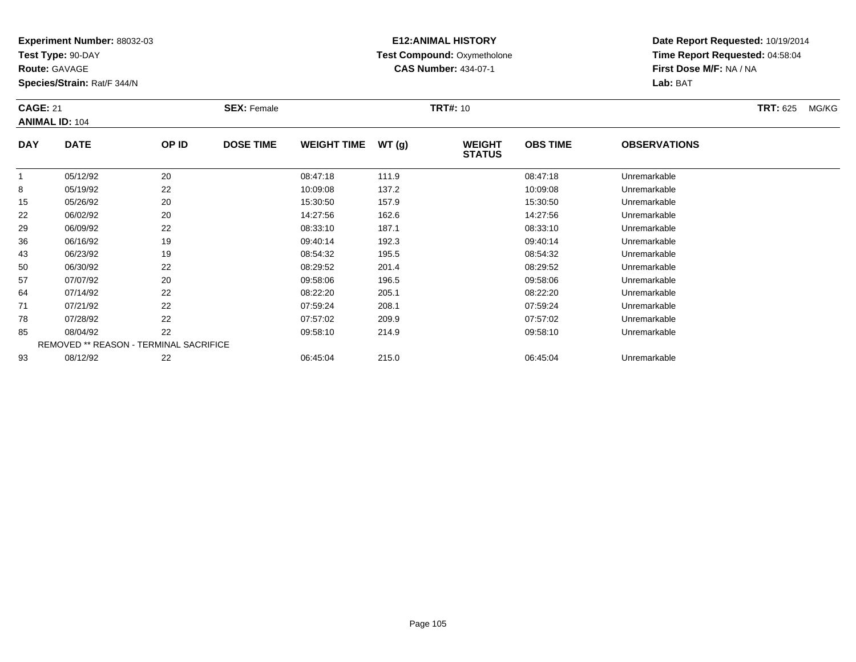**Test Type:** 90-DAY

**Route:** GAVAGE

**Species/Strain:** Rat/F 344/N

# **E12:ANIMAL HISTORY Test Compound:** Oxymetholone**CAS Number:** 434-07-1

**Date Report Requested:** 10/19/2014**Time Report Requested:** 04:58:04**First Dose M/F:** NA / NA**Lab:** BAT

| <b>CAGE: 21</b> | <b>ANIMAL ID: 104</b>                         |       | <b>SEX: Female</b> |                    |       | <b>TRT#: 10</b>                |                 |                     | <b>TRT: 625</b> | MG/KG |
|-----------------|-----------------------------------------------|-------|--------------------|--------------------|-------|--------------------------------|-----------------|---------------------|-----------------|-------|
| <b>DAY</b>      | <b>DATE</b>                                   | OP ID | <b>DOSE TIME</b>   | <b>WEIGHT TIME</b> | WT(g) | <b>WEIGHT</b><br><b>STATUS</b> | <b>OBS TIME</b> | <b>OBSERVATIONS</b> |                 |       |
|                 | 05/12/92                                      | 20    |                    | 08:47:18           | 111.9 |                                | 08:47:18        | Unremarkable        |                 |       |
| 8               | 05/19/92                                      | 22    |                    | 10:09:08           | 137.2 |                                | 10:09:08        | Unremarkable        |                 |       |
| 15              | 05/26/92                                      | 20    |                    | 15:30:50           | 157.9 |                                | 15:30:50        | Unremarkable        |                 |       |
| 22              | 06/02/92                                      | 20    |                    | 14:27:56           | 162.6 |                                | 14:27:56        | Unremarkable        |                 |       |
| 29              | 06/09/92                                      | 22    |                    | 08:33:10           | 187.1 |                                | 08:33:10        | Unremarkable        |                 |       |
| 36              | 06/16/92                                      | 19    |                    | 09:40:14           | 192.3 |                                | 09:40:14        | Unremarkable        |                 |       |
| 43              | 06/23/92                                      | 19    |                    | 08:54:32           | 195.5 |                                | 08:54:32        | Unremarkable        |                 |       |
| 50              | 06/30/92                                      | 22    |                    | 08:29:52           | 201.4 |                                | 08:29:52        | Unremarkable        |                 |       |
| 57              | 07/07/92                                      | 20    |                    | 09:58:06           | 196.5 |                                | 09:58:06        | Unremarkable        |                 |       |
| 64              | 07/14/92                                      | 22    |                    | 08:22:20           | 205.1 |                                | 08:22:20        | Unremarkable        |                 |       |
| 71              | 07/21/92                                      | 22    |                    | 07:59:24           | 208.1 |                                | 07:59:24        | Unremarkable        |                 |       |
| 78              | 07/28/92                                      | 22    |                    | 07:57:02           | 209.9 |                                | 07:57:02        | Unremarkable        |                 |       |
| 85              | 08/04/92                                      | 22    |                    | 09:58:10           | 214.9 |                                | 09:58:10        | Unremarkable        |                 |       |
|                 | <b>REMOVED ** REASON - TERMINAL SACRIFICE</b> |       |                    |                    |       |                                |                 |                     |                 |       |
| 93              | 08/12/92                                      | 22    |                    | 06:45:04           | 215.0 |                                | 06:45:04        | Unremarkable        |                 |       |

08/12/92 <sup>22</sup> 06:45:04 215.0 06:45:04 Unremarkable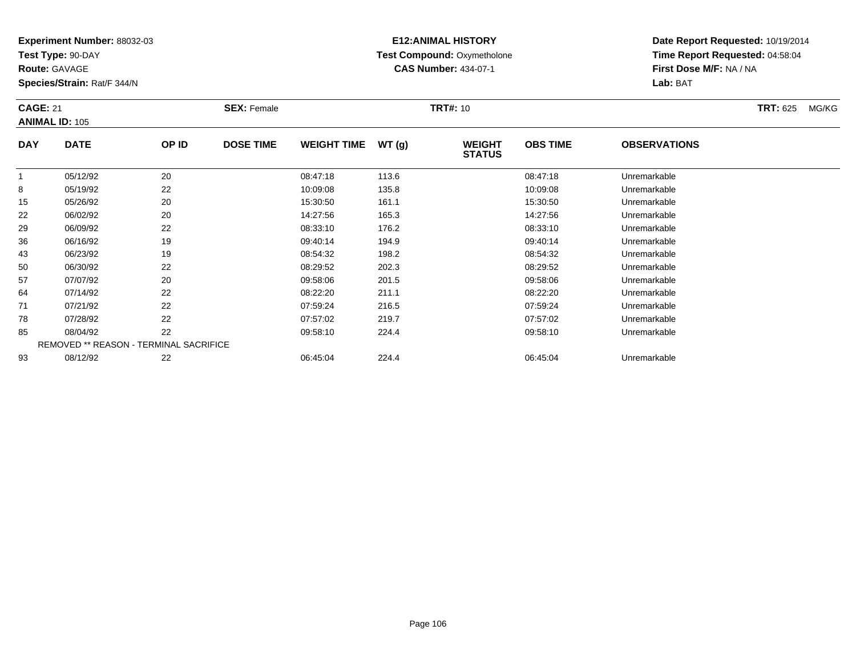**Test Type:** 90-DAY

**Route:** GAVAGE

**Species/Strain:** Rat/F 344/N

# **E12:ANIMAL HISTORY Test Compound:** Oxymetholone**CAS Number:** 434-07-1

**Date Report Requested:** 10/19/2014**Time Report Requested:** 04:58:04**First Dose M/F:** NA / NA**Lab:** BAT

| <b>CAGE: 21</b> | <b>ANIMAL ID: 105</b>                         |       | <b>SEX: Female</b> |                    |       | <b>TRT#: 10</b>                |                 |                     | <b>TRT: 625</b> | MG/KG |
|-----------------|-----------------------------------------------|-------|--------------------|--------------------|-------|--------------------------------|-----------------|---------------------|-----------------|-------|
| <b>DAY</b>      | <b>DATE</b>                                   | OP ID | <b>DOSE TIME</b>   | <b>WEIGHT TIME</b> | WT(g) | <b>WEIGHT</b><br><b>STATUS</b> | <b>OBS TIME</b> | <b>OBSERVATIONS</b> |                 |       |
|                 | 05/12/92                                      | 20    |                    | 08:47:18           | 113.6 |                                | 08:47:18        | Unremarkable        |                 |       |
| 8               | 05/19/92                                      | 22    |                    | 10:09:08           | 135.8 |                                | 10:09:08        | Unremarkable        |                 |       |
| 15              | 05/26/92                                      | 20    |                    | 15:30:50           | 161.1 |                                | 15:30:50        | Unremarkable        |                 |       |
| 22              | 06/02/92                                      | 20    |                    | 14:27:56           | 165.3 |                                | 14:27:56        | Unremarkable        |                 |       |
| 29              | 06/09/92                                      | 22    |                    | 08:33:10           | 176.2 |                                | 08:33:10        | Unremarkable        |                 |       |
| 36              | 06/16/92                                      | 19    |                    | 09:40:14           | 194.9 |                                | 09:40:14        | Unremarkable        |                 |       |
| 43              | 06/23/92                                      | 19    |                    | 08:54:32           | 198.2 |                                | 08:54:32        | Unremarkable        |                 |       |
| 50              | 06/30/92                                      | 22    |                    | 08:29:52           | 202.3 |                                | 08:29:52        | Unremarkable        |                 |       |
| 57              | 07/07/92                                      | 20    |                    | 09:58:06           | 201.5 |                                | 09:58:06        | Unremarkable        |                 |       |
| 64              | 07/14/92                                      | 22    |                    | 08:22:20           | 211.1 |                                | 08:22:20        | Unremarkable        |                 |       |
| 71              | 07/21/92                                      | 22    |                    | 07:59:24           | 216.5 |                                | 07:59:24        | Unremarkable        |                 |       |
| 78              | 07/28/92                                      | 22    |                    | 07:57:02           | 219.7 |                                | 07:57:02        | Unremarkable        |                 |       |
| 85              | 08/04/92                                      | 22    |                    | 09:58:10           | 224.4 |                                | 09:58:10        | Unremarkable        |                 |       |
|                 | <b>REMOVED ** REASON - TERMINAL SACRIFICE</b> |       |                    |                    |       |                                |                 |                     |                 |       |
| 93              | 08/12/92                                      | 22    |                    | 06:45:04           | 224.4 |                                | 06:45:04        | Unremarkable        |                 |       |

08/12/92 22 20 06:45:04 224.4 06:45:04 06:45:04 Dhremarkable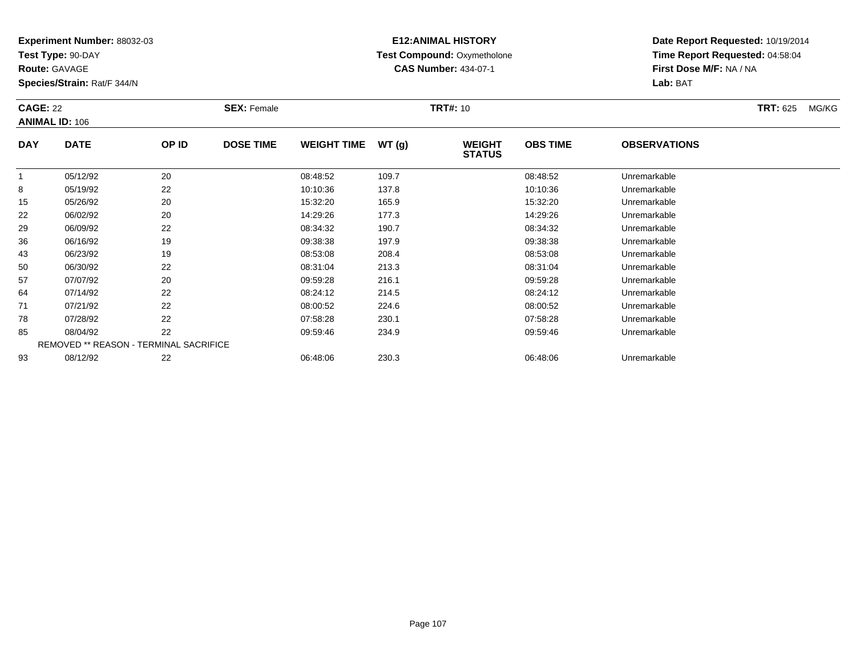**Test Type:** 90-DAY

**Route:** GAVAGE

93

**Species/Strain:** Rat/F 344/N

# **E12:ANIMAL HISTORY Test Compound:** Oxymetholone**CAS Number:** 434-07-1

**Date Report Requested:** 10/19/2014**Time Report Requested:** 04:58:04**First Dose M/F:** NA / NA**Lab:** BAT

| <b>CAGE: 22</b> | <b>ANIMAL ID: 106</b>                  |       | <b>SEX: Female</b> |                    |       | <b>TRT#: 10</b>                |                 |                     | <b>TRT: 625</b><br>MG/KG |
|-----------------|----------------------------------------|-------|--------------------|--------------------|-------|--------------------------------|-----------------|---------------------|--------------------------|
| <b>DAY</b>      | <b>DATE</b>                            | OP ID | <b>DOSE TIME</b>   | <b>WEIGHT TIME</b> | WT(g) | <b>WEIGHT</b><br><b>STATUS</b> | <b>OBS TIME</b> | <b>OBSERVATIONS</b> |                          |
|                 | 05/12/92                               | 20    |                    | 08:48:52           | 109.7 |                                | 08:48:52        | Unremarkable        |                          |
| 8               | 05/19/92                               | 22    |                    | 10:10:36           | 137.8 |                                | 10:10:36        | Unremarkable        |                          |
| 15              | 05/26/92                               | 20    |                    | 15:32:20           | 165.9 |                                | 15:32:20        | Unremarkable        |                          |
| 22              | 06/02/92                               | 20    |                    | 14:29:26           | 177.3 |                                | 14:29:26        | Unremarkable        |                          |
| 29              | 06/09/92                               | 22    |                    | 08:34:32           | 190.7 |                                | 08:34:32        | Unremarkable        |                          |
| 36              | 06/16/92                               | 19    |                    | 09:38:38           | 197.9 |                                | 09:38:38        | Unremarkable        |                          |
| 43              | 06/23/92                               | 19    |                    | 08:53:08           | 208.4 |                                | 08:53:08        | Unremarkable        |                          |
| 50              | 06/30/92                               | 22    |                    | 08:31:04           | 213.3 |                                | 08:31:04        | Unremarkable        |                          |
| 57              | 07/07/92                               | 20    |                    | 09:59:28           | 216.1 |                                | 09:59:28        | Unremarkable        |                          |
| 64              | 07/14/92                               | 22    |                    | 08:24:12           | 214.5 |                                | 08:24:12        | Unremarkable        |                          |
| 71              | 07/21/92                               | 22    |                    | 08:00:52           | 224.6 |                                | 08:00:52        | Unremarkable        |                          |
| 78              | 07/28/92                               | 22    |                    | 07:58:28           | 230.1 |                                | 07:58:28        | Unremarkable        |                          |
| 85              | 08/04/92                               | 22    |                    | 09:59:46           | 234.9 |                                | 09:59:46        | Unremarkable        |                          |
|                 | REMOVED ** REASON - TERMINAL SACRIFICE |       |                    |                    |       |                                |                 |                     |                          |

08/12/92 <sup>22</sup> 06:48:06 230.3 06:48:06 Unremarkable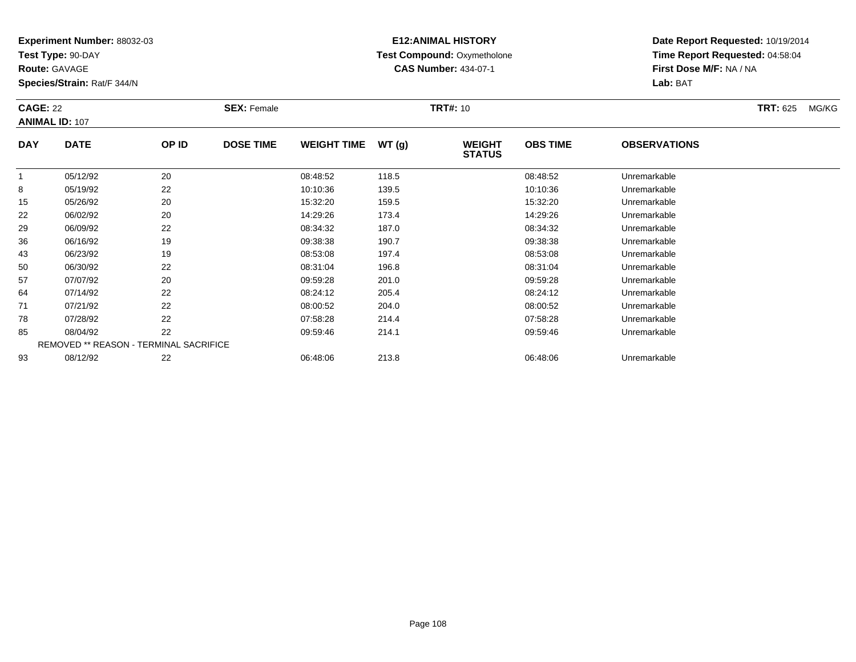**Test Type:** 90-DAY

**Route:** GAVAGE

93

**Species/Strain:** Rat/F 344/N

# **E12:ANIMAL HISTORY Test Compound:** Oxymetholone**CAS Number:** 434-07-1

**Date Report Requested:** 10/19/2014**Time Report Requested:** 04:58:04**First Dose M/F:** NA / NA**Lab:** BAT

| <b>CAGE: 22</b> |                       |                                               | <b>SEX: Female</b> |                    |       | <b>TRT#: 10</b>                |                 |                     | <b>TRT: 625</b> | MG/KG |
|-----------------|-----------------------|-----------------------------------------------|--------------------|--------------------|-------|--------------------------------|-----------------|---------------------|-----------------|-------|
|                 | <b>ANIMAL ID: 107</b> |                                               |                    |                    |       |                                |                 |                     |                 |       |
| <b>DAY</b>      | <b>DATE</b>           | OP ID                                         | <b>DOSE TIME</b>   | <b>WEIGHT TIME</b> | WT(g) | <b>WEIGHT</b><br><b>STATUS</b> | <b>OBS TIME</b> | <b>OBSERVATIONS</b> |                 |       |
| $\mathbf{1}$    | 05/12/92              | 20                                            |                    | 08:48:52           | 118.5 |                                | 08:48:52        | Unremarkable        |                 |       |
| 8               | 05/19/92              | 22                                            |                    | 10:10:36           | 139.5 |                                | 10:10:36        | Unremarkable        |                 |       |
| 15              | 05/26/92              | 20                                            |                    | 15:32:20           | 159.5 |                                | 15:32:20        | Unremarkable        |                 |       |
| 22              | 06/02/92              | 20                                            |                    | 14:29:26           | 173.4 |                                | 14:29:26        | Unremarkable        |                 |       |
| 29              | 06/09/92              | 22                                            |                    | 08:34:32           | 187.0 |                                | 08:34:32        | Unremarkable        |                 |       |
| 36              | 06/16/92              | 19                                            |                    | 09:38:38           | 190.7 |                                | 09:38:38        | Unremarkable        |                 |       |
| 43              | 06/23/92              | 19                                            |                    | 08:53:08           | 197.4 |                                | 08:53:08        | Unremarkable        |                 |       |
| 50              | 06/30/92              | 22                                            |                    | 08:31:04           | 196.8 |                                | 08:31:04        | Unremarkable        |                 |       |
| 57              | 07/07/92              | 20                                            |                    | 09:59:28           | 201.0 |                                | 09:59:28        | Unremarkable        |                 |       |
| 64              | 07/14/92              | 22                                            |                    | 08:24:12           | 205.4 |                                | 08:24:12        | Unremarkable        |                 |       |
| 71              | 07/21/92              | 22                                            |                    | 08:00:52           | 204.0 |                                | 08:00:52        | Unremarkable        |                 |       |
| 78              | 07/28/92              | 22                                            |                    | 07:58:28           | 214.4 |                                | 07:58:28        | Unremarkable        |                 |       |
| 85              | 08/04/92              | 22                                            |                    | 09:59:46           | 214.1 |                                | 09:59:46        | Unremarkable        |                 |       |
|                 |                       | <b>REMOVED ** REASON - TERMINAL SACRIFICE</b> |                    |                    |       |                                |                 |                     |                 |       |

08/12/92 <sup>22</sup> 06:48:06 213.8 06:48:06 Unremarkable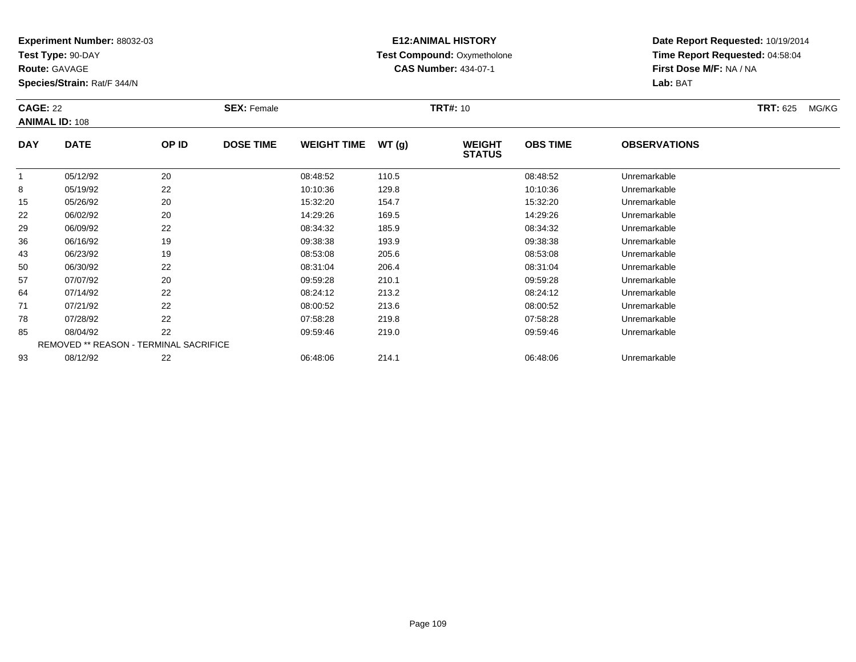**Test Type:** 90-DAY

**Route:** GAVAGE

**Species/Strain:** Rat/F 344/N

# **E12:ANIMAL HISTORY Test Compound:** Oxymetholone**CAS Number:** 434-07-1

**Date Report Requested:** 10/19/2014**Time Report Requested:** 04:58:04**First Dose M/F:** NA / NA**Lab:** BAT

| <b>CAGE: 22</b> | <b>ANIMAL ID: 108</b>                  |       | <b>SEX: Female</b> |                    |       | <b>TRT#: 10</b>                |                 |                     | <b>TRT: 625</b> | MG/KG |
|-----------------|----------------------------------------|-------|--------------------|--------------------|-------|--------------------------------|-----------------|---------------------|-----------------|-------|
| <b>DAY</b>      | <b>DATE</b>                            | OP ID | <b>DOSE TIME</b>   | <b>WEIGHT TIME</b> | WT(g) | <b>WEIGHT</b><br><b>STATUS</b> | <b>OBS TIME</b> | <b>OBSERVATIONS</b> |                 |       |
| $\mathbf{1}$    | 05/12/92                               | 20    |                    | 08:48:52           | 110.5 |                                | 08:48:52        | Unremarkable        |                 |       |
| 8               | 05/19/92                               | 22    |                    | 10:10:36           | 129.8 |                                | 10:10:36        | Unremarkable        |                 |       |
| 15              | 05/26/92                               | 20    |                    | 15:32:20           | 154.7 |                                | 15:32:20        | Unremarkable        |                 |       |
| 22              | 06/02/92                               | 20    |                    | 14:29:26           | 169.5 |                                | 14:29:26        | Unremarkable        |                 |       |
| 29              | 06/09/92                               | 22    |                    | 08:34:32           | 185.9 |                                | 08:34:32        | Unremarkable        |                 |       |
| 36              | 06/16/92                               | 19    |                    | 09:38:38           | 193.9 |                                | 09:38:38        | Unremarkable        |                 |       |
| 43              | 06/23/92                               | 19    |                    | 08:53:08           | 205.6 |                                | 08:53:08        | Unremarkable        |                 |       |
| 50              | 06/30/92                               | 22    |                    | 08:31:04           | 206.4 |                                | 08:31:04        | Unremarkable        |                 |       |
| 57              | 07/07/92                               | 20    |                    | 09:59:28           | 210.1 |                                | 09:59:28        | Unremarkable        |                 |       |
| 64              | 07/14/92                               | 22    |                    | 08:24:12           | 213.2 |                                | 08:24:12        | Unremarkable        |                 |       |
| 71              | 07/21/92                               | 22    |                    | 08:00:52           | 213.6 |                                | 08:00:52        | Unremarkable        |                 |       |
| 78              | 07/28/92                               | 22    |                    | 07:58:28           | 219.8 |                                | 07:58:28        | Unremarkable        |                 |       |
| 85              | 08/04/92                               | 22    |                    | 09:59:46           | 219.0 |                                | 09:59:46        | Unremarkable        |                 |       |
|                 | REMOVED ** REASON - TERMINAL SACRIFICE |       |                    |                    |       |                                |                 |                     |                 |       |
| 93              | 08/12/92                               | 22    |                    | 06:48:06           | 214.1 |                                | 06:48:06        | Unremarkable        |                 |       |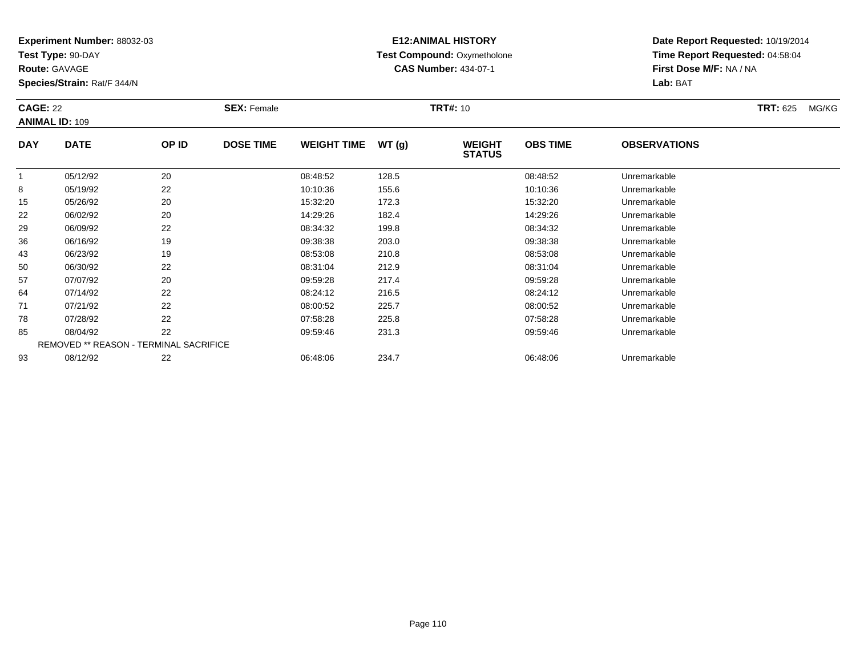**Test Type:** 90-DAY

**Route:** GAVAGE

**Species/Strain:** Rat/F 344/N

# **E12:ANIMAL HISTORY Test Compound:** Oxymetholone**CAS Number:** 434-07-1

**Date Report Requested:** 10/19/2014**Time Report Requested:** 04:58:04**First Dose M/F:** NA / NA**Lab:** BAT

|            | <b>CAGE: 22</b><br><b>ANIMAL ID: 109</b>      |       | <b>SEX: Female</b> |                    |       | <b>TRT#: 10</b>                |                 | <b>TRT: 625</b>     | MG/KG |  |
|------------|-----------------------------------------------|-------|--------------------|--------------------|-------|--------------------------------|-----------------|---------------------|-------|--|
| <b>DAY</b> | <b>DATE</b>                                   | OP ID | <b>DOSE TIME</b>   | <b>WEIGHT TIME</b> | WT(g) | <b>WEIGHT</b><br><b>STATUS</b> | <b>OBS TIME</b> | <b>OBSERVATIONS</b> |       |  |
|            | 05/12/92                                      | 20    |                    | 08:48:52           | 128.5 |                                | 08:48:52        | Unremarkable        |       |  |
| 8          | 05/19/92                                      | 22    |                    | 10:10:36           | 155.6 |                                | 10:10:36        | Unremarkable        |       |  |
| 15         | 05/26/92                                      | 20    |                    | 15:32:20           | 172.3 |                                | 15:32:20        | Unremarkable        |       |  |
| 22         | 06/02/92                                      | 20    |                    | 14:29:26           | 182.4 |                                | 14:29:26        | Unremarkable        |       |  |
| 29         | 06/09/92                                      | 22    |                    | 08:34:32           | 199.8 |                                | 08:34:32        | Unremarkable        |       |  |
| 36         | 06/16/92                                      | 19    |                    | 09:38:38           | 203.0 |                                | 09:38:38        | Unremarkable        |       |  |
| 43         | 06/23/92                                      | 19    |                    | 08:53:08           | 210.8 |                                | 08:53:08        | Unremarkable        |       |  |
| 50         | 06/30/92                                      | 22    |                    | 08:31:04           | 212.9 |                                | 08:31:04        | Unremarkable        |       |  |
| 57         | 07/07/92                                      | 20    |                    | 09:59:28           | 217.4 |                                | 09:59:28        | Unremarkable        |       |  |
| 64         | 07/14/92                                      | 22    |                    | 08:24:12           | 216.5 |                                | 08:24:12        | Unremarkable        |       |  |
| 71         | 07/21/92                                      | 22    |                    | 08:00:52           | 225.7 |                                | 08:00:52        | Unremarkable        |       |  |
| 78         | 07/28/92                                      | 22    |                    | 07:58:28           | 225.8 |                                | 07:58:28        | Unremarkable        |       |  |
| 85         | 08/04/92                                      | 22    |                    | 09:59:46           | 231.3 |                                | 09:59:46        | Unremarkable        |       |  |
|            | <b>REMOVED ** REASON - TERMINAL SACRIFICE</b> |       |                    |                    |       |                                |                 |                     |       |  |
| 93         | 08/12/92                                      | 22    |                    | 06:48:06           | 234.7 |                                | 06:48:06        | Unremarkable        |       |  |

08/12/92 <sup>22</sup> 06:48:06 234.7 06:48:06 Unremarkable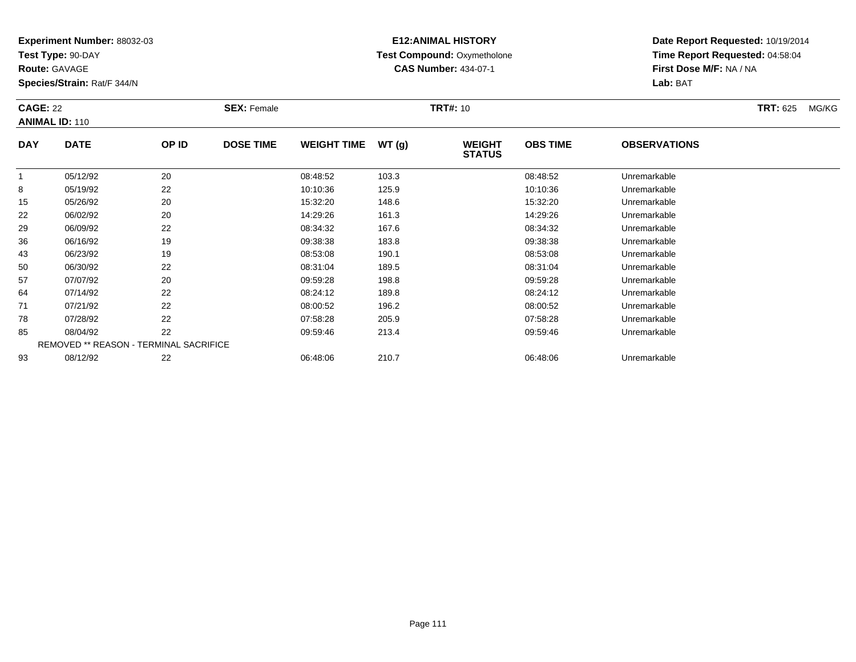**Test Type:** 90-DAY

**Route:** GAVAGE

**Species/Strain:** Rat/F 344/N

# **E12:ANIMAL HISTORY Test Compound:** Oxymetholone**CAS Number:** 434-07-1

**Date Report Requested:** 10/19/2014**Time Report Requested:** 04:58:04**First Dose M/F:** NA / NA**Lab:** BAT

| <b>CAGE: 22</b> | <b>ANIMAL ID: 110</b>                         |       | <b>SEX: Female</b> |                    |       | <b>TRT#: 10</b>                |                 |                     | <b>TRT: 625</b> | MG/KG |
|-----------------|-----------------------------------------------|-------|--------------------|--------------------|-------|--------------------------------|-----------------|---------------------|-----------------|-------|
| <b>DAY</b>      | <b>DATE</b>                                   | OP ID | <b>DOSE TIME</b>   | <b>WEIGHT TIME</b> | WT(g) | <b>WEIGHT</b><br><b>STATUS</b> | <b>OBS TIME</b> | <b>OBSERVATIONS</b> |                 |       |
|                 | 05/12/92                                      | 20    |                    | 08:48:52           | 103.3 |                                | 08:48:52        | Unremarkable        |                 |       |
| 8               | 05/19/92                                      | 22    |                    | 10:10:36           | 125.9 |                                | 10:10:36        | Unremarkable        |                 |       |
| 15              | 05/26/92                                      | 20    |                    | 15:32:20           | 148.6 |                                | 15:32:20        | Unremarkable        |                 |       |
| 22              | 06/02/92                                      | 20    |                    | 14:29:26           | 161.3 |                                | 14:29:26        | Unremarkable        |                 |       |
| 29              | 06/09/92                                      | 22    |                    | 08:34:32           | 167.6 |                                | 08:34:32        | Unremarkable        |                 |       |
| 36              | 06/16/92                                      | 19    |                    | 09:38:38           | 183.8 |                                | 09:38:38        | Unremarkable        |                 |       |
| 43              | 06/23/92                                      | 19    |                    | 08:53:08           | 190.1 |                                | 08:53:08        | Unremarkable        |                 |       |
| 50              | 06/30/92                                      | 22    |                    | 08:31:04           | 189.5 |                                | 08:31:04        | Unremarkable        |                 |       |
| 57              | 07/07/92                                      | 20    |                    | 09:59:28           | 198.8 |                                | 09:59:28        | Unremarkable        |                 |       |
| 64              | 07/14/92                                      | 22    |                    | 08:24:12           | 189.8 |                                | 08:24:12        | Unremarkable        |                 |       |
| 71              | 07/21/92                                      | 22    |                    | 08:00:52           | 196.2 |                                | 08:00:52        | Unremarkable        |                 |       |
| 78              | 07/28/92                                      | 22    |                    | 07:58:28           | 205.9 |                                | 07:58:28        | Unremarkable        |                 |       |
| 85              | 08/04/92                                      | 22    |                    | 09:59:46           | 213.4 |                                | 09:59:46        | Unremarkable        |                 |       |
|                 | <b>REMOVED ** REASON - TERMINAL SACRIFICE</b> |       |                    |                    |       |                                |                 |                     |                 |       |
| 93              | 08/12/92                                      | 22    |                    | 06:48:06           | 210.7 |                                | 06:48:06        | Unremarkable        |                 |       |

08/12/92 <sup>22</sup> 06:48:06 210.7 06:48:06 Unremarkable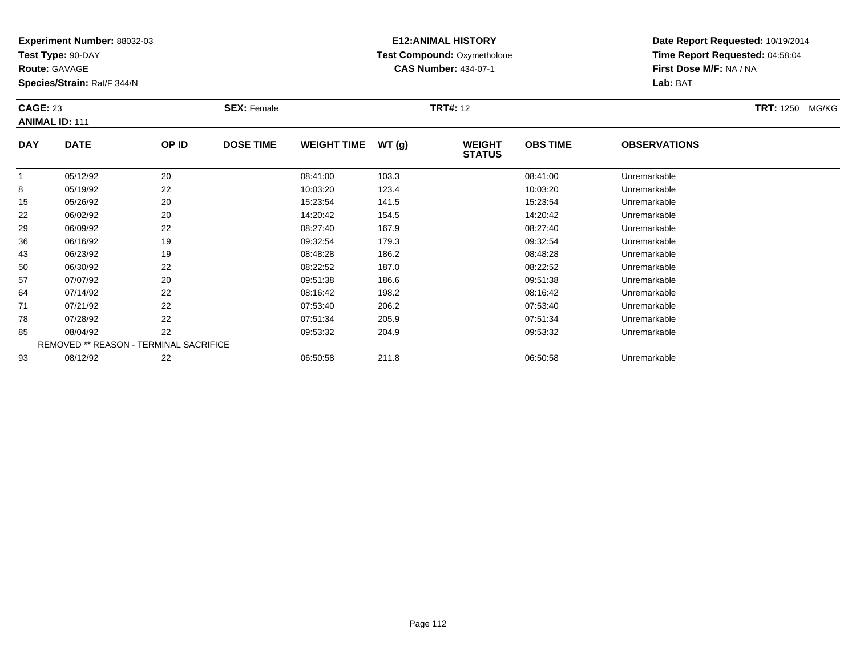**Test Type:** 90-DAY

**Route:** GAVAGE

93

**Species/Strain:** Rat/F 344/N

REMOVED \*\* REASON - TERMINAL SACRIFICE

## **E12:ANIMAL HISTORY Test Compound:** Oxymetholone**CAS Number:** 434-07-1

**Date Report Requested:** 10/19/2014**Time Report Requested:** 04:58:04**First Dose M/F:** NA / NA**Lab:** BAT

|            | <b>CAGE: 23</b><br><b>ANIMAL ID: 111</b> |       | <b>SEX: Female</b> |                    |       | <b>TRT#: 12</b>                |                 | <b>TRT: 1250</b><br>MG/KG |  |
|------------|------------------------------------------|-------|--------------------|--------------------|-------|--------------------------------|-----------------|---------------------------|--|
| <b>DAY</b> | <b>DATE</b>                              | OP ID | <b>DOSE TIME</b>   | <b>WEIGHT TIME</b> | WT(g) | <b>WEIGHT</b><br><b>STATUS</b> | <b>OBS TIME</b> | <b>OBSERVATIONS</b>       |  |
|            | 05/12/92                                 | 20    |                    | 08:41:00           | 103.3 |                                | 08:41:00        | Unremarkable              |  |
| 8          | 05/19/92                                 | 22    |                    | 10:03:20           | 123.4 |                                | 10:03:20        | Unremarkable              |  |
| 15         | 05/26/92                                 | 20    |                    | 15:23:54           | 141.5 |                                | 15:23:54        | Unremarkable              |  |
| 22         | 06/02/92                                 | 20    |                    | 14:20:42           | 154.5 |                                | 14:20:42        | Unremarkable              |  |
| 29         | 06/09/92                                 | 22    |                    | 08:27:40           | 167.9 |                                | 08:27:40        | Unremarkable              |  |
| 36         | 06/16/92                                 | 19    |                    | 09:32:54           | 179.3 |                                | 09:32:54        | Unremarkable              |  |
| 43         | 06/23/92                                 | 19    |                    | 08:48:28           | 186.2 |                                | 08:48:28        | Unremarkable              |  |
| 50         | 06/30/92                                 | 22    |                    | 08:22:52           | 187.0 |                                | 08:22:52        | Unremarkable              |  |
| 57         | 07/07/92                                 | 20    |                    | 09:51:38           | 186.6 |                                | 09:51:38        | Unremarkable              |  |
| 64         | 07/14/92                                 | 22    |                    | 08:16:42           | 198.2 |                                | 08:16:42        | Unremarkable              |  |
| 71         | 07/21/92                                 | 22    |                    | 07:53:40           | 206.2 |                                | 07:53:40        | Unremarkable              |  |
| 78         | 07/28/92                                 | 22    |                    | 07:51:34           | 205.9 |                                | 07:51:34        | Unremarkable              |  |
| 85         | 08/04/92                                 | 22    |                    | 09:53:32           | 204.9 |                                | 09:53:32        | Unremarkable              |  |

08/04/92 <sup>22</sup> 09:53:32 204.9 09:53:32 Unremarkable

08/12/92 <sup>22</sup> 06:50:58 211.8 06:50:58 Unremarkable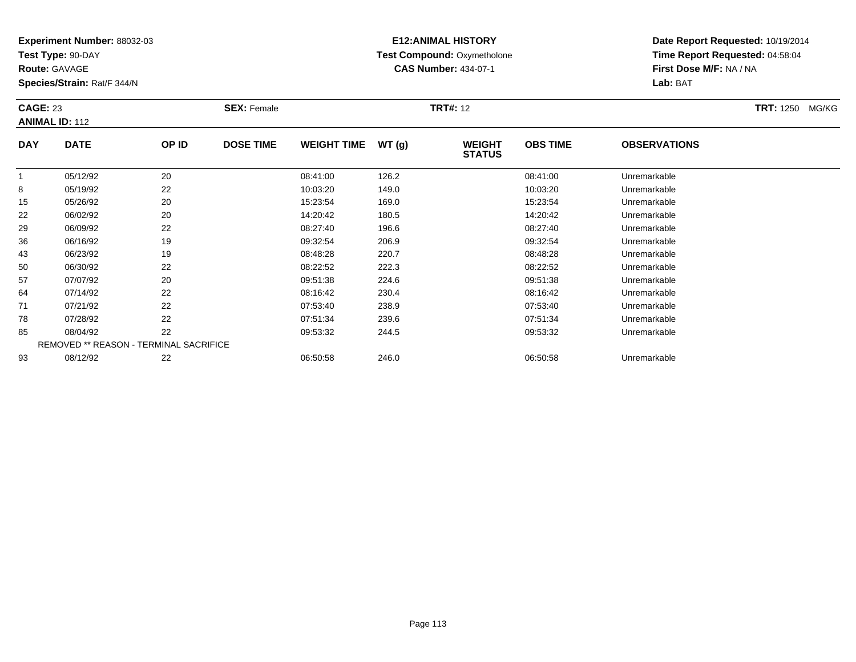**Test Type:** 90-DAY

**Route:** GAVAGE

93

**Species/Strain:** Rat/F 344/N

REMOVED \*\* REASON - TERMINAL SACRIFICE

## **E12:ANIMAL HISTORY Test Compound:** Oxymetholone**CAS Number:** 434-07-1

**Date Report Requested:** 10/19/2014**Time Report Requested:** 04:58:04**First Dose M/F:** NA / NA**Lab:** BAT

| <b>CAGE: 23</b><br><b>ANIMAL ID: 112</b> |             |       | <b>SEX: Female</b> |                    |       | <b>TRT#: 12</b>                |                 |                     | <b>TRT: 1250 MG/KG</b> |
|------------------------------------------|-------------|-------|--------------------|--------------------|-------|--------------------------------|-----------------|---------------------|------------------------|
| <b>DAY</b>                               | <b>DATE</b> | OP ID | <b>DOSE TIME</b>   | <b>WEIGHT TIME</b> | WT(g) | <b>WEIGHT</b><br><b>STATUS</b> | <b>OBS TIME</b> | <b>OBSERVATIONS</b> |                        |
|                                          | 05/12/92    | 20    |                    | 08:41:00           | 126.2 |                                | 08:41:00        | Unremarkable        |                        |
| 8                                        | 05/19/92    | 22    |                    | 10:03:20           | 149.0 |                                | 10:03:20        | Unremarkable        |                        |
| 15                                       | 05/26/92    | 20    |                    | 15:23:54           | 169.0 |                                | 15:23:54        | Unremarkable        |                        |
| 22                                       | 06/02/92    | 20    |                    | 14:20:42           | 180.5 |                                | 14:20:42        | Unremarkable        |                        |
| 29                                       | 06/09/92    | 22    |                    | 08:27:40           | 196.6 |                                | 08:27:40        | Unremarkable        |                        |
| 36                                       | 06/16/92    | 19    |                    | 09:32:54           | 206.9 |                                | 09:32:54        | Unremarkable        |                        |
| 43                                       | 06/23/92    | 19    |                    | 08:48:28           | 220.7 |                                | 08:48:28        | Unremarkable        |                        |
| 50                                       | 06/30/92    | 22    |                    | 08:22:52           | 222.3 |                                | 08:22:52        | Unremarkable        |                        |
| 57                                       | 07/07/92    | 20    |                    | 09:51:38           | 224.6 |                                | 09:51:38        | Unremarkable        |                        |
| 64                                       | 07/14/92    | 22    |                    | 08:16:42           | 230.4 |                                | 08:16:42        | Unremarkable        |                        |
| 71                                       | 07/21/92    | 22    |                    | 07:53:40           | 238.9 |                                | 07:53:40        | Unremarkable        |                        |
| 78                                       | 07/28/92    | 22    |                    | 07:51:34           | 239.6 |                                | 07:51:34        | Unremarkable        |                        |
| 85                                       | 08/04/92    | 22    |                    | 09:53:32           | 244.5 |                                | 09:53:32        | Unremarkable        |                        |

08/12/92 <sup>22</sup> 06:50:58 246.0 06:50:58 Unremarkable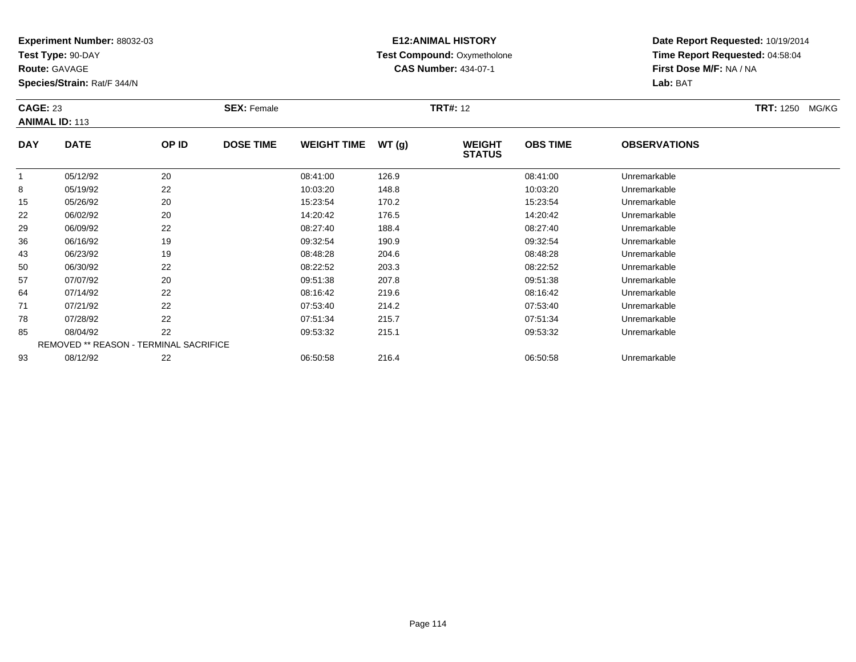**Test Type:** 90-DAY

**Route:** GAVAGE

93

**Species/Strain:** Rat/F 344/N

## **E12:ANIMAL HISTORY Test Compound:** Oxymetholone**CAS Number:** 434-07-1

**Date Report Requested:** 10/19/2014**Time Report Requested:** 04:58:04**First Dose M/F:** NA / NA**Lab:** BAT

|            | <b>CAGE: 23</b><br><b>ANIMAL ID: 113</b>      |       | <b>SEX: Female</b> |                    |       | <b>TRT#: 12</b>                |                 | <b>TRT:</b> 1250 MG/KG |  |
|------------|-----------------------------------------------|-------|--------------------|--------------------|-------|--------------------------------|-----------------|------------------------|--|
| <b>DAY</b> | <b>DATE</b>                                   | OP ID | <b>DOSE TIME</b>   | <b>WEIGHT TIME</b> | WT(g) | <b>WEIGHT</b><br><b>STATUS</b> | <b>OBS TIME</b> | <b>OBSERVATIONS</b>    |  |
|            | 05/12/92                                      | 20    |                    | 08:41:00           | 126.9 |                                | 08:41:00        | Unremarkable           |  |
| 8          | 05/19/92                                      | 22    |                    | 10:03:20           | 148.8 |                                | 10:03:20        | Unremarkable           |  |
| 15         | 05/26/92                                      | 20    |                    | 15:23:54           | 170.2 |                                | 15:23:54        | Unremarkable           |  |
| 22         | 06/02/92                                      | 20    |                    | 14:20:42           | 176.5 |                                | 14:20:42        | Unremarkable           |  |
| 29         | 06/09/92                                      | 22    |                    | 08:27:40           | 188.4 |                                | 08:27:40        | Unremarkable           |  |
| 36         | 06/16/92                                      | 19    |                    | 09:32:54           | 190.9 |                                | 09:32:54        | Unremarkable           |  |
| 43         | 06/23/92                                      | 19    |                    | 08:48:28           | 204.6 |                                | 08:48:28        | Unremarkable           |  |
| 50         | 06/30/92                                      | 22    |                    | 08:22:52           | 203.3 |                                | 08:22:52        | Unremarkable           |  |
| 57         | 07/07/92                                      | 20    |                    | 09:51:38           | 207.8 |                                | 09:51:38        | Unremarkable           |  |
| 64         | 07/14/92                                      | 22    |                    | 08:16:42           | 219.6 |                                | 08:16:42        | Unremarkable           |  |
| 71         | 07/21/92                                      | 22    |                    | 07:53:40           | 214.2 |                                | 07:53:40        | Unremarkable           |  |
| 78         | 07/28/92                                      | 22    |                    | 07:51:34           | 215.7 |                                | 07:51:34        | Unremarkable           |  |
| 85         | 08/04/92                                      | 22    |                    | 09:53:32           | 215.1 |                                | 09:53:32        | Unremarkable           |  |
|            | <b>REMOVED ** REASON - TERMINAL SACRIFICE</b> |       |                    |                    |       |                                |                 |                        |  |

08/12/92 <sup>22</sup> 06:50:58 216.4 06:50:58 Unremarkable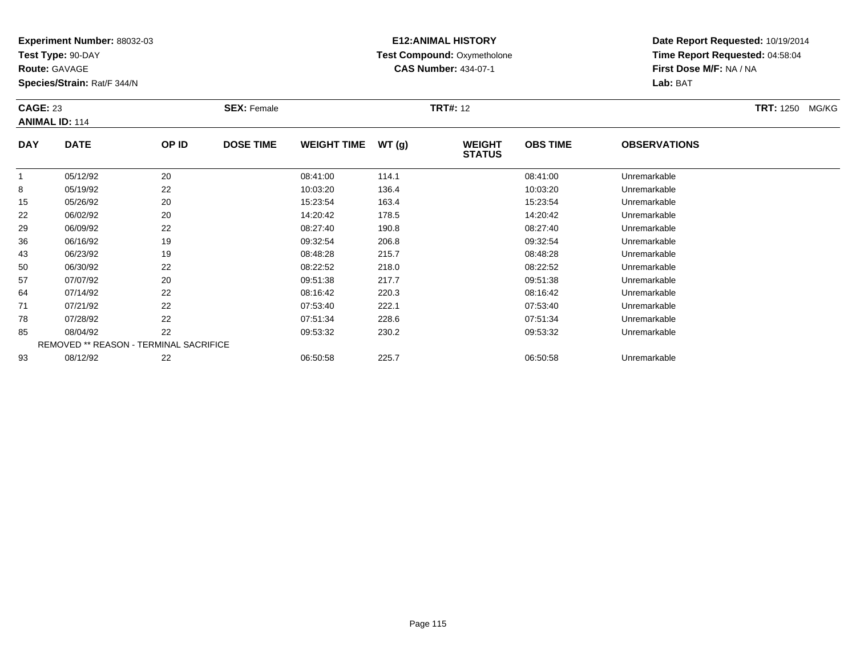**Test Type:** 90-DAY

**Route:** GAVAGE

93

**Species/Strain:** Rat/F 344/N

# **E12:ANIMAL HISTORY Test Compound:** Oxymetholone**CAS Number:** 434-07-1

**Date Report Requested:** 10/19/2014**Time Report Requested:** 04:58:04**First Dose M/F:** NA / NA**Lab:** BAT

|            | <b>CAGE: 23</b><br><b>ANIMAL ID: 114</b>      |       | <b>SEX: Female</b> |                    |       | <b>TRT#: 12</b>                |                 | <b>TRT: 1250 MG/KG</b> |  |
|------------|-----------------------------------------------|-------|--------------------|--------------------|-------|--------------------------------|-----------------|------------------------|--|
| <b>DAY</b> | <b>DATE</b>                                   | OP ID | <b>DOSE TIME</b>   | <b>WEIGHT TIME</b> | WT(g) | <b>WEIGHT</b><br><b>STATUS</b> | <b>OBS TIME</b> | <b>OBSERVATIONS</b>    |  |
|            | 05/12/92                                      | 20    |                    | 08:41:00           | 114.1 |                                | 08:41:00        | Unremarkable           |  |
| 8          | 05/19/92                                      | 22    |                    | 10:03:20           | 136.4 |                                | 10:03:20        | Unremarkable           |  |
| 15         | 05/26/92                                      | 20    |                    | 15:23:54           | 163.4 |                                | 15:23:54        | Unremarkable           |  |
| 22         | 06/02/92                                      | 20    |                    | 14:20:42           | 178.5 |                                | 14:20:42        | Unremarkable           |  |
| 29         | 06/09/92                                      | 22    |                    | 08:27:40           | 190.8 |                                | 08:27:40        | Unremarkable           |  |
| 36         | 06/16/92                                      | 19    |                    | 09:32:54           | 206.8 |                                | 09:32:54        | Unremarkable           |  |
| 43         | 06/23/92                                      | 19    |                    | 08:48:28           | 215.7 |                                | 08:48:28        | Unremarkable           |  |
| 50         | 06/30/92                                      | 22    |                    | 08:22:52           | 218.0 |                                | 08:22:52        | Unremarkable           |  |
| 57         | 07/07/92                                      | 20    |                    | 09:51:38           | 217.7 |                                | 09:51:38        | Unremarkable           |  |
| 64         | 07/14/92                                      | 22    |                    | 08:16:42           | 220.3 |                                | 08:16:42        | Unremarkable           |  |
| 71         | 07/21/92                                      | 22    |                    | 07:53:40           | 222.1 |                                | 07:53:40        | Unremarkable           |  |
| 78         | 07/28/92                                      | 22    |                    | 07:51:34           | 228.6 |                                | 07:51:34        | Unremarkable           |  |
| 85         | 08/04/92                                      | 22    |                    | 09:53:32           | 230.2 |                                | 09:53:32        | Unremarkable           |  |
|            | <b>REMOVED ** REASON - TERMINAL SACRIFICE</b> |       |                    |                    |       |                                |                 |                        |  |

08/12/92 <sup>22</sup> 06:50:58 225.7 06:50:58 Unremarkable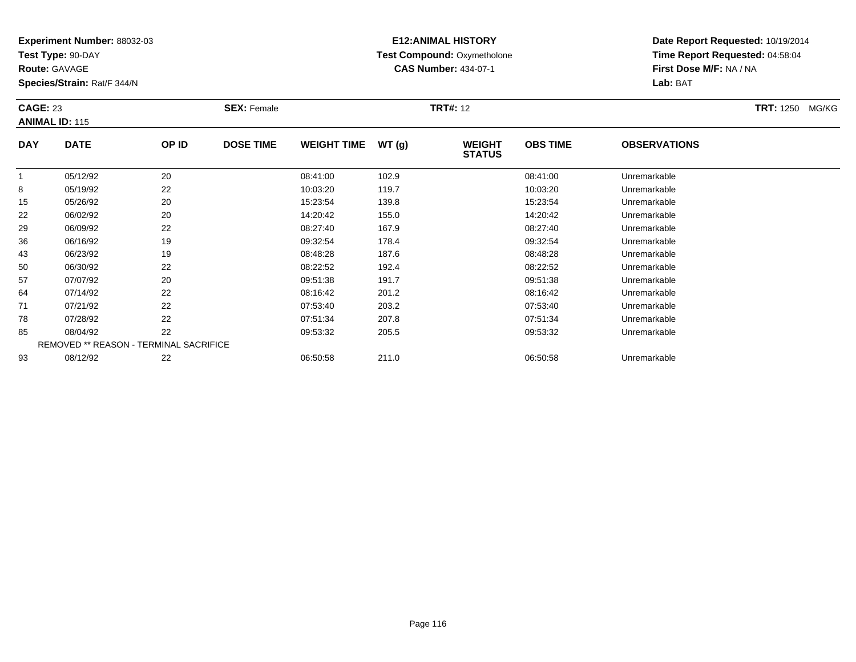**Test Type:** 90-DAY

**Route:** GAVAGE

93

**Species/Strain:** Rat/F 344/N

# **E12:ANIMAL HISTORY Test Compound:** Oxymetholone**CAS Number:** 434-07-1

**Date Report Requested:** 10/19/2014**Time Report Requested:** 04:58:04**First Dose M/F:** NA / NA**Lab:** BAT

| <b>CAGE: 23</b><br><b>ANIMAL ID: 115</b> |                                               | <b>SEX: Female</b> |                  |                    | <b>TRT#: 12</b> |                                | <b>TRT: 1250</b><br>MG/KG |                     |  |
|------------------------------------------|-----------------------------------------------|--------------------|------------------|--------------------|-----------------|--------------------------------|---------------------------|---------------------|--|
| <b>DAY</b>                               | <b>DATE</b>                                   | OP ID              | <b>DOSE TIME</b> | <b>WEIGHT TIME</b> | WT(g)           | <b>WEIGHT</b><br><b>STATUS</b> | <b>OBS TIME</b>           | <b>OBSERVATIONS</b> |  |
|                                          | 05/12/92                                      | 20                 |                  | 08:41:00           | 102.9           |                                | 08:41:00                  | Unremarkable        |  |
| 8                                        | 05/19/92                                      | 22                 |                  | 10:03:20           | 119.7           |                                | 10:03:20                  | Unremarkable        |  |
| 15                                       | 05/26/92                                      | 20                 |                  | 15:23:54           | 139.8           |                                | 15:23:54                  | Unremarkable        |  |
| 22                                       | 06/02/92                                      | 20                 |                  | 14:20:42           | 155.0           |                                | 14:20:42                  | Unremarkable        |  |
| 29                                       | 06/09/92                                      | 22                 |                  | 08:27:40           | 167.9           |                                | 08:27:40                  | Unremarkable        |  |
| 36                                       | 06/16/92                                      | 19                 |                  | 09:32:54           | 178.4           |                                | 09:32:54                  | Unremarkable        |  |
| 43                                       | 06/23/92                                      | 19                 |                  | 08:48:28           | 187.6           |                                | 08:48:28                  | Unremarkable        |  |
| 50                                       | 06/30/92                                      | 22                 |                  | 08:22:52           | 192.4           |                                | 08:22:52                  | Unremarkable        |  |
| 57                                       | 07/07/92                                      | 20                 |                  | 09:51:38           | 191.7           |                                | 09:51:38                  | Unremarkable        |  |
| 64                                       | 07/14/92                                      | 22                 |                  | 08:16:42           | 201.2           |                                | 08:16:42                  | Unremarkable        |  |
| 71                                       | 07/21/92                                      | 22                 |                  | 07:53:40           | 203.2           |                                | 07:53:40                  | Unremarkable        |  |
| 78                                       | 07/28/92                                      | 22                 |                  | 07:51:34           | 207.8           |                                | 07:51:34                  | Unremarkable        |  |
| 85                                       | 08/04/92                                      | 22                 |                  | 09:53:32           | 205.5           |                                | 09:53:32                  | Unremarkable        |  |
|                                          | <b>REMOVED ** REASON - TERMINAL SACRIFICE</b> |                    |                  |                    |                 |                                |                           |                     |  |

08/12/92 <sup>22</sup> 06:50:58 211.0 06:50:58 Unremarkable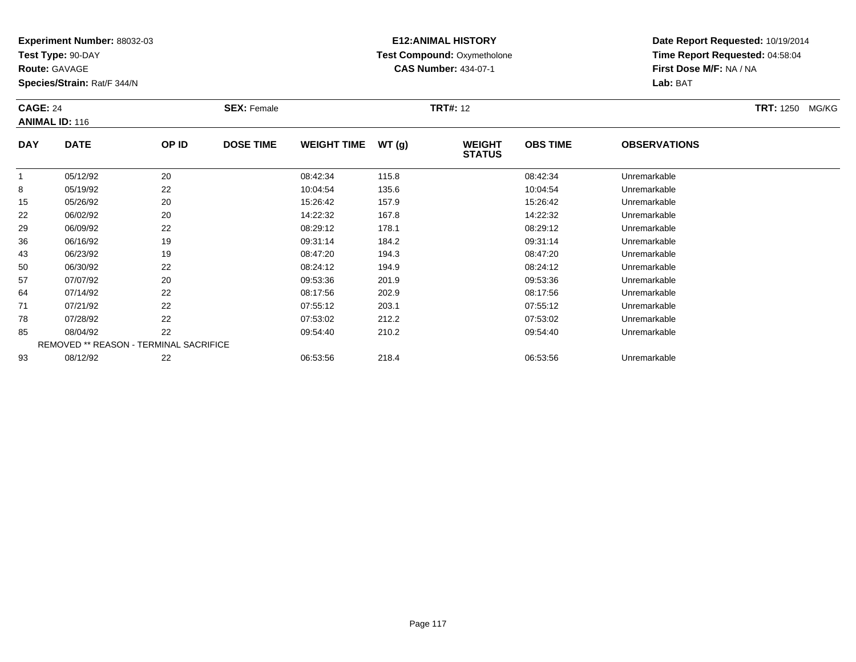**Test Type:** 90-DAY

**Route:** GAVAGE

93

**Species/Strain:** Rat/F 344/N

REMOVED \*\* REASON - TERMINAL SACRIFICE

## **E12:ANIMAL HISTORY Test Compound:** Oxymetholone**CAS Number:** 434-07-1

**Date Report Requested:** 10/19/2014**Time Report Requested:** 04:58:04**First Dose M/F:** NA / NA**Lab:** BAT

|            | <b>CAGE: 24</b><br><b>ANIMAL ID: 116</b> |       | <b>SEX: Female</b> |                    |       | <b>TRT#: 12</b>                |                 | <b>TRT: 1250</b><br>MG/KG |  |
|------------|------------------------------------------|-------|--------------------|--------------------|-------|--------------------------------|-----------------|---------------------------|--|
| <b>DAY</b> | <b>DATE</b>                              | OP ID | <b>DOSE TIME</b>   | <b>WEIGHT TIME</b> | WT(g) | <b>WEIGHT</b><br><b>STATUS</b> | <b>OBS TIME</b> | <b>OBSERVATIONS</b>       |  |
|            | 05/12/92                                 | 20    |                    | 08:42:34           | 115.8 |                                | 08:42:34        | Unremarkable              |  |
| 8          | 05/19/92                                 | 22    |                    | 10:04:54           | 135.6 |                                | 10:04:54        | Unremarkable              |  |
| 15         | 05/26/92                                 | 20    |                    | 15:26:42           | 157.9 |                                | 15:26:42        | Unremarkable              |  |
| 22         | 06/02/92                                 | 20    |                    | 14:22:32           | 167.8 |                                | 14:22:32        | Unremarkable              |  |
| 29         | 06/09/92                                 | 22    |                    | 08:29:12           | 178.1 |                                | 08:29:12        | Unremarkable              |  |
| 36         | 06/16/92                                 | 19    |                    | 09:31:14           | 184.2 |                                | 09:31:14        | Unremarkable              |  |
| 43         | 06/23/92                                 | 19    |                    | 08:47:20           | 194.3 |                                | 08:47:20        | Unremarkable              |  |
| 50         | 06/30/92                                 | 22    |                    | 08:24:12           | 194.9 |                                | 08:24:12        | Unremarkable              |  |
| 57         | 07/07/92                                 | 20    |                    | 09:53:36           | 201.9 |                                | 09:53:36        | Unremarkable              |  |
| 64         | 07/14/92                                 | 22    |                    | 08:17:56           | 202.9 |                                | 08:17:56        | Unremarkable              |  |
| 71         | 07/21/92                                 | 22    |                    | 07:55:12           | 203.1 |                                | 07:55:12        | Unremarkable              |  |
| 78         | 07/28/92                                 | 22    |                    | 07:53:02           | 212.2 |                                | 07:53:02        | Unremarkable              |  |
| 85         | 08/04/92                                 | 22    |                    | 09:54:40           | 210.2 |                                | 09:54:40        | Unremarkable              |  |

08/12/92 <sup>22</sup> 06:53:56 218.4 06:53:56 Unremarkable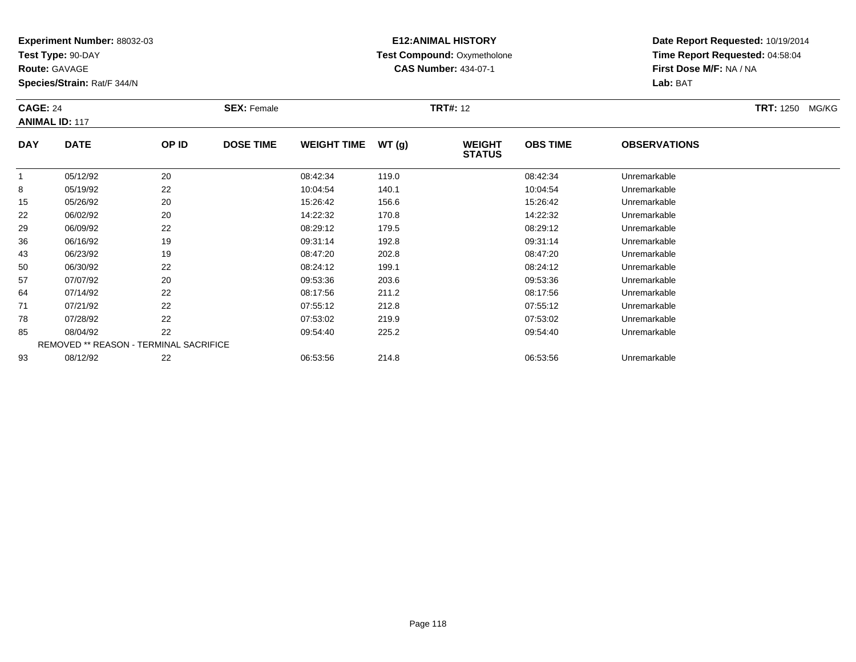**Test Type:** 90-DAY

**Route:** GAVAGE

85

93

**Species/Strain:** Rat/F 344/N

REMOVED \*\* REASON - TERMINAL SACRIFICE

## **E12:ANIMAL HISTORY Test Compound:** Oxymetholone**CAS Number:** 434-07-1

**Date Report Requested:** 10/19/2014**Time Report Requested:** 04:58:04**First Dose M/F:** NA / NA**Lab:** BAT

| <b>CAGE: 24</b><br><b>ANIMAL ID: 117</b> |             | <b>SEX: Female</b> |                  |                    | <b>TRT#: 12</b> | <b>TRT: 1250</b><br>MG/KG      |                 |                     |  |
|------------------------------------------|-------------|--------------------|------------------|--------------------|-----------------|--------------------------------|-----------------|---------------------|--|
| <b>DAY</b>                               | <b>DATE</b> | OP ID              | <b>DOSE TIME</b> | <b>WEIGHT TIME</b> | WT(g)           | <b>WEIGHT</b><br><b>STATUS</b> | <b>OBS TIME</b> | <b>OBSERVATIONS</b> |  |
|                                          | 05/12/92    | 20                 |                  | 08:42:34           | 119.0           |                                | 08:42:34        | Unremarkable        |  |
| 8                                        | 05/19/92    | 22                 |                  | 10:04:54           | 140.1           |                                | 10:04:54        | Unremarkable        |  |
| 15                                       | 05/26/92    | 20                 |                  | 15:26:42           | 156.6           |                                | 15:26:42        | Unremarkable        |  |
| 22                                       | 06/02/92    | 20                 |                  | 14:22:32           | 170.8           |                                | 14:22:32        | Unremarkable        |  |
| 29                                       | 06/09/92    | 22                 |                  | 08:29:12           | 179.5           |                                | 08:29:12        | Unremarkable        |  |
| 36                                       | 06/16/92    | 19                 |                  | 09:31:14           | 192.8           |                                | 09:31:14        | Unremarkable        |  |
| 43                                       | 06/23/92    | 19                 |                  | 08:47:20           | 202.8           |                                | 08:47:20        | Unremarkable        |  |
| 50                                       | 06/30/92    | 22                 |                  | 08:24:12           | 199.1           |                                | 08:24:12        | Unremarkable        |  |
| 57                                       | 07/07/92    | 20                 |                  | 09:53:36           | 203.6           |                                | 09:53:36        | Unremarkable        |  |
| 64                                       | 07/14/92    | 22                 |                  | 08:17:56           | 211.2           |                                | 08:17:56        | Unremarkable        |  |
| 71                                       | 07/21/92    | 22                 |                  | 07:55:12           | 212.8           |                                | 07:55:12        | Unremarkable        |  |
| 78                                       | 07/28/92    | 22                 |                  | 07:53:02           | 219.9           |                                | 07:53:02        | Unremarkable        |  |

08/04/92 <sup>22</sup> 09:54:40 225.2 09:54:40 Unremarkable

08/12/92 <sup>22</sup> 06:53:56 214.8 06:53:56 Unremarkable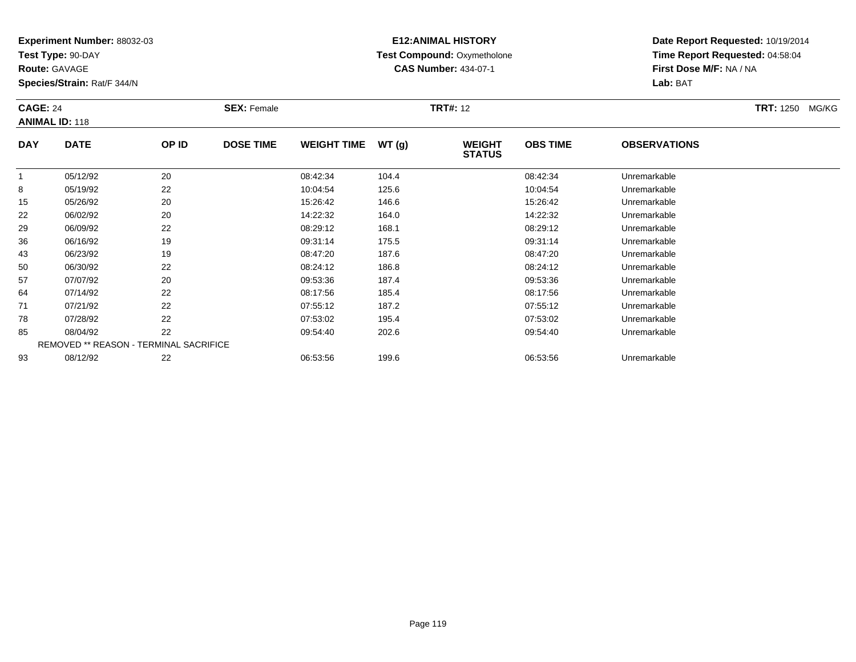**Test Type:** 90-DAY

**Route:** GAVAGE

93

**Species/Strain:** Rat/F 344/N

REMOVED \*\* REASON - TERMINAL SACRIFICE

#### **E12:ANIMAL HISTORY Test Compound:** Oxymetholone**CAS Number:** 434-07-1

**Date Report Requested:** 10/19/2014**Time Report Requested:** 04:58:04**First Dose M/F:** NA / NA**Lab:** BAT

| <b>CAGE: 24</b> | <b>ANIMAL ID: 118</b> |       | <b>SEX: Female</b> |                    |       | <b>TRT#: 12</b>                |                 |                     | <b>TRT: 1250</b><br>MG/KG |
|-----------------|-----------------------|-------|--------------------|--------------------|-------|--------------------------------|-----------------|---------------------|---------------------------|
| <b>DAY</b>      | <b>DATE</b>           | OP ID | <b>DOSE TIME</b>   | <b>WEIGHT TIME</b> | WT(g) | <b>WEIGHT</b><br><b>STATUS</b> | <b>OBS TIME</b> | <b>OBSERVATIONS</b> |                           |
|                 | 05/12/92              | 20    |                    | 08:42:34           | 104.4 |                                | 08:42:34        | Unremarkable        |                           |
| 8               | 05/19/92              | 22    |                    | 10:04:54           | 125.6 |                                | 10:04:54        | Unremarkable        |                           |
| 15              | 05/26/92              | 20    |                    | 15:26:42           | 146.6 |                                | 15:26:42        | Unremarkable        |                           |
| 22              | 06/02/92              | 20    |                    | 14:22:32           | 164.0 |                                | 14:22:32        | Unremarkable        |                           |
| 29              | 06/09/92              | 22    |                    | 08:29:12           | 168.1 |                                | 08:29:12        | Unremarkable        |                           |
| 36              | 06/16/92              | 19    |                    | 09:31:14           | 175.5 |                                | 09:31:14        | Unremarkable        |                           |
| 43              | 06/23/92              | 19    |                    | 08:47:20           | 187.6 |                                | 08:47:20        | Unremarkable        |                           |
| 50              | 06/30/92              | 22    |                    | 08:24:12           | 186.8 |                                | 08:24:12        | Unremarkable        |                           |
| 57              | 07/07/92              | 20    |                    | 09:53:36           | 187.4 |                                | 09:53:36        | Unremarkable        |                           |
| 64              | 07/14/92              | 22    |                    | 08:17:56           | 185.4 |                                | 08:17:56        | Unremarkable        |                           |
| 71              | 07/21/92              | 22    |                    | 07:55:12           | 187.2 |                                | 07:55:12        | Unremarkable        |                           |
| 78              | 07/28/92              | 22    |                    | 07:53:02           | 195.4 |                                | 07:53:02        | Unremarkable        |                           |
| 85              | 08/04/92              | 22    |                    | 09:54:40           | 202.6 |                                | 09:54:40        | Unremarkable        |                           |

08/04/92 <sup>22</sup> 09:54:40 202.6 09:54:40 Unremarkable

08/12/92 <sup>22</sup> 06:53:56 199.6 06:53:56 Unremarkable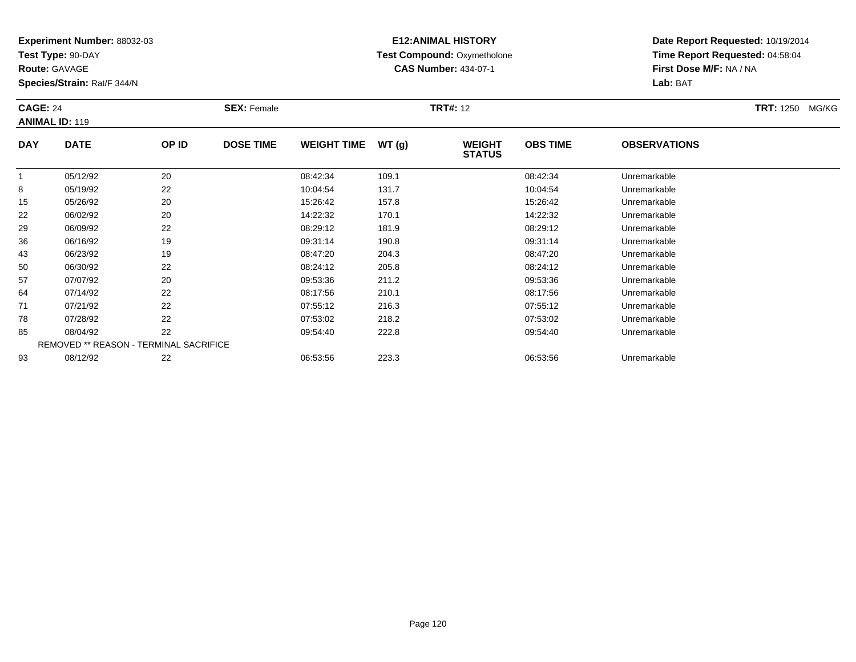**Test Type:** 90-DAY

**Route:** GAVAGE

93

**Species/Strain:** Rat/F 344/N

REMOVED \*\* REASON - TERMINAL SACRIFICE

## **E12:ANIMAL HISTORY Test Compound:** Oxymetholone**CAS Number:** 434-07-1

**Date Report Requested:** 10/19/2014**Time Report Requested:** 04:58:04**First Dose M/F:** NA / NA**Lab:** BAT

| <b>CAGE: 24</b><br><b>ANIMAL ID: 119</b> |             |       | <b>SEX: Female</b> |                    |       | <b>TRT#: 12</b>                |                 |                     | <b>TRT: 1250</b><br>MG/KG |
|------------------------------------------|-------------|-------|--------------------|--------------------|-------|--------------------------------|-----------------|---------------------|---------------------------|
| <b>DAY</b>                               | <b>DATE</b> | OP ID | <b>DOSE TIME</b>   | <b>WEIGHT TIME</b> | WT(g) | <b>WEIGHT</b><br><b>STATUS</b> | <b>OBS TIME</b> | <b>OBSERVATIONS</b> |                           |
|                                          | 05/12/92    | 20    |                    | 08:42:34           | 109.1 |                                | 08:42:34        | Unremarkable        |                           |
| 8                                        | 05/19/92    | 22    |                    | 10:04:54           | 131.7 |                                | 10:04:54        | Unremarkable        |                           |
| 15                                       | 05/26/92    | 20    |                    | 15:26:42           | 157.8 |                                | 15:26:42        | Unremarkable        |                           |
| 22                                       | 06/02/92    | 20    |                    | 14:22:32           | 170.1 |                                | 14:22:32        | Unremarkable        |                           |
| 29                                       | 06/09/92    | 22    |                    | 08:29:12           | 181.9 |                                | 08:29:12        | Unremarkable        |                           |
| 36                                       | 06/16/92    | 19    |                    | 09:31:14           | 190.8 |                                | 09:31:14        | Unremarkable        |                           |
| 43                                       | 06/23/92    | 19    |                    | 08:47:20           | 204.3 |                                | 08:47:20        | Unremarkable        |                           |
| 50                                       | 06/30/92    | 22    |                    | 08:24:12           | 205.8 |                                | 08:24:12        | Unremarkable        |                           |
| 57                                       | 07/07/92    | 20    |                    | 09:53:36           | 211.2 |                                | 09:53:36        | Unremarkable        |                           |
| 64                                       | 07/14/92    | 22    |                    | 08:17:56           | 210.1 |                                | 08:17:56        | Unremarkable        |                           |
| 71                                       | 07/21/92    | 22    |                    | 07:55:12           | 216.3 |                                | 07:55:12        | Unremarkable        |                           |
| 78                                       | 07/28/92    | 22    |                    | 07:53:02           | 218.2 |                                | 07:53:02        | Unremarkable        |                           |
| 85                                       | 08/04/92    | 22    |                    | 09:54:40           | 222.8 |                                | 09:54:40        | Unremarkable        |                           |

08/12/92 <sup>22</sup> 06:53:56 223.3 06:53:56 Unremarkable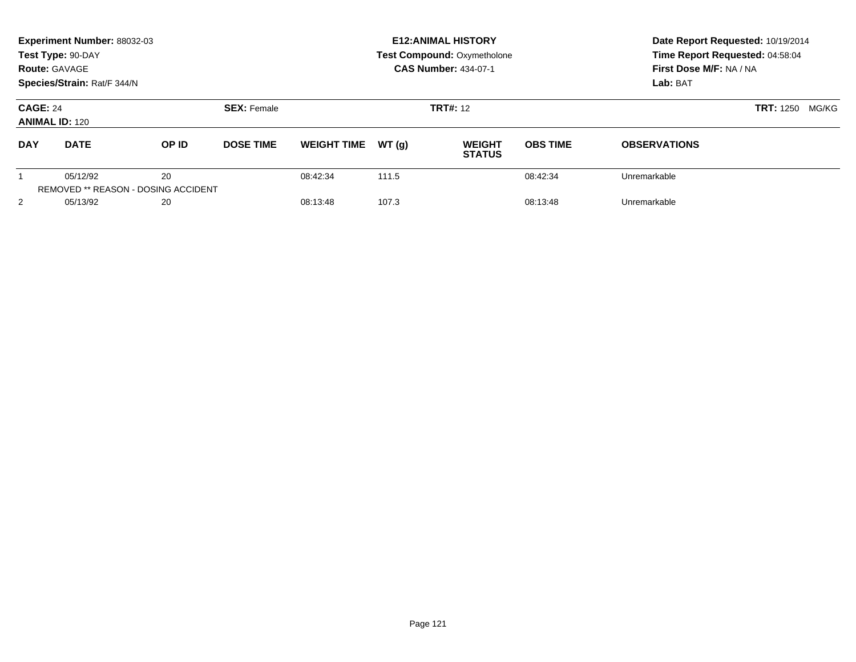| Experiment Number: 88032-03<br>Test Type: 90-DAY<br><b>Route: GAVAGE</b><br>Species/Strain: Rat/F 344/N |                                                        |              |                    | <b>E12: ANIMAL HISTORY</b><br><b>Test Compound: Oxymetholone</b><br><b>CAS Number: 434-07-1</b> |       |                                |                 | Date Report Requested: 10/19/2014<br>Time Report Requested: 04:58:04<br>First Dose M/F: NA / NA<br>Lab: BAT |                           |
|---------------------------------------------------------------------------------------------------------|--------------------------------------------------------|--------------|--------------------|-------------------------------------------------------------------------------------------------|-------|--------------------------------|-----------------|-------------------------------------------------------------------------------------------------------------|---------------------------|
| <b>CAGE: 24</b><br><b>ANIMAL ID: 120</b>                                                                |                                                        |              | <b>SEX: Female</b> |                                                                                                 |       | <b>TRT#: 12</b>                |                 |                                                                                                             | <b>TRT:</b> 1250<br>MG/KG |
| <b>DAY</b>                                                                                              | <b>DATE</b>                                            | <b>OP ID</b> | <b>DOSE TIME</b>   | <b>WEIGHT TIME</b>                                                                              | WT(q) | <b>WEIGHT</b><br><b>STATUS</b> | <b>OBS TIME</b> | <b>OBSERVATIONS</b>                                                                                         |                           |
|                                                                                                         | 05/12/92<br><b>REMOVED ** REASON - DOSING ACCIDENT</b> | 20           |                    | 08:42:34                                                                                        | 111.5 |                                | 08:42:34        | Unremarkable                                                                                                |                           |
| 2                                                                                                       | 05/13/92                                               | 20           |                    | 08:13:48                                                                                        | 107.3 |                                | 08:13:48        | Unremarkable                                                                                                |                           |